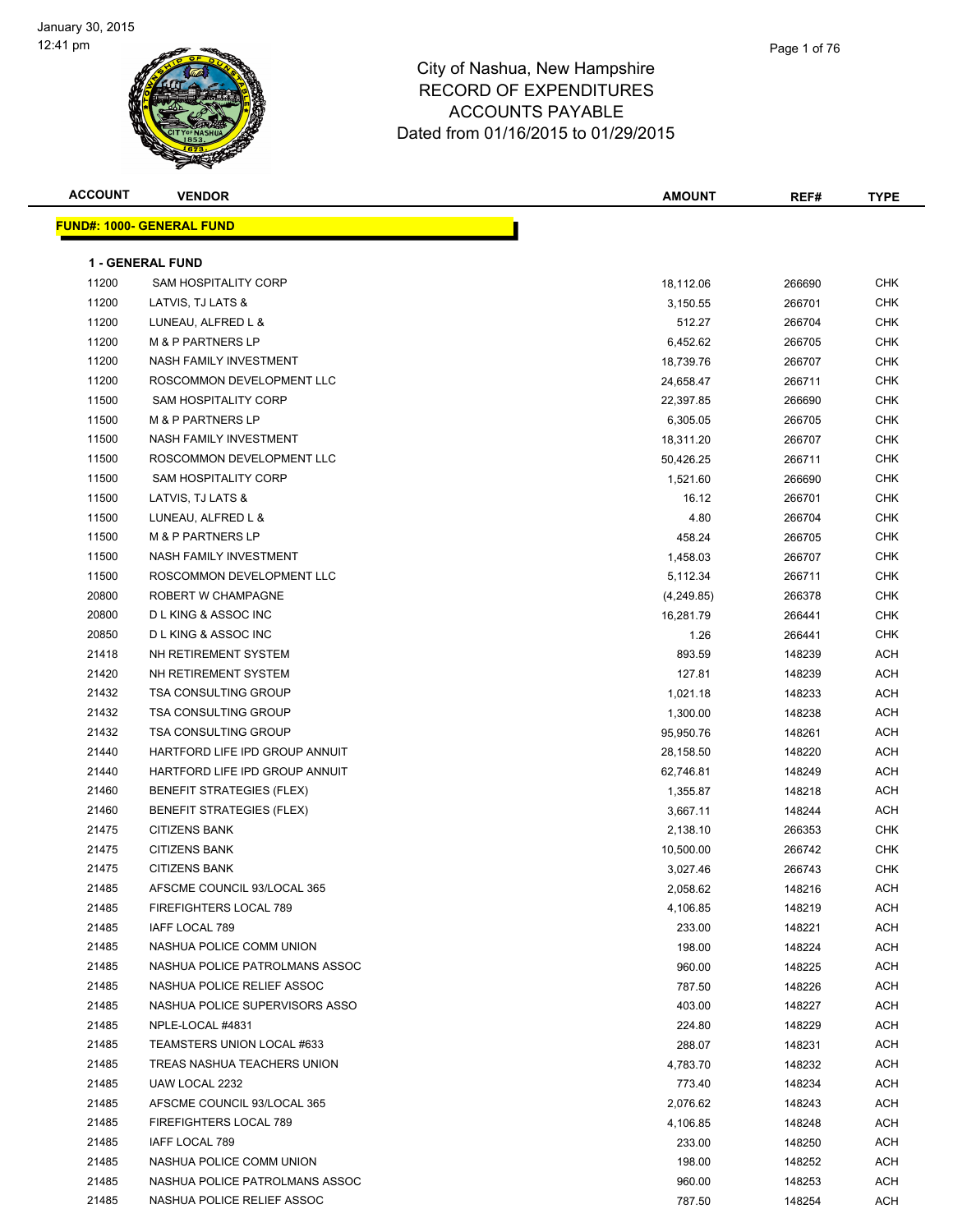

| <b>ACCOUNT</b> | <b>VENDOR</b>                     | <b>AMOUNT</b> | REF#   | <b>TYPE</b> |
|----------------|-----------------------------------|---------------|--------|-------------|
|                | <u> FUND#: 1000- GENERAL FUND</u> |               |        |             |
|                |                                   |               |        |             |
|                | <b>1 - GENERAL FUND</b>           |               |        |             |
| 11200          | <b>SAM HOSPITALITY CORP</b>       | 18,112.06     | 266690 | <b>CHK</b>  |
| 11200          | LATVIS, TJ LATS &                 | 3,150.55      | 266701 | <b>CHK</b>  |
| 11200          | LUNEAU, ALFRED L &                | 512.27        | 266704 | <b>CHK</b>  |
| 11200          | <b>M &amp; P PARTNERS LP</b>      | 6,452.62      | 266705 | <b>CHK</b>  |
| 11200          | NASH FAMILY INVESTMENT            | 18,739.76     | 266707 | CHK         |
| 11200          | ROSCOMMON DEVELOPMENT LLC         | 24,658.47     | 266711 | CHK         |
| 11500          | SAM HOSPITALITY CORP              | 22,397.85     | 266690 | CHK         |
| 11500          | <b>M &amp; P PARTNERS LP</b>      | 6,305.05      | 266705 | CHK         |
| 11500          | NASH FAMILY INVESTMENT            | 18,311.20     | 266707 | <b>CHK</b>  |
| 11500          | ROSCOMMON DEVELOPMENT LLC         | 50,426.25     | 266711 | CHK         |
| 11500          | SAM HOSPITALITY CORP              | 1,521.60      | 266690 | CHK         |
| 11500          | LATVIS, TJ LATS &                 | 16.12         | 266701 | <b>CHK</b>  |
| 11500          | LUNEAU, ALFRED L &                | 4.80          | 266704 | CHK         |
| 11500          | <b>M &amp; P PARTNERS LP</b>      | 458.24        | 266705 | CHK         |
| 11500          | NASH FAMILY INVESTMENT            | 1,458.03      | 266707 | <b>CHK</b>  |
| 11500          | ROSCOMMON DEVELOPMENT LLC         | 5,112.34      | 266711 | CHK         |
| 20800          | ROBERT W CHAMPAGNE                | (4,249.85)    | 266378 | CHK         |
| 20800          | D L KING & ASSOC INC              | 16,281.79     | 266441 | CHK         |
| 20850          | <b>DLKING &amp; ASSOC INC</b>     | 1.26          | 266441 | CHK         |
| 21418          | NH RETIREMENT SYSTEM              | 893.59        | 148239 | ACH         |
| 21420          | NH RETIREMENT SYSTEM              | 127.81        | 148239 | ACH         |
| 21432          | <b>TSA CONSULTING GROUP</b>       | 1,021.18      | 148233 | ACH         |
| 21432          | <b>TSA CONSULTING GROUP</b>       | 1,300.00      | 148238 | <b>ACH</b>  |
| 21432          | <b>TSA CONSULTING GROUP</b>       | 95,950.76     | 148261 | <b>ACH</b>  |
| 21440          | HARTFORD LIFE IPD GROUP ANNUIT    | 28,158.50     | 148220 | <b>ACH</b>  |
| 21440          | HARTFORD LIFE IPD GROUP ANNUIT    | 62,746.81     | 148249 | <b>ACH</b>  |
| 21460          | <b>BENEFIT STRATEGIES (FLEX)</b>  | 1,355.87      | 148218 | <b>ACH</b>  |
| 21460          | <b>BENEFIT STRATEGIES (FLEX)</b>  | 3,667.11      | 148244 | <b>ACH</b>  |
| 21475          | <b>CITIZENS BANK</b>              | 2,138.10      | 266353 | CHK         |
| 21475          | <b>CITIZENS BANK</b>              | 10,500.00     | 266742 | CHK         |
| 21475          | <b>CITIZENS BANK</b>              | 3,027.46      | 266743 | <b>CHK</b>  |
| 21485          | AFSCME COUNCIL 93/LOCAL 365       | 2,058.62      | 148216 | ACH         |
| 21485          | FIREFIGHTERS LOCAL 789            | 4,106.85      | 148219 | ACH         |
| 21485          | IAFF LOCAL 789                    | 233.00        | 148221 | <b>ACH</b>  |
| 21485          | NASHUA POLICE COMM UNION          | 198.00        | 148224 | ACH         |
| 21485          | NASHUA POLICE PATROLMANS ASSOC    | 960.00        | 148225 | ACH         |
| 21485          | NASHUA POLICE RELIEF ASSOC        | 787.50        | 148226 | <b>ACH</b>  |
| 21485          | NASHUA POLICE SUPERVISORS ASSO    | 403.00        | 148227 | ACH         |
| 21485          | NPLE-LOCAL #4831                  | 224.80        | 148229 | <b>ACH</b>  |
| 21485          | TEAMSTERS UNION LOCAL #633        | 288.07        | 148231 | <b>ACH</b>  |
| 21485          | TREAS NASHUA TEACHERS UNION       | 4,783.70      | 148232 | ACH         |
| 21485          | UAW LOCAL 2232                    | 773.40        | 148234 | ACH         |
| 21485          | AFSCME COUNCIL 93/LOCAL 365       | 2,076.62      | 148243 | ACH         |
| 21485          | FIREFIGHTERS LOCAL 789            | 4,106.85      | 148248 | ACH         |
| 21485          | IAFF LOCAL 789                    | 233.00        | 148250 | ACH         |
| 21485          | NASHUA POLICE COMM UNION          | 198.00        | 148252 | ACH         |
| 21485          | NASHUA POLICE PATROLMANS ASSOC    | 960.00        | 148253 | ACH         |
| 21485          | NASHUA POLICE RELIEF ASSOC        | 787.50        | 148254 | ACH         |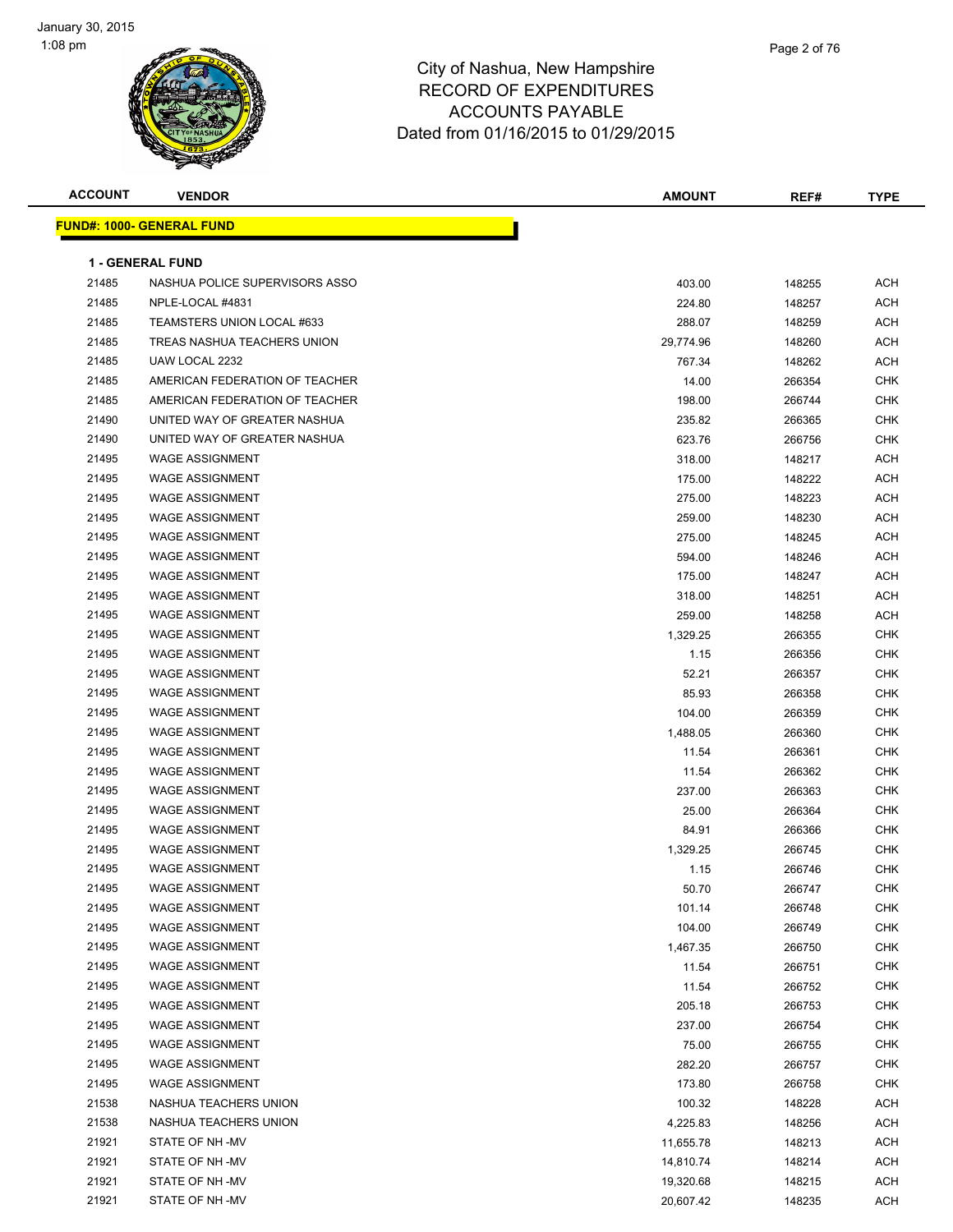

| oshire |  |  |  |
|--------|--|--|--|
| JRES   |  |  |  |
| ⊏      |  |  |  |

Page 2 of 76

| <b>ACCOUNT</b> | <b>VENDOR</b>                    | <b>AMOUNT</b> | REF#   | <b>TYPE</b> |
|----------------|----------------------------------|---------------|--------|-------------|
|                | <b>FUND#: 1000- GENERAL FUND</b> |               |        |             |
|                |                                  |               |        |             |
|                | <b>1 - GENERAL FUND</b>          |               |        |             |
| 21485          | NASHUA POLICE SUPERVISORS ASSO   | 403.00        | 148255 | <b>ACH</b>  |
| 21485          | NPLE-LOCAL #4831                 | 224.80        | 148257 | <b>ACH</b>  |
| 21485          | TEAMSTERS UNION LOCAL #633       | 288.07        | 148259 | <b>ACH</b>  |
| 21485          | TREAS NASHUA TEACHERS UNION      | 29,774.96     | 148260 | <b>ACH</b>  |
| 21485          | UAW LOCAL 2232                   | 767.34        | 148262 | <b>ACH</b>  |
| 21485          | AMERICAN FEDERATION OF TEACHER   | 14.00         | 266354 | <b>CHK</b>  |
| 21485          | AMERICAN FEDERATION OF TEACHER   | 198.00        | 266744 | <b>CHK</b>  |
| 21490          | UNITED WAY OF GREATER NASHUA     | 235.82        | 266365 | <b>CHK</b>  |
| 21490          | UNITED WAY OF GREATER NASHUA     | 623.76        | 266756 | <b>CHK</b>  |
| 21495          | <b>WAGE ASSIGNMENT</b>           | 318.00        | 148217 | <b>ACH</b>  |
| 21495          | <b>WAGE ASSIGNMENT</b>           | 175.00        | 148222 | <b>ACH</b>  |
| 21495          | <b>WAGE ASSIGNMENT</b>           | 275.00        | 148223 | <b>ACH</b>  |
| 21495          | <b>WAGE ASSIGNMENT</b>           | 259.00        | 148230 | <b>ACH</b>  |
| 21495          | <b>WAGE ASSIGNMENT</b>           | 275.00        | 148245 | <b>ACH</b>  |
| 21495          | <b>WAGE ASSIGNMENT</b>           | 594.00        | 148246 | <b>ACH</b>  |
| 21495          | <b>WAGE ASSIGNMENT</b>           | 175.00        | 148247 | <b>ACH</b>  |
| 21495          | <b>WAGE ASSIGNMENT</b>           | 318.00        | 148251 | <b>ACH</b>  |
| 21495          | <b>WAGE ASSIGNMENT</b>           | 259.00        | 148258 | <b>ACH</b>  |
| 21495          | <b>WAGE ASSIGNMENT</b>           | 1,329.25      | 266355 | CHK         |
| 21495          | <b>WAGE ASSIGNMENT</b>           | 1.15          | 266356 | CHK         |
| 21495          | <b>WAGE ASSIGNMENT</b>           | 52.21         | 266357 | <b>CHK</b>  |
| 21495          | <b>WAGE ASSIGNMENT</b>           | 85.93         | 266358 | CHK         |
| 21495          | <b>WAGE ASSIGNMENT</b>           | 104.00        | 266359 | CHK         |
| 21495          | <b>WAGE ASSIGNMENT</b>           | 1,488.05      | 266360 | <b>CHK</b>  |
| 21495          | <b>WAGE ASSIGNMENT</b>           | 11.54         | 266361 | <b>CHK</b>  |
| 21495          | <b>WAGE ASSIGNMENT</b>           | 11.54         | 266362 | <b>CHK</b>  |
| 21495          | <b>WAGE ASSIGNMENT</b>           | 237.00        | 266363 | <b>CHK</b>  |
| 21495          | <b>WAGE ASSIGNMENT</b>           | 25.00         | 266364 | <b>CHK</b>  |
| 21495          | <b>WAGE ASSIGNMENT</b>           | 84.91         | 266366 | <b>CHK</b>  |
| 21495          | <b>WAGE ASSIGNMENT</b>           | 1,329.25      | 266745 | <b>CHK</b>  |
| 21495          | <b>WAGE ASSIGNMENT</b>           | 1.15          | 266746 | <b>CHK</b>  |
| 21495          | WAGE ASSIGNMENT                  | 50.70         | 266747 | <b>CHK</b>  |
| 21495          | <b>WAGE ASSIGNMENT</b>           | 101.14        | 266748 | CHK         |
| 21495          | <b>WAGE ASSIGNMENT</b>           | 104.00        | 266749 | <b>CHK</b>  |
| 21495          | <b>WAGE ASSIGNMENT</b>           | 1,467.35      | 266750 | <b>CHK</b>  |
| 21495          | <b>WAGE ASSIGNMENT</b>           | 11.54         | 266751 | <b>CHK</b>  |
| 21495          | <b>WAGE ASSIGNMENT</b>           | 11.54         | 266752 | <b>CHK</b>  |
| 21495          | <b>WAGE ASSIGNMENT</b>           | 205.18        | 266753 | <b>CHK</b>  |
| 21495          | <b>WAGE ASSIGNMENT</b>           | 237.00        | 266754 | <b>CHK</b>  |
| 21495          | <b>WAGE ASSIGNMENT</b>           | 75.00         | 266755 | <b>CHK</b>  |
| 21495          | <b>WAGE ASSIGNMENT</b>           | 282.20        | 266757 | <b>CHK</b>  |
| 21495          | <b>WAGE ASSIGNMENT</b>           | 173.80        | 266758 | <b>CHK</b>  |
| 21538          | NASHUA TEACHERS UNION            | 100.32        | 148228 | <b>ACH</b>  |
| 21538          | NASHUA TEACHERS UNION            | 4,225.83      | 148256 | ACH         |
| 21921          | STATE OF NH-MV                   | 11,655.78     | 148213 | <b>ACH</b>  |
| 21921          | STATE OF NH-MV                   | 14,810.74     | 148214 | <b>ACH</b>  |
| 21921          | STATE OF NH-MV                   | 19,320.68     | 148215 | ACH         |
| 21921          | STATE OF NH-MV                   | 20,607.42     | 148235 | <b>ACH</b>  |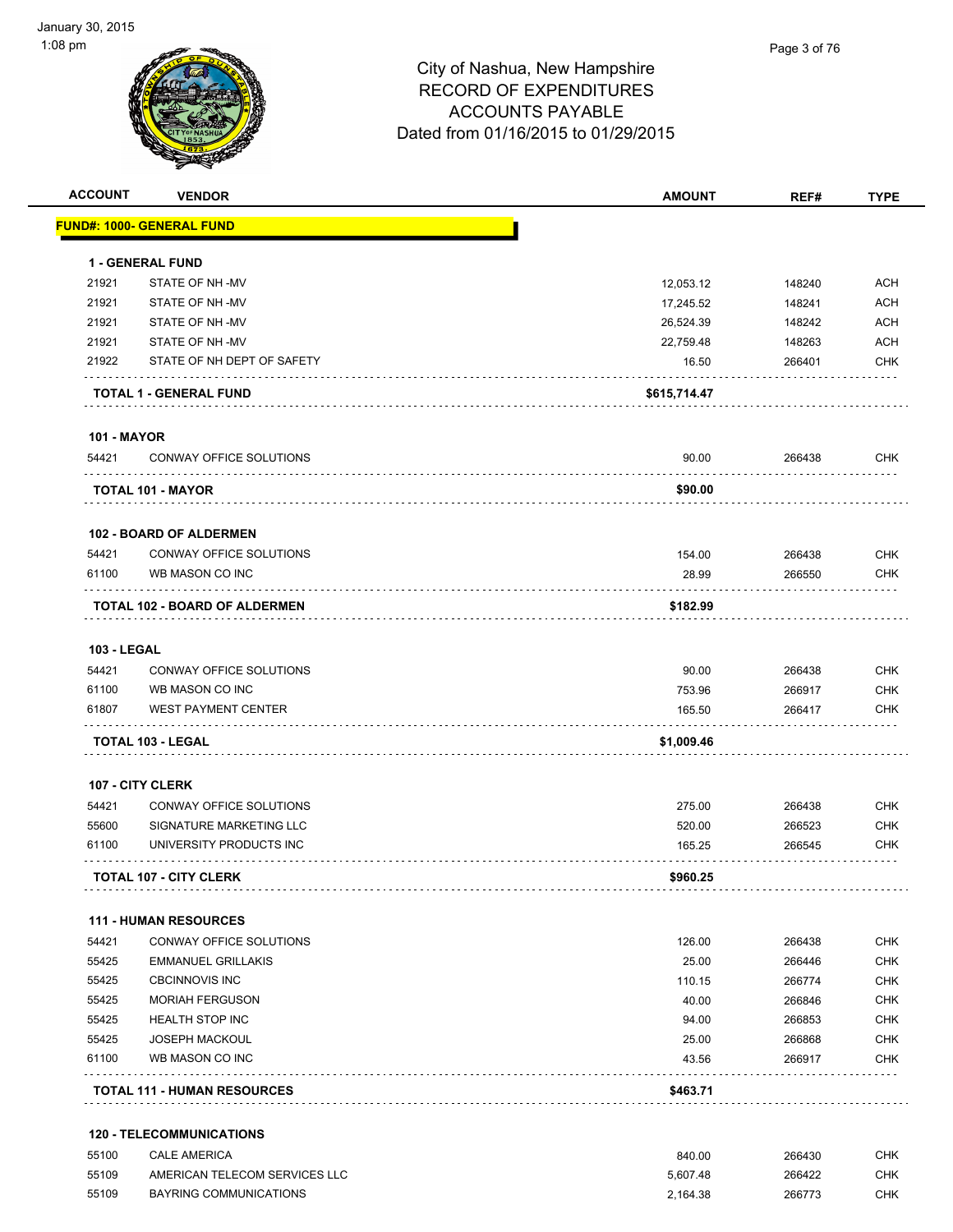| <b>ACCOUNT</b>     | <b>VENDOR</b>                      | <b>AMOUNT</b> | REF#   | <b>TYPE</b> |
|--------------------|------------------------------------|---------------|--------|-------------|
|                    | <b>FUND#: 1000- GENERAL FUND</b>   |               |        |             |
|                    | <b>1 - GENERAL FUND</b>            |               |        |             |
| 21921              | STATE OF NH-MV                     | 12,053.12     | 148240 | <b>ACH</b>  |
| 21921              | STATE OF NH-MV                     | 17,245.52     | 148241 | <b>ACH</b>  |
| 21921              | STATE OF NH-MV                     | 26,524.39     | 148242 | <b>ACH</b>  |
| 21921              | STATE OF NH-MV                     | 22,759.48     | 148263 | <b>ACH</b>  |
| 21922              | STATE OF NH DEPT OF SAFETY         | 16.50         | 266401 | <b>CHK</b>  |
|                    | <b>TOTAL 1 - GENERAL FUND</b>      | \$615,714.47  |        |             |
| <b>101 - MAYOR</b> |                                    |               |        |             |
| 54421              | CONWAY OFFICE SOLUTIONS            | 90.00         | 266438 | CHK         |
|                    | <b>TOTAL 101 - MAYOR</b>           | \$90.00       |        |             |
|                    | <b>102 - BOARD OF ALDERMEN</b>     |               |        |             |
| 54421              | CONWAY OFFICE SOLUTIONS            | 154.00        | 266438 | <b>CHK</b>  |
| 61100              | WB MASON CO INC                    | 28.99         | 266550 | <b>CHK</b>  |
|                    |                                    |               |        |             |
|                    | TOTAL 102 - BOARD OF ALDERMEN      | \$182.99      |        |             |
| <b>103 - LEGAL</b> |                                    |               |        |             |
| 54421              | CONWAY OFFICE SOLUTIONS            | 90.00         | 266438 | <b>CHK</b>  |
| 61100              | WB MASON CO INC                    | 753.96        | 266917 | <b>CHK</b>  |
| 61807              | <b>WEST PAYMENT CENTER</b>         | 165.50        | 266417 | <b>CHK</b>  |
|                    | <b>TOTAL 103 - LEGAL</b>           | \$1,009.46    |        |             |
|                    | 107 - CITY CLERK                   |               |        |             |
| 54421              | CONWAY OFFICE SOLUTIONS            | 275.00        | 266438 | <b>CHK</b>  |
| 55600              | SIGNATURE MARKETING LLC            | 520.00        | 266523 | <b>CHK</b>  |
| 61100              | UNIVERSITY PRODUCTS INC            | 165.25        | 266545 | CHK         |
|                    | <b>TOTAL 107 - CITY CLERK</b>      | \$960.25      |        |             |
|                    | <b>111 - HUMAN RESOURCES</b>       |               |        |             |
| 54421              | CONWAY OFFICE SOLUTIONS            | 126.00        | 266438 | <b>CHK</b>  |
| 55425              | <b>EMMANUEL GRILLAKIS</b>          | 25.00         | 266446 | <b>CHK</b>  |
| 55425              | <b>CBCINNOVIS INC</b>              | 110.15        | 266774 | <b>CHK</b>  |
| 55425              | <b>MORIAH FERGUSON</b>             | 40.00         | 266846 | <b>CHK</b>  |
| 55425              | <b>HEALTH STOP INC</b>             | 94.00         | 266853 | <b>CHK</b>  |
| 55425              | <b>JOSEPH MACKOUL</b>              | 25.00         | 266868 | <b>CHK</b>  |
| 61100              | WB MASON CO INC                    | 43.56         | 266917 | <b>CHK</b>  |
|                    | <b>TOTAL 111 - HUMAN RESOURCES</b> | \$463.71      |        |             |
|                    | <b>120 - TELECOMMUNICATIONS</b>    |               |        |             |
| 55100              | <b>CALE AMERICA</b>                | 840.00        | 266430 | <b>CHK</b>  |
| 55109              | AMERICAN TELECOM SERVICES LLC      | 5,607.48      | 266422 | <b>CHK</b>  |

55109 BAYRING COMMUNICATIONS 2,164.38 266773 CHK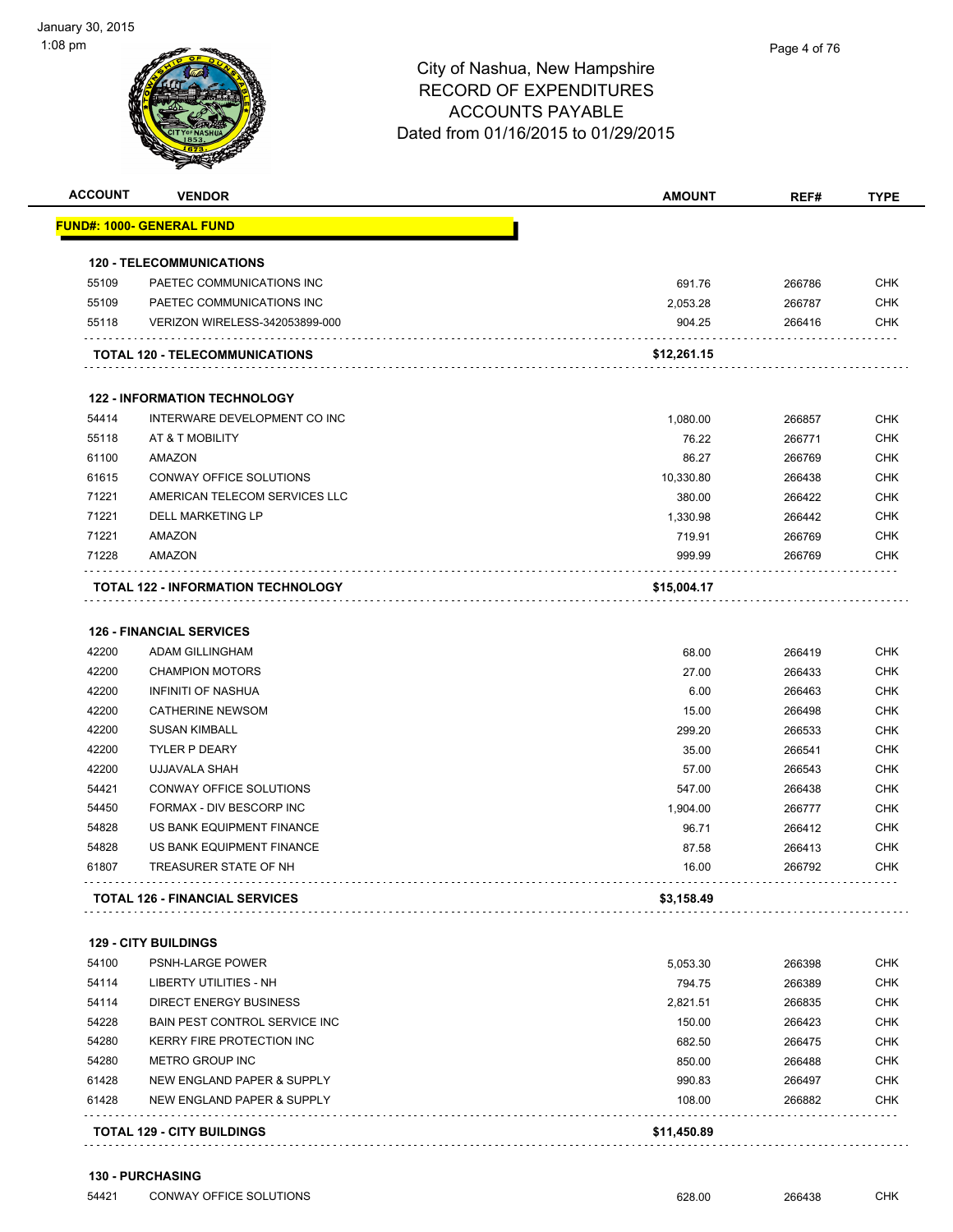| <b>ACCOUNT</b> | <b>VENDOR</b>                                             | <b>AMOUNT</b> | REF#   | <b>TYPE</b> |
|----------------|-----------------------------------------------------------|---------------|--------|-------------|
|                | <u> FUND#: 1000- GENERAL FUND</u>                         |               |        |             |
|                | <b>120 - TELECOMMUNICATIONS</b>                           |               |        |             |
| 55109          | PAETEC COMMUNICATIONS INC                                 | 691.76        | 266786 | <b>CHK</b>  |
| 55109          | PAETEC COMMUNICATIONS INC                                 | 2,053.28      | 266787 | <b>CHK</b>  |
| 55118          | VERIZON WIRELESS-342053899-000                            | 904.25        | 266416 | <b>CHK</b>  |
|                | <b>TOTAL 120 - TELECOMMUNICATIONS</b>                     | \$12,261.15   |        |             |
|                | <b>122 - INFORMATION TECHNOLOGY</b>                       |               |        |             |
| 54414          | INTERWARE DEVELOPMENT CO INC                              | 1,080.00      | 266857 | <b>CHK</b>  |
| 55118          | AT & T MOBILITY                                           | 76.22         | 266771 | <b>CHK</b>  |
| 61100          | AMAZON                                                    | 86.27         | 266769 | <b>CHK</b>  |
| 61615          | CONWAY OFFICE SOLUTIONS                                   | 10,330.80     | 266438 | <b>CHK</b>  |
| 71221          | AMERICAN TELECOM SERVICES LLC                             | 380.00        | 266422 | <b>CHK</b>  |
| 71221          | <b>DELL MARKETING LP</b>                                  | 1,330.98      | 266442 | <b>CHK</b>  |
| 71221          | <b>AMAZON</b>                                             | 719.91        | 266769 | <b>CHK</b>  |
| 71228          | AMAZON                                                    | 999.99        | 266769 | CHK         |
|                | <b>TOTAL 122 - INFORMATION TECHNOLOGY</b>                 | \$15,004.17   |        |             |
|                |                                                           |               |        |             |
|                | <b>126 - FINANCIAL SERVICES</b>                           |               |        |             |
| 42200          | ADAM GILLINGHAM                                           | 68.00         | 266419 | <b>CHK</b>  |
| 42200          | <b>CHAMPION MOTORS</b>                                    | 27.00         | 266433 | <b>CHK</b>  |
| 42200          | <b>INFINITI OF NASHUA</b>                                 | 6.00          | 266463 | <b>CHK</b>  |
| 42200          | <b>CATHERINE NEWSOM</b>                                   | 15.00         | 266498 | <b>CHK</b>  |
| 42200          | <b>SUSAN KIMBALL</b>                                      | 299.20        | 266533 | <b>CHK</b>  |
| 42200          | <b>TYLER P DEARY</b>                                      | 35.00         | 266541 | <b>CHK</b>  |
| 42200          | UJJAVALA SHAH                                             | 57.00         | 266543 | <b>CHK</b>  |
| 54421          | CONWAY OFFICE SOLUTIONS                                   | 547.00        | 266438 | <b>CHK</b>  |
| 54450          | FORMAX - DIV BESCORP INC                                  | 1,904.00      | 266777 | <b>CHK</b>  |
| 54828          | US BANK EQUIPMENT FINANCE                                 | 96.71         | 266412 | <b>CHK</b>  |
| 54828          | US BANK EQUIPMENT FINANCE<br><b>TREASURER STATE OF NH</b> | 87.58         | 266413 | <b>CHK</b>  |
| 61807          |                                                           | 16.00         | 266792 | CHK         |
|                | <b>TOTAL 126 - FINANCIAL SERVICES</b>                     | \$3,158.49    |        |             |
|                | <b>129 - CITY BUILDINGS</b>                               |               |        |             |
| 54100          | PSNH-LARGE POWER                                          | 5,053.30      | 266398 | <b>CHK</b>  |
| 54114          | LIBERTY UTILITIES - NH                                    | 794.75        | 266389 | CHK         |
| 54114          | <b>DIRECT ENERGY BUSINESS</b>                             | 2,821.51      | 266835 | CHK         |
| 54228          | BAIN PEST CONTROL SERVICE INC                             | 150.00        | 266423 | CHK         |
| 54280          | KERRY FIRE PROTECTION INC                                 | 682.50        | 266475 | CHK         |
| 54280          | METRO GROUP INC                                           | 850.00        | 266488 | <b>CHK</b>  |
| 61428          | NEW ENGLAND PAPER & SUPPLY                                | 990.83        | 266497 | <b>CHK</b>  |
| 61428          | NEW ENGLAND PAPER & SUPPLY                                | 108.00        | 266882 | <b>CHK</b>  |
|                | <b>TOTAL 129 - CITY BUILDINGS</b>                         | \$11,450.89   |        |             |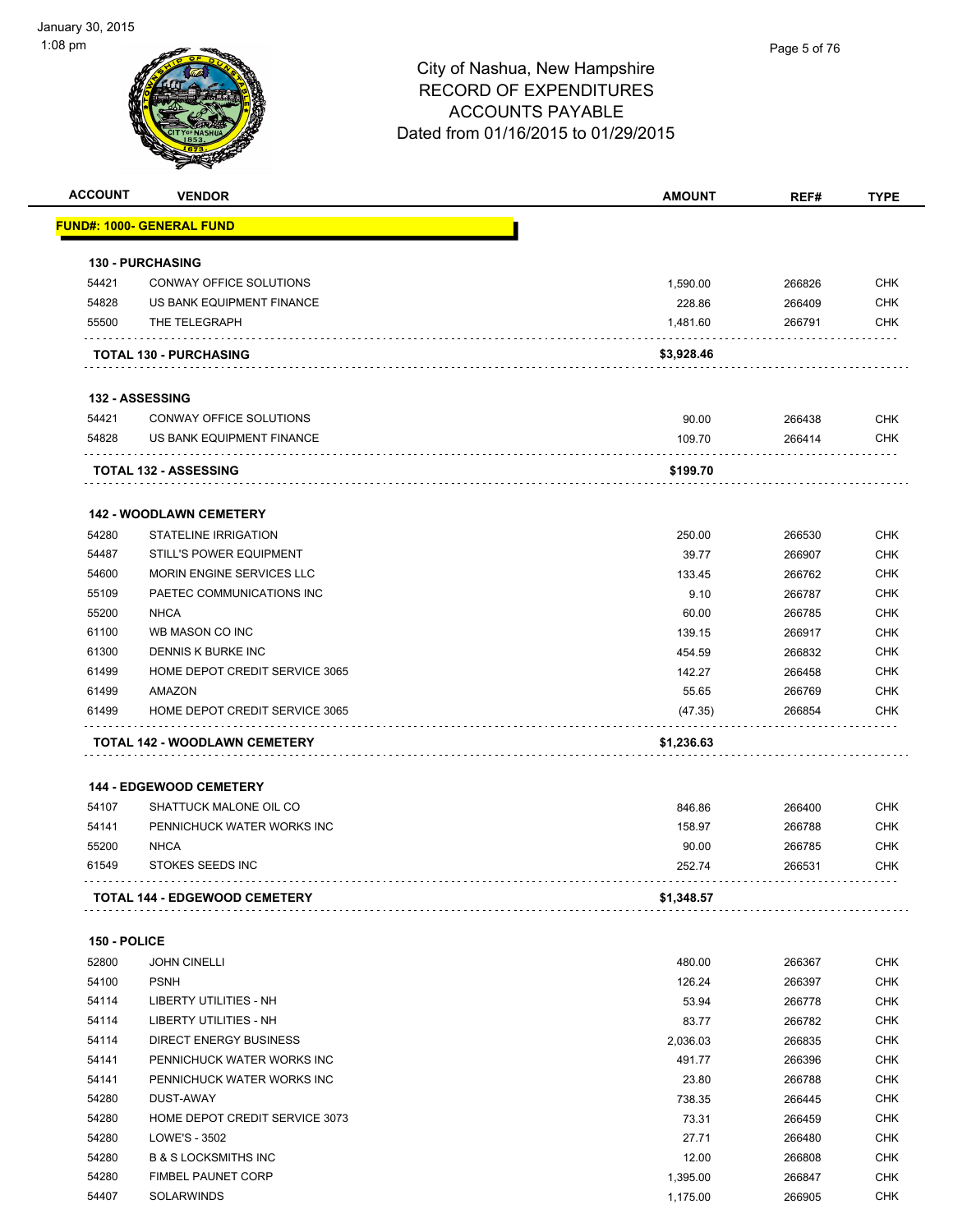| <b>ACCOUNT</b> | <b>VENDOR</b>                        | <b>AMOUNT</b>      | REF#             | <b>TYPE</b>                                                                                                                                                                 |
|----------------|--------------------------------------|--------------------|------------------|-----------------------------------------------------------------------------------------------------------------------------------------------------------------------------|
|                | <u> FUND#: 1000- GENERAL FUND</u>    |                    |                  |                                                                                                                                                                             |
|                | 130 - PURCHASING                     |                    |                  |                                                                                                                                                                             |
| 54421          | CONWAY OFFICE SOLUTIONS              | 1,590.00           | 266826           | <b>CHK</b>                                                                                                                                                                  |
| 54828          | US BANK EQUIPMENT FINANCE            | 228.86             | 266409           | <b>CHK</b>                                                                                                                                                                  |
| 55500          | THE TELEGRAPH                        | 1,481.60           | 266791           | <b>CHK</b>                                                                                                                                                                  |
|                | <b>TOTAL 130 - PURCHASING</b>        | \$3,928.46         |                  |                                                                                                                                                                             |
|                | <b>132 - ASSESSING</b>               |                    |                  |                                                                                                                                                                             |
| 54421          | CONWAY OFFICE SOLUTIONS              | 90.00              | 266438           | <b>CHK</b>                                                                                                                                                                  |
| 54828          | US BANK EQUIPMENT FINANCE            | 109.70             | 266414           | <b>CHK</b>                                                                                                                                                                  |
|                | <b>TOTAL 132 - ASSESSING</b>         | \$199.70           |                  |                                                                                                                                                                             |
|                | <b>142 - WOODLAWN CEMETERY</b>       |                    |                  |                                                                                                                                                                             |
| 54280          | <b>STATELINE IRRIGATION</b>          | 250.00             | 266530           | <b>CHK</b>                                                                                                                                                                  |
| 54487          | <b>STILL'S POWER EQUIPMENT</b>       | 39.77              | 266907           | <b>CHK</b>                                                                                                                                                                  |
| 54600          | MORIN ENGINE SERVICES LLC            | 133.45             | 266762           | <b>CHK</b>                                                                                                                                                                  |
| 55109          | PAETEC COMMUNICATIONS INC            | 9.10               | 266787           | <b>CHK</b>                                                                                                                                                                  |
| 55200          | <b>NHCA</b>                          | 60.00              | 266785           | <b>CHK</b>                                                                                                                                                                  |
| 61100          | WB MASON CO INC                      | 139.15             | 266917           | <b>CHK</b>                                                                                                                                                                  |
| 61300          | DENNIS K BURKE INC                   | 454.59             | 266832           | <b>CHK</b>                                                                                                                                                                  |
| 61499          | HOME DEPOT CREDIT SERVICE 3065       | 142.27             | 266458           | <b>CHK</b>                                                                                                                                                                  |
| 61499          | AMAZON                               | 55.65              | 266769           | <b>CHK</b>                                                                                                                                                                  |
| 61499          | HOME DEPOT CREDIT SERVICE 3065       | (47.35)            | 266854           | <b>CHK</b>                                                                                                                                                                  |
|                | TOTAL 142 - WOODLAWN CEMETERY        | \$1,236.63         |                  |                                                                                                                                                                             |
|                | <b>144 - EDGEWOOD CEMETERY</b>       |                    |                  |                                                                                                                                                                             |
| 54107          | SHATTUCK MALONE OIL CO               | 846.86             | 266400           | <b>CHK</b>                                                                                                                                                                  |
| 54141          | PENNICHUCK WATER WORKS INC           | 158.97             | 266788           | <b>CHK</b>                                                                                                                                                                  |
| 55200          | <b>NHCA</b>                          | 90.00              | 266785           | <b>CHK</b>                                                                                                                                                                  |
|                |                                      |                    |                  |                                                                                                                                                                             |
| 61549          | <b>STOKES SEEDS INC</b>              | 252.74             | 266531           |                                                                                                                                                                             |
|                | <b>TOTAL 144 - EDGEWOOD CEMETERY</b> | \$1,348.57         |                  |                                                                                                                                                                             |
| 150 - POLICE   |                                      |                    |                  |                                                                                                                                                                             |
| 52800          | <b>JOHN CINELLI</b>                  | 480.00             | 266367           |                                                                                                                                                                             |
| 54100          | <b>PSNH</b>                          | 126.24             | 266397           |                                                                                                                                                                             |
| 54114          | LIBERTY UTILITIES - NH               | 53.94              | 266778           |                                                                                                                                                                             |
| 54114          | LIBERTY UTILITIES - NH               | 83.77              | 266782           |                                                                                                                                                                             |
| 54114          | <b>DIRECT ENERGY BUSINESS</b>        |                    |                  |                                                                                                                                                                             |
| 54141          | PENNICHUCK WATER WORKS INC           | 2,036.03<br>491.77 | 266835<br>266396 |                                                                                                                                                                             |
| 54141          | PENNICHUCK WATER WORKS INC           | 23.80              | 266788           |                                                                                                                                                                             |
| 54280          | DUST-AWAY                            | 738.35             | 266445           |                                                                                                                                                                             |
| 54280          | HOME DEPOT CREDIT SERVICE 3073       | 73.31              | 266459           |                                                                                                                                                                             |
| 54280          | LOWE'S - 3502                        | 27.71              | 266480           |                                                                                                                                                                             |
| 54280          | <b>B &amp; S LOCKSMITHS INC</b>      | 12.00              | 266808           |                                                                                                                                                                             |
| 54280          | FIMBEL PAUNET CORP                   | 1,395.00           | 266847           | CHK<br><b>CHK</b><br><b>CHK</b><br><b>CHK</b><br><b>CHK</b><br><b>CHK</b><br><b>CHK</b><br><b>CHK</b><br><b>CHK</b><br><b>CHK</b><br><b>CHK</b><br><b>CHK</b><br><b>CHK</b> |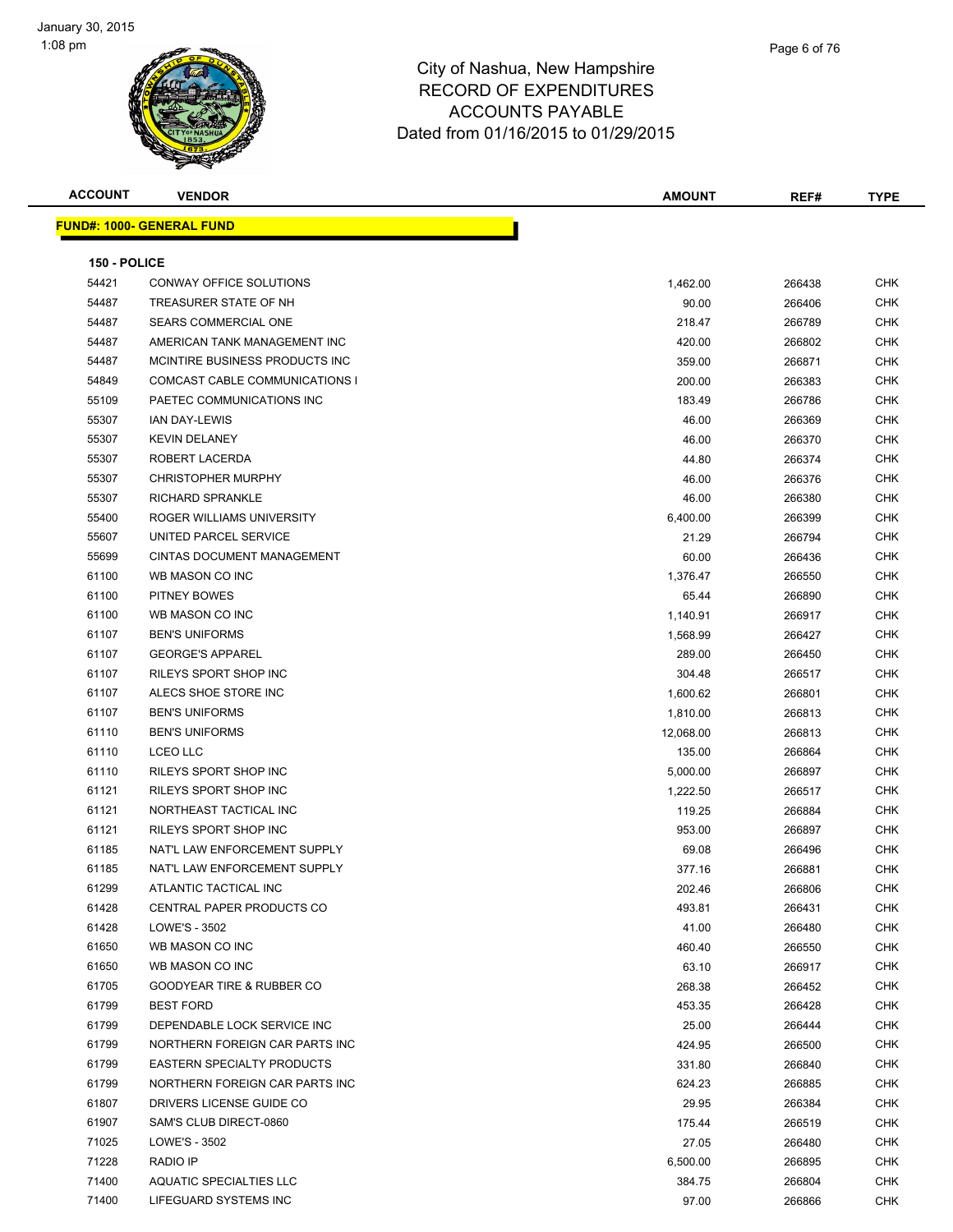

| <b>ACCOUNT</b> | <b>VENDOR</b>                        | <b>AMOUNT</b> | REF#   | <b>TYPE</b> |
|----------------|--------------------------------------|---------------|--------|-------------|
|                | <u> FUND#: 1000- GENERAL FUND</u>    |               |        |             |
|                |                                      |               |        |             |
| 150 - POLICE   |                                      |               |        |             |
| 54421          | CONWAY OFFICE SOLUTIONS              | 1,462.00      | 266438 | <b>CHK</b>  |
| 54487          | TREASURER STATE OF NH                | 90.00         | 266406 | <b>CHK</b>  |
| 54487          | <b>SEARS COMMERCIAL ONE</b>          | 218.47        | 266789 | CHK         |
| 54487          | AMERICAN TANK MANAGEMENT INC         | 420.00        | 266802 | CHK         |
| 54487          | MCINTIRE BUSINESS PRODUCTS INC.      | 359.00        | 266871 | CHK         |
| 54849          | COMCAST CABLE COMMUNICATIONS I       | 200.00        | 266383 | CHK         |
| 55109          | PAETEC COMMUNICATIONS INC            | 183.49        | 266786 | CHK         |
| 55307          | <b>IAN DAY-LEWIS</b>                 | 46.00         | 266369 | <b>CHK</b>  |
| 55307          | <b>KEVIN DELANEY</b>                 | 46.00         | 266370 | CHK         |
| 55307          | ROBERT LACERDA                       | 44.80         | 266374 | <b>CHK</b>  |
| 55307          | <b>CHRISTOPHER MURPHY</b>            | 46.00         | 266376 | CHK         |
| 55307          | <b>RICHARD SPRANKLE</b>              | 46.00         | 266380 | CHK         |
| 55400          | ROGER WILLIAMS UNIVERSITY            | 6,400.00      | 266399 | CHK         |
| 55607          | UNITED PARCEL SERVICE                | 21.29         | 266794 | CHK         |
| 55699          | <b>CINTAS DOCUMENT MANAGEMENT</b>    | 60.00         | 266436 | CHK         |
| 61100          | WB MASON CO INC                      | 1,376.47      | 266550 | CHK         |
| 61100          | <b>PITNEY BOWES</b>                  | 65.44         | 266890 | CHK         |
| 61100          | WB MASON CO INC                      | 1,140.91      | 266917 | CHK         |
| 61107          | <b>BEN'S UNIFORMS</b>                | 1,568.99      | 266427 | CHK         |
| 61107          | <b>GEORGE'S APPAREL</b>              | 289.00        | 266450 | CHK         |
| 61107          | RILEYS SPORT SHOP INC                | 304.48        | 266517 | CHK         |
| 61107          | ALECS SHOE STORE INC                 | 1,600.62      | 266801 | CHK         |
| 61107          | <b>BEN'S UNIFORMS</b>                | 1,810.00      | 266813 | CHK         |
| 61110          | <b>BEN'S UNIFORMS</b>                | 12,068.00     | 266813 | CHK         |
| 61110          | <b>LCEO LLC</b>                      | 135.00        | 266864 | <b>CHK</b>  |
| 61110          | RILEYS SPORT SHOP INC                | 5,000.00      | 266897 | CHK         |
| 61121          | RILEYS SPORT SHOP INC                | 1,222.50      | 266517 | <b>CHK</b>  |
| 61121          | NORTHEAST TACTICAL INC               | 119.25        | 266884 | CHK         |
| 61121          | RILEYS SPORT SHOP INC                | 953.00        | 266897 | <b>CHK</b>  |
| 61185          | NAT'L LAW ENFORCEMENT SUPPLY         | 69.08         | 266496 | CHK         |
| 61185          | NAT'L LAW ENFORCEMENT SUPPLY         | 377.16        | 266881 | CHK         |
| 61299          | ATLANTIC TACTICAL INC                | 202.46        | 266806 | <b>CHK</b>  |
| 61428          | <b>CENTRAL PAPER PRODUCTS CO</b>     | 493.81        | 266431 | CHK         |
| 61428          | LOWE'S - 3502                        | 41.00         | 266480 | CHK         |
| 61650          | WB MASON CO INC                      | 460.40        | 266550 | CHK         |
| 61650          | WB MASON CO INC                      | 63.10         | 266917 | <b>CHK</b>  |
| 61705          | <b>GOODYEAR TIRE &amp; RUBBER CO</b> | 268.38        | 266452 | <b>CHK</b>  |
| 61799          | <b>BEST FORD</b>                     | 453.35        | 266428 | <b>CHK</b>  |
| 61799          | DEPENDABLE LOCK SERVICE INC          | 25.00         | 266444 | <b>CHK</b>  |
| 61799          | NORTHERN FOREIGN CAR PARTS INC       | 424.95        | 266500 | <b>CHK</b>  |
| 61799          | <b>EASTERN SPECIALTY PRODUCTS</b>    | 331.80        | 266840 | <b>CHK</b>  |
| 61799          | NORTHERN FOREIGN CAR PARTS INC       | 624.23        | 266885 | <b>CHK</b>  |
| 61807          | DRIVERS LICENSE GUIDE CO             | 29.95         | 266384 | <b>CHK</b>  |
| 61907          | SAM'S CLUB DIRECT-0860               | 175.44        | 266519 | CHK         |
| 71025          | LOWE'S - 3502                        | 27.05         | 266480 | CHK         |
| 71228          | RADIO IP                             | 6,500.00      | 266895 | CHK         |
| 71400          | AQUATIC SPECIALTIES LLC              | 384.75        | 266804 | CHK         |
| 71400          | LIFEGUARD SYSTEMS INC                | 97.00         | 266866 | CHK         |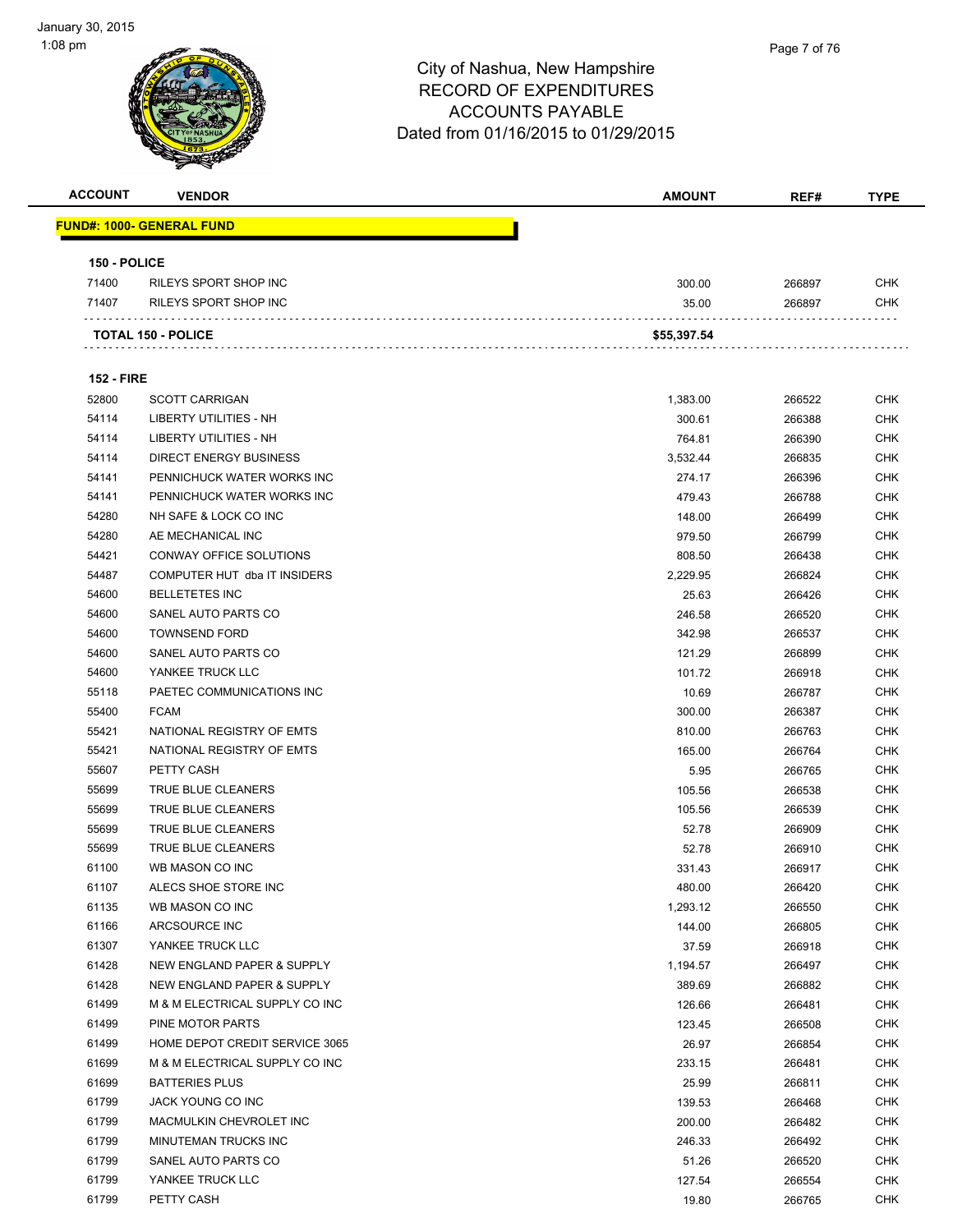

| <b>ACCOUNT</b>    | <b>VENDOR</b>                     | <b>AMOUNT</b> | REF#   | <b>TYPE</b> |
|-------------------|-----------------------------------|---------------|--------|-------------|
|                   | <u> FUND#: 1000- GENERAL FUND</u> |               |        |             |
| 150 - POLICE      |                                   |               |        |             |
| 71400             | RILEYS SPORT SHOP INC             | 300.00        | 266897 | <b>CHK</b>  |
| 71407             | RILEYS SPORT SHOP INC             | 35.00         | 266897 | <b>CHK</b>  |
|                   | <b>TOTAL 150 - POLICE</b>         | \$55,397.54   |        |             |
|                   |                                   |               |        |             |
| <b>152 - FIRE</b> |                                   |               |        |             |
| 52800             | <b>SCOTT CARRIGAN</b>             | 1,383.00      | 266522 | <b>CHK</b>  |
| 54114             | LIBERTY UTILITIES - NH            | 300.61        | 266388 | <b>CHK</b>  |
| 54114             | LIBERTY UTILITIES - NH            | 764.81        | 266390 | <b>CHK</b>  |
| 54114             | <b>DIRECT ENERGY BUSINESS</b>     | 3,532.44      | 266835 | <b>CHK</b>  |
| 54141             | PENNICHUCK WATER WORKS INC        | 274.17        | 266396 | <b>CHK</b>  |
| 54141             | PENNICHUCK WATER WORKS INC        | 479.43        | 266788 | <b>CHK</b>  |
| 54280             | NH SAFE & LOCK CO INC             | 148.00        | 266499 | <b>CHK</b>  |
| 54280             | AE MECHANICAL INC                 | 979.50        | 266799 | <b>CHK</b>  |
| 54421             | CONWAY OFFICE SOLUTIONS           | 808.50        | 266438 | <b>CHK</b>  |
| 54487             | COMPUTER HUT dba IT INSIDERS      | 2,229.95      | 266824 | <b>CHK</b>  |
| 54600             | <b>BELLETETES INC</b>             | 25.63         | 266426 | <b>CHK</b>  |
| 54600             | SANEL AUTO PARTS CO               | 246.58        | 266520 | <b>CHK</b>  |
| 54600             | <b>TOWNSEND FORD</b>              | 342.98        | 266537 | <b>CHK</b>  |
| 54600             | SANEL AUTO PARTS CO               | 121.29        | 266899 | <b>CHK</b>  |
| 54600             | YANKEE TRUCK LLC                  | 101.72        | 266918 | <b>CHK</b>  |
| 55118             | PAETEC COMMUNICATIONS INC         | 10.69         | 266787 | <b>CHK</b>  |
| 55400             | <b>FCAM</b>                       | 300.00        | 266387 | <b>CHK</b>  |
| 55421             | NATIONAL REGISTRY OF EMTS         | 810.00        | 266763 | <b>CHK</b>  |
| 55421             | NATIONAL REGISTRY OF EMTS         | 165.00        | 266764 | <b>CHK</b>  |
| 55607             | PETTY CASH                        | 5.95          | 266765 | <b>CHK</b>  |
| 55699             | TRUE BLUE CLEANERS                | 105.56        | 266538 | <b>CHK</b>  |
| 55699             | <b>TRUE BLUE CLEANERS</b>         | 105.56        | 266539 | <b>CHK</b>  |
|                   |                                   |               |        | <b>CHK</b>  |
| 55699<br>55699    | TRUE BLUE CLEANERS                | 52.78         | 266909 |             |
|                   | TRUE BLUE CLEANERS                | 52.78         | 266910 | <b>CHK</b>  |
| 61100             | WB MASON CO INC                   | 331.43        | 266917 | <b>CHK</b>  |
| 61107             | ALECS SHOE STORE INC              | 480.00        | 266420 | <b>CHK</b>  |
| 61135             | WB MASON CO INC                   | 1,293.12      | 266550 | <b>CHK</b>  |
| 61166             | ARCSOURCE INC                     | 144.00        | 266805 | <b>CHK</b>  |
| 61307             | YANKEE TRUCK LLC                  | 37.59         | 266918 | <b>CHK</b>  |
| 61428             | NEW ENGLAND PAPER & SUPPLY        | 1,194.57      | 266497 | <b>CHK</b>  |
| 61428             | NEW ENGLAND PAPER & SUPPLY        | 389.69        | 266882 | <b>CHK</b>  |
| 61499             | M & M ELECTRICAL SUPPLY CO INC    | 126.66        | 266481 | <b>CHK</b>  |
| 61499             | PINE MOTOR PARTS                  | 123.45        | 266508 | <b>CHK</b>  |
| 61499             | HOME DEPOT CREDIT SERVICE 3065    | 26.97         | 266854 | <b>CHK</b>  |
| 61699             | M & M ELECTRICAL SUPPLY CO INC    | 233.15        | 266481 | <b>CHK</b>  |
| 61699             | <b>BATTERIES PLUS</b>             | 25.99         | 266811 | <b>CHK</b>  |
| 61799             | JACK YOUNG CO INC                 | 139.53        | 266468 | <b>CHK</b>  |
| 61799             | MACMULKIN CHEVROLET INC           | 200.00        | 266482 | <b>CHK</b>  |
| 61799             | MINUTEMAN TRUCKS INC              | 246.33        | 266492 | <b>CHK</b>  |
| 61799             | SANEL AUTO PARTS CO               | 51.26         | 266520 | <b>CHK</b>  |
| 61799             | YANKEE TRUCK LLC                  | 127.54        | 266554 | <b>CHK</b>  |
| 61799             | PETTY CASH                        | 19.80         | 266765 | <b>CHK</b>  |
|                   |                                   |               |        |             |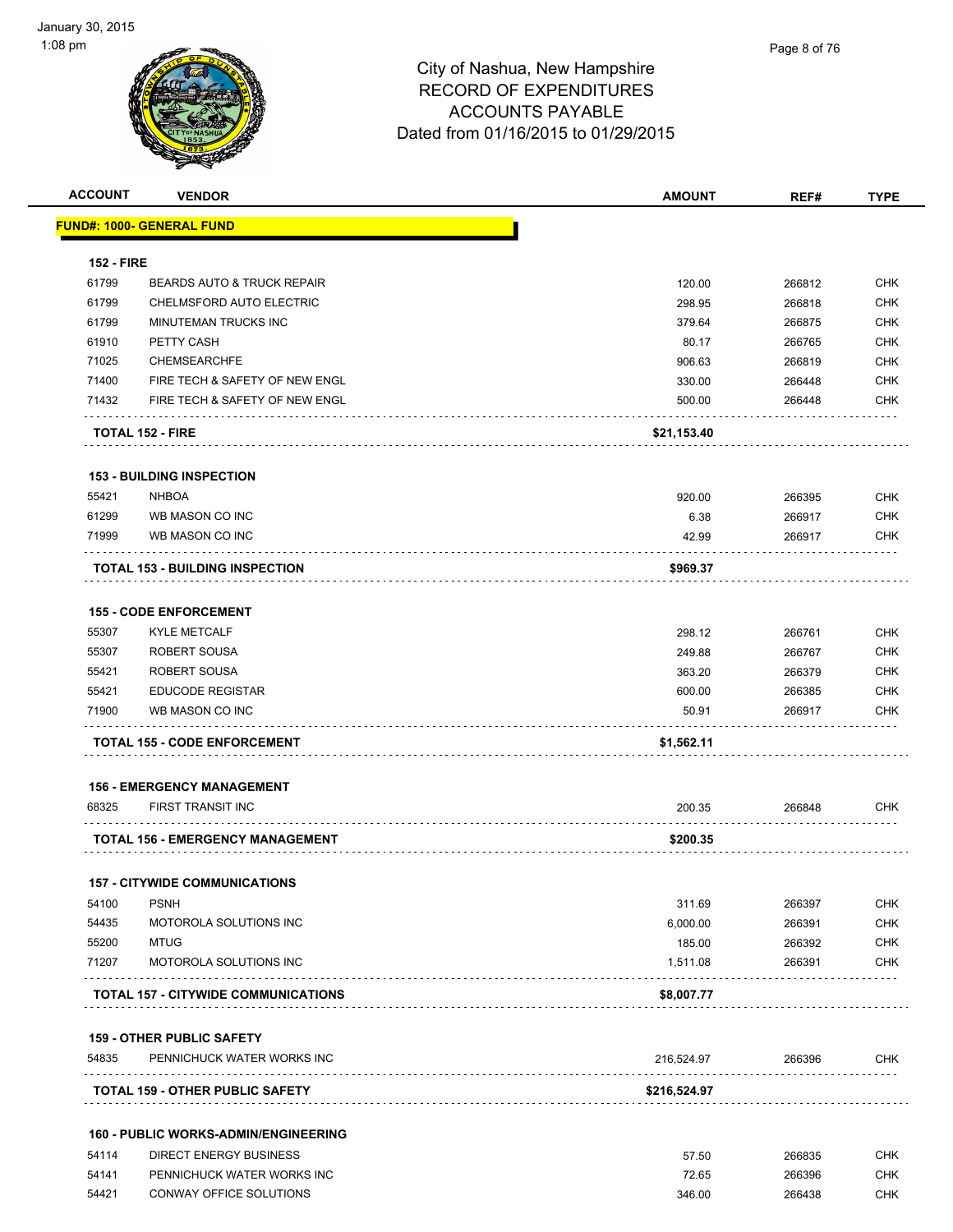| <b>ACCOUNT</b>    | <b>VENDOR</b>                               | <b>AMOUNT</b> | REF#   | <b>TYPE</b> |
|-------------------|---------------------------------------------|---------------|--------|-------------|
|                   | <u> FUND#: 1000- GENERAL FUND</u>           |               |        |             |
| <b>152 - FIRE</b> |                                             |               |        |             |
| 61799             | <b>BEARDS AUTO &amp; TRUCK REPAIR</b>       | 120.00        | 266812 | <b>CHK</b>  |
| 61799             | CHELMSFORD AUTO ELECTRIC                    | 298.95        | 266818 | <b>CHK</b>  |
| 61799             | MINUTEMAN TRUCKS INC                        | 379.64        | 266875 | <b>CHK</b>  |
| 61910             | PETTY CASH                                  | 80.17         | 266765 | <b>CHK</b>  |
| 71025             | <b>CHEMSEARCHFE</b>                         | 906.63        | 266819 | <b>CHK</b>  |
| 71400             | FIRE TECH & SAFETY OF NEW ENGL              | 330.00        | 266448 | <b>CHK</b>  |
| 71432             | FIRE TECH & SAFETY OF NEW ENGL              | 500.00        | 266448 | <b>CHK</b>  |
|                   | <b>TOTAL 152 - FIRE</b>                     | \$21,153.40   |        |             |
|                   | <b>153 - BUILDING INSPECTION</b>            |               |        |             |
| 55421             | <b>NHBOA</b>                                | 920.00        | 266395 | <b>CHK</b>  |
| 61299             | WB MASON CO INC                             | 6.38          | 266917 | <b>CHK</b>  |
| 71999             | WB MASON CO INC                             | 42.99         | 266917 | <b>CHK</b>  |
|                   | <b>TOTAL 153 - BUILDING INSPECTION</b>      | \$969.37      |        |             |
|                   |                                             |               |        |             |
|                   | <b>155 - CODE ENFORCEMENT</b>               |               |        |             |
| 55307             | <b>KYLE METCALF</b>                         | 298.12        | 266761 | <b>CHK</b>  |
| 55307             | <b>ROBERT SOUSA</b>                         | 249.88        | 266767 | <b>CHK</b>  |
| 55421             | ROBERT SOUSA                                | 363.20        | 266379 | <b>CHK</b>  |
| 55421             | <b>EDUCODE REGISTAR</b>                     | 600.00        | 266385 | <b>CHK</b>  |
| 71900             | WB MASON CO INC                             | 50.91         | 266917 | <b>CHK</b>  |
|                   | <b>TOTAL 155 - CODE ENFORCEMENT</b>         | \$1,562.11    |        |             |
|                   | <b>156 - EMERGENCY MANAGEMENT</b>           |               |        |             |
| 68325             | FIRST TRANSIT INC                           | 200.35        | 266848 | CHK         |
|                   | TOTAL 156 - EMERGENCY MANAGEMENT            | \$200.35      |        |             |
|                   | <b>157 - CITYWIDE COMMUNICATIONS</b>        |               |        |             |
| 54100             | <b>PSNH</b>                                 | 311.69        | 266397 | <b>CHK</b>  |
| 54435             | MOTOROLA SOLUTIONS INC                      | 6,000.00      | 266391 | <b>CHK</b>  |
| 55200             | <b>MTUG</b>                                 | 185.00        | 266392 | <b>CHK</b>  |
| 71207             | MOTOROLA SOLUTIONS INC                      | 1.511.08      | 266391 | <b>CHK</b>  |
|                   | <b>TOTAL 157 - CITYWIDE COMMUNICATIONS</b>  | \$8,007.77    |        |             |
|                   |                                             |               |        |             |
|                   | <b>159 - OTHER PUBLIC SAFETY</b>            |               |        |             |
| 54835             | PENNICHUCK WATER WORKS INC                  | 216,524.97    | 266396 | <b>CHK</b>  |
|                   | <b>TOTAL 159 - OTHER PUBLIC SAFETY</b>      | \$216,524.97  |        |             |
|                   | <b>160 - PUBLIC WORKS-ADMIN/ENGINEERING</b> |               |        |             |
| 54114             | <b>DIRECT ENERGY BUSINESS</b>               | 57.50         | 266835 | <b>CHK</b>  |
| 54141             | PENNICHUCK WATER WORKS INC                  | 72.65         | 266396 | <b>CHK</b>  |
| 54421             | CONWAY OFFICE SOLUTIONS                     | 346.00        | 266438 | <b>CHK</b>  |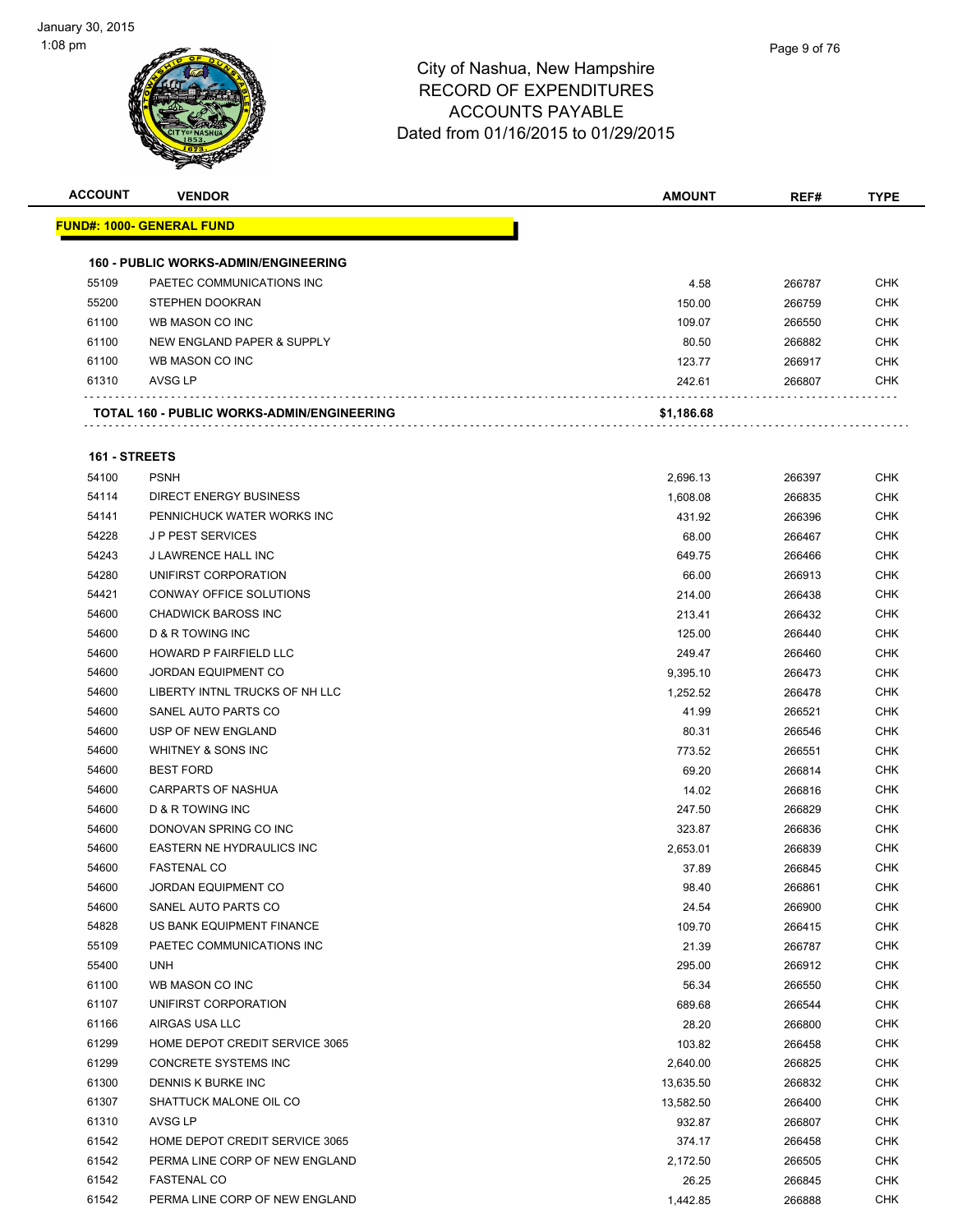

| <b>ACCOUNT</b> | <b>VENDOR</b>                               | <b>AMOUNT</b> | REF#   | <b>TYPE</b> |
|----------------|---------------------------------------------|---------------|--------|-------------|
|                | <u> FUND#: 1000- GENERAL FUND</u>           |               |        |             |
|                | <b>160 - PUBLIC WORKS-ADMIN/ENGINEERING</b> |               |        |             |
| 55109          | PAETEC COMMUNICATIONS INC                   | 4.58          | 266787 | <b>CHK</b>  |
| 55200          | STEPHEN DOOKRAN                             | 150.00        | 266759 | <b>CHK</b>  |
| 61100          | WB MASON CO INC                             | 109.07        | 266550 | <b>CHK</b>  |
| 61100          | NEW ENGLAND PAPER & SUPPLY                  | 80.50         | 266882 | <b>CHK</b>  |
| 61100          | WB MASON CO INC                             | 123.77        | 266917 | <b>CHK</b>  |
| 61310          | AVSG LP                                     | 242.61        | 266807 | <b>CHK</b>  |
|                | TOTAL 160 - PUBLIC WORKS-ADMIN/ENGINEERING  | \$1,186.68    |        |             |
|                |                                             |               |        |             |
| 161 - STREETS  |                                             |               |        |             |
| 54100          | <b>PSNH</b>                                 | 2,696.13      | 266397 | <b>CHK</b>  |
| 54114          | <b>DIRECT ENERGY BUSINESS</b>               | 1,608.08      | 266835 | <b>CHK</b>  |
| 54141          | PENNICHUCK WATER WORKS INC                  | 431.92        | 266396 | <b>CHK</b>  |
| 54228          | <b>JP PEST SERVICES</b>                     | 68.00         | 266467 | <b>CHK</b>  |
| 54243          | J LAWRENCE HALL INC                         | 649.75        | 266466 | <b>CHK</b>  |
| 54280          | UNIFIRST CORPORATION                        | 66.00         | 266913 | <b>CHK</b>  |
| 54421          | CONWAY OFFICE SOLUTIONS                     | 214.00        | 266438 | <b>CHK</b>  |
| 54600          | <b>CHADWICK BAROSS INC</b>                  | 213.41        | 266432 | <b>CHK</b>  |
| 54600          | D & R TOWING INC                            | 125.00        | 266440 | <b>CHK</b>  |
| 54600          | HOWARD P FAIRFIELD LLC                      | 249.47        | 266460 | <b>CHK</b>  |
| 54600          | <b>JORDAN EQUIPMENT CO</b>                  | 9,395.10      | 266473 | <b>CHK</b>  |
| 54600          | LIBERTY INTNL TRUCKS OF NH LLC              | 1,252.52      | 266478 | <b>CHK</b>  |
| 54600          | SANEL AUTO PARTS CO                         | 41.99         | 266521 | <b>CHK</b>  |
| 54600          | USP OF NEW ENGLAND                          | 80.31         | 266546 | <b>CHK</b>  |
| 54600          | WHITNEY & SONS INC                          | 773.52        | 266551 | <b>CHK</b>  |
| 54600          | <b>BEST FORD</b>                            | 69.20         | 266814 | <b>CHK</b>  |
| 54600          | <b>CARPARTS OF NASHUA</b>                   | 14.02         | 266816 | <b>CHK</b>  |
| 54600          | <b>D &amp; R TOWING INC</b>                 | 247.50        | 266829 | <b>CHK</b>  |
| 54600          | DONOVAN SPRING CO INC                       | 323.87        | 266836 | <b>CHK</b>  |
| 54600          | EASTERN NE HYDRAULICS INC                   | 2,653.01      | 266839 | <b>CHK</b>  |
| 54600          | <b>FASTENAL CO</b>                          | 37.89         | 266845 | <b>CHK</b>  |
| 54600          | JORDAN EQUIPMENT CO                         | 98.40         | 266861 | <b>CHK</b>  |
| 54600          | SANEL AUTO PARTS CO                         | 24.54         | 266900 | <b>CHK</b>  |
| 54828          | US BANK EQUIPMENT FINANCE                   | 109.70        | 266415 | <b>CHK</b>  |
| 55109          | PAETEC COMMUNICATIONS INC                   | 21.39         | 266787 | <b>CHK</b>  |
| 55400          | <b>UNH</b>                                  | 295.00        | 266912 | <b>CHK</b>  |
| 61100          | WB MASON CO INC                             | 56.34         | 266550 | <b>CHK</b>  |
| 61107          | UNIFIRST CORPORATION                        | 689.68        | 266544 | <b>CHK</b>  |
| 61166          | AIRGAS USA LLC                              | 28.20         | 266800 | <b>CHK</b>  |
| 61299          | HOME DEPOT CREDIT SERVICE 3065              | 103.82        | 266458 | <b>CHK</b>  |
| 61299          | CONCRETE SYSTEMS INC                        | 2,640.00      | 266825 | <b>CHK</b>  |
| 61300          | DENNIS K BURKE INC                          | 13,635.50     | 266832 | <b>CHK</b>  |
| 61307          | SHATTUCK MALONE OIL CO                      |               |        | <b>CHK</b>  |
| 61310          | AVSG LP                                     | 13,582.50     | 266400 | <b>CHK</b>  |
|                |                                             | 932.87        | 266807 |             |
| 61542          | HOME DEPOT CREDIT SERVICE 3065              | 374.17        | 266458 | <b>CHK</b>  |
| 61542          | PERMA LINE CORP OF NEW ENGLAND              | 2,172.50      | 266505 | <b>CHK</b>  |
| 61542          | <b>FASTENAL CO</b>                          | 26.25         | 266845 | <b>CHK</b>  |
| 61542          | PERMA LINE CORP OF NEW ENGLAND              | 1,442.85      | 266888 | <b>CHK</b>  |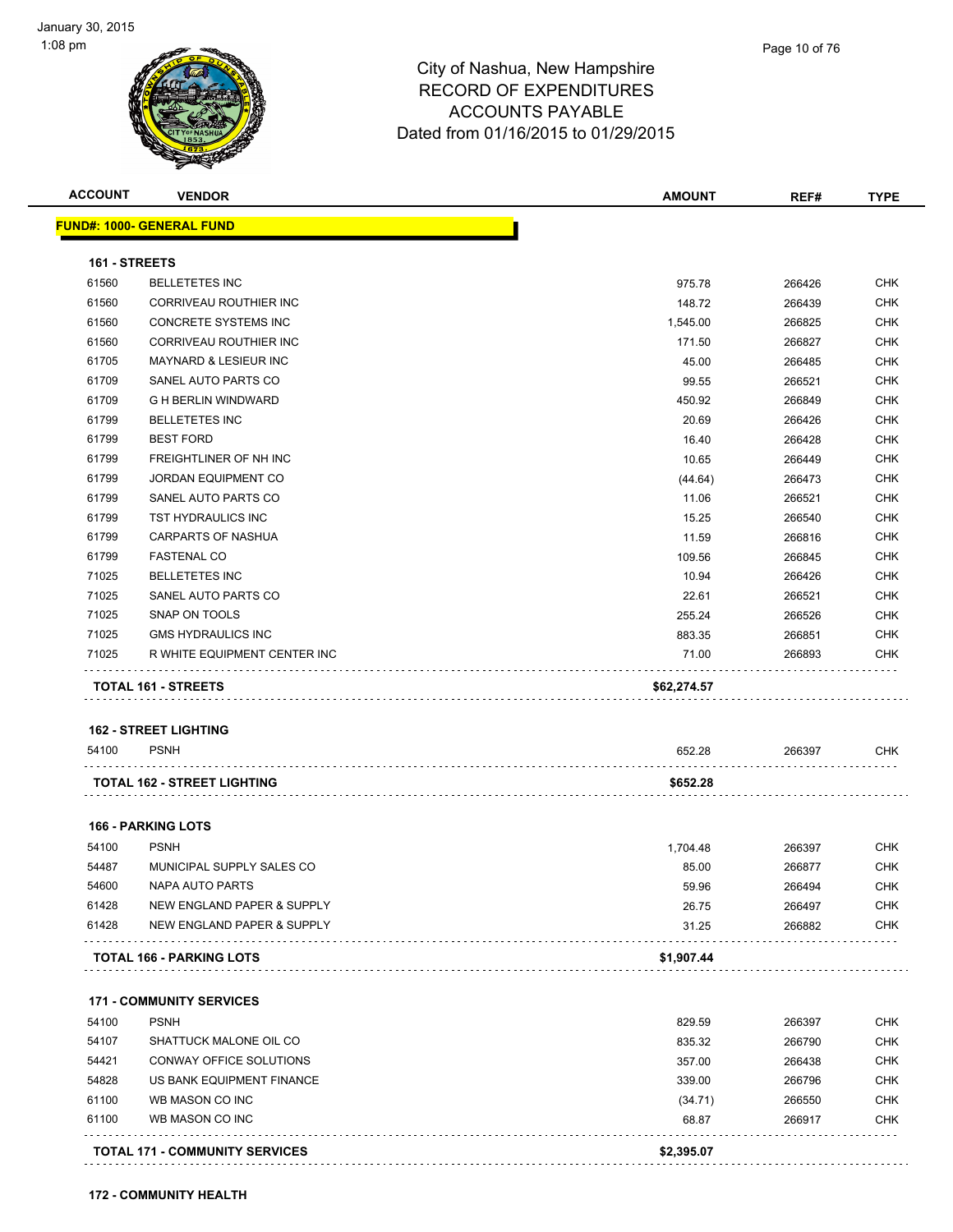| <b>ACCOUNT</b> | <b>VENDOR</b>                         | AMOUNT      | REF#   | <b>TYPE</b> |
|----------------|---------------------------------------|-------------|--------|-------------|
|                | <b>FUND#: 1000- GENERAL FUND</b>      |             |        |             |
| 161 - STREETS  |                                       |             |        |             |
| 61560          | <b>BELLETETES INC</b>                 | 975.78      | 266426 | <b>CHK</b>  |
| 61560          | CORRIVEAU ROUTHIER INC                | 148.72      | 266439 | <b>CHK</b>  |
| 61560          | CONCRETE SYSTEMS INC                  | 1,545.00    | 266825 | <b>CHK</b>  |
| 61560          | CORRIVEAU ROUTHIER INC                | 171.50      | 266827 | <b>CHK</b>  |
| 61705          | <b>MAYNARD &amp; LESIEUR INC</b>      | 45.00       | 266485 | CHK         |
| 61709          | SANEL AUTO PARTS CO                   | 99.55       | 266521 | <b>CHK</b>  |
| 61709          | <b>G H BERLIN WINDWARD</b>            | 450.92      | 266849 | <b>CHK</b>  |
| 61799          | <b>BELLETETES INC</b>                 | 20.69       | 266426 | <b>CHK</b>  |
| 61799          | <b>BEST FORD</b>                      | 16.40       | 266428 | <b>CHK</b>  |
| 61799          | FREIGHTLINER OF NH INC                | 10.65       | 266449 | <b>CHK</b>  |
| 61799          | <b>JORDAN EQUIPMENT CO</b>            | (44.64)     | 266473 | CHK         |
| 61799          | SANEL AUTO PARTS CO                   | 11.06       | 266521 | <b>CHK</b>  |
| 61799          | TST HYDRAULICS INC                    | 15.25       | 266540 | <b>CHK</b>  |
| 61799          | <b>CARPARTS OF NASHUA</b>             | 11.59       | 266816 | CHK         |
| 61799          | <b>FASTENAL CO</b>                    | 109.56      | 266845 | <b>CHK</b>  |
| 71025          | <b>BELLETETES INC</b>                 | 10.94       | 266426 | <b>CHK</b>  |
| 71025          | SANEL AUTO PARTS CO                   | 22.61       | 266521 | CHK         |
| 71025          | SNAP ON TOOLS                         | 255.24      | 266526 | <b>CHK</b>  |
| 71025          | <b>GMS HYDRAULICS INC</b>             | 883.35      | 266851 | CHK         |
| 71025          | R WHITE EQUIPMENT CENTER INC          | 71.00       | 266893 | CHK         |
|                | <b>TOTAL 161 - STREETS</b>            | \$62,274.57 |        |             |
|                |                                       |             |        |             |
|                | <b>162 - STREET LIGHTING</b>          |             |        |             |
| 54100          | <b>PSNH</b>                           | 652.28      | 266397 | <b>CHK</b>  |
|                | <b>TOTAL 162 - STREET LIGHTING</b>    | \$652.28    |        |             |
|                | <b>166 - PARKING LOTS</b>             |             |        |             |
| 54100          | <b>PSNH</b>                           | 1,704.48    | 266397 | CHK         |
| 54487          | MUNICIPAL SUPPLY SALES CO             | 85.00       | 266877 | <b>CHK</b>  |
| 54600          | NAPA AUTO PARTS                       | 59.96       | 266494 | <b>CHK</b>  |
| 61428          | NEW ENGLAND PAPER & SUPPLY            | 26.75       | 266497 | <b>CHK</b>  |
| 61428          | <b>NEW ENGLAND PAPER &amp; SUPPLY</b> | 31.25       | 266882 | <b>CHK</b>  |
|                | <b>TOTAL 166 - PARKING LOTS</b>       | \$1,907.44  |        |             |
|                | <b>171 - COMMUNITY SERVICES</b>       |             |        |             |
| 54100          | <b>PSNH</b>                           | 829.59      | 266397 | <b>CHK</b>  |
| 54107          | SHATTUCK MALONE OIL CO                | 835.32      | 266790 | <b>CHK</b>  |
| 54421          | CONWAY OFFICE SOLUTIONS               | 357.00      | 266438 | <b>CHK</b>  |
| 54828          | US BANK EQUIPMENT FINANCE             | 339.00      | 266796 | <b>CHK</b>  |
| 61100          | WB MASON CO INC                       | (34.71)     | 266550 | <b>CHK</b>  |
| 61100          | WB MASON CO INC                       | 68.87       | 266917 | <b>CHK</b>  |
|                |                                       |             |        |             |
|                | <b>TOTAL 171 - COMMUNITY SERVICES</b> | \$2,395.07  |        |             |

**172 - COMMUNITY HEALTH**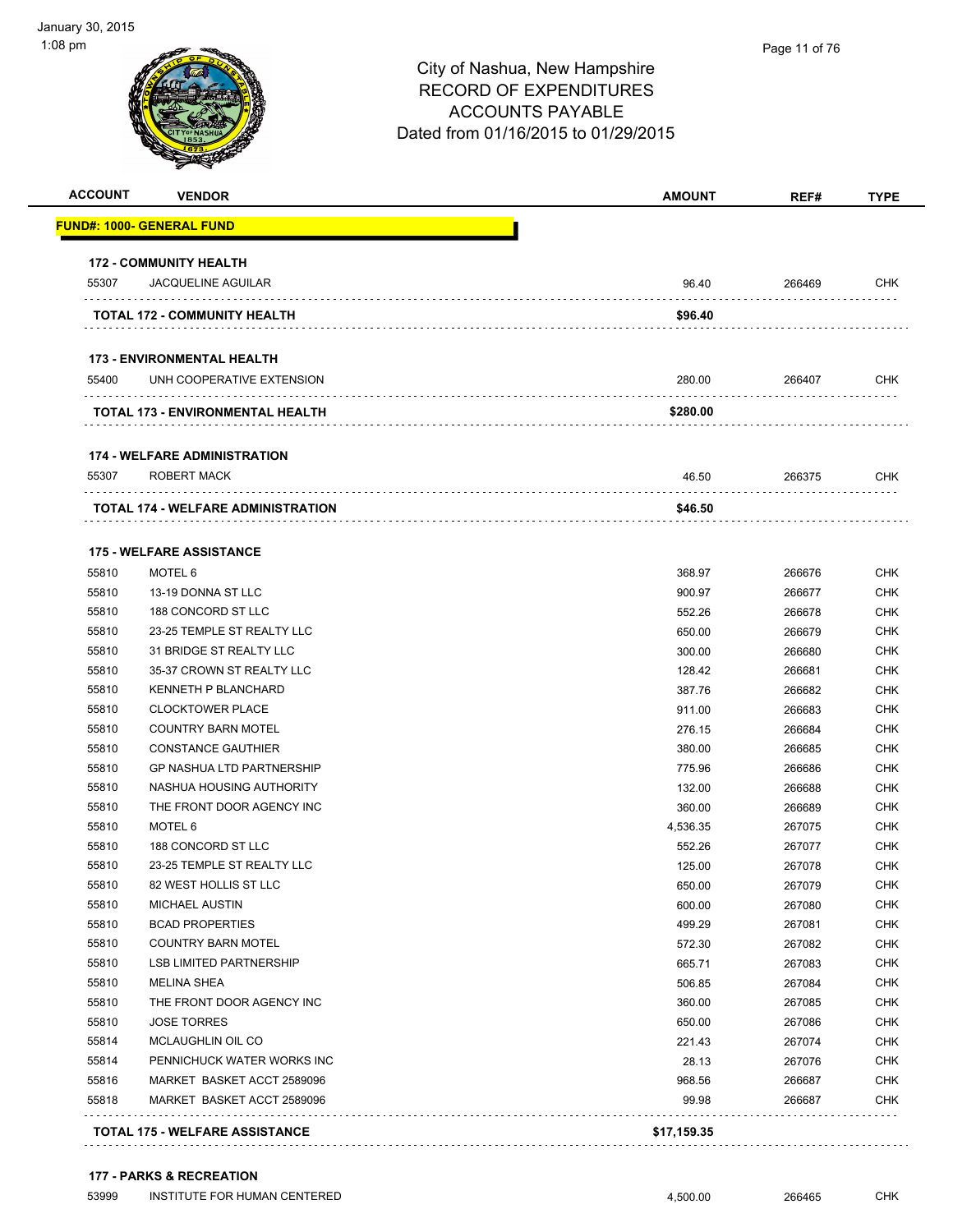| <b>ACCOUNT</b> | <b>VENDOR</b>                             | <b>AMOUNT</b> | REF#   | <b>TYPE</b> |
|----------------|-------------------------------------------|---------------|--------|-------------|
|                | <u> FUND#: 1000- GENERAL FUND</u>         |               |        |             |
|                | <b>172 - COMMUNITY HEALTH</b>             |               |        |             |
| 55307          | <b>JACQUELINE AGUILAR</b>                 | 96.40         | 266469 | <b>CHK</b>  |
|                | <b>TOTAL 172 - COMMUNITY HEALTH</b>       | \$96.40       |        |             |
|                | <b>173 - ENVIRONMENTAL HEALTH</b>         |               |        |             |
| 55400          | UNH COOPERATIVE EXTENSION                 | 280.00        | 266407 | CHK         |
|                | TOTAL 173 - ENVIRONMENTAL HEALTH          | \$280.00      |        |             |
|                | <b>174 - WELFARE ADMINISTRATION</b>       |               |        |             |
| 55307          | ROBERT MACK                               | 46.50         | 266375 | CHK         |
|                | <b>TOTAL 174 - WELFARE ADMINISTRATION</b> | \$46.50       |        |             |
|                |                                           |               |        |             |
|                | <b>175 - WELFARE ASSISTANCE</b>           |               |        |             |
| 55810          | MOTEL 6                                   | 368.97        | 266676 | <b>CHK</b>  |
| 55810          | 13-19 DONNA ST LLC                        | 900.97        | 266677 | CHK         |
| 55810          | 188 CONCORD ST LLC                        | 552.26        | 266678 | <b>CHK</b>  |
| 55810          | 23-25 TEMPLE ST REALTY LLC                | 650.00        | 266679 | <b>CHK</b>  |
| 55810          | 31 BRIDGE ST REALTY LLC                   | 300.00        | 266680 | <b>CHK</b>  |
| 55810          | 35-37 CROWN ST REALTY LLC                 | 128.42        | 266681 | <b>CHK</b>  |
| 55810          | <b>KENNETH P BLANCHARD</b>                | 387.76        | 266682 | <b>CHK</b>  |
| 55810          | <b>CLOCKTOWER PLACE</b>                   | 911.00        | 266683 | <b>CHK</b>  |
| 55810          | <b>COUNTRY BARN MOTEL</b>                 | 276.15        | 266684 | <b>CHK</b>  |
| 55810          | <b>CONSTANCE GAUTHIER</b>                 | 380.00        | 266685 | <b>CHK</b>  |
| 55810          | <b>GP NASHUA LTD PARTNERSHIP</b>          | 775.96        | 266686 | <b>CHK</b>  |
| 55810          | NASHUA HOUSING AUTHORITY                  | 132.00        | 266688 | <b>CHK</b>  |
| 55810          | THE FRONT DOOR AGENCY INC                 | 360.00        | 266689 | <b>CHK</b>  |
| 55810          | MOTEL 6                                   | 4,536.35      | 267075 | <b>CHK</b>  |
| 55810          | 188 CONCORD ST LLC                        | 552.26        | 267077 | CHK         |
| 55810          | 23-25 TEMPLE ST REALTY LLC                | 125.00        | 267078 | CHK         |
| 55810          | 82 WEST HOLLIS ST LLC                     | 650.00        | 267079 | <b>CHK</b>  |
| 55810          | <b>MICHAEL AUSTIN</b>                     | 600.00        | 267080 | <b>CHK</b>  |
| 55810          | <b>BCAD PROPERTIES</b>                    | 499.29        | 267081 | <b>CHK</b>  |
| 55810          | <b>COUNTRY BARN MOTEL</b>                 | 572.30        | 267082 | <b>CHK</b>  |
| 55810          | <b>LSB LIMITED PARTNERSHIP</b>            | 665.71        | 267083 | <b>CHK</b>  |
| 55810          | <b>MELINA SHEA</b>                        | 506.85        | 267084 | <b>CHK</b>  |
| 55810          | THE FRONT DOOR AGENCY INC                 | 360.00        | 267085 | <b>CHK</b>  |
| 55810          | <b>JOSE TORRES</b>                        | 650.00        | 267086 | <b>CHK</b>  |
| 55814          | MCLAUGHLIN OIL CO                         | 221.43        | 267074 | <b>CHK</b>  |
| 55814          | PENNICHUCK WATER WORKS INC                | 28.13         | 267076 | <b>CHK</b>  |
| 55816          | MARKET BASKET ACCT 2589096                | 968.56        | 266687 | <b>CHK</b>  |
| 55818          | MARKET BASKET ACCT 2589096                | 99.98         | 266687 | <b>CHK</b>  |
|                |                                           |               |        |             |

#### **177 - PARKS & RECREATION**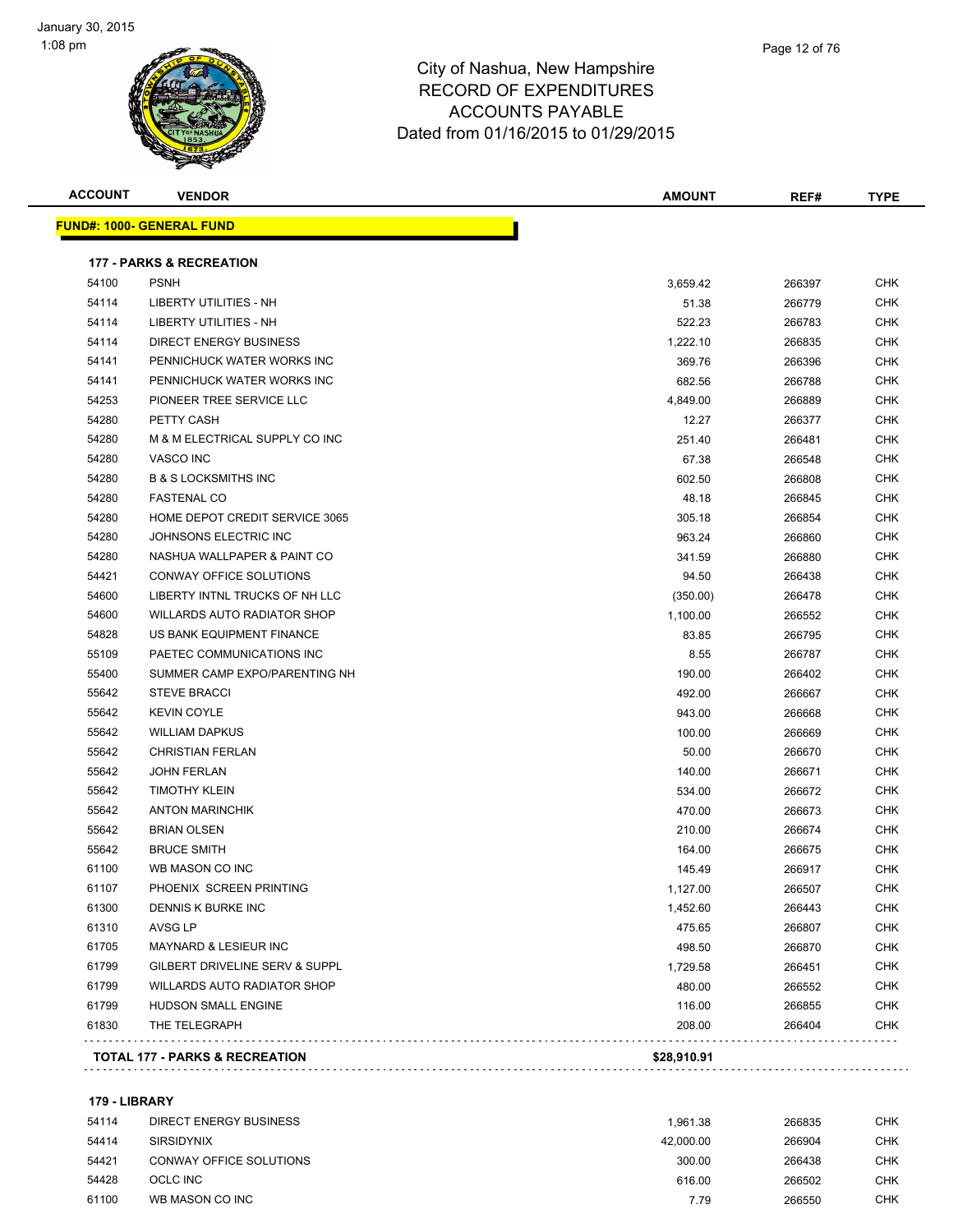



| <b>ACCOUNT</b> | <b>VENDOR</b>                             | <b>AMOUNT</b> | REF#   | <b>TYPE</b> |
|----------------|-------------------------------------------|---------------|--------|-------------|
|                | <u> FUND#: 1000- GENERAL FUND</u>         |               |        |             |
|                | <b>177 - PARKS &amp; RECREATION</b>       |               |        |             |
| 54100          | <b>PSNH</b>                               | 3,659.42      | 266397 | CHK         |
| 54114          | LIBERTY UTILITIES - NH                    | 51.38         | 266779 | CHK         |
| 54114          | LIBERTY UTILITIES - NH                    | 522.23        | 266783 | CHK         |
| 54114          | <b>DIRECT ENERGY BUSINESS</b>             | 1,222.10      | 266835 | CHK         |
| 54141          | PENNICHUCK WATER WORKS INC                | 369.76        | 266396 | CHK         |
| 54141          | PENNICHUCK WATER WORKS INC                | 682.56        | 266788 | CHK         |
| 54253          | PIONEER TREE SERVICE LLC                  | 4,849.00      | 266889 | <b>CHK</b>  |
| 54280          | PETTY CASH                                | 12.27         | 266377 | CHK         |
| 54280          | M & M ELECTRICAL SUPPLY CO INC            | 251.40        | 266481 | <b>CHK</b>  |
| 54280          | VASCO INC                                 | 67.38         | 266548 | CHK         |
| 54280          | <b>B &amp; S LOCKSMITHS INC</b>           | 602.50        | 266808 | CHK         |
| 54280          | <b>FASTENAL CO</b>                        | 48.18         | 266845 | CHK         |
| 54280          | HOME DEPOT CREDIT SERVICE 3065            | 305.18        | 266854 | CHK         |
| 54280          | JOHNSONS ELECTRIC INC                     | 963.24        | 266860 | CHK         |
| 54280          | NASHUA WALLPAPER & PAINT CO               | 341.59        | 266880 | <b>CHK</b>  |
| 54421          | CONWAY OFFICE SOLUTIONS                   | 94.50         | 266438 | <b>CHK</b>  |
| 54600          | LIBERTY INTNL TRUCKS OF NH LLC            | (350.00)      | 266478 | CHK         |
| 54600          | <b>WILLARDS AUTO RADIATOR SHOP</b>        | 1,100.00      | 266552 | <b>CHK</b>  |
| 54828          | US BANK EQUIPMENT FINANCE                 | 83.85         | 266795 | CHK         |
| 55109          | PAETEC COMMUNICATIONS INC                 | 8.55          | 266787 | CHK         |
| 55400          | SUMMER CAMP EXPO/PARENTING NH             | 190.00        | 266402 | CHK         |
| 55642          | <b>STEVE BRACCI</b>                       | 492.00        | 266667 | CHK         |
| 55642          | <b>KEVIN COYLE</b>                        | 943.00        | 266668 | CHK         |
| 55642          | <b>WILLIAM DAPKUS</b>                     | 100.00        | 266669 | CHK         |
| 55642          | <b>CHRISTIAN FERLAN</b>                   | 50.00         | 266670 | CHK         |
| 55642          | JOHN FERLAN                               | 140.00        | 266671 | CHK         |
| 55642          | <b>TIMOTHY KLEIN</b>                      | 534.00        | 266672 | CHK         |
| 55642          | <b>ANTON MARINCHIK</b>                    | 470.00        | 266673 | CHK         |
| 55642          | <b>BRIAN OLSEN</b>                        | 210.00        | 266674 | <b>CHK</b>  |
| 55642          | <b>BRUCE SMITH</b>                        | 164.00        | 266675 | CHK         |
| 61100          | WB MASON CO INC                           | 145.49        | 266917 | CHK         |
| 61107          | PHOENIX SCREEN PRINTING                   | 1,127.00      | 266507 | <b>CHK</b>  |
| 61300          | DENNIS K BURKE INC                        | 1,452.60      | 266443 | CHK         |
| 61310          | AVSG LP                                   | 475.65        | 266807 | <b>CHK</b>  |
| 61705          | <b>MAYNARD &amp; LESIEUR INC</b>          | 498.50        | 266870 | <b>CHK</b>  |
| 61799          | GILBERT DRIVELINE SERV & SUPPL            | 1,729.58      | 266451 | <b>CHK</b>  |
| 61799          | WILLARDS AUTO RADIATOR SHOP               | 480.00        | 266552 | <b>CHK</b>  |
| 61799          | HUDSON SMALL ENGINE                       | 116.00        | 266855 | <b>CHK</b>  |
| 61830          | THE TELEGRAPH                             | 208.00        | 266404 | <b>CHK</b>  |
|                | <b>TOTAL 177 - PARKS &amp; RECREATION</b> | \$28,910.91   |        |             |
|                |                                           |               |        |             |

#### **179 - LIBRARY**

| 54114 | DIRECT ENERGY BUSINESS  | 1.961.38  | 266835 | <b>CHK</b> |
|-------|-------------------------|-----------|--------|------------|
| 54414 | <b>SIRSIDYNIX</b>       | 42.000.00 | 266904 | <b>CHK</b> |
| 54421 | CONWAY OFFICE SOLUTIONS | 300.00    | 266438 | <b>CHK</b> |
| 54428 | OCLC INC                | 616.00    | 266502 | <b>CHK</b> |
| 61100 | WB MASON CO INC         | 7.79      | 266550 | CHK        |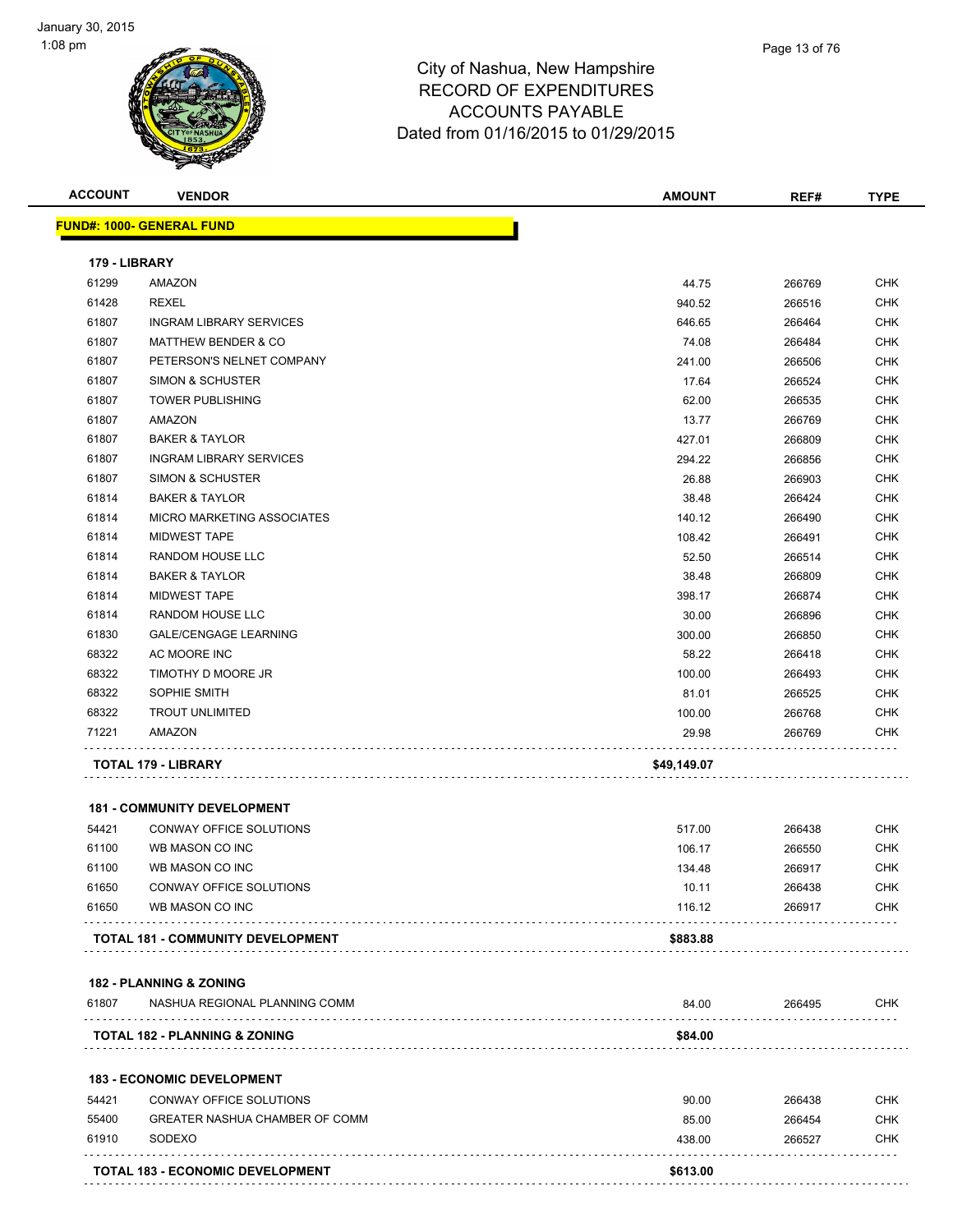



| <b>ACCOUNT</b> | <b>VENDOR</b>                            | <b>AMOUNT</b> | REF#   | <b>TYPE</b> |
|----------------|------------------------------------------|---------------|--------|-------------|
|                | <b>FUND#: 1000- GENERAL FUND</b>         |               |        |             |
| 179 - LIBRARY  |                                          |               |        |             |
| 61299          | AMAZON                                   | 44.75         | 266769 | CHK         |
| 61428          | <b>REXEL</b>                             | 940.52        | 266516 | <b>CHK</b>  |
| 61807          | <b>INGRAM LIBRARY SERVICES</b>           | 646.65        | 266464 | CHK         |
| 61807          | <b>MATTHEW BENDER &amp; CO</b>           | 74.08         | 266484 | <b>CHK</b>  |
| 61807          | PETERSON'S NELNET COMPANY                | 241.00        | 266506 | <b>CHK</b>  |
| 61807          | <b>SIMON &amp; SCHUSTER</b>              | 17.64         | 266524 | <b>CHK</b>  |
| 61807          | <b>TOWER PUBLISHING</b>                  | 62.00         | 266535 | <b>CHK</b>  |
| 61807          | AMAZON                                   | 13.77         | 266769 | <b>CHK</b>  |
| 61807          | <b>BAKER &amp; TAYLOR</b>                | 427.01        | 266809 | <b>CHK</b>  |
| 61807          | <b>INGRAM LIBRARY SERVICES</b>           | 294.22        | 266856 | <b>CHK</b>  |
| 61807          | <b>SIMON &amp; SCHUSTER</b>              | 26.88         | 266903 | CHK         |
| 61814          | <b>BAKER &amp; TAYLOR</b>                | 38.48         | 266424 | CHK         |
| 61814          | <b>MICRO MARKETING ASSOCIATES</b>        | 140.12        | 266490 | <b>CHK</b>  |
| 61814          | <b>MIDWEST TAPE</b>                      | 108.42        | 266491 | <b>CHK</b>  |
| 61814          | <b>RANDOM HOUSE LLC</b>                  | 52.50         | 266514 | <b>CHK</b>  |
| 61814          | <b>BAKER &amp; TAYLOR</b>                | 38.48         | 266809 | <b>CHK</b>  |
| 61814          | <b>MIDWEST TAPE</b>                      | 398.17        | 266874 | CHK         |
| 61814          | RANDOM HOUSE LLC                         | 30.00         | 266896 | <b>CHK</b>  |
| 61830          | <b>GALE/CENGAGE LEARNING</b>             | 300.00        | 266850 | CHK         |
| 68322          | AC MOORE INC                             | 58.22         | 266418 | <b>CHK</b>  |
| 68322          | TIMOTHY D MOORE JR                       | 100.00        | 266493 | <b>CHK</b>  |
| 68322          | SOPHIE SMITH                             | 81.01         | 266525 | CHK         |
| 68322          | <b>TROUT UNLIMITED</b>                   | 100.00        | 266768 | CHK         |
| 71221          | AMAZON                                   | 29.98         | 266769 | CHK         |
|                |                                          |               |        |             |
|                | <b>TOTAL 179 - LIBRARY</b>               | \$49,149.07   |        |             |
|                | <b>181 - COMMUNITY DEVELOPMENT</b>       |               |        |             |
| 54421          | CONWAY OFFICE SOLUTIONS                  | 517.00        | 266438 | CHK         |
| 61100          | WB MASON CO INC                          | 106.17        | 266550 | <b>CHK</b>  |
| 61100          | WB MASON CO INC                          | 134.48        | 266917 | <b>CHK</b>  |
| 61650          | CONWAY OFFICE SOLUTIONS                  | 10.11         | 266438 | <b>CHK</b>  |
| 61650          | WB MASON CO INC                          | 116.12        | 266917 | <b>CHK</b>  |
|                |                                          |               |        |             |
|                | <b>TOTAL 181 - COMMUNITY DEVELOPMENT</b> | \$883.88      |        |             |
|                | <b>182 - PLANNING &amp; ZONING</b>       |               |        |             |
| 61807          | NASHUA REGIONAL PLANNING COMM            | 84.00         | 266495 | CHK         |
|                | <b>TOTAL 182 - PLANNING &amp; ZONING</b> | \$84.00       |        |             |
|                | <b>183 - ECONOMIC DEVELOPMENT</b>        |               |        |             |
| 54421          | CONWAY OFFICE SOLUTIONS                  | 90.00         | 266438 | CHK         |
| 55400          | GREATER NASHUA CHAMBER OF COMM           | 85.00         | 266454 | <b>CHK</b>  |
| 61910          | SODEXO                                   | 438.00        | 266527 | <b>CHK</b>  |
|                |                                          |               |        |             |
|                | <b>TOTAL 183 - ECONOMIC DEVELOPMENT</b>  | \$613.00      |        |             |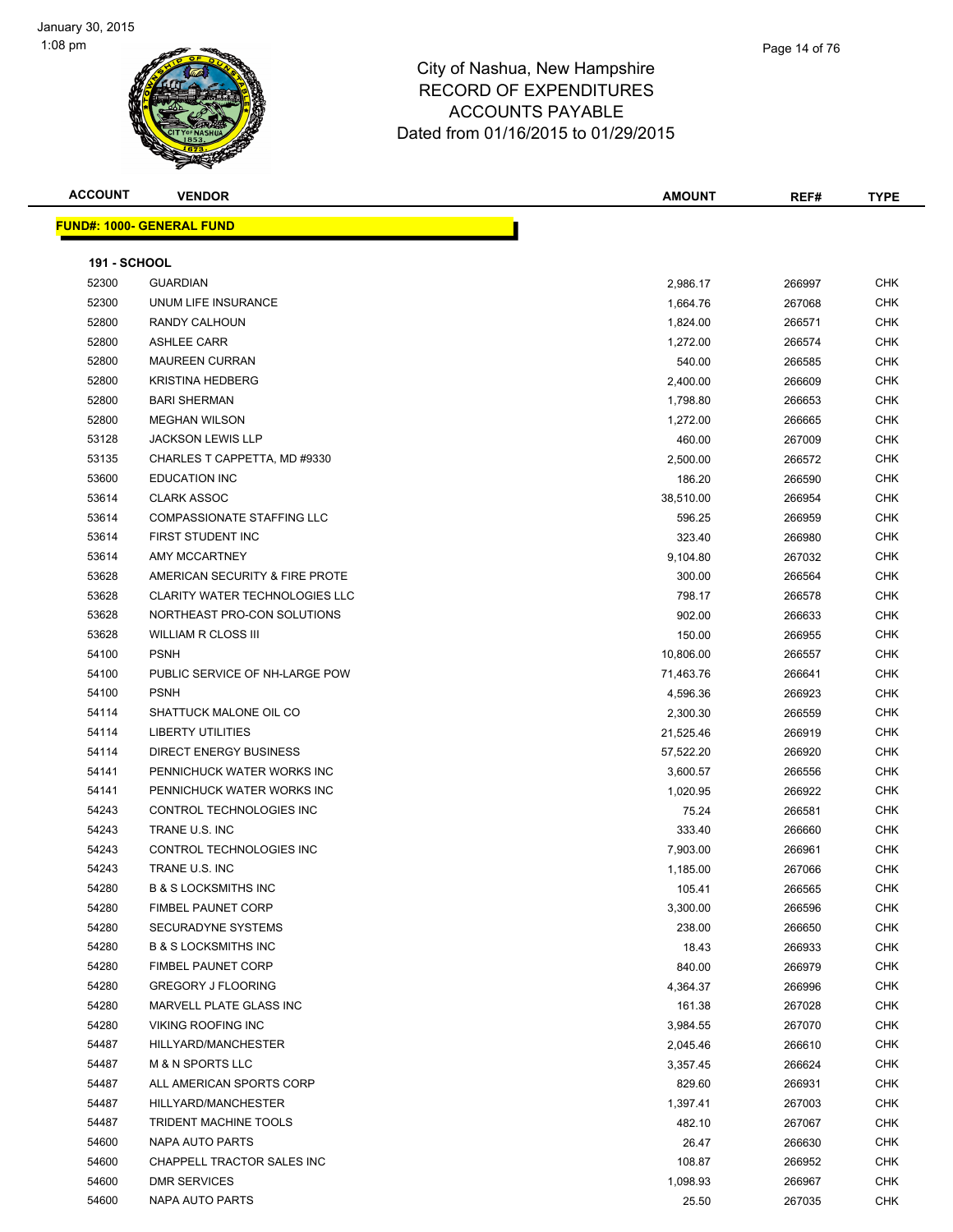



| <b>ACCOUNT</b>      | <b>VENDOR</b>                         | <b>AMOUNT</b> | REF#   | <b>TYPE</b> |
|---------------------|---------------------------------------|---------------|--------|-------------|
|                     | <b>FUND#: 1000- GENERAL FUND</b>      |               |        |             |
|                     |                                       |               |        |             |
| <b>191 - SCHOOL</b> |                                       |               |        |             |
| 52300               | <b>GUARDIAN</b>                       | 2,986.17      | 266997 | <b>CHK</b>  |
| 52300               | UNUM LIFE INSURANCE                   | 1,664.76      | 267068 | <b>CHK</b>  |
| 52800               | RANDY CALHOUN                         | 1,824.00      | 266571 | <b>CHK</b>  |
| 52800               | <b>ASHLEE CARR</b>                    | 1,272.00      | 266574 | <b>CHK</b>  |
| 52800               | <b>MAUREEN CURRAN</b>                 | 540.00        | 266585 | <b>CHK</b>  |
| 52800               | <b>KRISTINA HEDBERG</b>               | 2,400.00      | 266609 | <b>CHK</b>  |
| 52800               | <b>BARI SHERMAN</b>                   | 1,798.80      | 266653 | <b>CHK</b>  |
| 52800               | <b>MEGHAN WILSON</b>                  | 1,272.00      | 266665 | <b>CHK</b>  |
| 53128               | <b>JACKSON LEWIS LLP</b>              | 460.00        | 267009 | <b>CHK</b>  |
| 53135               | CHARLES T CAPPETTA, MD #9330          | 2,500.00      | 266572 | <b>CHK</b>  |
| 53600               | <b>EDUCATION INC</b>                  | 186.20        | 266590 | <b>CHK</b>  |
| 53614               | <b>CLARK ASSOC</b>                    | 38,510.00     | 266954 | <b>CHK</b>  |
| 53614               | <b>COMPASSIONATE STAFFING LLC</b>     | 596.25        | 266959 | <b>CHK</b>  |
| 53614               | FIRST STUDENT INC                     | 323.40        | 266980 | <b>CHK</b>  |
| 53614               | <b>AMY MCCARTNEY</b>                  | 9,104.80      | 267032 | <b>CHK</b>  |
| 53628               | AMERICAN SECURITY & FIRE PROTE        | 300.00        | 266564 | <b>CHK</b>  |
| 53628               | <b>CLARITY WATER TECHNOLOGIES LLC</b> | 798.17        | 266578 | <b>CHK</b>  |
| 53628               | NORTHEAST PRO-CON SOLUTIONS           | 902.00        | 266633 | <b>CHK</b>  |
| 53628               | <b>WILLIAM R CLOSS III</b>            | 150.00        | 266955 | <b>CHK</b>  |
| 54100               | <b>PSNH</b>                           | 10,806.00     | 266557 | <b>CHK</b>  |
| 54100               | PUBLIC SERVICE OF NH-LARGE POW        | 71,463.76     | 266641 | <b>CHK</b>  |
| 54100               | <b>PSNH</b>                           | 4,596.36      | 266923 | <b>CHK</b>  |
| 54114               | SHATTUCK MALONE OIL CO                | 2,300.30      | 266559 | <b>CHK</b>  |
| 54114               | <b>LIBERTY UTILITIES</b>              | 21,525.46     | 266919 | CHK         |
| 54114               | <b>DIRECT ENERGY BUSINESS</b>         | 57,522.20     | 266920 | <b>CHK</b>  |
| 54141               | PENNICHUCK WATER WORKS INC            | 3,600.57      | 266556 | <b>CHK</b>  |
| 54141               | PENNICHUCK WATER WORKS INC            | 1,020.95      | 266922 | <b>CHK</b>  |
| 54243               | CONTROL TECHNOLOGIES INC              | 75.24         | 266581 | <b>CHK</b>  |
| 54243               | TRANE U.S. INC                        | 333.40        | 266660 | <b>CHK</b>  |
| 54243               | CONTROL TECHNOLOGIES INC              | 7,903.00      | 266961 | <b>CHK</b>  |
| 54243               | TRANE U.S. INC                        | 1,185.00      | 267066 | <b>CHK</b>  |
| 54280               | <b>B &amp; S LOCKSMITHS INC</b>       | 105.41        | 266565 | CHK         |
| 54280               | <b>FIMBEL PAUNET CORP</b>             | 3,300.00      | 266596 | CHK         |
| 54280               | SECURADYNE SYSTEMS                    | 238.00        | 266650 | <b>CHK</b>  |
| 54280               | <b>B &amp; S LOCKSMITHS INC</b>       | 18.43         | 266933 | <b>CHK</b>  |
| 54280               | <b>FIMBEL PAUNET CORP</b>             | 840.00        | 266979 | <b>CHK</b>  |
| 54280               | <b>GREGORY J FLOORING</b>             | 4,364.37      | 266996 | <b>CHK</b>  |
| 54280               | MARVELL PLATE GLASS INC               | 161.38        | 267028 | <b>CHK</b>  |
| 54280               | VIKING ROOFING INC                    | 3,984.55      | 267070 | <b>CHK</b>  |
| 54487               | HILLYARD/MANCHESTER                   | 2,045.46      | 266610 | <b>CHK</b>  |
| 54487               | <b>M &amp; N SPORTS LLC</b>           | 3,357.45      | 266624 | <b>CHK</b>  |
| 54487               | ALL AMERICAN SPORTS CORP              | 829.60        | 266931 | <b>CHK</b>  |
| 54487               | HILLYARD/MANCHESTER                   | 1,397.41      | 267003 | <b>CHK</b>  |
| 54487               | TRIDENT MACHINE TOOLS                 | 482.10        | 267067 | <b>CHK</b>  |
| 54600               | NAPA AUTO PARTS                       | 26.47         | 266630 | <b>CHK</b>  |
| 54600               | CHAPPELL TRACTOR SALES INC            | 108.87        | 266952 | <b>CHK</b>  |
| 54600               | DMR SERVICES                          | 1,098.93      | 266967 | <b>CHK</b>  |
| 54600               | NAPA AUTO PARTS                       | 25.50         | 267035 | <b>CHK</b>  |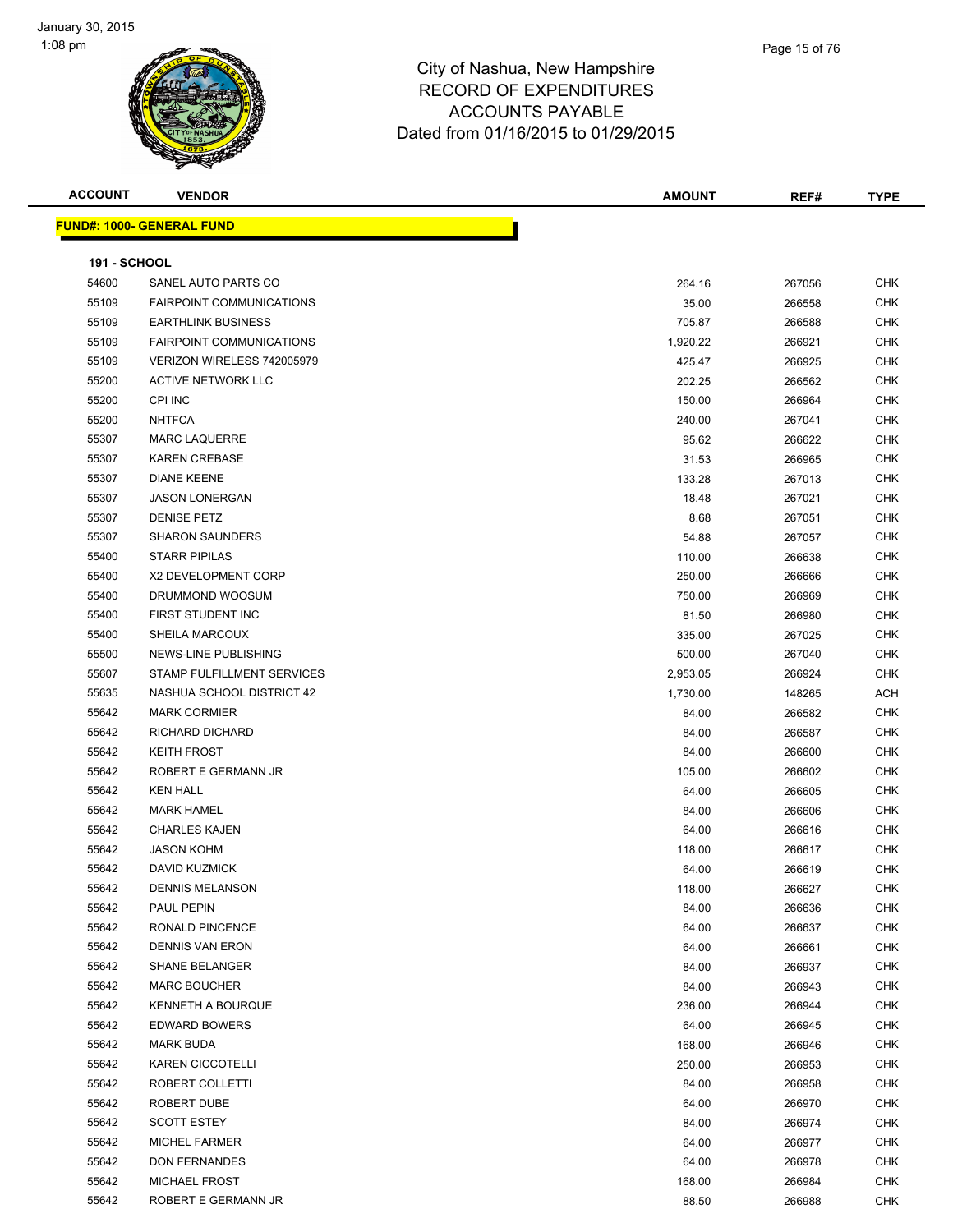| <b>ACCOUNT</b>      | <b>VENDOR</b>                    | AMOUNT   | REF#   | <b>TYPE</b> |
|---------------------|----------------------------------|----------|--------|-------------|
|                     | <b>FUND#: 1000- GENERAL FUND</b> |          |        |             |
|                     |                                  |          |        |             |
| <b>191 - SCHOOL</b> |                                  |          |        |             |
| 54600               | SANEL AUTO PARTS CO              | 264.16   | 267056 | <b>CHK</b>  |
| 55109               | <b>FAIRPOINT COMMUNICATIONS</b>  | 35.00    | 266558 | <b>CHK</b>  |
| 55109               | <b>EARTHLINK BUSINESS</b>        | 705.87   | 266588 | <b>CHK</b>  |
| 55109               | <b>FAIRPOINT COMMUNICATIONS</b>  | 1,920.22 | 266921 | CHK         |
| 55109               | VERIZON WIRELESS 742005979       | 425.47   | 266925 | <b>CHK</b>  |
| 55200               | <b>ACTIVE NETWORK LLC</b>        | 202.25   | 266562 | <b>CHK</b>  |
| 55200               | <b>CPI INC</b>                   | 150.00   | 266964 | <b>CHK</b>  |
| 55200               | <b>NHTFCA</b>                    | 240.00   | 267041 | <b>CHK</b>  |
| 55307               | <b>MARC LAQUERRE</b>             | 95.62    | 266622 | <b>CHK</b>  |
| 55307               | <b>KAREN CREBASE</b>             | 31.53    | 266965 | <b>CHK</b>  |
| 55307               | <b>DIANE KEENE</b>               | 133.28   | 267013 | <b>CHK</b>  |
| 55307               | <b>JASON LONERGAN</b>            | 18.48    | 267021 | CHK         |
| 55307               | <b>DENISE PETZ</b>               | 8.68     | 267051 | CHK         |
| 55307               | <b>SHARON SAUNDERS</b>           | 54.88    | 267057 | CHK         |
| 55400               | <b>STARR PIPILAS</b>             | 110.00   | 266638 | CHK         |
| 55400               | X2 DEVELOPMENT CORP              | 250.00   | 266666 | <b>CHK</b>  |
| 55400               | DRUMMOND WOOSUM                  | 750.00   | 266969 | <b>CHK</b>  |
| 55400               | FIRST STUDENT INC                | 81.50    | 266980 | <b>CHK</b>  |
| 55400               | SHEILA MARCOUX                   | 335.00   | 267025 | <b>CHK</b>  |
| 55500               | NEWS-LINE PUBLISHING             | 500.00   | 267040 | <b>CHK</b>  |
| 55607               | STAMP FULFILLMENT SERVICES       | 2,953.05 | 266924 | <b>CHK</b>  |
| 55635               | NASHUA SCHOOL DISTRICT 42        | 1,730.00 | 148265 | <b>ACH</b>  |
| 55642               | <b>MARK CORMIER</b>              | 84.00    | 266582 | <b>CHK</b>  |
| 55642               | RICHARD DICHARD                  | 84.00    | 266587 | <b>CHK</b>  |
| 55642               | <b>KEITH FROST</b>               | 84.00    | 266600 | CHK         |
| 55642               | ROBERT E GERMANN JR              | 105.00   | 266602 | CHK         |
| 55642               | <b>KEN HALL</b>                  | 64.00    | 266605 | <b>CHK</b>  |
| 55642               | <b>MARK HAMEL</b>                | 84.00    | 266606 | <b>CHK</b>  |
| 55642               | <b>CHARLES KAJEN</b>             | 64.00    | 266616 | <b>CHK</b>  |
| 55642               | <b>JASON KOHM</b>                | 118.00   | 266617 | <b>CHK</b>  |
| 55642               | <b>DAVID KUZMICK</b>             | 64.00    | 266619 | <b>CHK</b>  |
| 55642               | <b>DENNIS MELANSON</b>           | 118.00   | 266627 | <b>CHK</b>  |
| 55642               | PAUL PEPIN                       | 84.00    | 266636 | <b>CHK</b>  |
| 55642               | RONALD PINCENCE                  | 64.00    | 266637 | <b>CHK</b>  |
| 55642               | DENNIS VAN ERON                  | 64.00    | 266661 | <b>CHK</b>  |
| 55642               | <b>SHANE BELANGER</b>            | 84.00    | 266937 | <b>CHK</b>  |
| 55642               | <b>MARC BOUCHER</b>              | 84.00    | 266943 | <b>CHK</b>  |
| 55642               | KENNETH A BOURQUE                | 236.00   | 266944 | CHK         |
| 55642               | <b>EDWARD BOWERS</b>             | 64.00    | 266945 | CHK         |
| 55642               | <b>MARK BUDA</b>                 | 168.00   | 266946 | <b>CHK</b>  |
| 55642               | <b>KAREN CICCOTELLI</b>          | 250.00   | 266953 | CHK         |
| 55642               | ROBERT COLLETTI                  | 84.00    | 266958 | <b>CHK</b>  |
| 55642               | ROBERT DUBE                      | 64.00    | 266970 | CHK         |
| 55642               | <b>SCOTT ESTEY</b>               | 84.00    | 266974 | <b>CHK</b>  |
| 55642               | <b>MICHEL FARMER</b>             | 64.00    | 266977 | <b>CHK</b>  |
| 55642               | <b>DON FERNANDES</b>             | 64.00    | 266978 | <b>CHK</b>  |
| 55642               | MICHAEL FROST                    | 168.00   | 266984 | <b>CHK</b>  |
| 55642               | ROBERT E GERMANN JR              | 88.50    | 266988 | CHK         |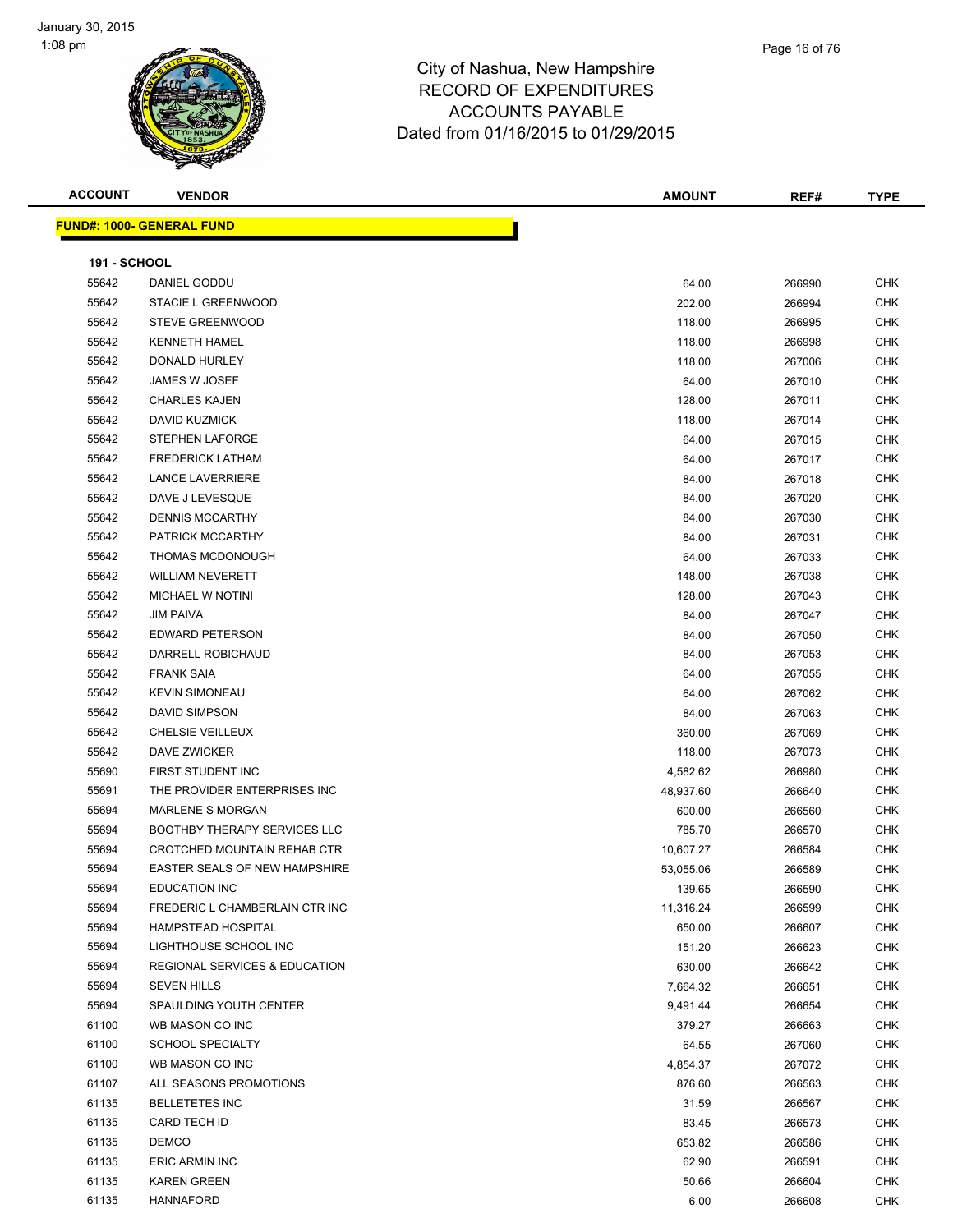



#### City of Nashua, New Hampshire RECORD OF EXPENDITURES ACCOUNTS PAYABLE Dated from 01/16/2015 to 01/29/2015

| <b>ACCOUNT</b>      | <b>VENDOR</b>                       | <b>AMOUNT</b> | REF#   | <b>TYPE</b> |
|---------------------|-------------------------------------|---------------|--------|-------------|
|                     | <u> FUND#: 1000- GENERAL FUND</u>   |               |        |             |
| <b>191 - SCHOOL</b> |                                     |               |        |             |
| 55642               | DANIEL GODDU                        | 64.00         | 266990 | CHK         |
| 55642               | STACIE L GREENWOOD                  | 202.00        | 266994 | CHK         |
| 55642               | STEVE GREENWOOD                     | 118.00        | 266995 | CHK         |
| 55642               | <b>KENNETH HAMEL</b>                | 118.00        | 266998 | CHK         |
| 55642               | DONALD HURLEY                       | 118.00        | 267006 | CHK         |
| 55642               | JAMES W JOSEF                       | 64.00         | 267010 | CHK         |
| 55642               | <b>CHARLES KAJEN</b>                | 128.00        | 267011 | CHK         |
| 55642               | <b>DAVID KUZMICK</b>                | 118.00        | 267014 | CHK         |
| 55642               | STEPHEN LAFORGE                     | 64.00         | 267015 | CHK         |
| 55642               | <b>FREDERICK LATHAM</b>             | 64.00         | 267017 | <b>CHK</b>  |
| 55642               | <b>LANCE LAVERRIERE</b>             | 84.00         | 267018 | CHK         |
| 55642               | DAVE J LEVESQUE                     | 84.00         | 267020 | CHK         |
| 55642               | <b>DENNIS MCCARTHY</b>              | 84.00         | 267030 | <b>CHK</b>  |
| 55642               | PATRICK MCCARTHY                    | 84.00         | 267031 | CHK         |
| 55642               | THOMAS MCDONOUGH                    | 64.00         | 267033 | <b>CHK</b>  |
| 55642               | <b>WILLIAM NEVERETT</b>             | 148.00        | 267038 | CHK         |
| 55642               | MICHAEL W NOTINI                    | 128.00        | 267043 | CHK         |
| 55642               | <b>JIM PAIVA</b>                    | 84.00         | 267047 | CHK         |
| 55642               | <b>EDWARD PETERSON</b>              | 84.00         | 267050 | CHK         |
| 55642               | DARRELL ROBICHAUD                   | 84.00         | 267053 | CHK         |
| 55642               | <b>FRANK SAIA</b>                   | 64.00         | 267055 | CHK         |
| 55642               | <b>KEVIN SIMONEAU</b>               | 64.00         | 267062 | CHK         |
| 55642               | <b>DAVID SIMPSON</b>                | 84.00         | 267063 | CHK         |
| 55642               | CHELSIE VEILLEUX                    | 360.00        | 267069 | CHK         |
| 55642               | DAVE ZWICKER                        | 118.00        | 267073 | CHK         |
| 55690               | FIRST STUDENT INC                   | 4,582.62      | 266980 | CHK         |
| 55691               | THE PROVIDER ENTERPRISES INC        | 48,937.60     | 266640 | CHK         |
| 55694               | <b>MARLENE S MORGAN</b>             | 600.00        | 266560 | CHK         |
| 55694               | <b>BOOTHBY THERAPY SERVICES LLC</b> | 785.70        | 266570 | CHK         |
| 55694               | <b>CROTCHED MOUNTAIN REHAB CTR</b>  | 10,607.27     | 266584 | CHK         |
| 55694               | EASTER SEALS OF NEW HAMPSHIRE       | 53,055.06     | 266589 | CHK         |
| 55694               | EDUCATION INC                       | 139.65        | 266590 | <b>CHK</b>  |
| 55694               | FREDERIC L CHAMBERLAIN CTR INC      | 11,316.24     | 266599 | CHK         |
| 55694               | HAMPSTEAD HOSPITAL                  | 650.00        | 266607 | <b>CHK</b>  |
| 55694               | LIGHTHOUSE SCHOOL INC               | 151.20        | 266623 | <b>CHK</b>  |
| 55694               | REGIONAL SERVICES & EDUCATION       | 630.00        | 266642 | CHK         |
| 55694               | <b>SEVEN HILLS</b>                  | 7,664.32      | 266651 | <b>CHK</b>  |
| 55694               | SPAULDING YOUTH CENTER              | 9,491.44      | 266654 | <b>CHK</b>  |
| 61100               | WB MASON CO INC                     | 379.27        | 266663 | <b>CHK</b>  |
| 61100               | <b>SCHOOL SPECIALTY</b>             | 64.55         | 267060 | <b>CHK</b>  |
| 61100               | WB MASON CO INC                     | 4,854.37      | 267072 | <b>CHK</b>  |
| 61107               | ALL SEASONS PROMOTIONS              | 876.60        | 266563 | <b>CHK</b>  |
| 61135               | <b>BELLETETES INC</b>               | 31.59         | 266567 | <b>CHK</b>  |
| 61135               | CARD TECH ID                        | 83.45         | 266573 | CHK         |
| 61135               | <b>DEMCO</b>                        | 653.82        | 266586 | <b>CHK</b>  |
| 61135               | ERIC ARMIN INC                      | 62.90         | 266591 | <b>CHK</b>  |
| 61135               | <b>KAREN GREEN</b>                  | 50.66         | 266604 | <b>CHK</b>  |
|                     |                                     |               |        |             |

HANNAFORD 6.00 266608 CHK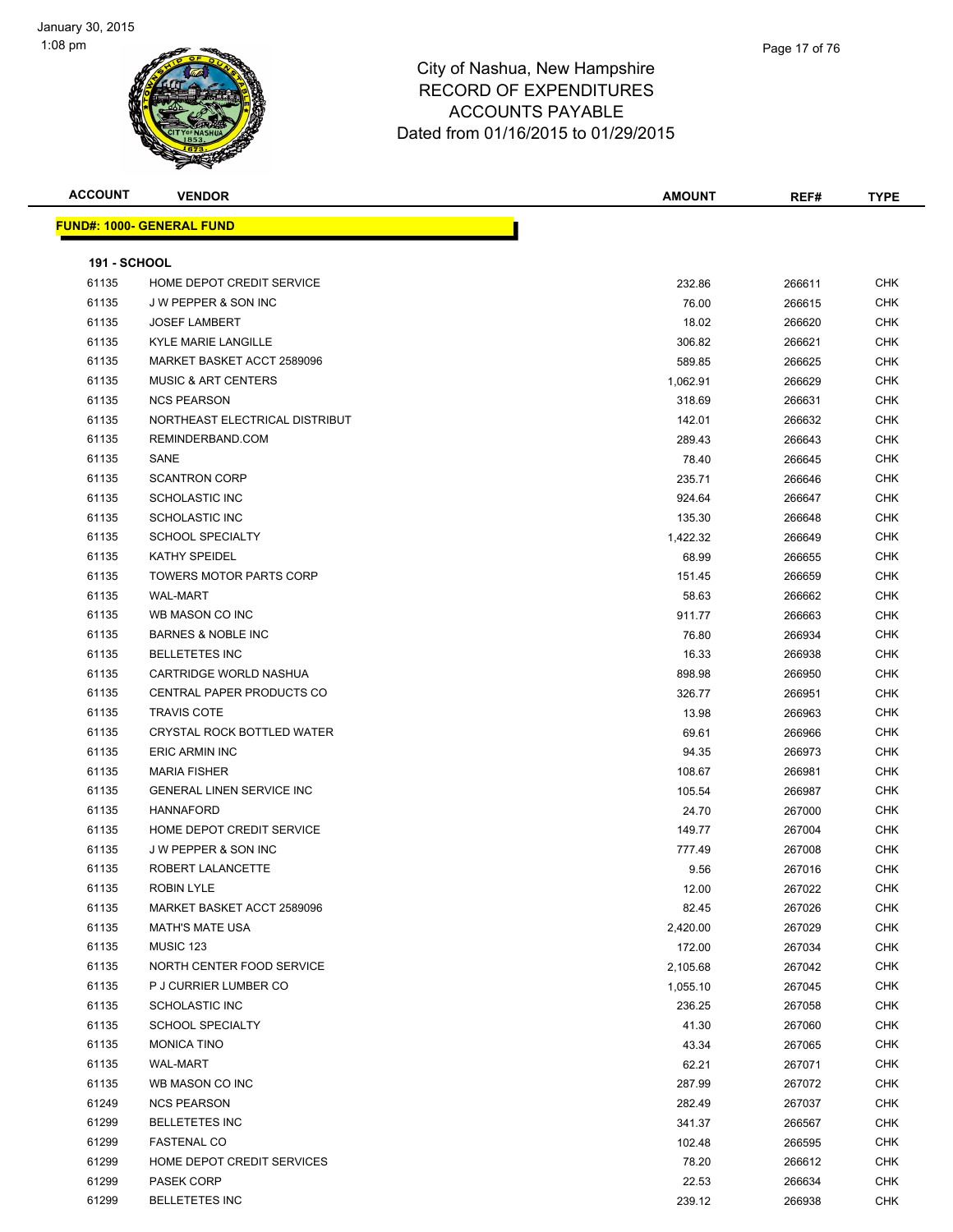



| <b>ACCOUNT</b>      | <b>VENDOR</b>                    | <b>AMOUNT</b> | REF#   | <b>TYPE</b> |
|---------------------|----------------------------------|---------------|--------|-------------|
|                     | <b>FUND#: 1000- GENERAL FUND</b> |               |        |             |
| <b>191 - SCHOOL</b> |                                  |               |        |             |
| 61135               | HOME DEPOT CREDIT SERVICE        | 232.86        | 266611 | <b>CHK</b>  |
| 61135               | <b>JW PEPPER &amp; SON INC</b>   | 76.00         | 266615 | <b>CHK</b>  |
| 61135               | <b>JOSEF LAMBERT</b>             | 18.02         | 266620 | <b>CHK</b>  |
| 61135               | <b>KYLE MARIE LANGILLE</b>       | 306.82        | 266621 | <b>CHK</b>  |
| 61135               | MARKET BASKET ACCT 2589096       | 589.85        | 266625 | <b>CHK</b>  |
| 61135               | <b>MUSIC &amp; ART CENTERS</b>   | 1,062.91      | 266629 | <b>CHK</b>  |
| 61135               | <b>NCS PEARSON</b>               | 318.69        | 266631 | <b>CHK</b>  |
| 61135               | NORTHEAST ELECTRICAL DISTRIBUT   | 142.01        | 266632 | <b>CHK</b>  |
| 61135               | REMINDERBAND.COM                 | 289.43        | 266643 | <b>CHK</b>  |
| 61135               | SANE                             | 78.40         | 266645 | <b>CHK</b>  |
| 61135               | <b>SCANTRON CORP</b>             | 235.71        | 266646 | <b>CHK</b>  |
| 61135               | <b>SCHOLASTIC INC</b>            | 924.64        | 266647 | <b>CHK</b>  |
| 61135               | <b>SCHOLASTIC INC</b>            | 135.30        | 266648 | <b>CHK</b>  |
| 61135               | <b>SCHOOL SPECIALTY</b>          | 1,422.32      | 266649 | <b>CHK</b>  |
| 61135               | KATHY SPEIDEL                    | 68.99         | 266655 | <b>CHK</b>  |
| 61135               | <b>TOWERS MOTOR PARTS CORP</b>   | 151.45        | 266659 | <b>CHK</b>  |
| 61135               | <b>WAL-MART</b>                  | 58.63         | 266662 | CHK         |
| 61135               | WB MASON CO INC                  | 911.77        | 266663 | <b>CHK</b>  |
| 61135               | <b>BARNES &amp; NOBLE INC</b>    | 76.80         | 266934 | <b>CHK</b>  |
| 61135               | <b>BELLETETES INC</b>            | 16.33         | 266938 | <b>CHK</b>  |
| 61135               | CARTRIDGE WORLD NASHUA           | 898.98        | 266950 | <b>CHK</b>  |
| 61135               | CENTRAL PAPER PRODUCTS CO        | 326.77        | 266951 | <b>CHK</b>  |
| 61135               | <b>TRAVIS COTE</b>               | 13.98         | 266963 | <b>CHK</b>  |
| 61135               | CRYSTAL ROCK BOTTLED WATER       | 69.61         | 266966 | <b>CHK</b>  |
| 61135               | <b>ERIC ARMIN INC</b>            | 94.35         | 266973 | <b>CHK</b>  |
| 61135               | <b>MARIA FISHER</b>              | 108.67        | 266981 | <b>CHK</b>  |
| 61135               | <b>GENERAL LINEN SERVICE INC</b> | 105.54        | 266987 | <b>CHK</b>  |
| 61135               | <b>HANNAFORD</b>                 | 24.70         | 267000 | <b>CHK</b>  |
| 61135               | HOME DEPOT CREDIT SERVICE        | 149.77        | 267004 | <b>CHK</b>  |
| 61135               | <b>JW PEPPER &amp; SON INC</b>   | 777.49        | 267008 | <b>CHK</b>  |
| 61135               | ROBERT LALANCETTE                | 9.56          | 267016 | <b>CHK</b>  |
| 61135               | ROBIN LYLE                       | 12.00         | 267022 | <b>CHK</b>  |
| 61135               | MARKET BASKET ACCT 2589096       | 82.45         | 267026 | CHK         |
| 61135               | <b>MATH'S MATE USA</b>           | 2,420.00      | 267029 | <b>CHK</b>  |
| 61135               | MUSIC 123                        | 172.00        | 267034 | <b>CHK</b>  |
| 61135               | NORTH CENTER FOOD SERVICE        | 2,105.68      | 267042 | <b>CHK</b>  |
| 61135               | P J CURRIER LUMBER CO            | 1,055.10      | 267045 | <b>CHK</b>  |
| 61135               | <b>SCHOLASTIC INC</b>            | 236.25        | 267058 | <b>CHK</b>  |
| 61135               | <b>SCHOOL SPECIALTY</b>          | 41.30         | 267060 | <b>CHK</b>  |
| 61135               | <b>MONICA TINO</b>               | 43.34         | 267065 | <b>CHK</b>  |
| 61135               | <b>WAL-MART</b>                  | 62.21         | 267071 | <b>CHK</b>  |
| 61135               | WB MASON CO INC                  | 287.99        | 267072 | <b>CHK</b>  |
| 61249               | <b>NCS PEARSON</b>               | 282.49        | 267037 | <b>CHK</b>  |
| 61299               | <b>BELLETETES INC</b>            | 341.37        | 266567 | <b>CHK</b>  |
| 61299               | <b>FASTENAL CO</b>               | 102.48        | 266595 | <b>CHK</b>  |
| 61299               | HOME DEPOT CREDIT SERVICES       | 78.20         | 266612 | <b>CHK</b>  |
| 61299               | PASEK CORP                       | 22.53         | 266634 | <b>CHK</b>  |
| 61299               | <b>BELLETETES INC</b>            | 239.12        | 266938 | <b>CHK</b>  |
|                     |                                  |               |        |             |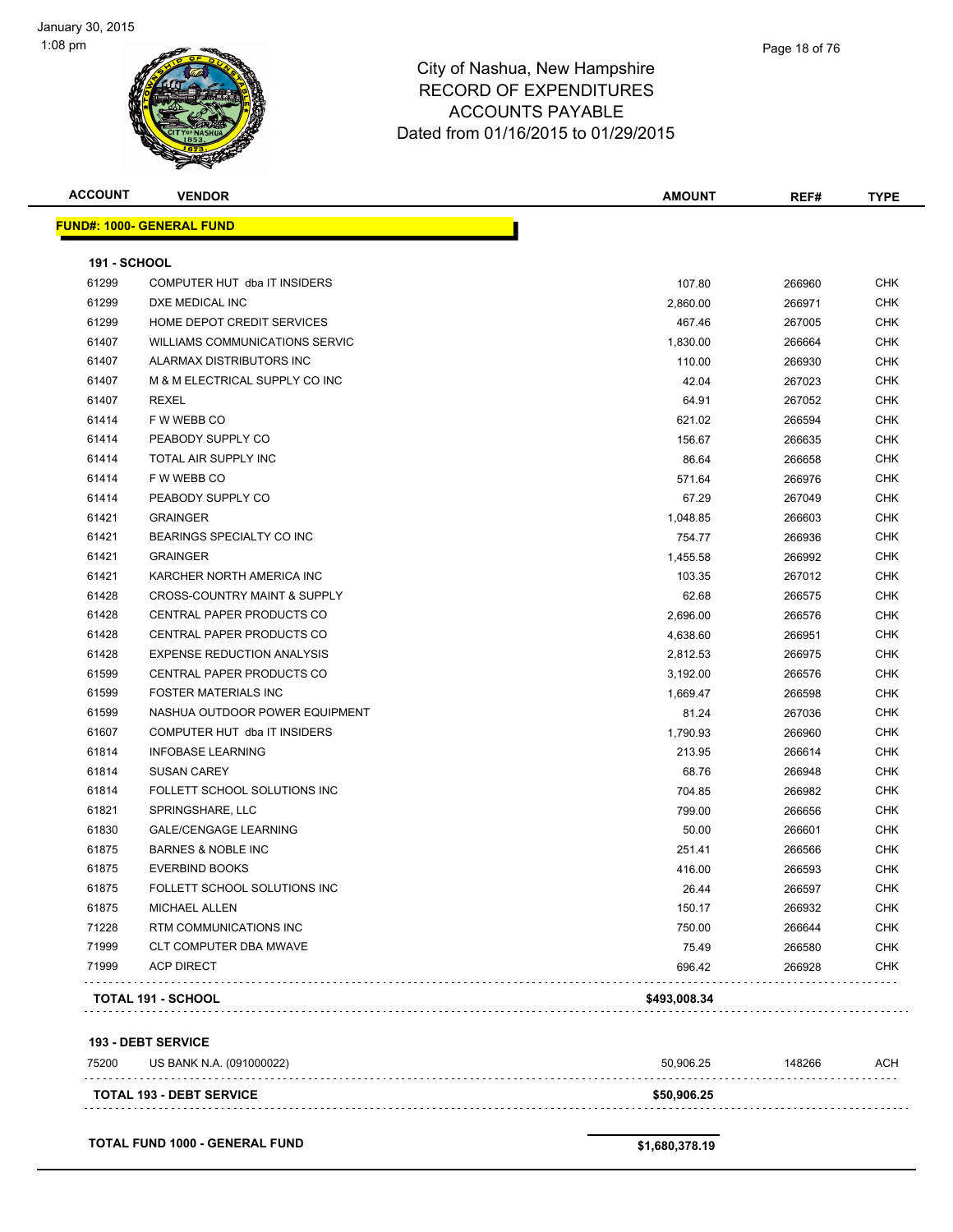

| <b>ACCOUNT</b>      | <b>VENDOR</b>                           | <b>AMOUNT</b> | REF#   | <b>TYPE</b> |
|---------------------|-----------------------------------------|---------------|--------|-------------|
|                     | <b>FUND#: 1000- GENERAL FUND</b>        |               |        |             |
| <b>191 - SCHOOL</b> |                                         |               |        |             |
| 61299               | COMPUTER HUT dba IT INSIDERS            | 107.80        | 266960 | <b>CHK</b>  |
| 61299               | DXE MEDICAL INC                         | 2,860.00      | 266971 | <b>CHK</b>  |
| 61299               | HOME DEPOT CREDIT SERVICES              | 467.46        | 267005 | <b>CHK</b>  |
| 61407               | <b>WILLIAMS COMMUNICATIONS SERVIC</b>   | 1,830.00      | 266664 | <b>CHK</b>  |
| 61407               | ALARMAX DISTRIBUTORS INC                | 110.00        | 266930 | CHK         |
| 61407               | M & M ELECTRICAL SUPPLY CO INC          | 42.04         | 267023 | <b>CHK</b>  |
| 61407               | <b>REXEL</b>                            | 64.91         | 267052 | <b>CHK</b>  |
| 61414               | F W WEBB CO                             | 621.02        | 266594 | <b>CHK</b>  |
| 61414               | PEABODY SUPPLY CO                       | 156.67        | 266635 | <b>CHK</b>  |
| 61414               | TOTAL AIR SUPPLY INC                    | 86.64         | 266658 | <b>CHK</b>  |
| 61414               | F W WEBB CO                             | 571.64        | 266976 | <b>CHK</b>  |
| 61414               | PEABODY SUPPLY CO                       | 67.29         | 267049 | <b>CHK</b>  |
| 61421               | <b>GRAINGER</b>                         | 1,048.85      | 266603 | <b>CHK</b>  |
| 61421               | BEARINGS SPECIALTY CO INC               | 754.77        | 266936 | <b>CHK</b>  |
| 61421               | <b>GRAINGER</b>                         | 1,455.58      | 266992 | <b>CHK</b>  |
| 61421               | KARCHER NORTH AMERICA INC               | 103.35        | 267012 | <b>CHK</b>  |
| 61428               | <b>CROSS-COUNTRY MAINT &amp; SUPPLY</b> | 62.68         | 266575 | <b>CHK</b>  |
| 61428               | <b>CENTRAL PAPER PRODUCTS CO</b>        | 2,696.00      | 266576 | <b>CHK</b>  |
| 61428               | CENTRAL PAPER PRODUCTS CO               | 4,638.60      | 266951 | <b>CHK</b>  |
| 61428               | <b>EXPENSE REDUCTION ANALYSIS</b>       | 2,812.53      | 266975 | <b>CHK</b>  |
| 61599               | CENTRAL PAPER PRODUCTS CO               | 3,192.00      | 266576 | <b>CHK</b>  |
| 61599               | <b>FOSTER MATERIALS INC</b>             | 1,669.47      | 266598 | <b>CHK</b>  |
| 61599               | NASHUA OUTDOOR POWER EQUIPMENT          | 81.24         | 267036 | <b>CHK</b>  |
| 61607               | COMPUTER HUT dba IT INSIDERS            | 1,790.93      | 266960 | <b>CHK</b>  |
| 61814               | <b>INFOBASE LEARNING</b>                | 213.95        | 266614 | <b>CHK</b>  |
| 61814               | <b>SUSAN CAREY</b>                      | 68.76         | 266948 | <b>CHK</b>  |
| 61814               | FOLLETT SCHOOL SOLUTIONS INC            | 704.85        | 266982 | <b>CHK</b>  |
| 61821               | SPRINGSHARE, LLC                        | 799.00        | 266656 | <b>CHK</b>  |
| 61830               | <b>GALE/CENGAGE LEARNING</b>            | 50.00         | 266601 | CHK         |
| 61875               | <b>BARNES &amp; NOBLE INC</b>           | 251.41        | 266566 | CHK         |
| 61875               | <b>EVERBIND BOOKS</b>                   | 416.00        | 266593 | <b>CHK</b>  |
| 61875               | FOLLETT SCHOOL SOLUTIONS INC            | 26.44         | 266597 | <b>CHK</b>  |
| 61875               | MICHAEL ALLEN                           | 150.17        | 266932 | <b>CHK</b>  |
| 71228               | RTM COMMUNICATIONS INC                  | 750.00        | 266644 | <b>CHK</b>  |
| 71999               | CLT COMPUTER DBA MWAVE                  | 75.49         | 266580 | <b>CHK</b>  |
| 71999               | <b>ACP DIRECT</b>                       | 696.42        | 266928 | <b>CHK</b>  |
|                     | <b>TOTAL 191 - SCHOOL</b>               | \$493,008.34  |        |             |

**193 - DEBT SERVICE**

| 75200 | US BANK N.A. (091000022)        | 50.906.25   | 148266 | ACH |
|-------|---------------------------------|-------------|--------|-----|
|       | <b>TOTAL 193 - DEBT SERVICE</b> | \$50,906.25 |        |     |

**TOTAL FUND 1000 - GENERAL FUND \$1,680,378.19**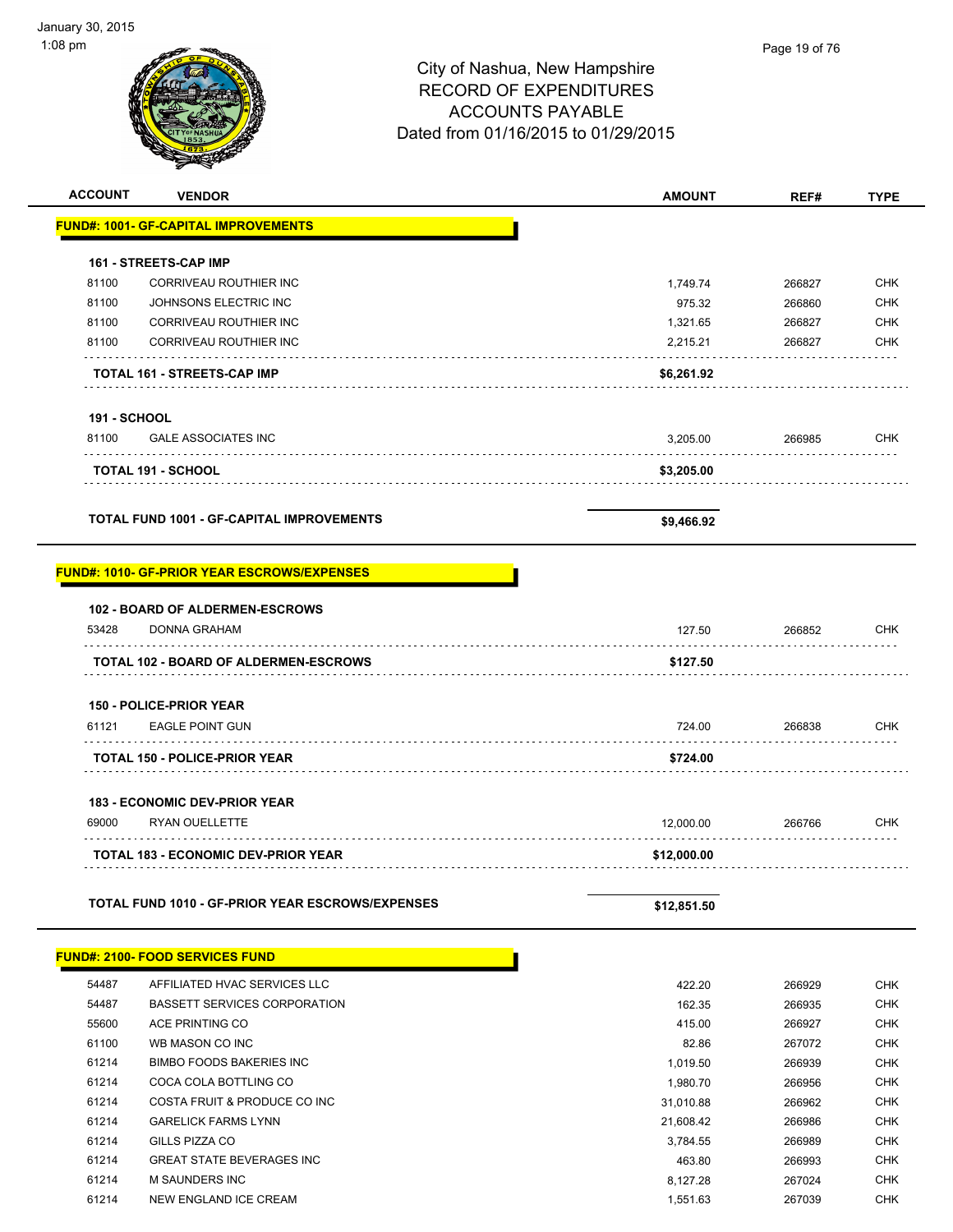| <b>ACCOUNT</b>      | <b>VENDOR</b>                                           | <b>AMOUNT</b> | REF#   | <b>TYPE</b> |
|---------------------|---------------------------------------------------------|---------------|--------|-------------|
|                     | <b>FUND#: 1001- GF-CAPITAL IMPROVEMENTS</b>             |               |        |             |
|                     |                                                         |               |        |             |
|                     | <b>161 - STREETS-CAP IMP</b>                            |               |        |             |
| 81100               | CORRIVEAU ROUTHIER INC                                  | 1,749.74      | 266827 | <b>CHK</b>  |
| 81100               | JOHNSONS ELECTRIC INC                                   | 975.32        | 266860 | <b>CHK</b>  |
| 81100               | CORRIVEAU ROUTHIER INC                                  | 1,321.65      | 266827 | <b>CHK</b>  |
| 81100               | CORRIVEAU ROUTHIER INC                                  | 2,215.21      | 266827 | CHK         |
|                     | TOTAL 161 - STREETS-CAP IMP                             | \$6,261.92    |        |             |
|                     |                                                         |               |        |             |
| <b>191 - SCHOOL</b> |                                                         |               |        |             |
| 81100               | <b>GALE ASSOCIATES INC</b>                              | 3,205.00      | 266985 | <b>CHK</b>  |
|                     |                                                         |               |        |             |
|                     | <b>TOTAL 191 - SCHOOL</b>                               | \$3,205.00    |        |             |
|                     |                                                         |               |        |             |
|                     | <b>TOTAL FUND 1001 - GF-CAPITAL IMPROVEMENTS</b>        | \$9,466.92    |        |             |
|                     |                                                         |               |        |             |
|                     | <b>FUND#: 1010- GF-PRIOR YEAR ESCROWS/EXPENSES</b>      |               |        |             |
|                     |                                                         |               |        |             |
|                     | <b>102 - BOARD OF ALDERMEN-ESCROWS</b>                  |               |        |             |
| 53428               | <b>DONNA GRAHAM</b>                                     | 127.50        | 266852 | CHK         |
|                     |                                                         |               |        |             |
|                     | TOTAL 102 - BOARD OF ALDERMEN-ESCROWS                   | \$127.50      |        |             |
|                     | <b>150 - POLICE-PRIOR YEAR</b>                          |               |        |             |
| 61121               | <b>EAGLE POINT GUN</b>                                  | 724.00        | 266838 | <b>CHK</b>  |
|                     |                                                         |               |        |             |
|                     | <b>TOTAL 150 - POLICE-PRIOR YEAR</b>                    | \$724.00      |        |             |
|                     |                                                         |               |        |             |
|                     | <b>183 - ECONOMIC DEV-PRIOR YEAR</b>                    |               |        |             |
| 69000               | <b>RYAN OUELLETTE</b>                                   | 12,000.00     | 266766 | CHK         |
|                     | <b>TOTAL 183 - ECONOMIC DEV-PRIOR YEAR</b>              | \$12,000.00   |        |             |
|                     |                                                         |               |        |             |
|                     | <b>TOTAL FUND 1010 - GF-PRIOR YEAR ESCROWS/EXPENSES</b> |               |        |             |
|                     |                                                         | \$12,851.50   |        |             |
|                     |                                                         |               |        |             |
|                     | <b>FUND#: 2100- FOOD SERVICES FUND</b>                  |               |        |             |
| 54487               | AFFILIATED HVAC SERVICES LLC                            | 422.20        | 266929 | <b>CHK</b>  |
| 54487               | <b>BASSETT SERVICES CORPORATION</b>                     | 162.35        | 266935 | <b>CHK</b>  |
| 55600               | ACE PRINTING CO                                         | 415.00        | 266927 | <b>CHK</b>  |
| 61100               | WB MASON CO INC                                         | 82.86         | 267072 | <b>CHK</b>  |
| 61214               | <b>BIMBO FOODS BAKERIES INC</b>                         | 1,019.50      | 266939 | <b>CHK</b>  |
| 61214               | COCA COLA BOTTLING CO                                   | 1,980.70      | 266956 | <b>CHK</b>  |
| 61214               | COSTA FRUIT & PRODUCE CO INC                            | 31,010.88     | 266962 | <b>CHK</b>  |
| 61214               | <b>GARELICK FARMS LYNN</b>                              | 21,608.42     | 266986 | <b>CHK</b>  |
| 61214               | GILLS PIZZA CO                                          | 3,784.55      | 266989 | <b>CHK</b>  |
| 61214               | <b>GREAT STATE BEVERAGES INC</b>                        | 463.80        | 266993 | <b>CHK</b>  |
| 61214               | M SAUNDERS INC                                          | 8,127.28      | 267024 | <b>CHK</b>  |
| 61214               | NEW ENGLAND ICE CREAM                                   | 1,551.63      | 267039 | <b>CHK</b>  |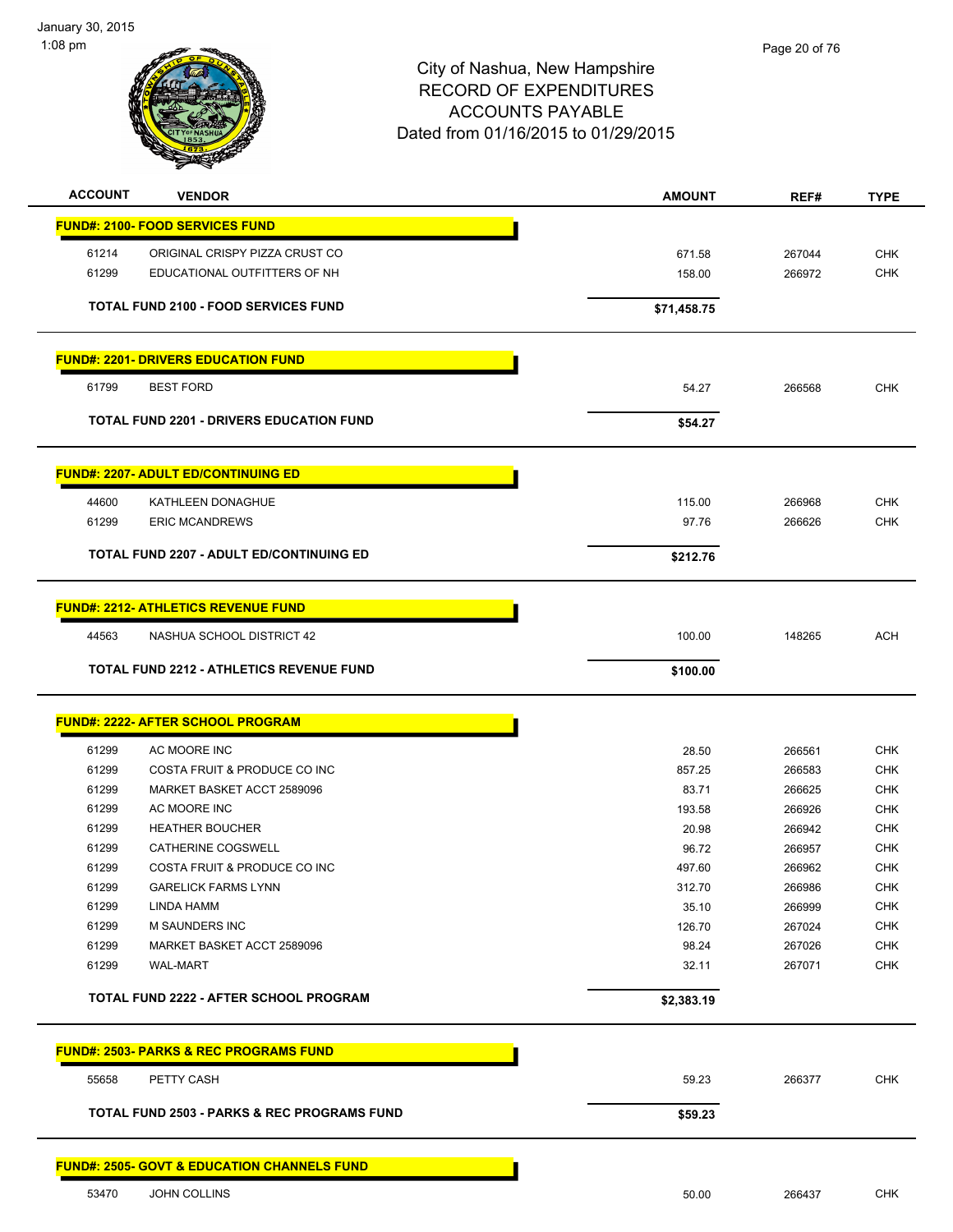January 30, 2015 1:08 pm



| <b>ACCOUNT</b> | <b>VENDOR</b>                                          | <b>AMOUNT</b> | REF#   | <b>TYPE</b> |
|----------------|--------------------------------------------------------|---------------|--------|-------------|
|                | <b>FUND#: 2100- FOOD SERVICES FUND</b>                 |               |        |             |
| 61214          | ORIGINAL CRISPY PIZZA CRUST CO                         | 671.58        | 267044 | <b>CHK</b>  |
| 61299          | EDUCATIONAL OUTFITTERS OF NH                           | 158.00        | 266972 | <b>CHK</b>  |
|                | <b>TOTAL FUND 2100 - FOOD SERVICES FUND</b>            | \$71,458.75   |        |             |
|                | <b>FUND#: 2201- DRIVERS EDUCATION FUND</b>             |               |        |             |
| 61799          | <b>BEST FORD</b>                                       | 54.27         | 266568 | CHK         |
|                |                                                        |               |        |             |
|                | <b>TOTAL FUND 2201 - DRIVERS EDUCATION FUND</b>        | \$54.27       |        |             |
|                | <b>FUND#: 2207- ADULT ED/CONTINUING ED</b>             |               |        |             |
| 44600          | <b>KATHLEEN DONAGHUE</b>                               | 115.00        | 266968 | <b>CHK</b>  |
| 61299          | <b>ERIC MCANDREWS</b>                                  | 97.76         | 266626 | <b>CHK</b>  |
|                | <b>TOTAL FUND 2207 - ADULT ED/CONTINUING ED</b>        | \$212.76      |        |             |
|                | <b>FUND#: 2212- ATHLETICS REVENUE FUND</b>             |               |        |             |
| 44563          | NASHUA SCHOOL DISTRICT 42                              | 100.00        | 148265 | <b>ACH</b>  |
|                |                                                        |               |        |             |
|                | <b>TOTAL FUND 2212 - ATHLETICS REVENUE FUND</b>        | \$100.00      |        |             |
|                | <u> FUND#: 2222- AFTER SCHOOL PROGRAM</u>              |               |        |             |
| 61299          | AC MOORE INC                                           | 28.50         | 266561 | <b>CHK</b>  |
| 61299          | COSTA FRUIT & PRODUCE CO INC                           | 857.25        | 266583 | CHK         |
| 61299          | MARKET BASKET ACCT 2589096                             | 83.71         | 266625 | <b>CHK</b>  |
| 61299          | AC MOORE INC                                           | 193.58        | 266926 | <b>CHK</b>  |
| 61299          | <b>HEATHER BOUCHER</b>                                 | 20.98         | 266942 | <b>CHK</b>  |
| 61299          | CATHERINE COGSWELL                                     | 96.72         | 266957 | CHK         |
| 61299          | COSTA FRUIT & PRODUCE CO INC                           | 497.60        | 266962 | CHK         |
| 61299          | <b>GARELICK FARMS LYNN</b>                             | 312.70        | 266986 | <b>CHK</b>  |
| 61299          | <b>LINDA HAMM</b>                                      | 35.10         | 266999 | <b>CHK</b>  |
| 61299          | <b>M SAUNDERS INC</b>                                  | 126.70        | 267024 | <b>CHK</b>  |
| 61299          | MARKET BASKET ACCT 2589096                             | 98.24         | 267026 | <b>CHK</b>  |
| 61299          | <b>WAL-MART</b>                                        | 32.11         | 267071 | <b>CHK</b>  |
|                | <b>TOTAL FUND 2222 - AFTER SCHOOL PROGRAM</b>          | \$2,383.19    |        |             |
|                | <b>FUND#: 2503- PARKS &amp; REC PROGRAMS FUND</b>      |               |        |             |
| 55658          |                                                        |               |        | <b>CHK</b>  |
|                | PETTY CASH                                             | 59.23         | 266377 |             |
|                | <b>TOTAL FUND 2503 - PARKS &amp; REC PROGRAMS FUND</b> | \$59.23       |        |             |
|                | <b>FUND#: 2505- GOVT &amp; EDUCATION CHANNELS FUND</b> |               |        |             |
| 53470          | JOHN COLLINS                                           | 50.00         | 266437 | <b>CHK</b>  |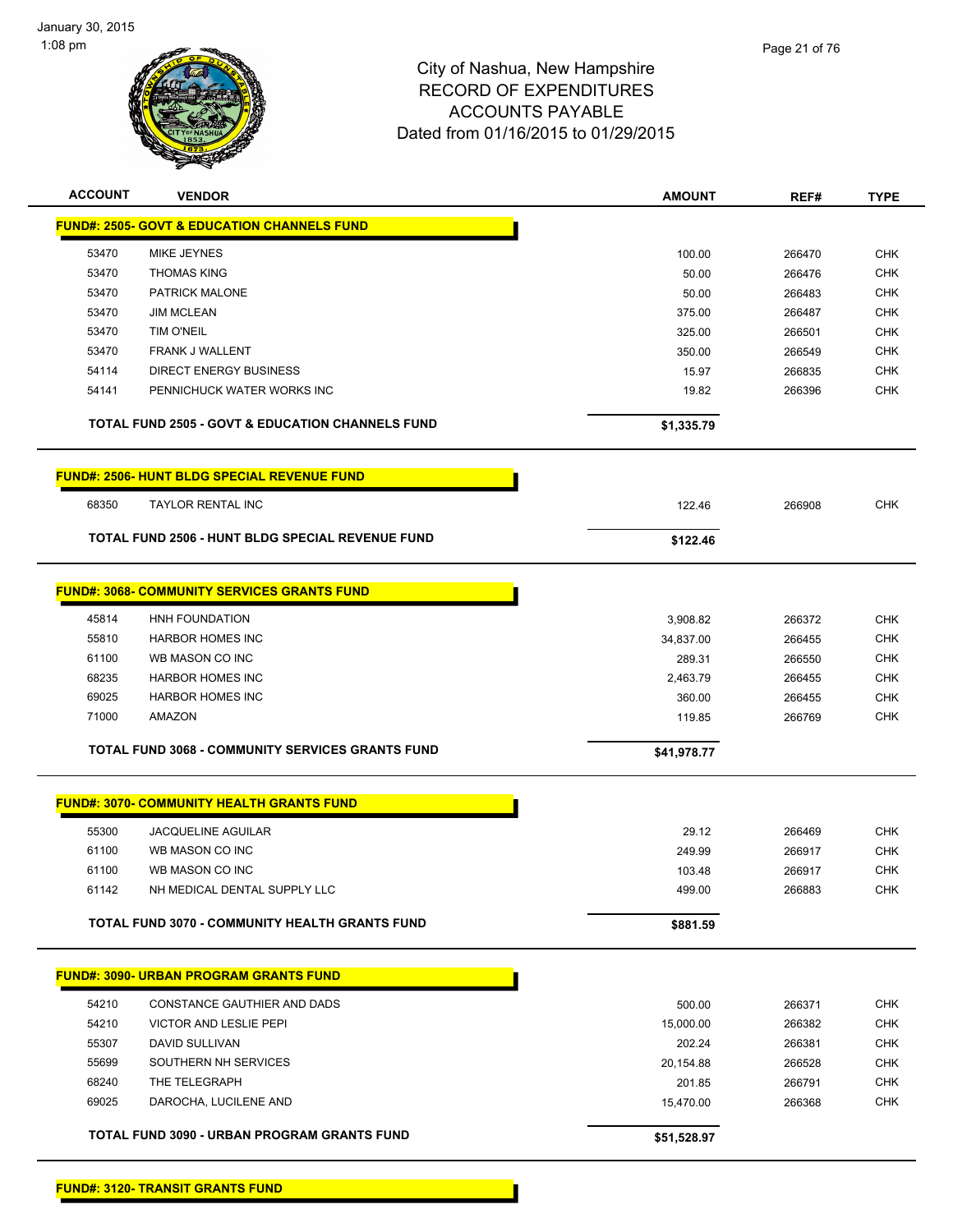

| <b>ACCOUNT</b> | <b>VENDOR</b>                                               | <b>AMOUNT</b> | REF#             | <b>TYPE</b>              |
|----------------|-------------------------------------------------------------|---------------|------------------|--------------------------|
|                | <b>FUND#: 2505- GOVT &amp; EDUCATION CHANNELS FUND</b>      |               |                  |                          |
| 53470          | <b>MIKE JEYNES</b>                                          | 100.00        | 266470           | CHK                      |
| 53470          | <b>THOMAS KING</b>                                          | 50.00         | 266476           | <b>CHK</b>               |
| 53470          | PATRICK MALONE                                              | 50.00         | 266483           | <b>CHK</b>               |
| 53470          | <b>JIM MCLEAN</b>                                           | 375.00        | 266487           | <b>CHK</b>               |
| 53470          | <b>TIM O'NEIL</b>                                           | 325.00        | 266501           | <b>CHK</b>               |
| 53470          | FRANK J WALLENT                                             | 350.00        | 266549           | CHK                      |
| 54114          | <b>DIRECT ENERGY BUSINESS</b>                               | 15.97         | 266835           | <b>CHK</b>               |
| 54141          | PENNICHUCK WATER WORKS INC                                  | 19.82         | 266396           | <b>CHK</b>               |
|                | <b>TOTAL FUND 2505 - GOVT &amp; EDUCATION CHANNELS FUND</b> | \$1,335.79    |                  |                          |
|                |                                                             |               |                  |                          |
|                | <b>FUND#: 2506- HUNT BLDG SPECIAL REVENUE FUND</b>          |               |                  |                          |
| 68350          | <b>TAYLOR RENTAL INC</b>                                    | 122.46        | 266908           | CHK                      |
|                | TOTAL FUND 2506 - HUNT BLDG SPECIAL REVENUE FUND            | \$122.46      |                  |                          |
|                |                                                             |               |                  |                          |
|                | <b>FUND#: 3068- COMMUNITY SERVICES GRANTS FUND</b>          |               |                  |                          |
| 45814          | HNH FOUNDATION                                              | 3,908.82      | 266372           | <b>CHK</b>               |
| 55810          | <b>HARBOR HOMES INC</b>                                     | 34,837.00     | 266455           | <b>CHK</b>               |
| 61100          | WB MASON CO INC                                             | 289.31        | 266550           | <b>CHK</b>               |
| 68235          | <b>HARBOR HOMES INC</b>                                     | 2,463.79      | 266455           | CHK                      |
| 69025          | <b>HARBOR HOMES INC</b>                                     | 360.00        | 266455           | <b>CHK</b>               |
| 71000          | <b>AMAZON</b>                                               | 119.85        | 266769           | <b>CHK</b>               |
|                | <b>TOTAL FUND 3068 - COMMUNITY SERVICES GRANTS FUND</b>     | \$41,978.77   |                  |                          |
|                |                                                             |               |                  |                          |
|                | <b>FUND#: 3070- COMMUNITY HEALTH GRANTS FUND</b>            |               |                  |                          |
| 55300          | <b>JACQUELINE AGUILAR</b>                                   | 29.12         | 266469           | <b>CHK</b>               |
| 61100          | WB MASON CO INC                                             | 249.99        | 266917           | <b>CHK</b>               |
| 61100          | WB MASON CO INC                                             | 103.48        | 266917           | CHK                      |
| 61142          | NH MEDICAL DENTAL SUPPLY LLC                                | 499.00        | 266883           | CHK                      |
|                | <b>TOTAL FUND 3070 - COMMUNITY HEALTH GRANTS FUND</b>       | \$881.59      |                  |                          |
|                | <b>FUND#: 3090- URBAN PROGRAM GRANTS FUND</b>               |               |                  |                          |
|                |                                                             |               |                  |                          |
| 54210          | CONSTANCE GAUTHIER AND DADS                                 | 500.00        | 266371<br>266382 | <b>CHK</b>               |
| 54210<br>55307 | VICTOR AND LESLIE PEPI                                      | 15,000.00     |                  | <b>CHK</b>               |
| 55699          | DAVID SULLIVAN<br>SOUTHERN NH SERVICES                      | 202.24        | 266381           | <b>CHK</b><br><b>CHK</b> |
| 68240          | THE TELEGRAPH                                               | 20,154.88     | 266528<br>266791 |                          |
| 69025          | DAROCHA, LUCILENE AND                                       | 201.85        |                  | <b>CHK</b><br><b>CHK</b> |
|                |                                                             | 15,470.00     | 266368           |                          |
|                | TOTAL FUND 3090 - URBAN PROGRAM GRANTS FUND                 | \$51,528.97   |                  |                          |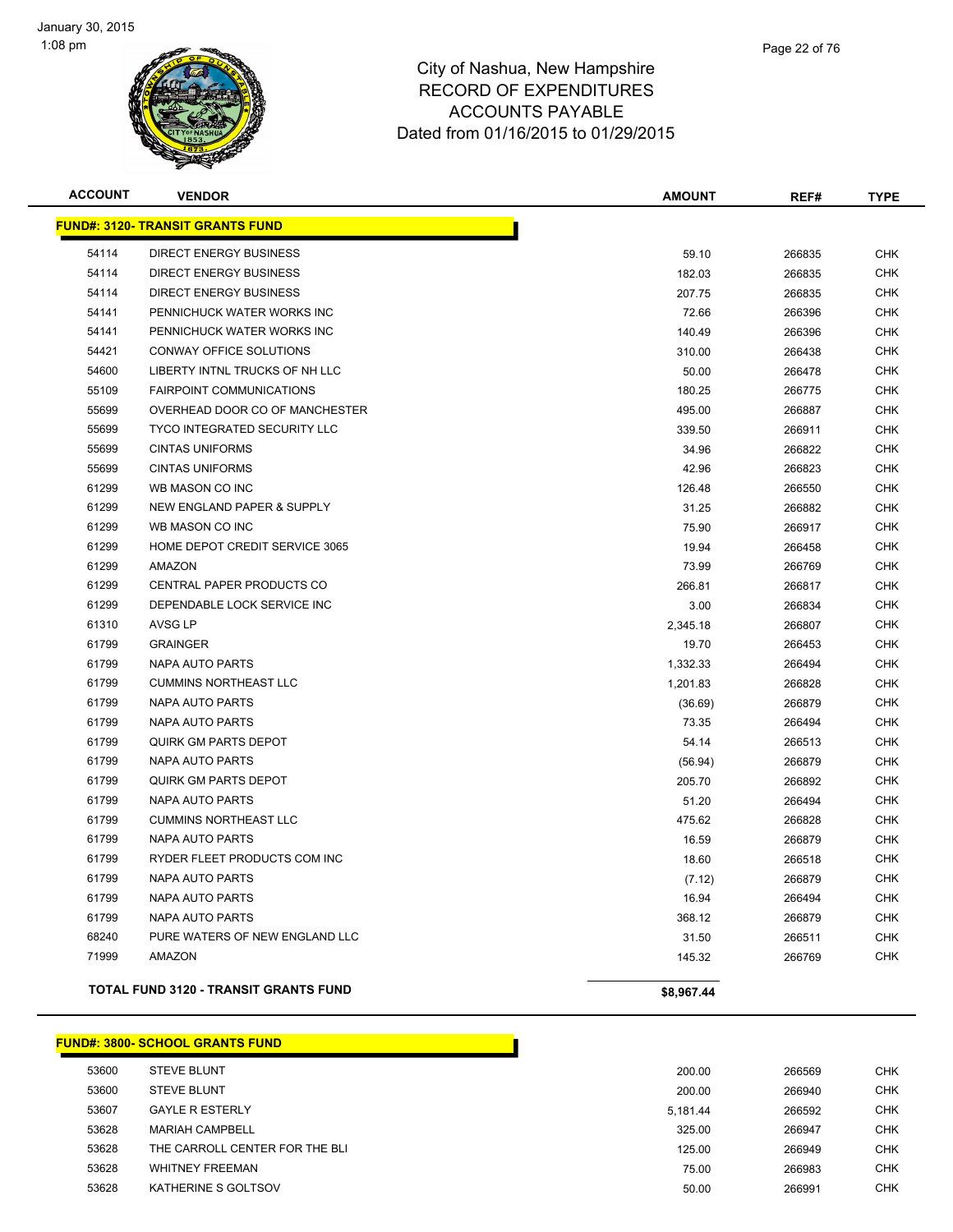

| <b>ACCOUNT</b> | <b>VENDOR</b>                           | <b>AMOUNT</b> | REF#   | <b>TYPE</b> |
|----------------|-----------------------------------------|---------------|--------|-------------|
|                | <b>FUND#: 3120- TRANSIT GRANTS FUND</b> |               |        |             |
| 54114          | <b>DIRECT ENERGY BUSINESS</b>           | 59.10         | 266835 | <b>CHK</b>  |
| 54114          | <b>DIRECT ENERGY BUSINESS</b>           | 182.03        | 266835 | <b>CHK</b>  |
| 54114          | <b>DIRECT ENERGY BUSINESS</b>           | 207.75        | 266835 | <b>CHK</b>  |
| 54141          | PENNICHUCK WATER WORKS INC              | 72.66         | 266396 | <b>CHK</b>  |
| 54141          | PENNICHUCK WATER WORKS INC              | 140.49        | 266396 | <b>CHK</b>  |
| 54421          | <b>CONWAY OFFICE SOLUTIONS</b>          | 310.00        | 266438 | <b>CHK</b>  |
| 54600          | LIBERTY INTNL TRUCKS OF NH LLC          | 50.00         | 266478 | <b>CHK</b>  |
| 55109          | <b>FAIRPOINT COMMUNICATIONS</b>         | 180.25        | 266775 | <b>CHK</b>  |
| 55699          | OVERHEAD DOOR CO OF MANCHESTER          | 495.00        | 266887 | <b>CHK</b>  |
| 55699          | <b>TYCO INTEGRATED SECURITY LLC</b>     | 339.50        | 266911 | <b>CHK</b>  |
| 55699          | <b>CINTAS UNIFORMS</b>                  | 34.96         | 266822 | <b>CHK</b>  |
| 55699          | <b>CINTAS UNIFORMS</b>                  | 42.96         | 266823 | <b>CHK</b>  |
| 61299          | WB MASON CO INC                         | 126.48        | 266550 | <b>CHK</b>  |
| 61299          | NEW ENGLAND PAPER & SUPPLY              | 31.25         | 266882 | <b>CHK</b>  |
| 61299          | WB MASON CO INC                         | 75.90         | 266917 | <b>CHK</b>  |
| 61299          | HOME DEPOT CREDIT SERVICE 3065          | 19.94         | 266458 | <b>CHK</b>  |
| 61299          | <b>AMAZON</b>                           | 73.99         | 266769 | <b>CHK</b>  |
| 61299          | CENTRAL PAPER PRODUCTS CO               | 266.81        | 266817 | <b>CHK</b>  |
| 61299          | DEPENDABLE LOCK SERVICE INC             | 3.00          | 266834 | <b>CHK</b>  |
| 61310          | <b>AVSG LP</b>                          | 2,345.18      | 266807 | <b>CHK</b>  |
| 61799          | <b>GRAINGER</b>                         | 19.70         | 266453 | <b>CHK</b>  |
| 61799          | <b>NAPA AUTO PARTS</b>                  | 1,332.33      | 266494 | <b>CHK</b>  |
| 61799          | <b>CUMMINS NORTHEAST LLC</b>            | 1,201.83      | 266828 | <b>CHK</b>  |
| 61799          | <b>NAPA AUTO PARTS</b>                  | (36.69)       | 266879 | <b>CHK</b>  |
| 61799          | <b>NAPA AUTO PARTS</b>                  | 73.35         | 266494 | <b>CHK</b>  |
| 61799          | <b>QUIRK GM PARTS DEPOT</b>             | 54.14         | 266513 | <b>CHK</b>  |
| 61799          | <b>NAPA AUTO PARTS</b>                  | (56.94)       | 266879 | <b>CHK</b>  |
| 61799          | <b>QUIRK GM PARTS DEPOT</b>             | 205.70        | 266892 | <b>CHK</b>  |
| 61799          | NAPA AUTO PARTS                         | 51.20         | 266494 | <b>CHK</b>  |
| 61799          | <b>CUMMINS NORTHEAST LLC</b>            | 475.62        | 266828 | <b>CHK</b>  |
| 61799          | NAPA AUTO PARTS                         | 16.59         | 266879 | <b>CHK</b>  |
| 61799          | RYDER FLEET PRODUCTS COM INC            | 18.60         | 266518 | <b>CHK</b>  |
| 61799          | <b>NAPA AUTO PARTS</b>                  | (7.12)        | 266879 | <b>CHK</b>  |
| 61799          | NAPA AUTO PARTS                         | 16.94         | 266494 | <b>CHK</b>  |
| 61799          | <b>NAPA AUTO PARTS</b>                  | 368.12        | 266879 | <b>CHK</b>  |
| 68240          | PURE WATERS OF NEW ENGLAND LLC          | 31.50         | 266511 | <b>CHK</b>  |
| 71999          | <b>AMAZON</b>                           | 145.32        | 266769 | <b>CHK</b>  |
|                | TOTAL FUND 3120 - TRANSIT GRANTS FUND   | \$8,967.44    |        |             |

**FUND#: 3800- SCHOOL GRANTS FUND** STEVE BLUNT 200.00 266569 CHK STEVE BLUNT 200.00 266940 CHK GAYLE R ESTERLY 5,181.44 266592 CHK MARIAH CAMPBELL 325.00 266947 CHK THE CARROLL CENTER FOR THE BLI 125.00 266949 CHK WHITNEY FREEMAN 75.00 266983 CHK KATHERINE S GOLTSOV 50.00 266991 CHK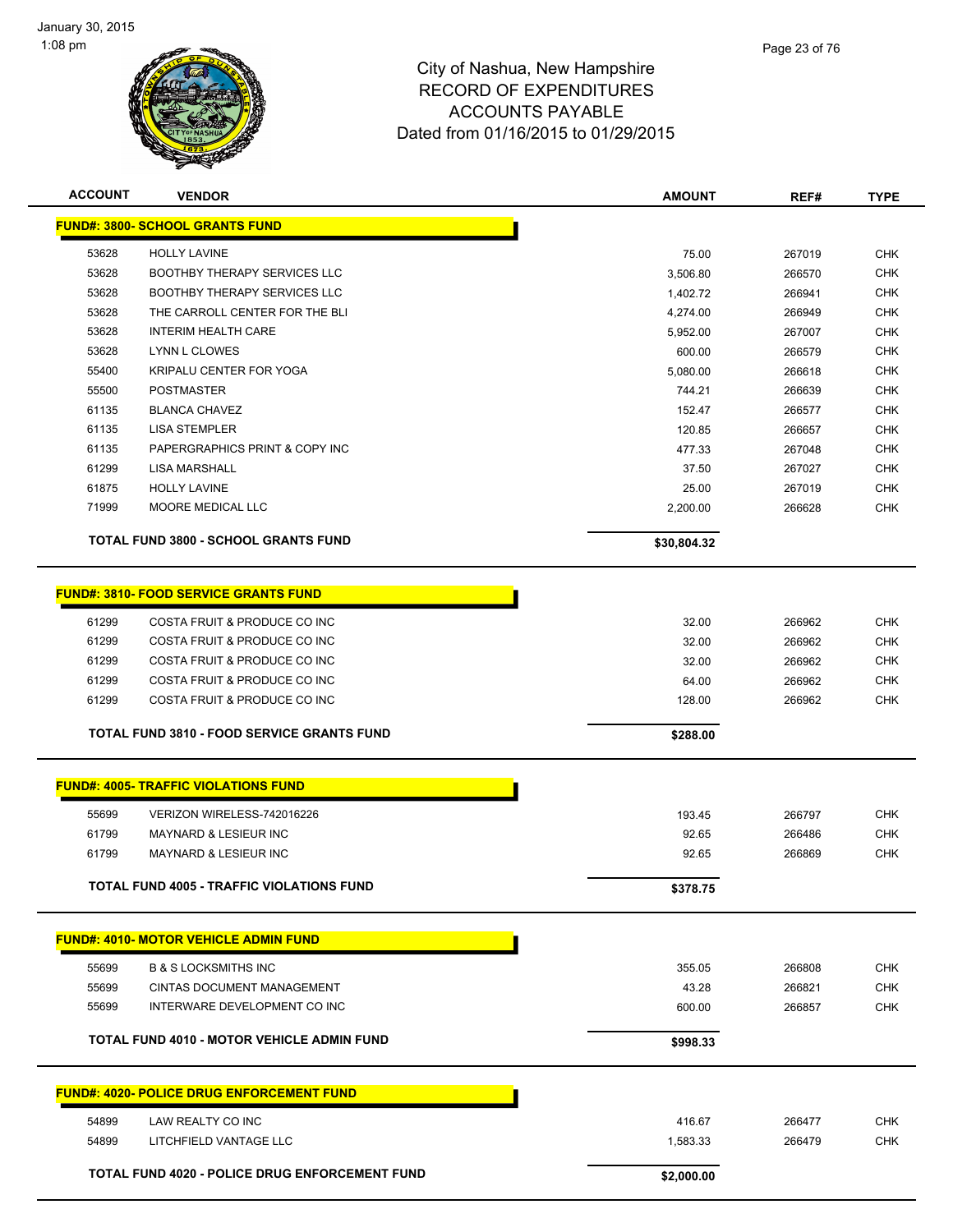

| <b>ACCOUNT</b> | <b>VENDOR</b>                                     | <b>AMOUNT</b> | REF#   | <b>TYPE</b> |
|----------------|---------------------------------------------------|---------------|--------|-------------|
|                | <b>FUND#: 3800- SCHOOL GRANTS FUND</b>            |               |        |             |
| 53628          | <b>HOLLY LAVINE</b>                               | 75.00         | 267019 | <b>CHK</b>  |
| 53628          | <b>BOOTHBY THERAPY SERVICES LLC</b>               | 3,506.80      | 266570 | <b>CHK</b>  |
| 53628          | BOOTHBY THERAPY SERVICES LLC                      | 1,402.72      | 266941 | <b>CHK</b>  |
| 53628          | THE CARROLL CENTER FOR THE BLI                    | 4,274.00      | 266949 | <b>CHK</b>  |
| 53628          | <b>INTERIM HEALTH CARE</b>                        | 5,952.00      | 267007 | <b>CHK</b>  |
| 53628          | <b>LYNN L CLOWES</b>                              | 600.00        | 266579 | <b>CHK</b>  |
| 55400          | KRIPALU CENTER FOR YOGA                           | 5,080.00      | 266618 | <b>CHK</b>  |
| 55500          | <b>POSTMASTER</b>                                 | 744.21        | 266639 | <b>CHK</b>  |
| 61135          | <b>BLANCA CHAVEZ</b>                              | 152.47        | 266577 | <b>CHK</b>  |
| 61135          | <b>LISA STEMPLER</b>                              | 120.85        | 266657 | CHK         |
| 61135          | PAPERGRAPHICS PRINT & COPY INC                    | 477.33        | 267048 | <b>CHK</b>  |
| 61299          | <b>LISA MARSHALL</b>                              | 37.50         | 267027 | <b>CHK</b>  |
| 61875          | <b>HOLLY LAVINE</b>                               | 25.00         | 267019 | <b>CHK</b>  |
| 71999          | MOORE MEDICAL LLC                                 | 2,200.00      | 266628 | <b>CHK</b>  |
|                | <b>TOTAL FUND 3800 - SCHOOL GRANTS FUND</b>       | \$30,804.32   |        |             |
|                |                                                   |               |        |             |
|                | <b>FUND#: 3810- FOOD SERVICE GRANTS FUND</b>      |               |        |             |
| 61299          | COSTA FRUIT & PRODUCE CO INC                      | 32.00         | 266962 | <b>CHK</b>  |
| 61299          | COSTA FRUIT & PRODUCE CO INC                      | 32.00         | 266962 | <b>CHK</b>  |
| 61299          | COSTA FRUIT & PRODUCE CO INC                      | 32.00         | 266962 | <b>CHK</b>  |
| 61299          | COSTA FRUIT & PRODUCE CO INC                      | 64.00         | 266962 | <b>CHK</b>  |
| 61299          | COSTA FRUIT & PRODUCE CO INC                      | 128.00        | 266962 | CHK         |
|                | TOTAL FUND 3810 - FOOD SERVICE GRANTS FUND        | \$288.00      |        |             |
|                | <b>FUND#: 4005- TRAFFIC VIOLATIONS FUND</b>       |               |        |             |
|                |                                                   |               |        |             |
| 55699          | VERIZON WIRELESS-742016226                        | 193.45        | 266797 | <b>CHK</b>  |
| 61799          | <b>MAYNARD &amp; LESIEUR INC</b>                  | 92.65         | 266486 | <b>CHK</b>  |
| 61799          | <b>MAYNARD &amp; LESIEUR INC</b>                  | 92.65         | 266869 | <b>CHK</b>  |
|                | TOTAL FUND 4005 - TRAFFIC VIOLATIONS FUND         | \$378.75      |        |             |
|                | <b>FUND#: 4010- MOTOR VEHICLE ADMIN FUND</b>      |               |        |             |
| 55699          | <b>B &amp; S LOCKSMITHS INC</b>                   | 355.05        | 266808 | <b>CHK</b>  |
| 55699          | CINTAS DOCUMENT MANAGEMENT                        | 43.28         | 266821 | <b>CHK</b>  |
| 55699          | INTERWARE DEVELOPMENT CO INC                      | 600.00        | 266857 | <b>CHK</b>  |
|                | <b>TOTAL FUND 4010 - MOTOR VEHICLE ADMIN FUND</b> |               |        |             |
|                |                                                   | \$998.33      |        |             |
|                | <b>FUND#: 4020- POLICE DRUG ENFORCEMENT FUND</b>  |               |        |             |
| 54899          | LAW REALTY CO INC                                 | 416.67        | 266477 | <b>CHK</b>  |
| 54899          | LITCHFIELD VANTAGE LLC                            | 1,583.33      | 266479 | <b>CHK</b>  |
|                | TOTAL FUND 4020 - POLICE DRUG ENFORCEMENT FUND    | \$2,000.00    |        |             |
|                |                                                   |               |        |             |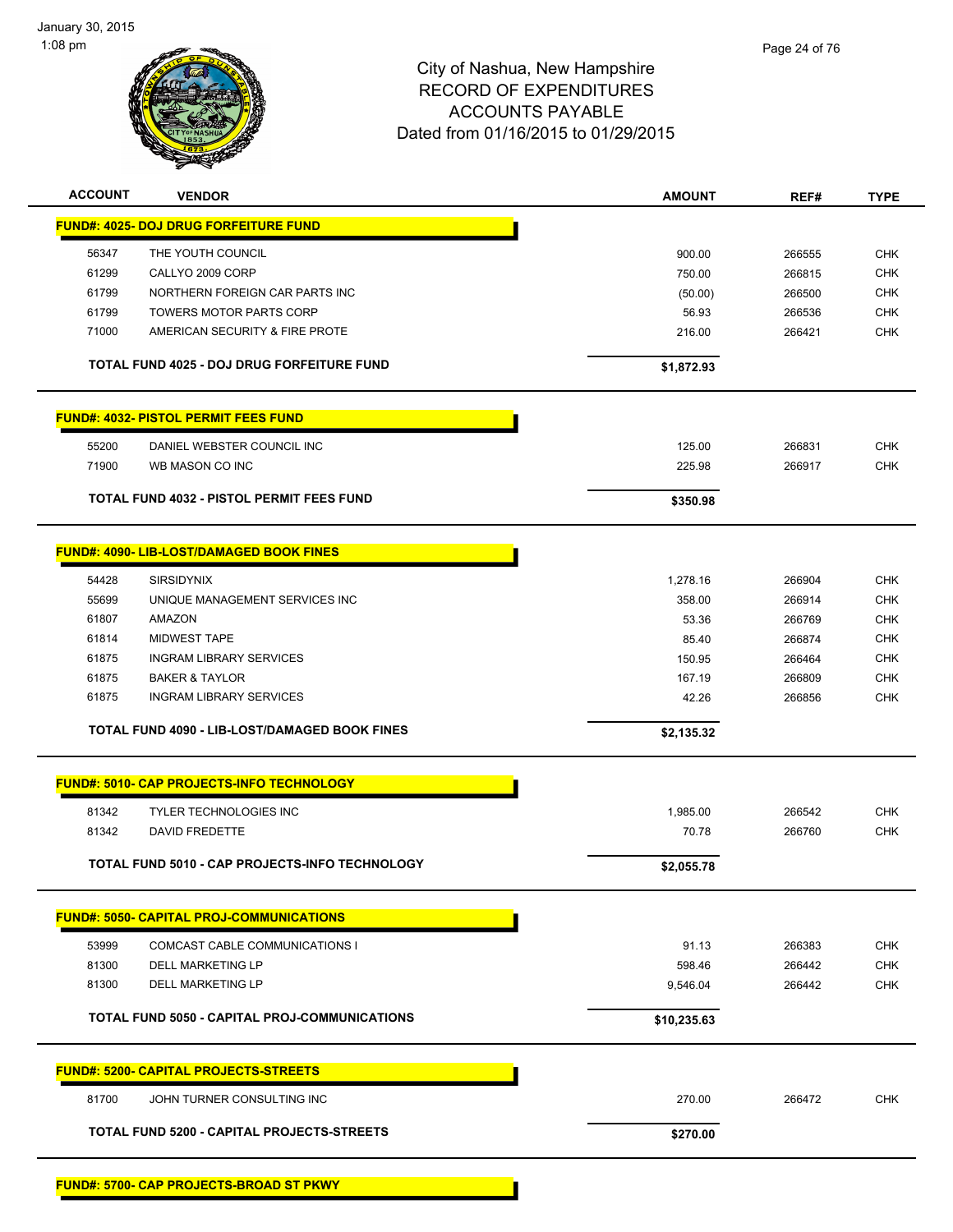

| <b>ACCOUNT</b> | <b>VENDOR</b>                                    | <b>AMOUNT</b> | REF#   | <b>TYPE</b> |
|----------------|--------------------------------------------------|---------------|--------|-------------|
|                | <b>FUND#: 4025- DOJ DRUG FORFEITURE FUND</b>     |               |        |             |
| 56347          | THE YOUTH COUNCIL                                | 900.00        | 266555 | <b>CHK</b>  |
| 61299          | CALLYO 2009 CORP                                 | 750.00        | 266815 | <b>CHK</b>  |
| 61799          | NORTHERN FOREIGN CAR PARTS INC                   | (50.00)       | 266500 | <b>CHK</b>  |
| 61799          | <b>TOWERS MOTOR PARTS CORP</b>                   | 56.93         | 266536 | <b>CHK</b>  |
| 71000          | AMERICAN SECURITY & FIRE PROTE                   | 216.00        | 266421 | <b>CHK</b>  |
|                | TOTAL FUND 4025 - DOJ DRUG FORFEITURE FUND       | \$1,872.93    |        |             |
|                | <b>FUND#: 4032- PISTOL PERMIT FEES FUND</b>      |               |        |             |
| 55200          | DANIEL WEBSTER COUNCIL INC                       | 125.00        | 266831 | <b>CHK</b>  |
| 71900          | WB MASON CO INC                                  | 225.98        | 266917 | <b>CHK</b>  |
|                |                                                  |               |        |             |
|                | TOTAL FUND 4032 - PISTOL PERMIT FEES FUND        | \$350.98      |        |             |
|                | <b>FUND#: 4090- LIB-LOST/DAMAGED BOOK FINES</b>  |               |        |             |
| 54428          | <b>SIRSIDYNIX</b>                                | 1,278.16      | 266904 | <b>CHK</b>  |
| 55699          | UNIQUE MANAGEMENT SERVICES INC                   | 358.00        | 266914 | <b>CHK</b>  |
| 61807          | <b>AMAZON</b>                                    | 53.36         | 266769 | <b>CHK</b>  |
| 61814          | <b>MIDWEST TAPE</b>                              | 85.40         | 266874 | <b>CHK</b>  |
| 61875          | <b>INGRAM LIBRARY SERVICES</b>                   | 150.95        | 266464 | <b>CHK</b>  |
| 61875          | <b>BAKER &amp; TAYLOR</b>                        | 167.19        | 266809 | <b>CHK</b>  |
| 61875          | <b>INGRAM LIBRARY SERVICES</b>                   | 42.26         | 266856 | <b>CHK</b>  |
|                | TOTAL FUND 4090 - LIB-LOST/DAMAGED BOOK FINES    | \$2,135.32    |        |             |
|                | <b>FUND#: 5010- CAP PROJECTS-INFO TECHNOLOGY</b> |               |        |             |
| 81342          | <b>TYLER TECHNOLOGIES INC</b>                    | 1,985.00      | 266542 | <b>CHK</b>  |
| 81342          | DAVID FREDETTE                                   | 70.78         | 266760 | <b>CHK</b>  |
|                |                                                  |               |        |             |
|                | TOTAL FUND 5010 - CAP PROJECTS-INFO TECHNOLOGY   | \$2,055.78    |        |             |
|                | <u> FUND#: 5050- CAPITAL PROJ-COMMUNICATIONS</u> |               |        |             |
| 53999          | COMCAST CABLE COMMUNICATIONS I                   | 91.13         | 266383 | <b>CHK</b>  |
| 81300          | <b>DELL MARKETING LP</b>                         | 598.46        | 266442 | <b>CHK</b>  |
| 81300          | <b>DELL MARKETING LP</b>                         | 9,546.04      | 266442 | <b>CHK</b>  |
|                | TOTAL FUND 5050 - CAPITAL PROJ-COMMUNICATIONS    | \$10,235.63   |        |             |
|                | <b>FUND#: 5200- CAPITAL PROJECTS-STREETS</b>     |               |        |             |
| 81700          | JOHN TURNER CONSULTING INC                       | 270.00        | 266472 | <b>CHK</b>  |
|                | TOTAL FUND 5200 - CAPITAL PROJECTS-STREETS       | \$270.00      |        |             |
|                |                                                  |               |        |             |

**FUND#: 5700- CAP PROJECTS-BROAD ST PKWY**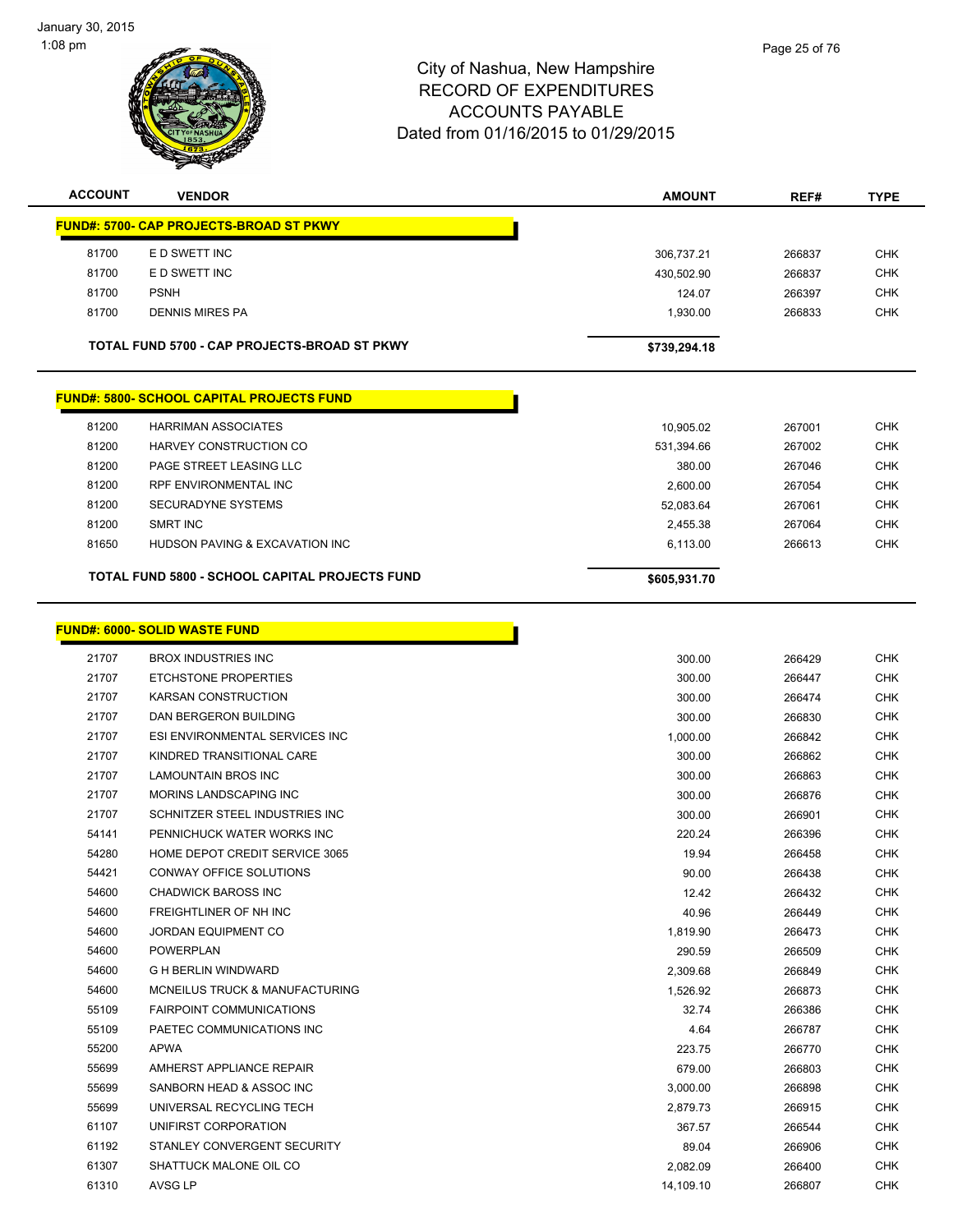

| <b>ACCOUNT</b> | <b>VENDOR</b>                                         | <b>AMOUNT</b> | REF#   | <b>TYPE</b> |
|----------------|-------------------------------------------------------|---------------|--------|-------------|
|                | <b>FUND#: 5700- CAP PROJECTS-BROAD ST PKWY</b>        |               |        |             |
| 81700          | E D SWETT INC                                         | 306,737.21    | 266837 | <b>CHK</b>  |
| 81700          | E D SWETT INC                                         | 430,502.90    | 266837 | <b>CHK</b>  |
| 81700          | <b>PSNH</b>                                           | 124.07        | 266397 | <b>CHK</b>  |
| 81700          | <b>DENNIS MIRES PA</b>                                | 1,930.00      | 266833 | <b>CHK</b>  |
|                | TOTAL FUND 5700 - CAP PROJECTS-BROAD ST PKWY          | \$739,294.18  |        |             |
|                | <b>FUND#: 5800- SCHOOL CAPITAL PROJECTS FUND</b>      |               |        |             |
| 81200          | <b>HARRIMAN ASSOCIATES</b>                            | 10,905.02     | 267001 | <b>CHK</b>  |
| 81200          | HARVEY CONSTRUCTION CO                                | 531,394.66    | 267002 | <b>CHK</b>  |
| 81200          | PAGE STREET LEASING LLC                               | 380.00        | 267046 | <b>CHK</b>  |
| 81200          | RPF ENVIRONMENTAL INC                                 | 2,600.00      | 267054 | <b>CHK</b>  |
| 81200          | <b>SECURADYNE SYSTEMS</b>                             | 52,083.64     | 267061 | <b>CHK</b>  |
| 81200          | <b>SMRT INC</b>                                       | 2,455.38      | 267064 | <b>CHK</b>  |
| 81650          | HUDSON PAVING & EXCAVATION INC                        | 6,113.00      | 266613 | <b>CHK</b>  |
|                | <b>TOTAL FUND 5800 - SCHOOL CAPITAL PROJECTS FUND</b> | \$605,931.70  |        |             |
|                |                                                       |               |        |             |
|                | <b>FUND#: 6000- SOLID WASTE FUND</b>                  |               |        |             |
| 21707          | <b>BROX INDUSTRIES INC</b>                            | 300.00        | 266429 | <b>CHK</b>  |
| 21707          | <b>ETCHSTONE PROPERTIES</b>                           | 300.00        | 266447 | <b>CHK</b>  |
| 21707          | KARSAN CONSTRUCTION                                   | 300.00        | 266474 | <b>CHK</b>  |
| 21707          | DAN BERGERON BUILDING                                 | 300.00        | 266830 | <b>CHK</b>  |
| 21707          | ESI ENVIRONMENTAL SERVICES INC                        | 1,000.00      | 266842 | <b>CHK</b>  |
| 21707          | KINDRED TRANSITIONAL CARE                             | 300.00        | 266862 | <b>CHK</b>  |
| 21707          | LAMOUNTAIN BROS INC                                   | 300.00        | 266863 | <b>CHK</b>  |
| 21707          | MORINS LANDSCAPING INC                                | 300.00        | 266876 | <b>CHK</b>  |
| 21707          | SCHNITZER STEEL INDUSTRIES INC                        | 300.00        | 266901 | <b>CHK</b>  |
| 54141          | PENNICHUCK WATER WORKS INC                            | 220.24        | 266396 | <b>CHK</b>  |
| 54280          | HOME DEPOT CREDIT SERVICE 3065                        | 19.94         | 266458 | <b>CHK</b>  |
| 54421          | <b>CONWAY OFFICE SOLUTIONS</b>                        | 90.00         | 266438 | <b>CHK</b>  |
| 54600          | CHADWICK BAROSS INC                                   | 12.42         | 266432 | <b>CHK</b>  |
| 54600          | <b>FREIGHTLINER OF NH INC</b>                         | 40.96         | 266449 | <b>CHK</b>  |
| 54600          | <b>JORDAN EQUIPMENT CO</b>                            | 1,819.90      | 266473 | <b>CHK</b>  |
| 54600          | <b>POWERPLAN</b>                                      | 290.59        | 266509 | <b>CHK</b>  |
| 54600          | <b>G H BERLIN WINDWARD</b>                            | 2,309.68      | 266849 | CHK         |
| 54600          | MCNEILUS TRUCK & MANUFACTURING                        | 1,526.92      | 266873 | <b>CHK</b>  |
| 55109          | <b>FAIRPOINT COMMUNICATIONS</b>                       | 32.74         | 266386 | CHK         |
| 55109          | PAETEC COMMUNICATIONS INC                             | 4.64          | 266787 | <b>CHK</b>  |
| 55200          | <b>APWA</b>                                           | 223.75        | 266770 | <b>CHK</b>  |
| 55699          | AMHERST APPLIANCE REPAIR                              | 679.00        | 266803 | <b>CHK</b>  |
| 55699          | SANBORN HEAD & ASSOC INC                              | 3,000.00      | 266898 | <b>CHK</b>  |
| 55699          | UNIVERSAL RECYCLING TECH                              | 2,879.73      | 266915 | <b>CHK</b>  |
| 61107          | UNIFIRST CORPORATION                                  | 367.57        | 266544 | <b>CHK</b>  |
| 61192          | STANLEY CONVERGENT SECURITY                           | 89.04         | 266906 | <b>CHK</b>  |
| 61307          | SHATTUCK MALONE OIL CO                                | 2,082.09      | 266400 | <b>CHK</b>  |
| 61310          | AVSG LP                                               | 14,109.10     | 266807 | <b>CHK</b>  |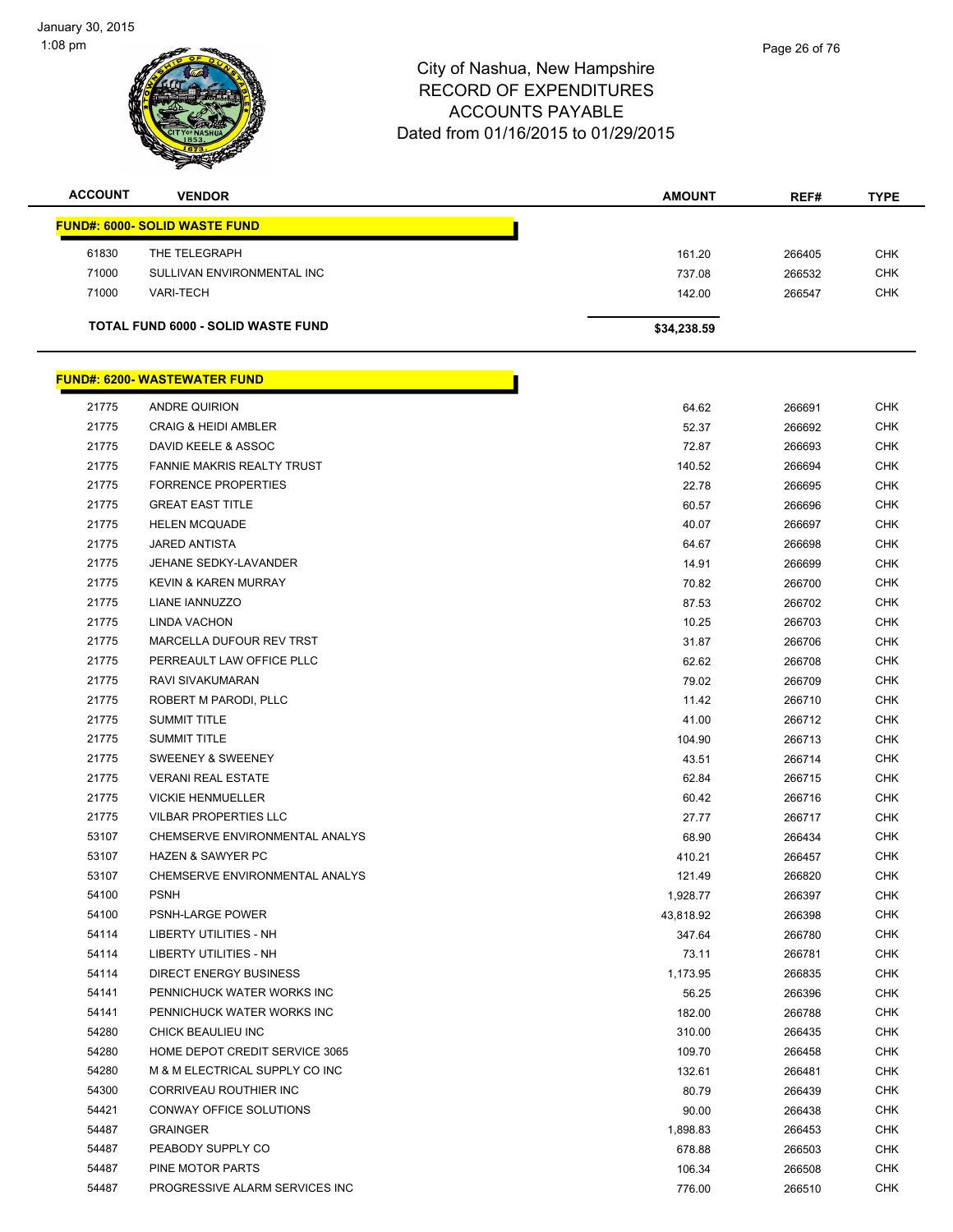

| <b>ACCOUNT</b> | <b>VENDOR</b>                        | <b>AMOUNT</b> | REF#   | <b>TYPE</b> |
|----------------|--------------------------------------|---------------|--------|-------------|
|                | <b>FUND#: 6000- SOLID WASTE FUND</b> |               |        |             |
| 61830          | THE TELEGRAPH                        | 161.20        | 266405 | <b>CHK</b>  |
| 71000          | SULLIVAN ENVIRONMENTAL INC           | 737.08        | 266532 | <b>CHK</b>  |
| 71000          | <b>VARI-TECH</b>                     | 142.00        | 266547 | <b>CHK</b>  |
|                | TOTAL FUND 6000 - SOLID WASTE FUND   | \$34,238.59   |        |             |

|       | <u> FUND#: 6200- WASTEWATER FUND</u> |           |        |            |
|-------|--------------------------------------|-----------|--------|------------|
| 21775 | ANDRE QUIRION                        | 64.62     | 266691 | CHK        |
| 21775 | <b>CRAIG &amp; HEIDI AMBLER</b>      | 52.37     | 266692 | <b>CHK</b> |
| 21775 | DAVID KEELE & ASSOC                  | 72.87     | 266693 | <b>CHK</b> |
| 21775 | FANNIE MAKRIS REALTY TRUST           | 140.52    | 266694 | <b>CHK</b> |
| 21775 | <b>FORRENCE PROPERTIES</b>           | 22.78     | 266695 | CHK        |
| 21775 | <b>GREAT EAST TITLE</b>              | 60.57     | 266696 | CHK        |
| 21775 | <b>HELEN MCQUADE</b>                 | 40.07     | 266697 | CHK        |
| 21775 | <b>JARED ANTISTA</b>                 | 64.67     | 266698 | CHK        |
| 21775 | JEHANE SEDKY-LAVANDER                | 14.91     | 266699 | <b>CHK</b> |
| 21775 | <b>KEVIN &amp; KAREN MURRAY</b>      | 70.82     | 266700 | <b>CHK</b> |
| 21775 | LIANE IANNUZZO                       | 87.53     | 266702 | <b>CHK</b> |
| 21775 | LINDA VACHON                         | 10.25     | 266703 | CHK        |
| 21775 | <b>MARCELLA DUFOUR REV TRST</b>      | 31.87     | 266706 | <b>CHK</b> |
| 21775 | PERREAULT LAW OFFICE PLLC            | 62.62     | 266708 | <b>CHK</b> |
| 21775 | RAVI SIVAKUMARAN                     | 79.02     | 266709 | <b>CHK</b> |
| 21775 | ROBERT M PARODI, PLLC                | 11.42     | 266710 | CHK        |
| 21775 | <b>SUMMIT TITLE</b>                  | 41.00     | 266712 | CHK        |
| 21775 | <b>SUMMIT TITLE</b>                  | 104.90    | 266713 | CHK        |
| 21775 | <b>SWEENEY &amp; SWEENEY</b>         | 43.51     | 266714 | CHK        |
| 21775 | <b>VERANI REAL ESTATE</b>            | 62.84     | 266715 | <b>CHK</b> |
| 21775 | <b>VICKIE HENMUELLER</b>             | 60.42     | 266716 | <b>CHK</b> |
| 21775 | <b>VILBAR PROPERTIES LLC</b>         | 27.77     | 266717 | <b>CHK</b> |
| 53107 | CHEMSERVE ENVIRONMENTAL ANALYS       | 68.90     | 266434 | <b>CHK</b> |
| 53107 | <b>HAZEN &amp; SAWYER PC</b>         | 410.21    | 266457 | <b>CHK</b> |
| 53107 | CHEMSERVE ENVIRONMENTAL ANALYS       | 121.49    | 266820 | CHK        |
| 54100 | <b>PSNH</b>                          | 1,928.77  | 266397 | <b>CHK</b> |
| 54100 | PSNH-LARGE POWER                     | 43,818.92 | 266398 | CHK        |
| 54114 | LIBERTY UTILITIES - NH               | 347.64    | 266780 | CHK        |
| 54114 | LIBERTY UTILITIES - NH               | 73.11     | 266781 | CHK        |
| 54114 | DIRECT ENERGY BUSINESS               | 1,173.95  | 266835 | CHK        |
| 54141 | PENNICHUCK WATER WORKS INC           | 56.25     | 266396 | <b>CHK</b> |
| 54141 | PENNICHUCK WATER WORKS INC           | 182.00    | 266788 | <b>CHK</b> |
| 54280 | CHICK BEAULIEU INC                   | 310.00    | 266435 | <b>CHK</b> |
| 54280 | HOME DEPOT CREDIT SERVICE 3065       | 109.70    | 266458 | CHK        |
| 54280 | M & M ELECTRICAL SUPPLY CO INC       | 132.61    | 266481 | CHK        |
| 54300 | CORRIVEAU ROUTHIER INC               | 80.79     | 266439 | CHK        |
| 54421 | CONWAY OFFICE SOLUTIONS              | 90.00     | 266438 | <b>CHK</b> |
| 54487 | <b>GRAINGER</b>                      | 1,898.83  | 266453 | <b>CHK</b> |
| 54487 | PEABODY SUPPLY CO                    | 678.88    | 266503 | CHK        |
| 54487 | PINE MOTOR PARTS                     | 106.34    | 266508 | <b>CHK</b> |
| 54487 | PROGRESSIVE ALARM SERVICES INC       | 776.00    | 266510 | <b>CHK</b> |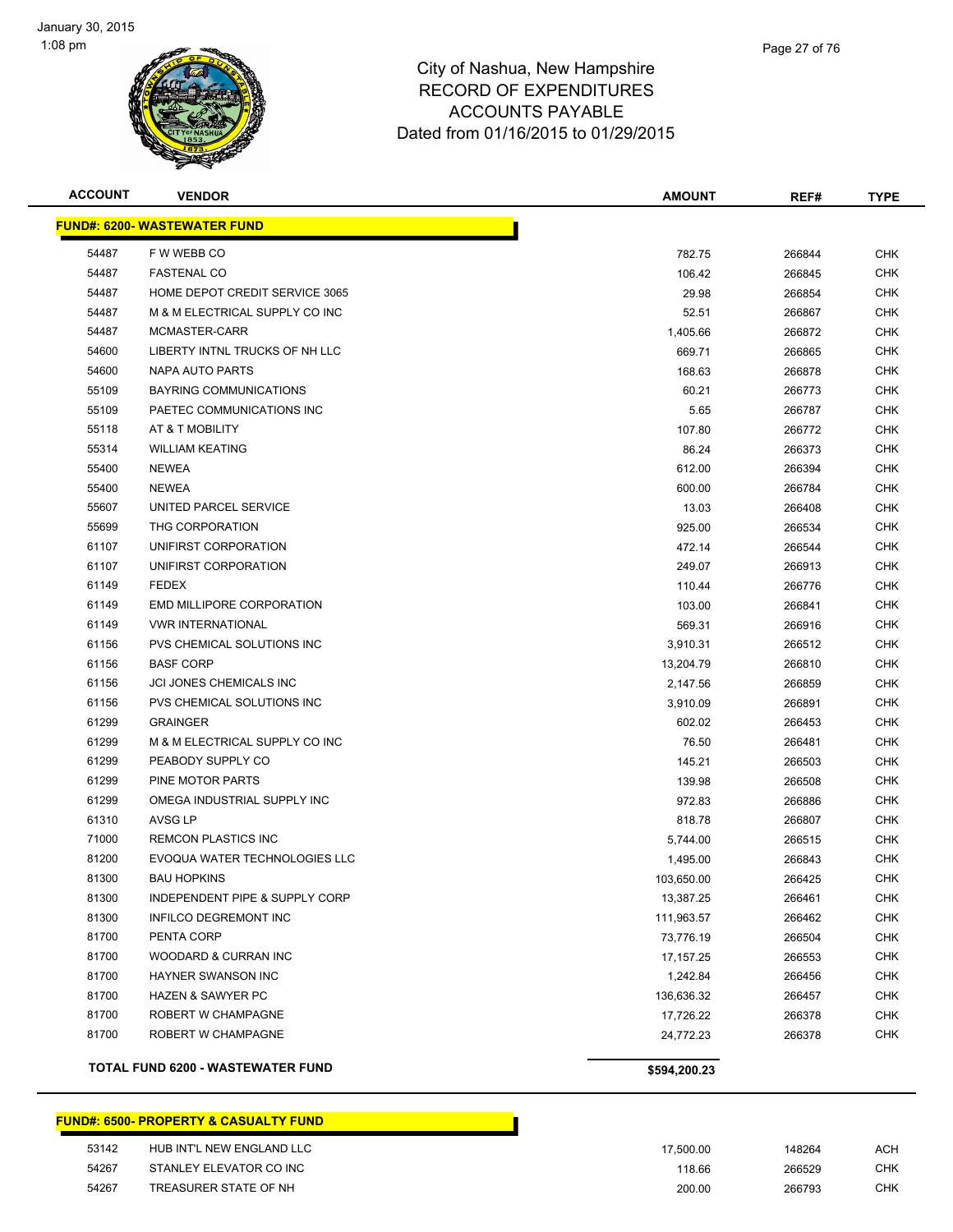

| Page 27 of 76 |
|---------------|
|               |

| <b>ACCOUNT</b> | <b>VENDOR</b>                            | <b>AMOUNT</b> | REF#   | <b>TYPE</b> |
|----------------|------------------------------------------|---------------|--------|-------------|
|                | <b>FUND#: 6200- WASTEWATER FUND</b>      |               |        |             |
| 54487          | F W WEBB CO                              | 782.75        | 266844 | <b>CHK</b>  |
| 54487          | <b>FASTENAL CO</b>                       | 106.42        | 266845 | <b>CHK</b>  |
| 54487          | HOME DEPOT CREDIT SERVICE 3065           | 29.98         | 266854 | CHK         |
| 54487          | M & M ELECTRICAL SUPPLY CO INC           | 52.51         | 266867 | <b>CHK</b>  |
| 54487          | MCMASTER-CARR                            | 1,405.66      | 266872 | CHK         |
| 54600          | LIBERTY INTNL TRUCKS OF NH LLC           | 669.71        | 266865 | <b>CHK</b>  |
| 54600          | <b>NAPA AUTO PARTS</b>                   | 168.63        | 266878 | <b>CHK</b>  |
| 55109          | BAYRING COMMUNICATIONS                   | 60.21         | 266773 | CHK         |
| 55109          | PAETEC COMMUNICATIONS INC                | 5.65          | 266787 | <b>CHK</b>  |
| 55118          | AT & T MOBILITY                          | 107.80        | 266772 | CHK         |
| 55314          | <b>WILLIAM KEATING</b>                   | 86.24         | 266373 | CHK         |
| 55400          | <b>NEWEA</b>                             | 612.00        | 266394 | CHK         |
| 55400          | <b>NEWEA</b>                             | 600.00        | 266784 | CHK         |
| 55607          | UNITED PARCEL SERVICE                    | 13.03         | 266408 | CHK         |
| 55699          | THG CORPORATION                          | 925.00        | 266534 | CHK         |
| 61107          | UNIFIRST CORPORATION                     | 472.14        | 266544 | <b>CHK</b>  |
| 61107          | UNIFIRST CORPORATION                     | 249.07        | 266913 | <b>CHK</b>  |
| 61149          | <b>FEDEX</b>                             | 110.44        | 266776 | <b>CHK</b>  |
| 61149          | <b>EMD MILLIPORE CORPORATION</b>         | 103.00        | 266841 | <b>CHK</b>  |
| 61149          | <b><i>VWR INTERNATIONAL</i></b>          | 569.31        | 266916 | <b>CHK</b>  |
| 61156          | PVS CHEMICAL SOLUTIONS INC               | 3,910.31      | 266512 | <b>CHK</b>  |
| 61156          | <b>BASF CORP</b>                         | 13,204.79     | 266810 | <b>CHK</b>  |
| 61156          | JCI JONES CHEMICALS INC                  | 2,147.56      | 266859 | <b>CHK</b>  |
| 61156          | PVS CHEMICAL SOLUTIONS INC               | 3,910.09      | 266891 | <b>CHK</b>  |
| 61299          | <b>GRAINGER</b>                          | 602.02        | 266453 | <b>CHK</b>  |
| 61299          | M & M ELECTRICAL SUPPLY CO INC           | 76.50         | 266481 | <b>CHK</b>  |
| 61299          | PEABODY SUPPLY CO                        | 145.21        | 266503 | <b>CHK</b>  |
| 61299          | PINE MOTOR PARTS                         | 139.98        | 266508 | <b>CHK</b>  |
| 61299          | OMEGA INDUSTRIAL SUPPLY INC              | 972.83        | 266886 | <b>CHK</b>  |
| 61310          | AVSG LP                                  | 818.78        | 266807 | <b>CHK</b>  |
| 71000          | <b>REMCON PLASTICS INC</b>               | 5,744.00      | 266515 | <b>CHK</b>  |
| 81200          | EVOQUA WATER TECHNOLOGIES LLC            | 1,495.00      | 266843 | <b>CHK</b>  |
| 81300          | <b>BAU HOPKINS</b>                       | 103,650.00    | 266425 | <b>CHK</b>  |
| 81300          | INDEPENDENT PIPE & SUPPLY CORP           | 13,387.25     | 266461 | <b>CHK</b>  |
| 81300          | INFILCO DEGREMONT INC                    | 111,963.57    | 266462 | <b>CHK</b>  |
| 81700          | PENTA CORP                               | 73,776.19     | 266504 | <b>CHK</b>  |
| 81700          | WOODARD & CURRAN INC                     | 17, 157. 25   | 266553 | <b>CHK</b>  |
| 81700          | HAYNER SWANSON INC                       | 1,242.84      | 266456 | <b>CHK</b>  |
| 81700          | <b>HAZEN &amp; SAWYER PC</b>             | 136,636.32    | 266457 | <b>CHK</b>  |
| 81700          | ROBERT W CHAMPAGNE                       | 17,726.22     | 266378 | <b>CHK</b>  |
| 81700          | ROBERT W CHAMPAGNE                       | 24,772.23     | 266378 | <b>CHK</b>  |
|                | <b>TOTAL FUND 6200 - WASTEWATER FUND</b> | \$594,200.23  |        |             |

**FUND#: 6500- PROPERTY & CASUALTY FUND**

| 53142 | HUB INT'L NEW ENGLAND LLC | 17.500.00 | 148264 | ACH |
|-------|---------------------------|-----------|--------|-----|
| 54267 | STANLEY ELEVATOR CO INC   | 118.66    | 266529 | CHK |
| 54267 | TREASURER STATE OF NH     | 200.00    | 266793 | CHK |

П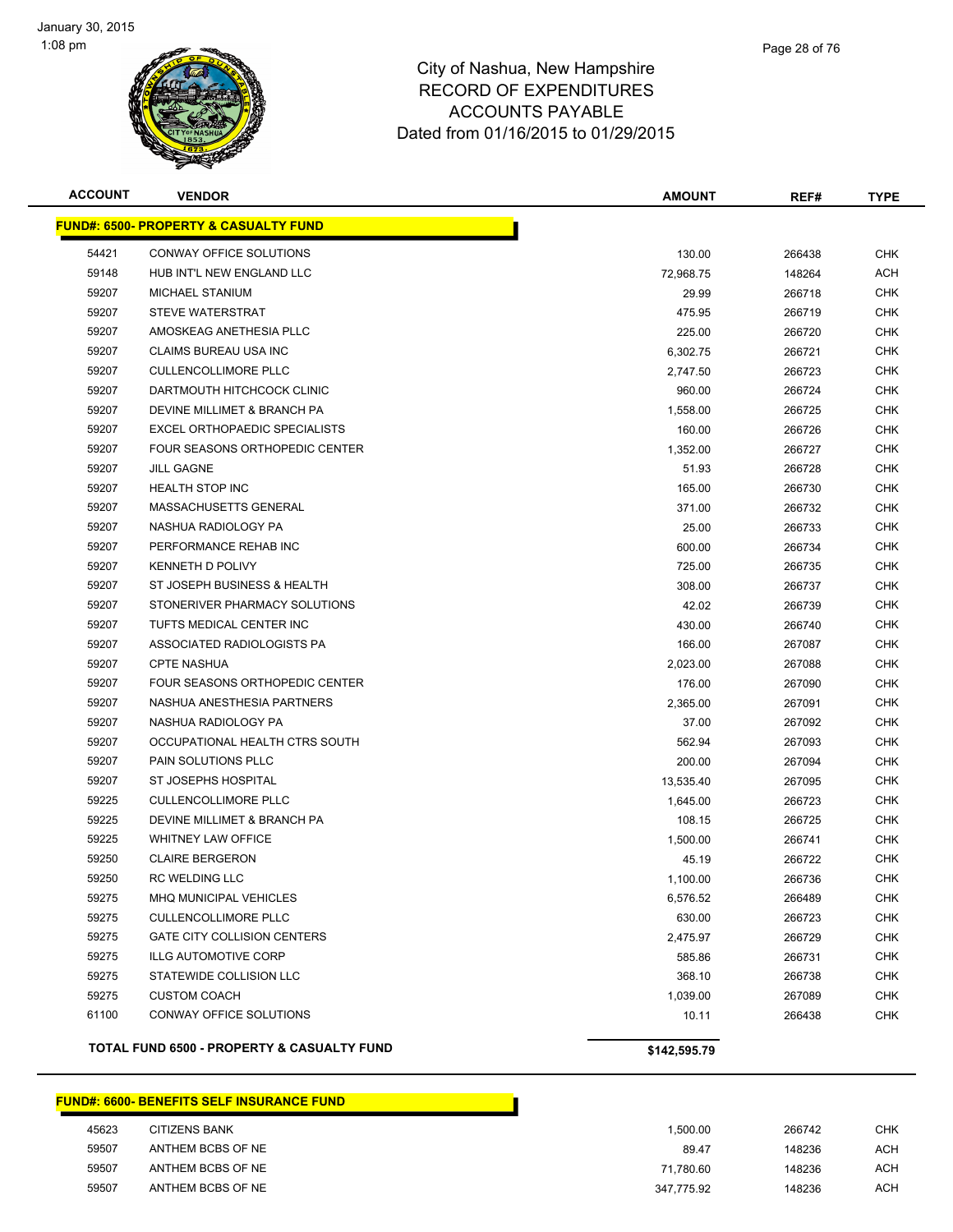

| <b>ACCOUNT</b> | <b>VENDOR</b>                                    | <b>AMOUNT</b> | REF#   | <b>TYPE</b> |
|----------------|--------------------------------------------------|---------------|--------|-------------|
|                | <b>FUND#: 6500- PROPERTY &amp; CASUALTY FUND</b> |               |        |             |
| 54421          | CONWAY OFFICE SOLUTIONS                          | 130.00        | 266438 | <b>CHK</b>  |
| 59148          | HUB INT'L NEW ENGLAND LLC                        | 72,968.75     | 148264 | ACH         |
| 59207          | <b>MICHAEL STANIUM</b>                           | 29.99         | 266718 | CHK         |
| 59207          | STEVE WATERSTRAT                                 | 475.95        | 266719 | CHK         |
| 59207          | AMOSKEAG ANETHESIA PLLC                          | 225.00        | 266720 | CHK         |
| 59207          | CLAIMS BUREAU USA INC                            | 6,302.75      | 266721 | <b>CHK</b>  |
| 59207          | <b>CULLENCOLLIMORE PLLC</b>                      | 2,747.50      | 266723 | CHK         |
| 59207          | DARTMOUTH HITCHCOCK CLINIC                       | 960.00        | 266724 | CHK         |
| 59207          | DEVINE MILLIMET & BRANCH PA                      | 1,558.00      | 266725 | CHK         |
| 59207          | <b>EXCEL ORTHOPAEDIC SPECIALISTS</b>             | 160.00        | 266726 | CHK         |
| 59207          | FOUR SEASONS ORTHOPEDIC CENTER                   | 1,352.00      | 266727 | CHK         |
| 59207          | JILL GAGNE                                       | 51.93         | 266728 | CHK         |
| 59207          | <b>HEALTH STOP INC</b>                           | 165.00        | 266730 | CHK         |
| 59207          | MASSACHUSETTS GENERAL                            | 371.00        | 266732 | CHK         |
| 59207          | NASHUA RADIOLOGY PA                              | 25.00         | 266733 | CHK         |
| 59207          | PERFORMANCE REHAB INC                            | 600.00        | 266734 | CHK         |
| 59207          | KENNETH D POLIVY                                 | 725.00        | 266735 | <b>CHK</b>  |
| 59207          | ST JOSEPH BUSINESS & HEALTH                      | 308.00        | 266737 | <b>CHK</b>  |
| 59207          | STONERIVER PHARMACY SOLUTIONS                    | 42.02         | 266739 | <b>CHK</b>  |
| 59207          | TUFTS MEDICAL CENTER INC                         | 430.00        | 266740 | <b>CHK</b>  |
| 59207          | ASSOCIATED RADIOLOGISTS PA                       | 166.00        | 267087 | CHK         |
| 59207          | <b>CPTE NASHUA</b>                               | 2,023.00      | 267088 | CHK         |
| 59207          | FOUR SEASONS ORTHOPEDIC CENTER                   | 176.00        | 267090 | CHK         |
| 59207          | NASHUA ANESTHESIA PARTNERS                       | 2,365.00      | 267091 | CHK         |
| 59207          | NASHUA RADIOLOGY PA                              | 37.00         | 267092 | CHK         |
| 59207          | OCCUPATIONAL HEALTH CTRS SOUTH                   | 562.94        | 267093 | CHK         |
| 59207          | PAIN SOLUTIONS PLLC                              | 200.00        | 267094 | CHK         |
| 59207          | ST JOSEPHS HOSPITAL                              | 13,535.40     | 267095 | <b>CHK</b>  |
| 59225          | <b>CULLENCOLLIMORE PLLC</b>                      | 1,645.00      | 266723 | CHK         |
| 59225          | DEVINE MILLIMET & BRANCH PA                      | 108.15        | 266725 | CHK         |
| 59225          | <b>WHITNEY LAW OFFICE</b>                        | 1,500.00      | 266741 | CHK         |
| 59250          | <b>CLAIRE BERGERON</b>                           | 45.19         | 266722 | CHK         |
| 59250          | <b>RC WELDING LLC</b>                            | 1,100.00      | 266736 | <b>CHK</b>  |
| 59275          | <b>MHQ MUNICIPAL VEHICLES</b>                    | 6,576.52      | 266489 | <b>CHK</b>  |
| 59275          | <b>CULLENCOLLIMORE PLLC</b>                      | 630.00        | 266723 | CHK         |
| 59275          | GATE CITY COLLISION CENTERS                      | 2,475.97      | 266729 | <b>CHK</b>  |
| 59275          | <b>ILLG AUTOMOTIVE CORP</b>                      | 585.86        | 266731 | <b>CHK</b>  |
| 59275          | STATEWIDE COLLISION LLC                          | 368.10        | 266738 | <b>CHK</b>  |
| 59275          | <b>CUSTOM COACH</b>                              | 1,039.00      | 267089 | <b>CHK</b>  |
| 61100          | CONWAY OFFICE SOLUTIONS                          | 10.11         | 266438 | <b>CHK</b>  |
|                | TOTAL FUND 6500 - PROPERTY & CASUALTY FUND       | \$142,595.79  |        |             |

#### **FUND#: 6600- BENEFITS SELF INSURANCE FUND**

| 45623 | CITIZENS BANK     | .500.00    | 266742 | снк |
|-------|-------------------|------------|--------|-----|
| 59507 | ANTHEM BCBS OF NE | 89.47      | 148236 | ACH |
| 59507 | ANTHEM BCBS OF NE | 71.780.60  | 148236 | ACH |
| 59507 | ANTHEM BCBS OF NE | 347.775.92 | 148236 | ACH |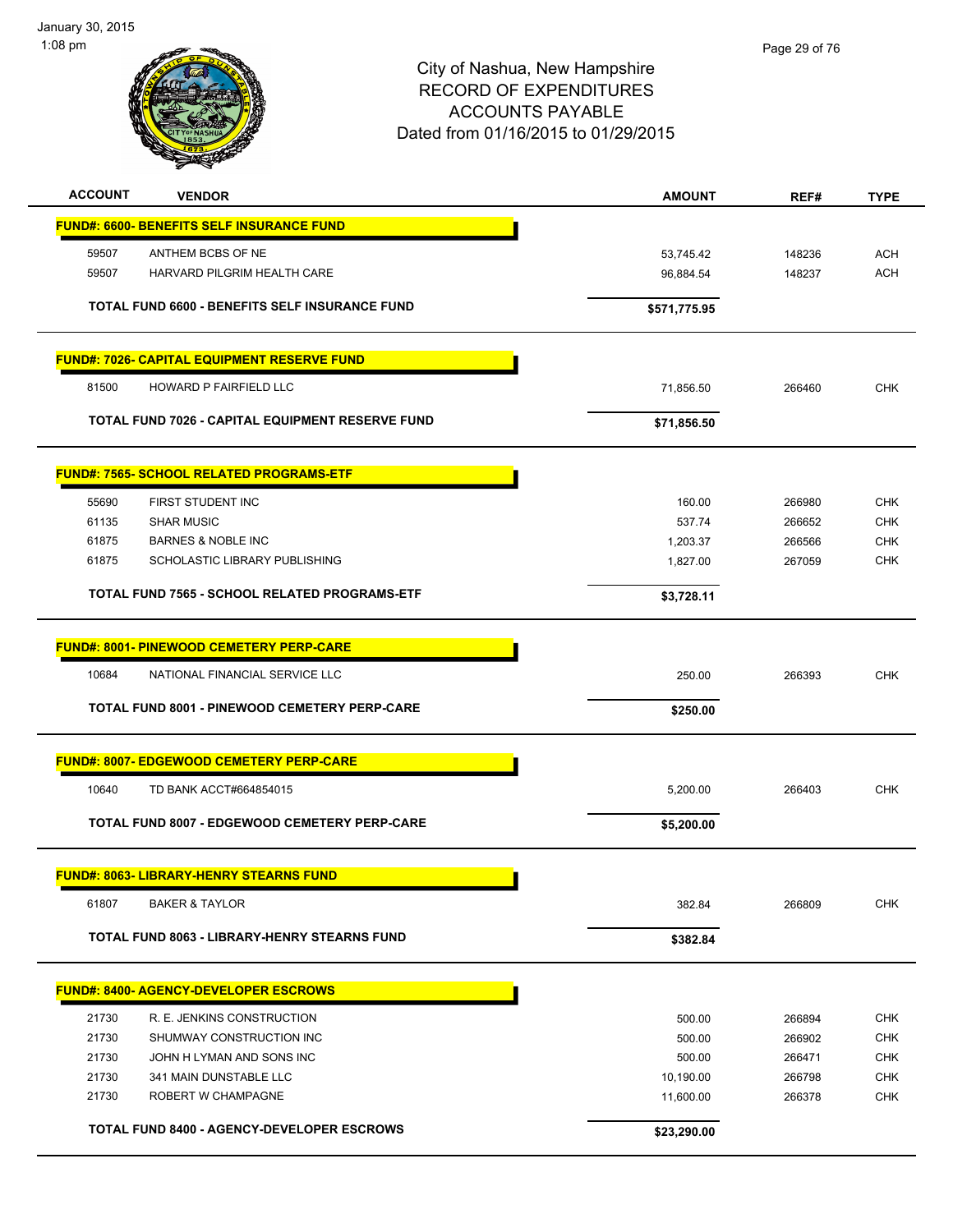

| <b>ACCOUNT</b> | <b>VENDOR</b>                                      | <b>AMOUNT</b> | REF#   | <b>TYPE</b> |
|----------------|----------------------------------------------------|---------------|--------|-------------|
|                | <b>FUND#: 6600- BENEFITS SELF INSURANCE FUND</b>   |               |        |             |
| 59507          | ANTHEM BCBS OF NE                                  | 53,745.42     | 148236 | <b>ACH</b>  |
| 59507          | HARVARD PILGRIM HEALTH CARE                        | 96,884.54     | 148237 | <b>ACH</b>  |
|                |                                                    |               |        |             |
|                | TOTAL FUND 6600 - BENEFITS SELF INSURANCE FUND     | \$571,775.95  |        |             |
|                | <b>FUND#: 7026- CAPITAL EQUIPMENT RESERVE FUND</b> |               |        |             |
| 81500          | HOWARD P FAIRFIELD LLC                             | 71,856.50     | 266460 | <b>CHK</b>  |
|                | TOTAL FUND 7026 - CAPITAL EQUIPMENT RESERVE FUND   | \$71,856.50   |        |             |
|                |                                                    |               |        |             |
|                | <b>FUND#: 7565- SCHOOL RELATED PROGRAMS-ETF</b>    |               |        |             |
| 55690          | FIRST STUDENT INC                                  | 160.00        | 266980 | <b>CHK</b>  |
| 61135          | <b>SHAR MUSIC</b>                                  | 537.74        | 266652 | <b>CHK</b>  |
| 61875          | <b>BARNES &amp; NOBLE INC</b>                      | 1,203.37      | 266566 | <b>CHK</b>  |
| 61875          | SCHOLASTIC LIBRARY PUBLISHING                      | 1,827.00      | 267059 | <b>CHK</b>  |
|                | TOTAL FUND 7565 - SCHOOL RELATED PROGRAMS-ETF      | \$3,728.11    |        |             |
|                | <b>FUND#: 8001- PINEWOOD CEMETERY PERP-CARE</b>    |               |        |             |
|                |                                                    |               |        |             |
| 10684          | NATIONAL FINANCIAL SERVICE LLC                     | 250.00        | 266393 | <b>CHK</b>  |
|                | TOTAL FUND 8001 - PINEWOOD CEMETERY PERP-CARE      | \$250.00      |        |             |
|                | <b>FUND#: 8007- EDGEWOOD CEMETERY PERP-CARE</b>    |               |        |             |
| 10640          | TD BANK ACCT#664854015                             | 5,200.00      | 266403 | <b>CHK</b>  |
|                | TOTAL FUND 8007 - EDGEWOOD CEMETERY PERP-CARE      |               |        |             |
|                |                                                    | \$5,200.00    |        |             |
|                | <b>FUND#: 8063- LIBRARY-HENRY STEARNS FUND</b>     |               |        |             |
| 61807          | <b>BAKER &amp; TAYLOR</b>                          | 382.84        | 266809 | <b>CHK</b>  |
|                | TOTAL FUND 8063 - LIBRARY-HENRY STEARNS FUND       | \$382.84      |        |             |
|                |                                                    |               |        |             |
|                | <b>FUND#: 8400- AGENCY-DEVELOPER ESCROWS</b>       |               |        |             |
| 21730          | R. E. JENKINS CONSTRUCTION                         | 500.00        | 266894 | <b>CHK</b>  |
| 21730          | SHUMWAY CONSTRUCTION INC                           | 500.00        | 266902 | <b>CHK</b>  |
| 21730          | JOHN H LYMAN AND SONS INC                          | 500.00        | 266471 | <b>CHK</b>  |
| 21730          | 341 MAIN DUNSTABLE LLC                             | 10,190.00     | 266798 | <b>CHK</b>  |
| 21730          | ROBERT W CHAMPAGNE                                 | 11,600.00     | 266378 | <b>CHK</b>  |
|                | <b>TOTAL FUND 8400 - AGENCY-DEVELOPER ESCROWS</b>  | \$23,290.00   |        |             |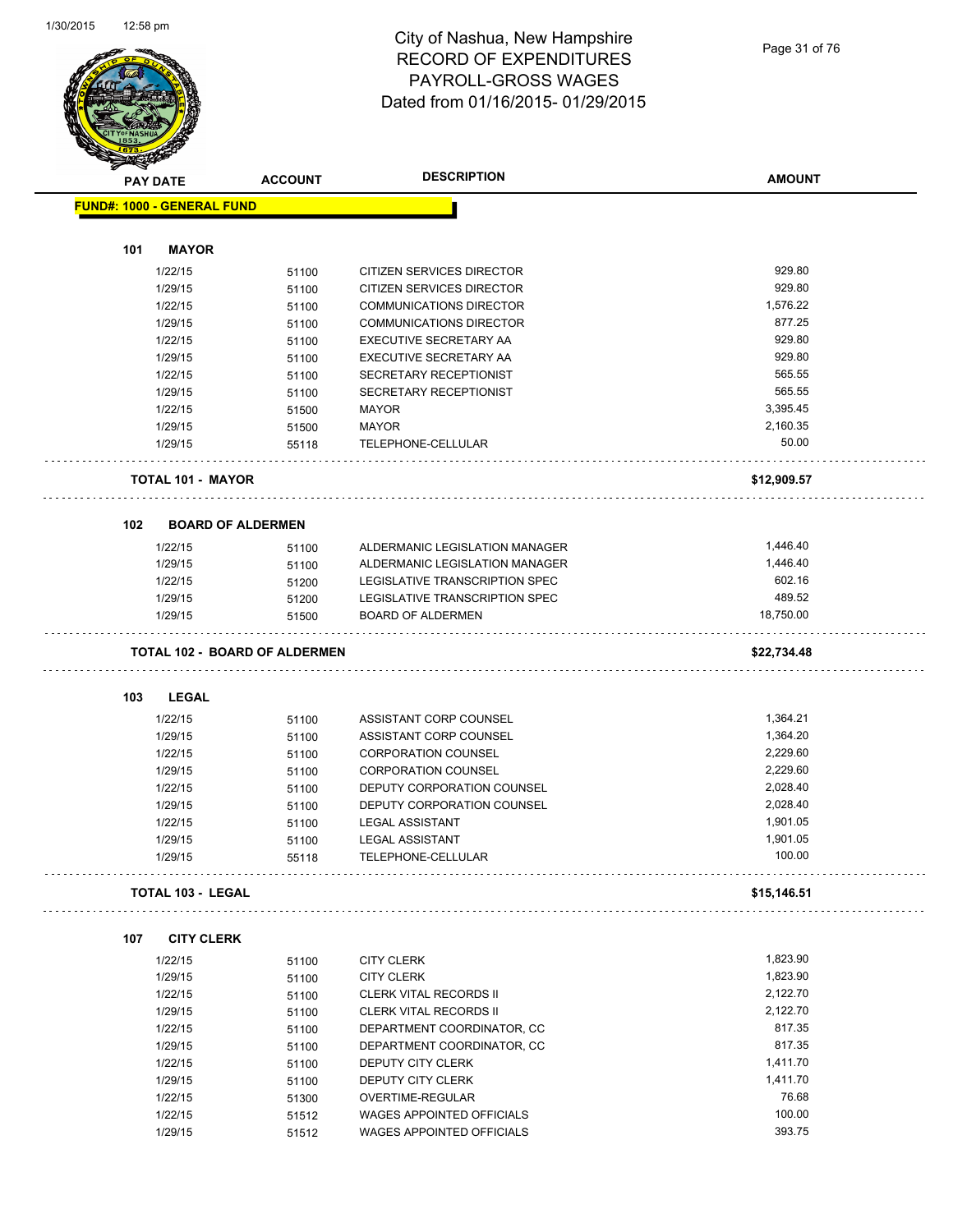

#### City of Nashua, New Hampshire RECORD OF EXPENDITURES PAYROLL-GROSS WAGES Dated from 01/16/2015- 01/29/2015

Page 31 of 76

| <b>Allen</b> |                                   |                                      | <b>DESCRIPTION</b>               | <b>AMOUNT</b> |
|--------------|-----------------------------------|--------------------------------------|----------------------------------|---------------|
|              | <b>PAY DATE</b>                   | <b>ACCOUNT</b>                       |                                  |               |
|              | <b>FUND#: 1000 - GENERAL FUND</b> |                                      |                                  |               |
| 101          | <b>MAYOR</b>                      |                                      |                                  |               |
|              |                                   |                                      | <b>CITIZEN SERVICES DIRECTOR</b> | 929.80        |
|              | 1/22/15                           | 51100                                |                                  |               |
|              | 1/29/15                           | 51100                                | CITIZEN SERVICES DIRECTOR        | 929.80        |
|              | 1/22/15                           | 51100                                | <b>COMMUNICATIONS DIRECTOR</b>   | 1,576.22      |
|              | 1/29/15                           | 51100                                | <b>COMMUNICATIONS DIRECTOR</b>   | 877.25        |
|              | 1/22/15                           | 51100                                | EXECUTIVE SECRETARY AA           | 929.80        |
|              | 1/29/15                           | 51100                                | EXECUTIVE SECRETARY AA           | 929.80        |
|              | 1/22/15                           | 51100                                | SECRETARY RECEPTIONIST           | 565.55        |
|              | 1/29/15                           | 51100                                | SECRETARY RECEPTIONIST           | 565.55        |
|              | 1/22/15                           | 51500                                | <b>MAYOR</b>                     | 3,395.45      |
|              | 1/29/15                           | 51500                                | <b>MAYOR</b>                     | 2,160.35      |
|              | 1/29/15                           | 55118                                | TELEPHONE-CELLULAR               | 50.00         |
|              | <b>TOTAL 101 - MAYOR</b>          |                                      |                                  | \$12,909.57   |
| 102          | <b>BOARD OF ALDERMEN</b>          |                                      |                                  |               |
|              | 1/22/15                           | 51100                                | ALDERMANIC LEGISLATION MANAGER   | 1,446.40      |
|              | 1/29/15                           | 51100                                | ALDERMANIC LEGISLATION MANAGER   | 1,446.40      |
|              | 1/22/15                           | 51200                                | LEGISLATIVE TRANSCRIPTION SPEC   | 602.16        |
|              | 1/29/15                           | 51200                                | LEGISLATIVE TRANSCRIPTION SPEC   | 489.52        |
|              | 1/29/15                           | 51500                                | <b>BOARD OF ALDERMEN</b>         | 18,750.00     |
|              |                                   | <b>TOTAL 102 - BOARD OF ALDERMEN</b> |                                  | \$22,734.48   |
| 103          | <b>LEGAL</b>                      |                                      |                                  |               |
|              | 1/22/15                           | 51100                                | ASSISTANT CORP COUNSEL           | 1,364.21      |
|              | 1/29/15                           | 51100                                | ASSISTANT CORP COUNSEL           | 1,364.20      |
|              | 1/22/15                           | 51100                                | <b>CORPORATION COUNSEL</b>       | 2,229.60      |
|              | 1/29/15                           | 51100                                | <b>CORPORATION COUNSEL</b>       | 2,229.60      |
|              | 1/22/15                           | 51100                                | DEPUTY CORPORATION COUNSEL       | 2,028.40      |
|              | 1/29/15                           | 51100                                | DEPUTY CORPORATION COUNSEL       | 2,028.40      |
|              | 1/22/15                           | 51100                                | <b>LEGAL ASSISTANT</b>           | 1,901.05      |
|              | 1/29/15                           | 51100                                | <b>LEGAL ASSISTANT</b>           | 1,901.05      |
|              | 1/29/15                           | 55118                                | TELEPHONE-CELLULAR               | 100.00        |
|              | <b>TOTAL 103 - LEGAL</b>          |                                      |                                  | \$15,146.51   |
| 107          | <b>CITY CLERK</b>                 |                                      |                                  |               |
|              | 1/22/15                           | 51100                                | <b>CITY CLERK</b>                | 1,823.90      |
|              | 1/29/15                           | 51100                                | <b>CITY CLERK</b>                | 1,823.90      |
|              | 1/22/15                           | 51100                                | <b>CLERK VITAL RECORDS II</b>    | 2,122.70      |
|              | 1/29/15                           | 51100                                | <b>CLERK VITAL RECORDS II</b>    | 2,122.70      |
|              | 1/22/15                           | 51100                                | DEPARTMENT COORDINATOR, CC       | 817.35        |
|              | 1/29/15                           | 51100                                | DEPARTMENT COORDINATOR, CC       | 817.35        |
|              | 1/22/15                           | 51100                                | DEPUTY CITY CLERK                | 1,411.70      |
|              | 1/29/15                           | 51100                                | DEPUTY CITY CLERK                | 1,411.70      |
|              | 1/22/15                           | 51300                                | OVERTIME-REGULAR                 | 76.68         |
|              | 1/22/15                           |                                      | <b>WAGES APPOINTED OFFICIALS</b> | 100.00        |
|              |                                   | 51512                                |                                  | 393.75        |
|              | 1/29/15                           | 51512                                | WAGES APPOINTED OFFICIALS        |               |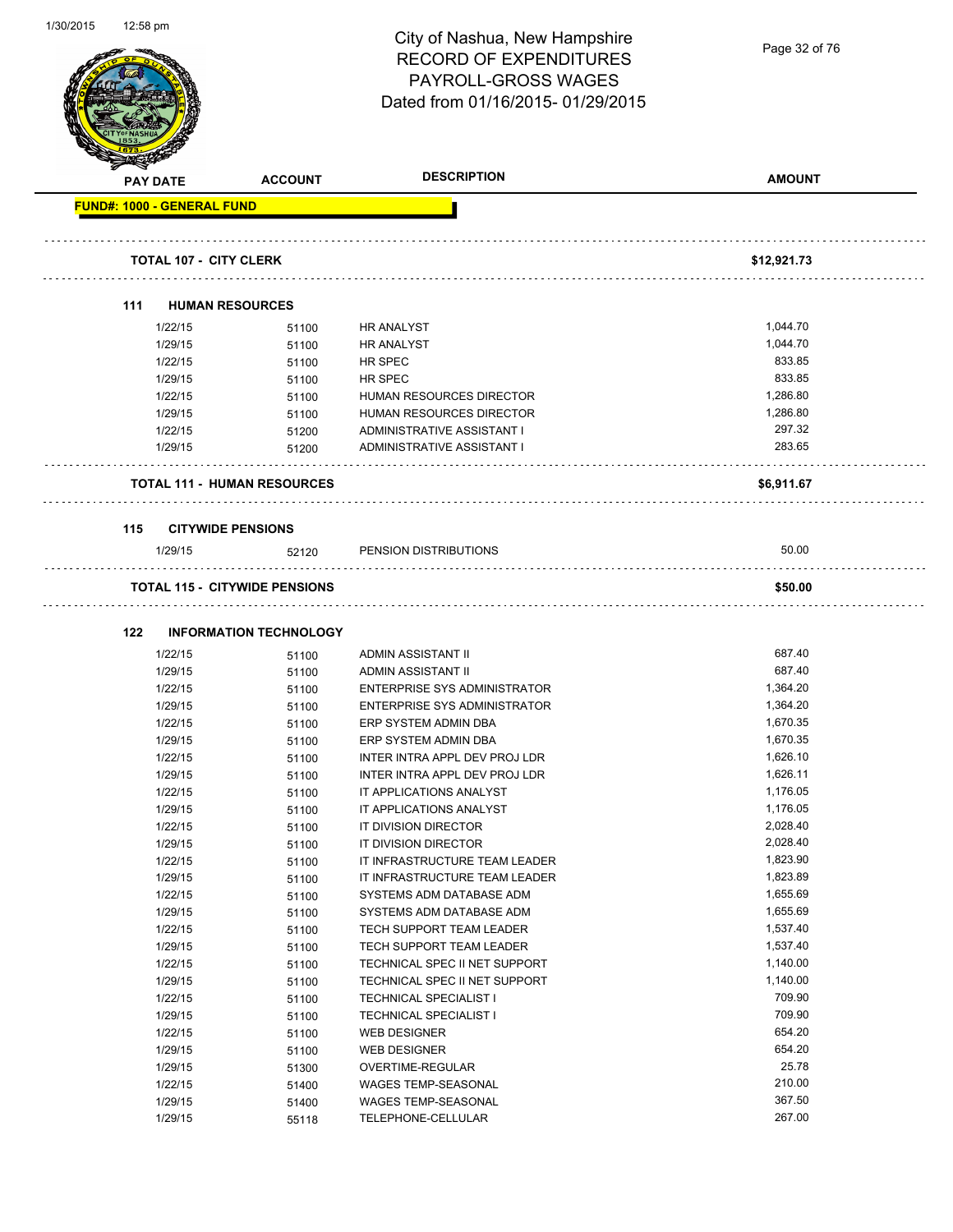| 1/30/2015 | ⊺i∠:58 pm       |                                                                       | City of Nashua, New Hampshire<br><b>RECORD OF EXPENDITURES</b><br><b>PAYROLL-GROSS WAGES</b><br>Dated from 01/16/2015-01/29/2015 | Page 32 of 76 |
|-----------|-----------------|-----------------------------------------------------------------------|----------------------------------------------------------------------------------------------------------------------------------|---------------|
|           | <b>PAY DATE</b> | <b>ACCOUNT</b>                                                        | <b>DESCRIPTION</b>                                                                                                               | <b>AMOUNT</b> |
|           |                 | <b>FUND#: 1000 - GENERAL FUND</b>                                     |                                                                                                                                  |               |
|           |                 | <b>TOTAL 107 - CITY CLERK</b>                                         |                                                                                                                                  | \$12,921.73   |
|           | 111             | <b>HUMAN RESOURCES</b>                                                |                                                                                                                                  |               |
|           |                 | 1/22/15<br>51100                                                      | <b>HR ANALYST</b>                                                                                                                | 1,044.70      |
|           |                 | 1/29/15<br>51100                                                      | <b>HR ANALYST</b>                                                                                                                | 1,044.70      |
|           |                 | 1/22/15<br>51100                                                      | HR SPEC                                                                                                                          | 833.85        |
|           |                 | 1/29/15<br>51100                                                      | HR SPEC                                                                                                                          | 833.85        |
|           |                 | 1/22/15<br>51100                                                      | HUMAN RESOURCES DIRECTOR                                                                                                         | 1,286.80      |
|           |                 | 1/29/15<br>51100                                                      | <b>HUMAN RESOURCES DIRECTOR</b>                                                                                                  | 1,286.80      |
|           |                 | 1/22/15<br>51200                                                      | ADMINISTRATIVE ASSISTANT I                                                                                                       | 297.32        |
|           |                 | 1/29/15<br>51200                                                      | ADMINISTRATIVE ASSISTANT I                                                                                                       | 283.65        |
|           |                 | <b>TOTAL 111 - HUMAN RESOURCES</b>                                    |                                                                                                                                  | \$6,911.67    |
|           | 115             | <b>CITYWIDE PENSIONS</b>                                              |                                                                                                                                  |               |
|           |                 | 1/29/15<br>52120                                                      | PENSION DISTRIBUTIONS                                                                                                            | 50.00         |
|           | 122             | <b>TOTAL 115 - CITYWIDE PENSIONS</b><br><b>INFORMATION TECHNOLOGY</b> |                                                                                                                                  | \$50.00       |
|           |                 | 1/22/15<br>51100                                                      | ADMIN ASSISTANT II                                                                                                               | 687.40        |
|           |                 | 1/29/15<br>51100                                                      | ADMIN ASSISTANT II                                                                                                               | 687.40        |
|           |                 | 1/22/15<br>51100                                                      | <b>ENTERPRISE SYS ADMINISTRATOR</b>                                                                                              | 1,364.20      |
|           |                 | 1/29/15<br>51100                                                      | <b>ENTERPRISE SYS ADMINISTRATOR</b>                                                                                              | 1,364.20      |
|           |                 | 1/22/15<br>51100                                                      | ERP SYSTEM ADMIN DBA                                                                                                             | 1,670.35      |
|           |                 | 1/29/15<br>51100                                                      | ERP SYSTEM ADMIN DBA                                                                                                             | 1,670.35      |
|           |                 | 1/22/15<br>51100                                                      | INTER INTRA APPL DEV PROJ LDR                                                                                                    | 1,626.10      |
|           |                 | 1/29/15<br>51100                                                      | INTER INTRA APPL DEV PROJ LDR                                                                                                    | 1,626.11      |
|           |                 | 1/22/15<br>51100                                                      | IT APPLICATIONS ANALYST                                                                                                          | 1,176.05      |
|           |                 | 1/29/15<br>51100                                                      | IT APPLICATIONS ANALYST                                                                                                          | 1,176.05      |
|           |                 | 1/22/15<br>51100                                                      | IT DIVISION DIRECTOR                                                                                                             | 2,028.40      |
|           |                 | 1/29/15<br>51100                                                      | IT DIVISION DIRECTOR                                                                                                             | 2,028.40      |
|           |                 | 1/22/15<br>51100                                                      | IT INFRASTRUCTURE TEAM LEADER                                                                                                    | 1,823.90      |
|           |                 | 1/29/15<br>51100                                                      | IT INFRASTRUCTURE TEAM LEADER                                                                                                    | 1,823.89      |
|           |                 | 1/22/15<br>51100                                                      | SYSTEMS ADM DATABASE ADM                                                                                                         | 1,655.69      |
|           |                 | 1/29/15<br>51100                                                      | SYSTEMS ADM DATABASE ADM                                                                                                         | 1,655.69      |
|           |                 | 1/22/15<br>51100                                                      | TECH SUPPORT TEAM LEADER                                                                                                         | 1,537.40      |
|           |                 | 1/29/15<br>51100                                                      | TECH SUPPORT TEAM LEADER                                                                                                         | 1,537.40      |
|           |                 | 1/22/15<br>51100                                                      | TECHNICAL SPEC II NET SUPPORT                                                                                                    | 1,140.00      |
|           |                 | 1/29/15<br>51100                                                      | TECHNICAL SPEC II NET SUPPORT                                                                                                    | 1,140.00      |
|           |                 | 1/22/15<br>51100                                                      | <b>TECHNICAL SPECIALIST I</b>                                                                                                    | 709.90        |
|           |                 | 1/29/15<br>51100                                                      | <b>TECHNICAL SPECIALIST I</b>                                                                                                    | 709.90        |
|           |                 | 1/22/15<br>51100                                                      | <b>WEB DESIGNER</b>                                                                                                              | 654.20        |
|           |                 | 1/29/15<br>51100                                                      | <b>WEB DESIGNER</b>                                                                                                              | 654.20        |
|           |                 | 1/29/15<br>51300                                                      | OVERTIME-REGULAR                                                                                                                 | 25.78         |
|           |                 | 1/22/15<br>51400                                                      | WAGES TEMP-SEASONAL                                                                                                              | 210.00        |
|           |                 | 1/29/15<br>51400                                                      | WAGES TEMP-SEASONAL                                                                                                              | 367.50        |
|           |                 | 1/29/15<br>55118                                                      | TELEPHONE-CELLULAR                                                                                                               | 267.00        |

1/30/2015 12:58 pm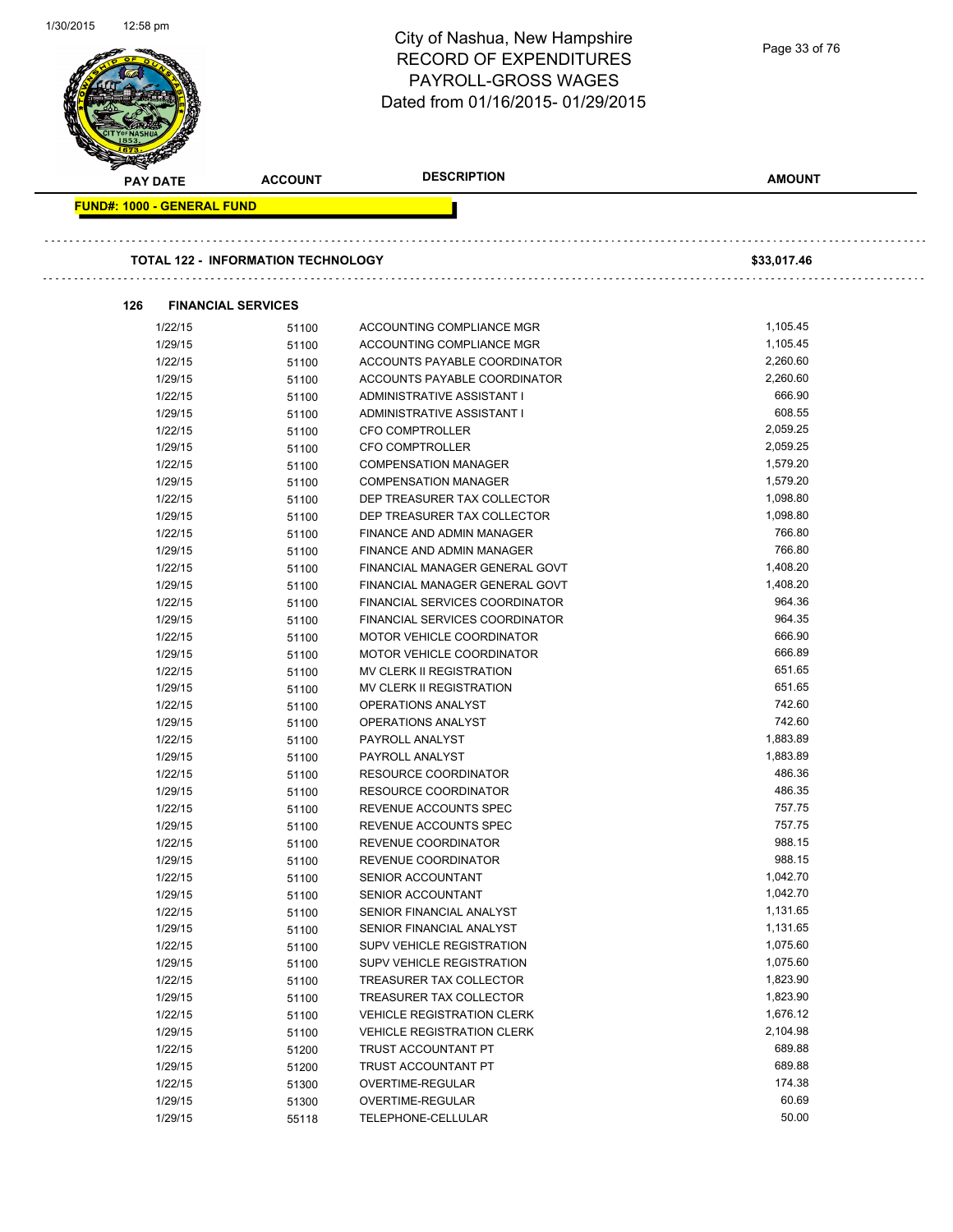| 1/30/2015 | 12:58 pm                          |                                           | City of Nashua, New Hampshire<br><b>RECORD OF EXPENDITURES</b><br><b>PAYROLL-GROSS WAGES</b><br>Dated from 01/16/2015-01/29/2015 | Page 33 of 76    |
|-----------|-----------------------------------|-------------------------------------------|----------------------------------------------------------------------------------------------------------------------------------|------------------|
|           | <b>PAY DATE</b>                   | <b>ACCOUNT</b>                            | <b>DESCRIPTION</b>                                                                                                               | <b>AMOUNT</b>    |
|           | <b>FUND#: 1000 - GENERAL FUND</b> | <b>TOTAL 122 - INFORMATION TECHNOLOGY</b> |                                                                                                                                  | \$33,017.46      |
|           | 126                               | <b>FINANCIAL SERVICES</b>                 |                                                                                                                                  |                  |
|           | 1/22/15                           | 51100                                     | ACCOUNTING COMPLIANCE MGR                                                                                                        | 1,105.45         |
|           | 1/29/15                           | 51100                                     | ACCOUNTING COMPLIANCE MGR                                                                                                        | 1,105.45         |
|           | 1/22/15                           | 51100                                     | ACCOUNTS PAYABLE COORDINATOR                                                                                                     | 2,260.60         |
|           | 1/29/15                           | 51100                                     | ACCOUNTS PAYABLE COORDINATOR                                                                                                     | 2,260.60         |
|           | 1/22/15                           | 51100                                     | ADMINISTRATIVE ASSISTANT I                                                                                                       | 666.90           |
|           | 1/29/15                           | 51100                                     | <b>ADMINISTRATIVE ASSISTANT I</b>                                                                                                | 608.55           |
|           | 1/22/15                           | 51100                                     | <b>CFO COMPTROLLER</b>                                                                                                           | 2,059.25         |
|           | 1/29/15                           | 51100                                     | CFO COMPTROLLER                                                                                                                  | 2,059.25         |
|           | 1/22/15                           | 51100                                     | <b>COMPENSATION MANAGER</b>                                                                                                      | 1,579.20         |
|           | 1/29/15                           | 51100                                     | <b>COMPENSATION MANAGER</b>                                                                                                      | 1,579.20         |
|           | 1/22/15                           | 51100                                     | DEP TREASURER TAX COLLECTOR                                                                                                      | 1,098.80         |
|           | 1/29/15                           | 51100                                     | DEP TREASURER TAX COLLECTOR                                                                                                      | 1,098.80         |
|           | 1/22/15                           | 51100                                     | <b>FINANCE AND ADMIN MANAGER</b>                                                                                                 | 766.80           |
|           | 1/29/15                           | 51100                                     | FINANCE AND ADMIN MANAGER                                                                                                        | 766.80           |
|           | 1/22/15                           | 51100                                     | FINANCIAL MANAGER GENERAL GOVT                                                                                                   | 1,408.20         |
|           | 1/29/15                           | 51100                                     | FINANCIAL MANAGER GENERAL GOVT                                                                                                   | 1,408.20         |
|           | 1/22/15                           | 51100                                     | FINANCIAL SERVICES COORDINATOR                                                                                                   | 964.36           |
|           | 1/29/15                           | 51100                                     | <b>FINANCIAL SERVICES COORDINATOR</b>                                                                                            | 964.35           |
|           | 1/22/15                           | 51100                                     | MOTOR VEHICLE COORDINATOR                                                                                                        | 666.90           |
|           | 1/29/15                           | 51100                                     | MOTOR VEHICLE COORDINATOR                                                                                                        | 666.89           |
|           | 1/22/15                           | 51100                                     | MV CLERK II REGISTRATION                                                                                                         | 651.65           |
|           | 1/29/15                           | 51100                                     | <b>MV CLERK II REGISTRATION</b>                                                                                                  | 651.65           |
|           | 1/22/15                           | 51100                                     | <b>OPERATIONS ANALYST</b>                                                                                                        | 742.60           |
|           | 1/29/15                           | 51100                                     | OPERATIONS ANALYST                                                                                                               | 742.60           |
|           | 1/22/15                           | 51100                                     | PAYROLL ANALYST                                                                                                                  | 1,883.89         |
|           | 1/29/15                           | 51100                                     | PAYROLL ANALYST                                                                                                                  | 1,883.89         |
|           | 1/22/15                           | 51100                                     | <b>RESOURCE COORDINATOR</b>                                                                                                      | 486.36           |
|           | 1/29/15                           | 51100                                     | <b>RESOURCE COORDINATOR</b>                                                                                                      | 486.35           |
|           | 1/22/15                           | 51100                                     | REVENUE ACCOUNTS SPEC                                                                                                            | 757.75           |
|           | 1/29/15                           | 51100                                     | REVENUE ACCOUNTS SPEC                                                                                                            | 757.75           |
|           | 1/22/15                           | 51100                                     | REVENUE COORDINATOR                                                                                                              | 988.15<br>988.15 |
|           | 1/29/15                           | 51100                                     | REVENUE COORDINATOR                                                                                                              | 1,042.70         |
|           | 1/22/15                           | 51100                                     | SENIOR ACCOUNTANT                                                                                                                | 1,042.70         |
|           | 1/29/15<br>1/22/15                | 51100                                     | SENIOR ACCOUNTANT<br>SENIOR FINANCIAL ANALYST                                                                                    | 1,131.65         |
|           |                                   | 51100                                     | SENIOR FINANCIAL ANALYST                                                                                                         | 1,131.65         |
|           | 1/29/15<br>1/22/15                | 51100                                     | SUPV VEHICLE REGISTRATION                                                                                                        | 1,075.60         |
|           | 1/29/15                           | 51100<br>51100                            | SUPV VEHICLE REGISTRATION                                                                                                        | 1,075.60         |
|           | 1/22/15                           | 51100                                     | TREASURER TAX COLLECTOR                                                                                                          | 1,823.90         |
|           | 1/29/15                           | 51100                                     | TREASURER TAX COLLECTOR                                                                                                          | 1,823.90         |
|           | 1/22/15                           | 51100                                     | <b>VEHICLE REGISTRATION CLERK</b>                                                                                                | 1,676.12         |
|           | 1/29/15                           | 51100                                     | <b>VEHICLE REGISTRATION CLERK</b>                                                                                                | 2,104.98         |
|           | 1/22/15                           | 51200                                     | TRUST ACCOUNTANT PT                                                                                                              | 689.88           |
|           | 1/29/15                           | 51200                                     | TRUST ACCOUNTANT PT                                                                                                              | 689.88           |
|           | 1/22/15                           | 51300                                     | OVERTIME-REGULAR                                                                                                                 | 174.38           |
|           | 1/29/15                           | 51300                                     | OVERTIME-REGULAR                                                                                                                 | 60.69            |
|           | 1/29/15                           | 55118                                     | TELEPHONE-CELLULAR                                                                                                               | 50.00            |
|           |                                   |                                           |                                                                                                                                  |                  |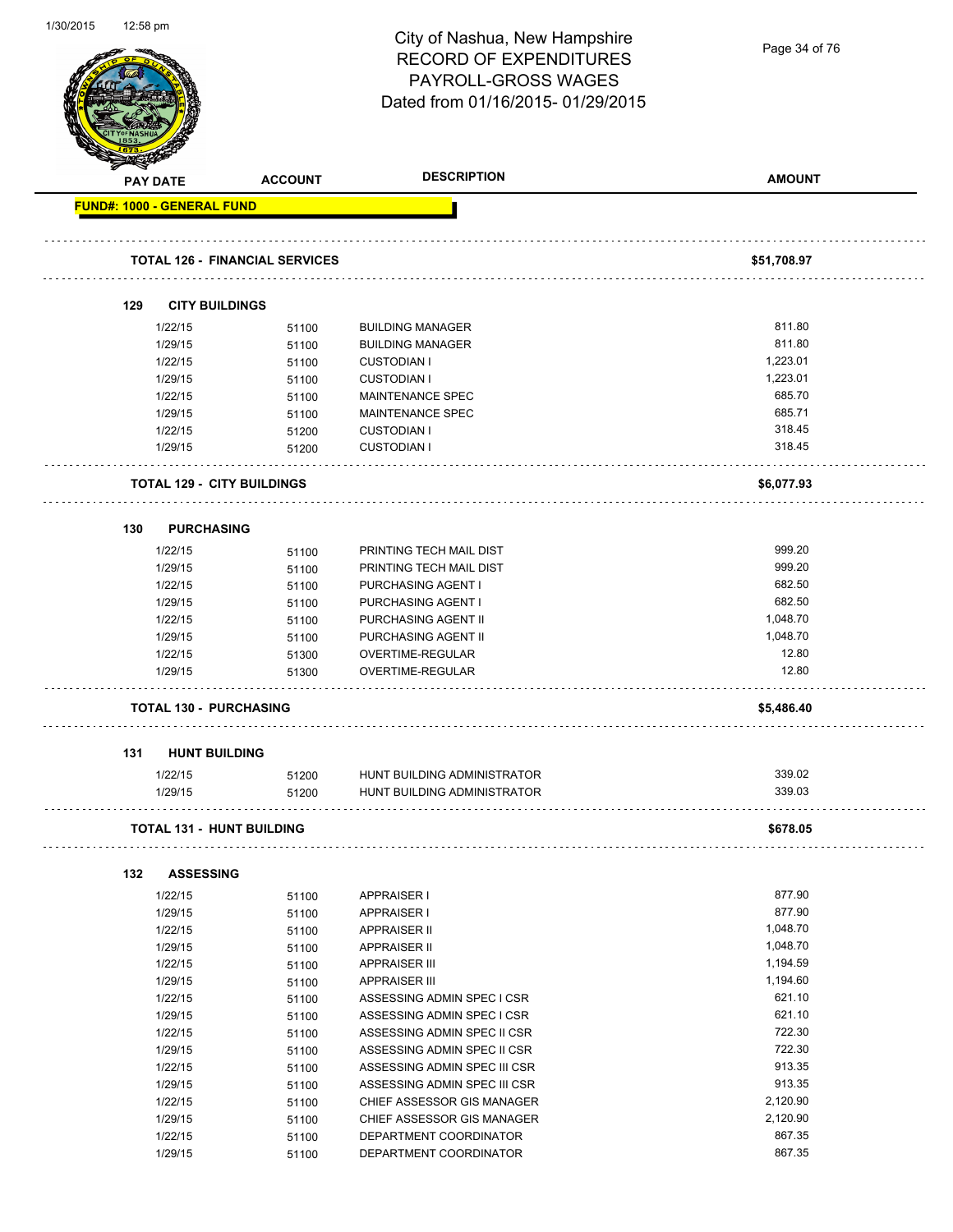| 1/30/2015<br>1∠:58 pm             |                                       | City of Nashua, New Hampshire<br><b>RECORD OF EXPENDITURES</b><br>PAYROLL-GROSS WAGES | Page 34 of 76      |
|-----------------------------------|---------------------------------------|---------------------------------------------------------------------------------------|--------------------|
|                                   |                                       | Dated from 01/16/2015-01/29/2015                                                      |                    |
| <b>PAY DATE</b>                   | <b>ACCOUNT</b>                        | <b>DESCRIPTION</b>                                                                    | <b>AMOUNT</b>      |
| <b>FUND#: 1000 - GENERAL FUND</b> |                                       |                                                                                       |                    |
|                                   | <b>TOTAL 126 - FINANCIAL SERVICES</b> |                                                                                       | \$51,708.97        |
|                                   |                                       |                                                                                       |                    |
| 129                               | <b>CITY BUILDINGS</b>                 |                                                                                       |                    |
| 1/22/15                           | 51100                                 | <b>BUILDING MANAGER</b>                                                               | 811.80             |
| 1/29/15<br>1/22/15                | 51100                                 | <b>BUILDING MANAGER</b>                                                               | 811.80<br>1,223.01 |
| 1/29/15                           | 51100<br>51100                        | <b>CUSTODIAN I</b><br><b>CUSTODIAN I</b>                                              | 1,223.01           |
| 1/22/15                           | 51100                                 | MAINTENANCE SPEC                                                                      | 685.70             |
| 1/29/15                           | 51100                                 | MAINTENANCE SPEC                                                                      | 685.71             |
| 1/22/15                           | 51200                                 | <b>CUSTODIAN I</b>                                                                    | 318.45             |
| 1/29/15                           | 51200                                 | <b>CUSTODIAN I</b>                                                                    | 318.45             |
|                                   | <b>TOTAL 129 - CITY BUILDINGS</b>     |                                                                                       | \$6,077.93         |
| 130                               | <b>PURCHASING</b>                     |                                                                                       |                    |
| 1/22/15                           | 51100                                 | PRINTING TECH MAIL DIST                                                               | 999.20             |
| 1/29/15                           | 51100                                 | PRINTING TECH MAIL DIST                                                               | 999.20             |
| 1/22/15                           | 51100                                 | PURCHASING AGENT I                                                                    | 682.50             |
| 1/29/15                           | 51100                                 | PURCHASING AGENT I                                                                    | 682.50             |
| 1/22/15                           | 51100                                 | PURCHASING AGENT II                                                                   | 1,048.70           |
| 1/29/15                           | 51100                                 | PURCHASING AGENT II                                                                   | 1,048.70           |
| 1/22/15                           | 51300                                 | OVERTIME-REGULAR                                                                      | 12.80              |
| 1/29/15                           | 51300                                 | OVERTIME-REGULAR                                                                      | 12.80              |
|                                   | <b>TOTAL 130 - PURCHASING</b>         |                                                                                       | \$5,486.40         |
| 131                               | <b>HUNT BUILDING</b>                  |                                                                                       |                    |
| 1/22/15                           | 51200                                 | HUNT BUILDING ADMINISTRATOR                                                           | 339.02             |
| 1/29/15                           | 51200                                 | HUNT BUILDING ADMINISTRATOR                                                           | 339.03             |
|                                   | <b>TOTAL 131 - HUNT BUILDING</b>      |                                                                                       | \$678.05           |
| 132                               | <b>ASSESSING</b>                      |                                                                                       |                    |
| 1/22/15                           | 51100                                 | APPRAISER I                                                                           | 877.90             |
| 1/29/15                           | 51100                                 | <b>APPRAISER I</b>                                                                    | 877.90             |
| 1/22/15                           | 51100                                 | <b>APPRAISER II</b>                                                                   | 1,048.70           |
| 1/29/15                           | 51100                                 | APPRAISER II                                                                          | 1,048.70           |
| 1/22/15                           | 51100                                 | <b>APPRAISER III</b>                                                                  | 1,194.59           |
| 1/29/15                           | 51100                                 | <b>APPRAISER III</b>                                                                  | 1,194.60           |
| 1/22/15                           | 51100                                 | ASSESSING ADMIN SPEC I CSR                                                            | 621.10             |
| 1/29/15                           | 51100                                 | ASSESSING ADMIN SPEC I CSR                                                            | 621.10             |
| 1/22/15                           | 51100                                 | ASSESSING ADMIN SPEC II CSR                                                           | 722.30             |
| 1/29/15                           | 51100                                 | ASSESSING ADMIN SPEC II CSR                                                           | 722.30             |
| 1/22/15                           | 51100                                 | ASSESSING ADMIN SPEC III CSR                                                          | 913.35<br>913.35   |
| 1/29/15<br>1/22/15                | 51100                                 | ASSESSING ADMIN SPEC III CSR<br>CHIEF ASSESSOR GIS MANAGER                            | 2,120.90           |
| 1/29/15                           | 51100<br>51100                        | CHIEF ASSESSOR GIS MANAGER                                                            | 2,120.90           |
|                                   |                                       |                                                                                       | 867.35             |
|                                   |                                       |                                                                                       | 867.35             |
| 1/22/15<br>1/29/15                | 51100<br>51100                        | DEPARTMENT COORDINATOR<br>DEPARTMENT COORDINATOR                                      |                    |

1/30/2015 12:58 pm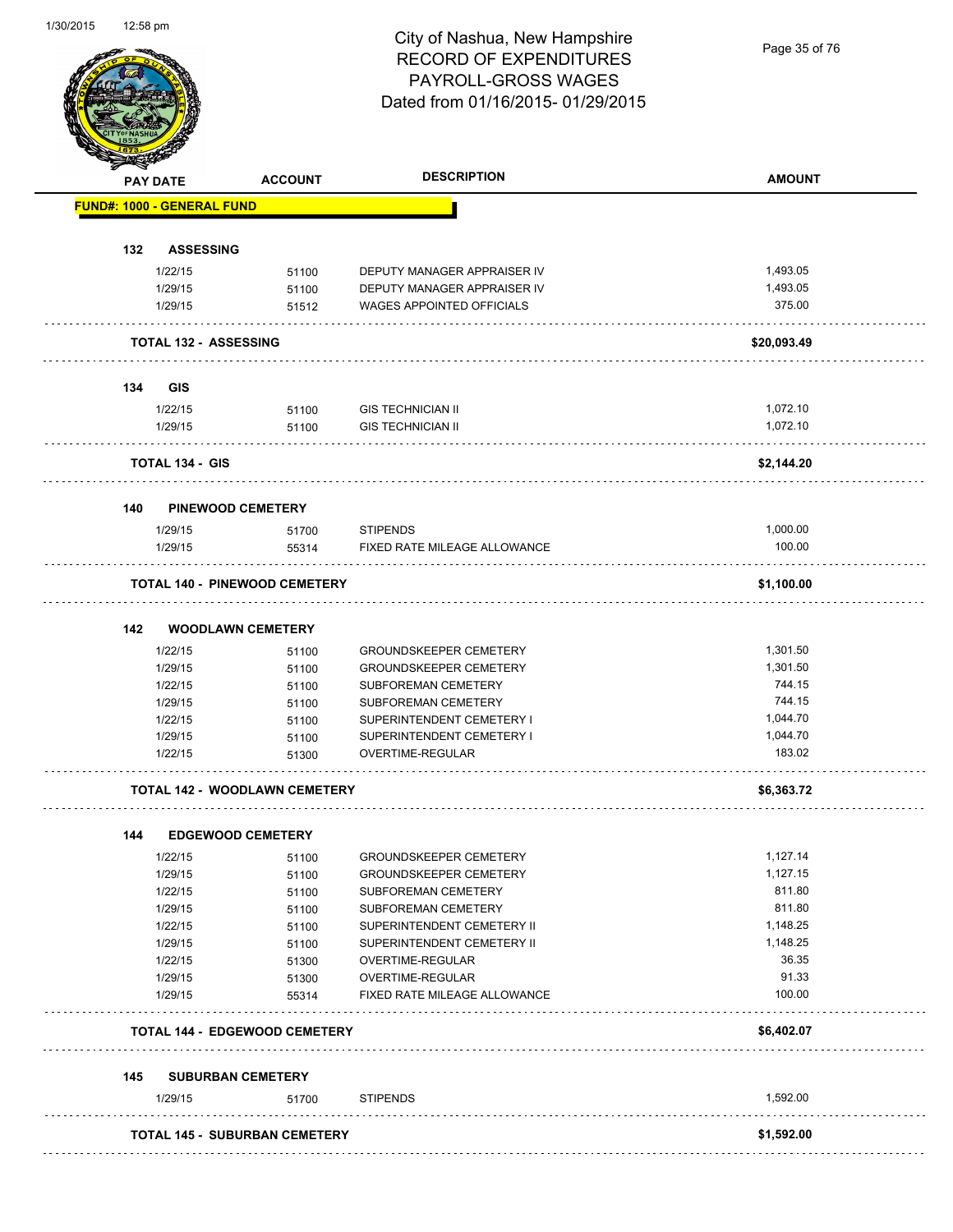## City of Nashua, New Hampshire RECORD OF EXPENDITURES PAYROLL-GROSS WAGES Dated from 01/16/2015- 01/29/2015

Page 35 of 76

|                                 | <b>PAY DATE</b>        | <b>ACCOUNT</b>                       | <b>DESCRIPTION</b>               | <b>AMOUNT</b> |
|---------------------------------|------------------------|--------------------------------------|----------------------------------|---------------|
|                                 |                        | <b>FUND#: 1000 - GENERAL FUND</b>    |                                  |               |
| 132                             |                        |                                      |                                  |               |
|                                 | 1/22/15                | <b>ASSESSING</b><br>51100            | DEPUTY MANAGER APPRAISER IV      | 1,493.05      |
|                                 | 1/29/15                | 51100                                | DEPUTY MANAGER APPRAISER IV      | 1,493.05      |
|                                 | 1/29/15                | 51512                                | <b>WAGES APPOINTED OFFICIALS</b> | 375.00        |
|                                 |                        |                                      |                                  |               |
|                                 |                        | <b>TOTAL 132 - ASSESSING</b>         |                                  | \$20,093.49   |
| 134                             | <b>GIS</b>             |                                      |                                  |               |
|                                 | 1/22/15                |                                      | <b>GIS TECHNICIAN II</b>         | 1,072.10      |
|                                 | 1/29/15                | 51100<br>51100                       | <b>GIS TECHNICIAN II</b>         | 1,072.10      |
|                                 |                        |                                      |                                  |               |
|                                 | <b>TOTAL 134 - GIS</b> |                                      |                                  | \$2,144.20    |
| 140                             |                        | <b>PINEWOOD CEMETERY</b>             |                                  |               |
|                                 | 1/29/15                | 51700                                | <b>STIPENDS</b>                  | 1,000.00      |
|                                 | 1/29/15                | 55314                                | FIXED RATE MILEAGE ALLOWANCE     | 100.00        |
|                                 |                        | <b>TOTAL 140 - PINEWOOD CEMETERY</b> |                                  | \$1,100.00    |
|                                 |                        |                                      |                                  |               |
| 142                             |                        | <b>WOODLAWN CEMETERY</b>             |                                  |               |
|                                 | 1/22/15                | 51100                                | <b>GROUNDSKEEPER CEMETERY</b>    | 1,301.50      |
|                                 | 1/29/15                | 51100                                | <b>GROUNDSKEEPER CEMETERY</b>    | 1,301.50      |
|                                 | 1/22/15                | 51100                                | SUBFOREMAN CEMETERY              | 744.15        |
|                                 | 1/29/15                | 51100                                | SUBFOREMAN CEMETERY              | 744.15        |
|                                 | 1/22/15                | 51100                                | SUPERINTENDENT CEMETERY I        | 1,044.70      |
|                                 | 1/29/15                | 51100                                | SUPERINTENDENT CEMETERY I        | 1,044.70      |
|                                 | 1/22/15                | 51300                                | OVERTIME-REGULAR                 | 183.02        |
|                                 |                        | <b>TOTAL 142 - WOODLAWN CEMETERY</b> |                                  | \$6,363.72    |
| 144                             |                        | <b>EDGEWOOD CEMETERY</b>             |                                  |               |
|                                 | 1/22/15                | 51100                                | <b>GROUNDSKEEPER CEMETERY</b>    | 1,127.14      |
|                                 | 1/29/15                | 51100                                | <b>GROUNDSKEEPER CEMETERY</b>    | 1,127.15      |
|                                 | 1/22/15                | 51100                                | SUBFOREMAN CEMETERY              | 811.80        |
|                                 | 1/29/15                | 51100                                | SUBFOREMAN CEMETERY              | 811.80        |
|                                 | 1/22/15                | 51100                                | SUPERINTENDENT CEMETERY II       | 1,148.25      |
|                                 | 1/29/15                | 51100                                | SUPERINTENDENT CEMETERY II       | 1,148.25      |
|                                 | 1/22/15                | 51300                                | OVERTIME-REGULAR                 | 36.35         |
|                                 | 1/29/15                | 51300                                | OVERTIME-REGULAR                 | 91.33         |
|                                 | 1/29/15                | 55314                                | FIXED RATE MILEAGE ALLOWANCE     | 100.00        |
|                                 |                        |                                      |                                  |               |
|                                 |                        | <b>TOTAL 144 - EDGEWOOD CEMETERY</b> |                                  | \$6,402.07    |
| <b>SUBURBAN CEMETERY</b><br>145 |                        |                                      |                                  |               |
|                                 | 1/29/15                | 51700                                | <b>STIPENDS</b>                  | 1,592.00      |
|                                 |                        |                                      |                                  |               |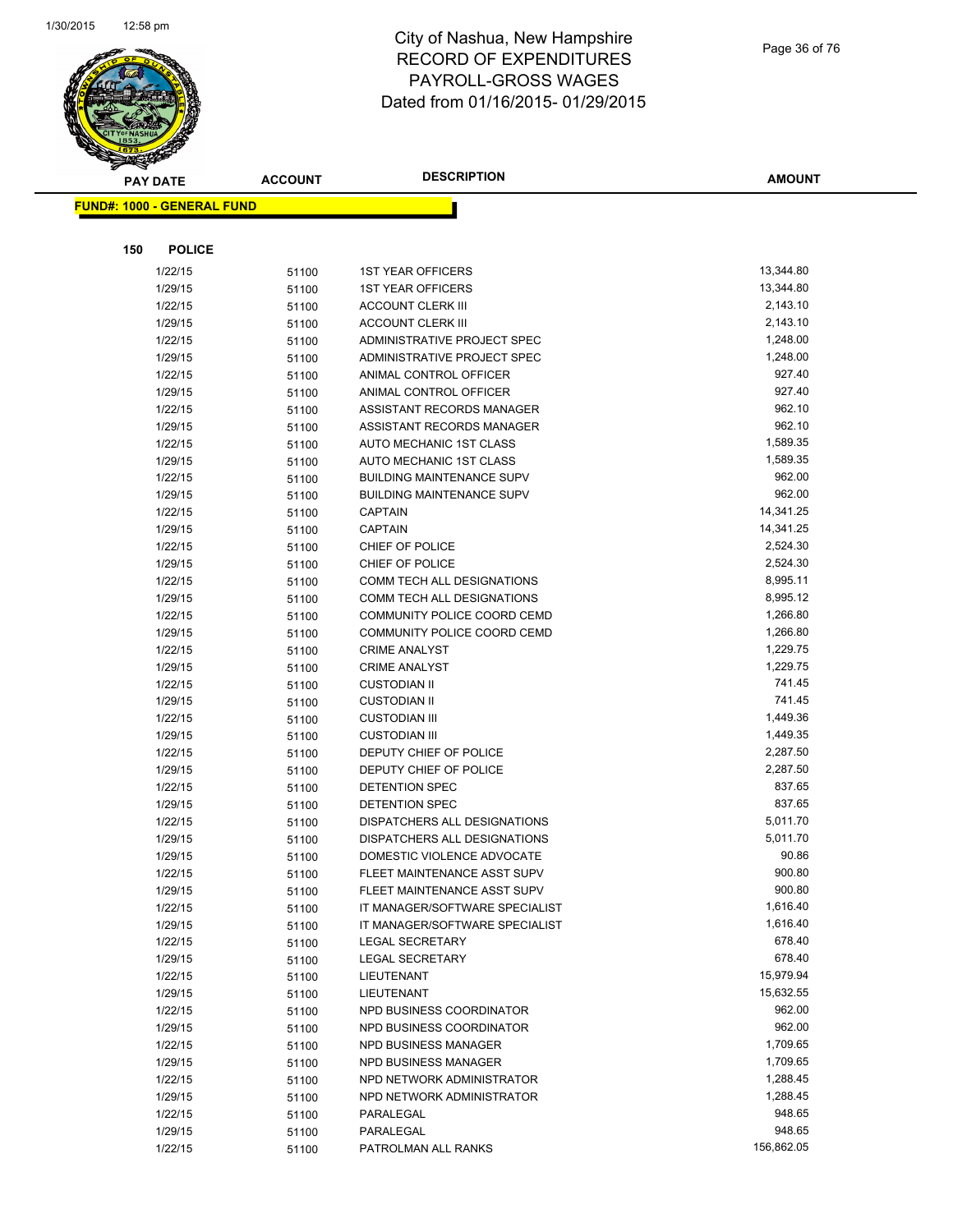

#### City of Nashua, New Hampshire RECORD OF EXPENDITURES PAYROLL-GROSS WAGES Dated from 01/16/2015- 01/29/2015

| <b>PAY DATE</b>                   | <b>ACCOUNT</b> | <b>DESCRIPTION</b>                           | <b>AMOUNT</b>      |
|-----------------------------------|----------------|----------------------------------------------|--------------------|
| <b>FUND#: 1000 - GENERAL FUND</b> |                |                                              |                    |
|                                   |                |                                              |                    |
|                                   |                |                                              |                    |
| 150<br><b>POLICE</b>              |                |                                              |                    |
| 1/22/15                           | 51100          | <b>1ST YEAR OFFICERS</b>                     | 13,344.80          |
| 1/29/15                           | 51100          | <b>1ST YEAR OFFICERS</b>                     | 13,344.80          |
| 1/22/15                           | 51100          | <b>ACCOUNT CLERK III</b>                     | 2,143.10           |
| 1/29/15                           | 51100          | <b>ACCOUNT CLERK III</b>                     | 2,143.10           |
| 1/22/15                           | 51100          | ADMINISTRATIVE PROJECT SPEC                  | 1,248.00           |
| 1/29/15                           | 51100          | ADMINISTRATIVE PROJECT SPEC                  | 1,248.00           |
| 1/22/15                           | 51100          | ANIMAL CONTROL OFFICER                       | 927.40             |
| 1/29/15                           | 51100          | ANIMAL CONTROL OFFICER                       | 927.40             |
| 1/22/15                           | 51100          | ASSISTANT RECORDS MANAGER                    | 962.10             |
| 1/29/15                           | 51100          | ASSISTANT RECORDS MANAGER                    | 962.10             |
| 1/22/15                           | 51100          | AUTO MECHANIC 1ST CLASS                      | 1,589.35           |
| 1/29/15                           | 51100          | AUTO MECHANIC 1ST CLASS                      | 1,589.35           |
| 1/22/15                           | 51100          | <b>BUILDING MAINTENANCE SUPV</b>             | 962.00             |
| 1/29/15                           | 51100          | <b>BUILDING MAINTENANCE SUPV</b>             | 962.00             |
| 1/22/15                           | 51100          | <b>CAPTAIN</b>                               | 14,341.25          |
| 1/29/15                           | 51100          | <b>CAPTAIN</b>                               | 14,341.25          |
| 1/22/15                           | 51100          | CHIEF OF POLICE                              | 2,524.30           |
| 1/29/15                           | 51100          | CHIEF OF POLICE                              | 2,524.30           |
| 1/22/15                           | 51100          | <b>COMM TECH ALL DESIGNATIONS</b>            | 8,995.11           |
| 1/29/15                           | 51100          | COMM TECH ALL DESIGNATIONS                   | 8,995.12           |
| 1/22/15                           | 51100          | COMMUNITY POLICE COORD CEMD                  | 1,266.80           |
| 1/29/15                           | 51100          | COMMUNITY POLICE COORD CEMD                  | 1,266.80           |
| 1/22/15                           | 51100          | <b>CRIME ANALYST</b>                         | 1,229.75           |
| 1/29/15                           | 51100          | <b>CRIME ANALYST</b>                         | 1,229.75           |
| 1/22/15                           | 51100          | <b>CUSTODIAN II</b>                          | 741.45             |
| 1/29/15                           | 51100          | <b>CUSTODIAN II</b>                          | 741.45             |
| 1/22/15                           | 51100          | <b>CUSTODIAN III</b>                         | 1,449.36           |
| 1/29/15                           | 51100          | <b>CUSTODIAN III</b>                         | 1,449.35           |
| 1/22/15                           | 51100          | DEPUTY CHIEF OF POLICE                       | 2,287.50           |
| 1/29/15                           | 51100          | DEPUTY CHIEF OF POLICE                       | 2,287.50           |
| 1/22/15                           | 51100          | DETENTION SPEC                               | 837.65             |
| 1/29/15                           | 51100          | DETENTION SPEC                               | 837.65             |
| 1/22/15                           | 51100          | DISPATCHERS ALL DESIGNATIONS                 | 5,011.70           |
| 1/29/15                           | 51100          | DISPATCHERS ALL DESIGNATIONS                 | 5,011.70           |
| 1/29/15                           | 51100          | DOMESTIC VIOLENCE ADVOCATE                   | 90.86              |
| 1/22/15                           | 51100          | FLEET MAINTENANCE ASST SUPV                  | 900.80             |
| 1/29/15                           | 51100          | FLEET MAINTENANCE ASST SUPV                  | 900.80<br>1,616.40 |
| 1/22/15                           | 51100          | IT MANAGER/SOFTWARE SPECIALIST               | 1,616.40           |
| 1/29/15                           | 51100          | IT MANAGER/SOFTWARE SPECIALIST               | 678.40             |
| 1/22/15                           | 51100          | LEGAL SECRETARY                              | 678.40             |
| 1/29/15                           | 51100          | LEGAL SECRETARY                              | 15,979.94          |
| 1/22/15                           | 51100          | LIEUTENANT                                   | 15,632.55          |
| 1/29/15<br>1/22/15                | 51100          | LIEUTENANT<br>NPD BUSINESS COORDINATOR       | 962.00             |
| 1/29/15                           | 51100          | NPD BUSINESS COORDINATOR                     | 962.00             |
|                                   | 51100          |                                              | 1,709.65           |
| 1/22/15<br>1/29/15                | 51100          | NPD BUSINESS MANAGER<br>NPD BUSINESS MANAGER | 1,709.65           |
|                                   | 51100          | NPD NETWORK ADMINISTRATOR                    | 1,288.45           |
| 1/22/15<br>1/29/15                | 51100          | NPD NETWORK ADMINISTRATOR                    | 1,288.45           |
|                                   | 51100          |                                              | 948.65             |
| 1/22/15                           | 51100          | PARALEGAL                                    | 948.65             |
| 1/29/15                           | 51100          | PARALEGAL                                    | 156,862.05         |
| 1/22/15                           | 51100          | PATROLMAN ALL RANKS                          |                    |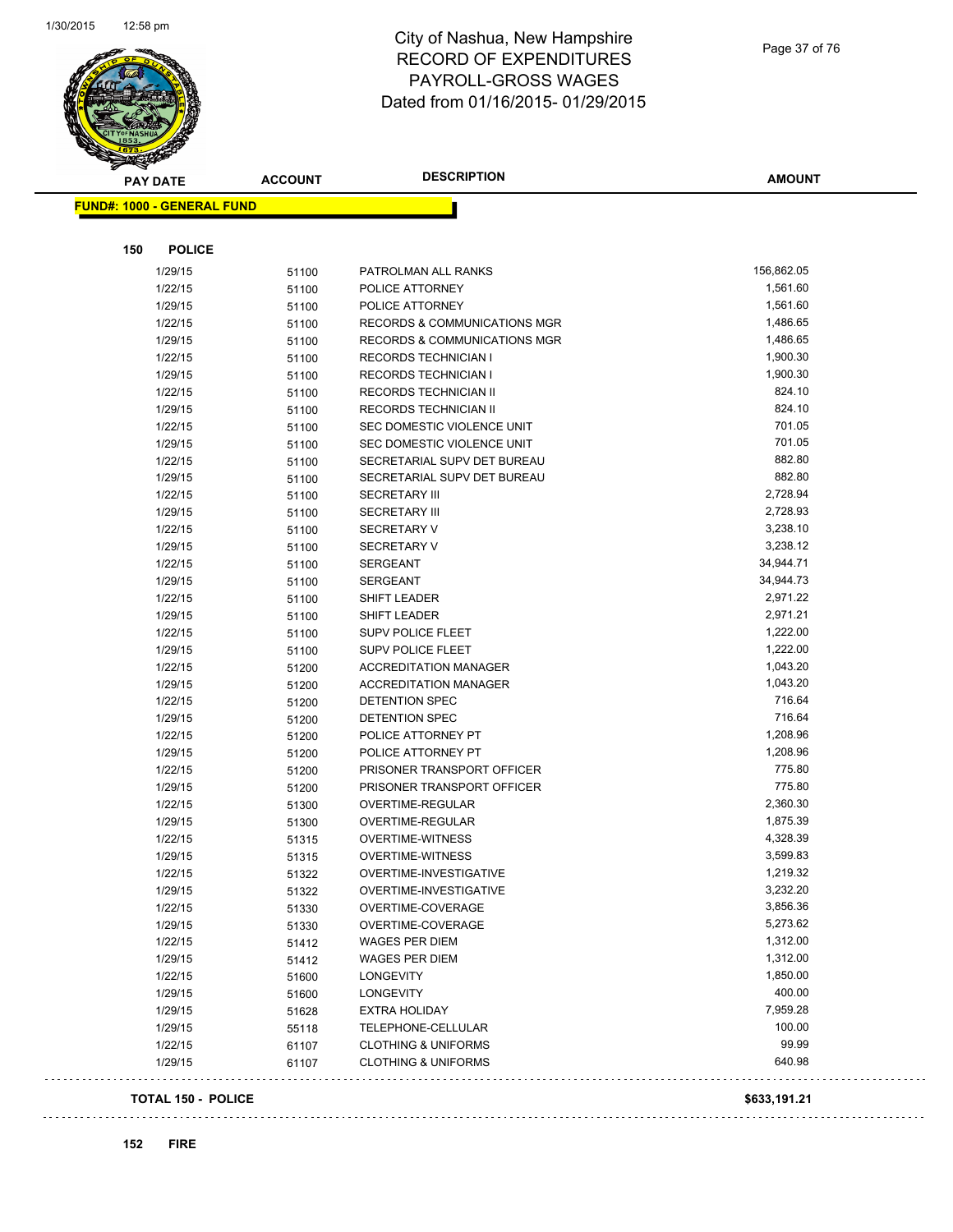

Page 37 of 76

|     | <b>PAY DATE</b>                   | <b>ACCOUNT</b> | <b>DESCRIPTION</b>                      | <b>AMOUNT</b> |
|-----|-----------------------------------|----------------|-----------------------------------------|---------------|
|     | <b>FUND#: 1000 - GENERAL FUND</b> |                |                                         |               |
|     |                                   |                |                                         |               |
| 150 | <b>POLICE</b>                     |                |                                         |               |
|     | 1/29/15                           | 51100          | PATROLMAN ALL RANKS                     | 156,862.05    |
|     | 1/22/15                           | 51100          | POLICE ATTORNEY                         | 1,561.60      |
|     | 1/29/15                           | 51100          | POLICE ATTORNEY                         | 1,561.60      |
|     | 1/22/15                           | 51100          | RECORDS & COMMUNICATIONS MGR            | 1,486.65      |
|     | 1/29/15                           | 51100          | <b>RECORDS &amp; COMMUNICATIONS MGR</b> | 1,486.65      |
|     | 1/22/15                           | 51100          | <b>RECORDS TECHNICIAN I</b>             | 1,900.30      |
|     | 1/29/15                           | 51100          | RECORDS TECHNICIAN I                    | 1,900.30      |
|     | 1/22/15                           | 51100          | RECORDS TECHNICIAN II                   | 824.10        |
|     | 1/29/15                           | 51100          | RECORDS TECHNICIAN II                   | 824.10        |
|     | 1/22/15                           | 51100          | SEC DOMESTIC VIOLENCE UNIT              | 701.05        |
|     | 1/29/15                           | 51100          | SEC DOMESTIC VIOLENCE UNIT              | 701.05        |
|     | 1/22/15                           | 51100          | SECRETARIAL SUPV DET BUREAU             | 882.80        |
|     | 1/29/15                           | 51100          | SECRETARIAL SUPV DET BUREAU             | 882.80        |
|     | 1/22/15                           | 51100          | <b>SECRETARY III</b>                    | 2,728.94      |
|     | 1/29/15                           | 51100          | <b>SECRETARY III</b>                    | 2,728.93      |
|     | 1/22/15                           | 51100          | <b>SECRETARY V</b>                      | 3,238.10      |
|     | 1/29/15                           | 51100          | <b>SECRETARY V</b>                      | 3,238.12      |
|     | 1/22/15                           | 51100          | <b>SERGEANT</b>                         | 34,944.71     |
|     | 1/29/15                           | 51100          | <b>SERGEANT</b>                         | 34,944.73     |
|     | 1/22/15                           | 51100          | SHIFT LEADER                            | 2,971.22      |
|     | 1/29/15                           | 51100          | <b>SHIFT LEADER</b>                     | 2,971.21      |
|     | 1/22/15                           | 51100          | <b>SUPV POLICE FLEET</b>                | 1,222.00      |
|     | 1/29/15                           | 51100          | <b>SUPV POLICE FLEET</b>                | 1,222.00      |
|     | 1/22/15                           | 51200          | <b>ACCREDITATION MANAGER</b>            | 1,043.20      |
|     | 1/29/15                           | 51200          | <b>ACCREDITATION MANAGER</b>            | 1,043.20      |
|     | 1/22/15                           | 51200          | DETENTION SPEC                          | 716.64        |
|     | 1/29/15                           | 51200          | DETENTION SPEC                          | 716.64        |
|     | 1/22/15                           | 51200          | POLICE ATTORNEY PT                      | 1,208.96      |
|     | 1/29/15                           | 51200          | POLICE ATTORNEY PT                      | 1,208.96      |
|     | 1/22/15                           | 51200          | PRISONER TRANSPORT OFFICER              | 775.80        |
|     | 1/29/15                           | 51200          | PRISONER TRANSPORT OFFICER              | 775.80        |
|     | 1/22/15                           | 51300          | OVERTIME-REGULAR                        | 2,360.30      |
|     | 1/29/15                           | 51300          | OVERTIME-REGULAR                        | 1,875.39      |
|     | 1/22/15                           | 51315          | OVERTIME-WITNESS                        | 4,328.39      |
|     | 1/29/15                           | 51315          | <b>OVERTIME-WITNESS</b>                 | 3,599.83      |
|     | 1/22/15                           | 51322          | OVERTIME-INVESTIGATIVE                  | 1,219.32      |
|     | 1/29/15                           | 51322          | OVERTIME-INVESTIGATIVE                  | 3,232.20      |
|     | 1/22/15                           | 51330          | OVERTIME-COVERAGE                       | 3,856.36      |
|     | 1/29/15                           | 51330          | OVERTIME-COVERAGE                       | 5,273.62      |
|     | 1/22/15                           | 51412          | <b>WAGES PER DIEM</b>                   | 1,312.00      |
|     | 1/29/15                           | 51412          | <b>WAGES PER DIEM</b>                   | 1,312.00      |
|     | 1/22/15                           | 51600          | <b>LONGEVITY</b>                        | 1,850.00      |
|     | 1/29/15                           | 51600          | LONGEVITY                               | 400.00        |
|     | 1/29/15                           | 51628          | <b>EXTRA HOLIDAY</b>                    | 7,959.28      |
|     | 1/29/15                           | 55118          | TELEPHONE-CELLULAR                      | 100.00        |
|     | 1/22/15                           | 61107          | <b>CLOTHING &amp; UNIFORMS</b>          | 99.99         |
|     | 1/29/15                           | 61107          | <b>CLOTHING &amp; UNIFORMS</b>          | 640.98        |
|     | <b>TOTAL 150 - POLICE</b>         |                |                                         | \$633,191.21  |

 $\mathbb{Z}^2$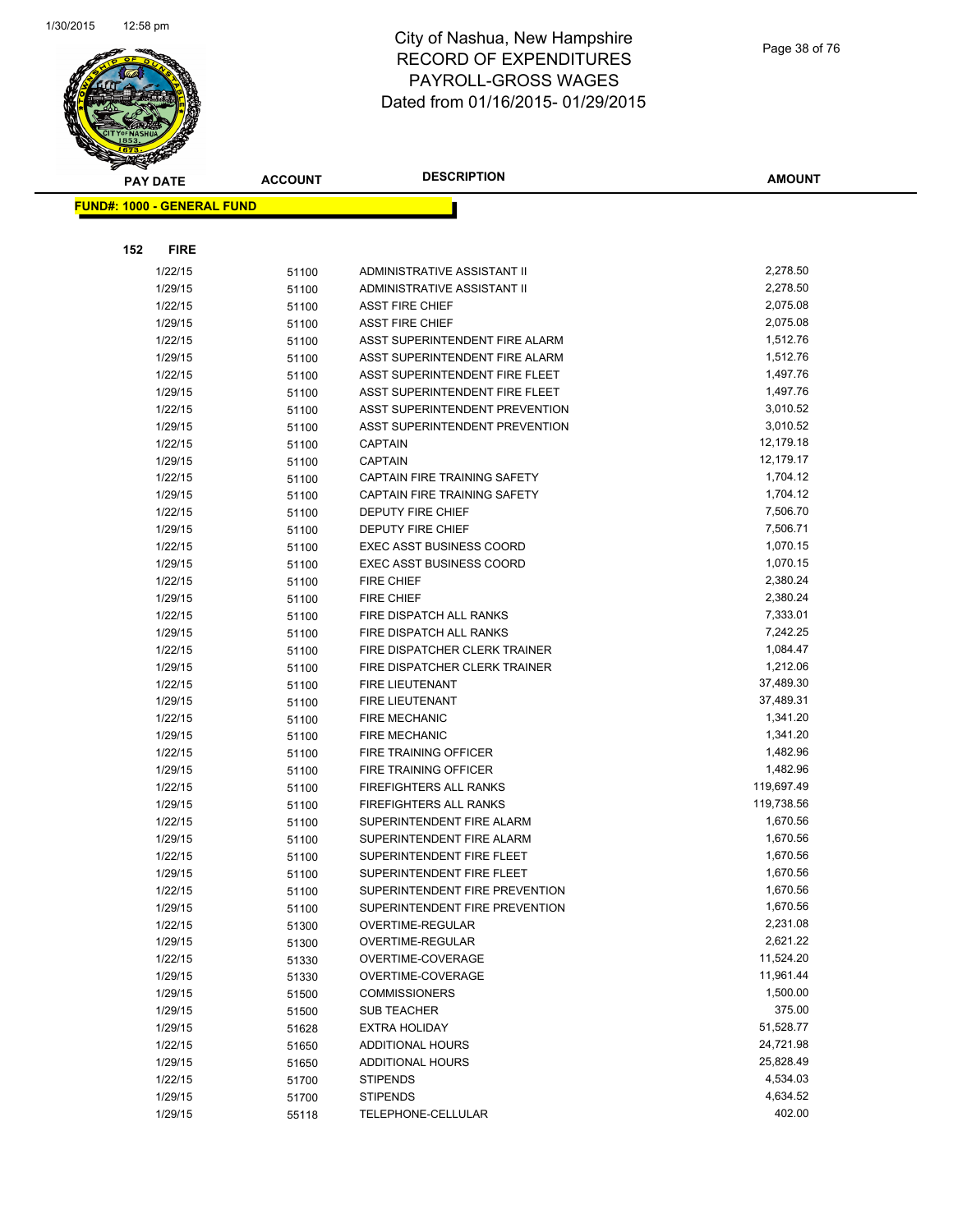

|                                   | <b>PAY DATE</b> | <b>ACCOUNT</b> | <b>DESCRIPTION</b>              | <b>AMOUNT</b> |
|-----------------------------------|-----------------|----------------|---------------------------------|---------------|
| <b>FUND#: 1000 - GENERAL FUND</b> |                 |                |                                 |               |
|                                   |                 |                |                                 |               |
|                                   |                 |                |                                 |               |
| 152                               | <b>FIRE</b>     |                |                                 |               |
|                                   | 1/22/15         | 51100          | ADMINISTRATIVE ASSISTANT II     | 2,278.50      |
|                                   | 1/29/15         | 51100          | ADMINISTRATIVE ASSISTANT II     | 2,278.50      |
|                                   | 1/22/15         | 51100          | <b>ASST FIRE CHIEF</b>          | 2,075.08      |
|                                   | 1/29/15         | 51100          | <b>ASST FIRE CHIEF</b>          | 2,075.08      |
|                                   | 1/22/15         | 51100          | ASST SUPERINTENDENT FIRE ALARM  | 1,512.76      |
|                                   | 1/29/15         | 51100          | ASST SUPERINTENDENT FIRE ALARM  | 1,512.76      |
|                                   | 1/22/15         | 51100          | ASST SUPERINTENDENT FIRE FLEET  | 1,497.76      |
|                                   | 1/29/15         | 51100          | ASST SUPERINTENDENT FIRE FLEET  | 1,497.76      |
|                                   | 1/22/15         | 51100          | ASST SUPERINTENDENT PREVENTION  | 3,010.52      |
|                                   | 1/29/15         | 51100          | ASST SUPERINTENDENT PREVENTION  | 3,010.52      |
|                                   | 1/22/15         | 51100          | <b>CAPTAIN</b>                  | 12,179.18     |
|                                   | 1/29/15         | 51100          | <b>CAPTAIN</b>                  | 12,179.17     |
|                                   | 1/22/15         | 51100          | CAPTAIN FIRE TRAINING SAFETY    | 1,704.12      |
|                                   | 1/29/15         | 51100          | CAPTAIN FIRE TRAINING SAFETY    | 1,704.12      |
|                                   | 1/22/15         | 51100          | DEPUTY FIRE CHIEF               | 7,506.70      |
|                                   | 1/29/15         | 51100          | DEPUTY FIRE CHIEF               | 7,506.71      |
|                                   | 1/22/15         | 51100          | <b>EXEC ASST BUSINESS COORD</b> | 1,070.15      |
|                                   | 1/29/15         | 51100          | <b>EXEC ASST BUSINESS COORD</b> | 1,070.15      |
|                                   | 1/22/15         | 51100          | <b>FIRE CHIEF</b>               | 2,380.24      |
|                                   | 1/29/15         | 51100          | <b>FIRE CHIEF</b>               | 2,380.24      |
|                                   | 1/22/15         | 51100          | FIRE DISPATCH ALL RANKS         | 7,333.01      |
|                                   | 1/29/15         | 51100          | FIRE DISPATCH ALL RANKS         | 7,242.25      |
|                                   | 1/22/15         | 51100          | FIRE DISPATCHER CLERK TRAINER   | 1,084.47      |
|                                   | 1/29/15         | 51100          | FIRE DISPATCHER CLERK TRAINER   | 1,212.06      |
|                                   | 1/22/15         | 51100          | FIRE LIEUTENANT                 | 37,489.30     |
|                                   | 1/29/15         | 51100          | FIRE LIEUTENANT                 | 37,489.31     |
|                                   | 1/22/15         | 51100          | <b>FIRE MECHANIC</b>            | 1,341.20      |
|                                   | 1/29/15         | 51100          | <b>FIRE MECHANIC</b>            | 1,341.20      |
|                                   | 1/22/15         | 51100          | FIRE TRAINING OFFICER           | 1,482.96      |
|                                   | 1/29/15         | 51100          | FIRE TRAINING OFFICER           | 1,482.96      |
|                                   | 1/22/15         | 51100          | <b>FIREFIGHTERS ALL RANKS</b>   | 119,697.49    |
|                                   | 1/29/15         | 51100          | <b>FIREFIGHTERS ALL RANKS</b>   | 119,738.56    |
|                                   | 1/22/15         | 51100          | SUPERINTENDENT FIRE ALARM       | 1,670.56      |
|                                   | 1/29/15         | 51100          | SUPERINTENDENT FIRE ALARM       | 1,670.56      |
|                                   | 1/22/15         | 51100          | SUPERINTENDENT FIRE FLEET       | 1,670.56      |
|                                   | 1/29/15         | 51100          | SUPERINTENDENT FIRE FLEET       | 1,670.56      |
|                                   | 1/22/15         | 51100          | SUPERINTENDENT FIRE PREVENTION  | 1,670.56      |
|                                   | 1/29/15         | 51100          | SUPERINTENDENT FIRE PREVENTION  | 1,670.56      |
|                                   | 1/22/15         | 51300          | OVERTIME-REGULAR                | 2,231.08      |
|                                   | 1/29/15         | 51300          | OVERTIME-REGULAR                | 2,621.22      |
|                                   | 1/22/15         | 51330          | OVERTIME-COVERAGE               | 11,524.20     |
|                                   | 1/29/15         | 51330          | OVERTIME-COVERAGE               | 11,961.44     |
|                                   | 1/29/15         | 51500          | <b>COMMISSIONERS</b>            | 1,500.00      |
|                                   | 1/29/15         | 51500          | <b>SUB TEACHER</b>              | 375.00        |
|                                   | 1/29/15         | 51628          | <b>EXTRA HOLIDAY</b>            | 51,528.77     |
|                                   | 1/22/15         | 51650          | <b>ADDITIONAL HOURS</b>         | 24,721.98     |
|                                   | 1/29/15         | 51650          | ADDITIONAL HOURS                | 25,828.49     |
|                                   | 1/22/15         | 51700          | <b>STIPENDS</b>                 | 4,534.03      |
|                                   | 1/29/15         | 51700          | <b>STIPENDS</b>                 | 4,634.52      |
|                                   | 1/29/15         | 55118          | TELEPHONE-CELLULAR              | 402.00        |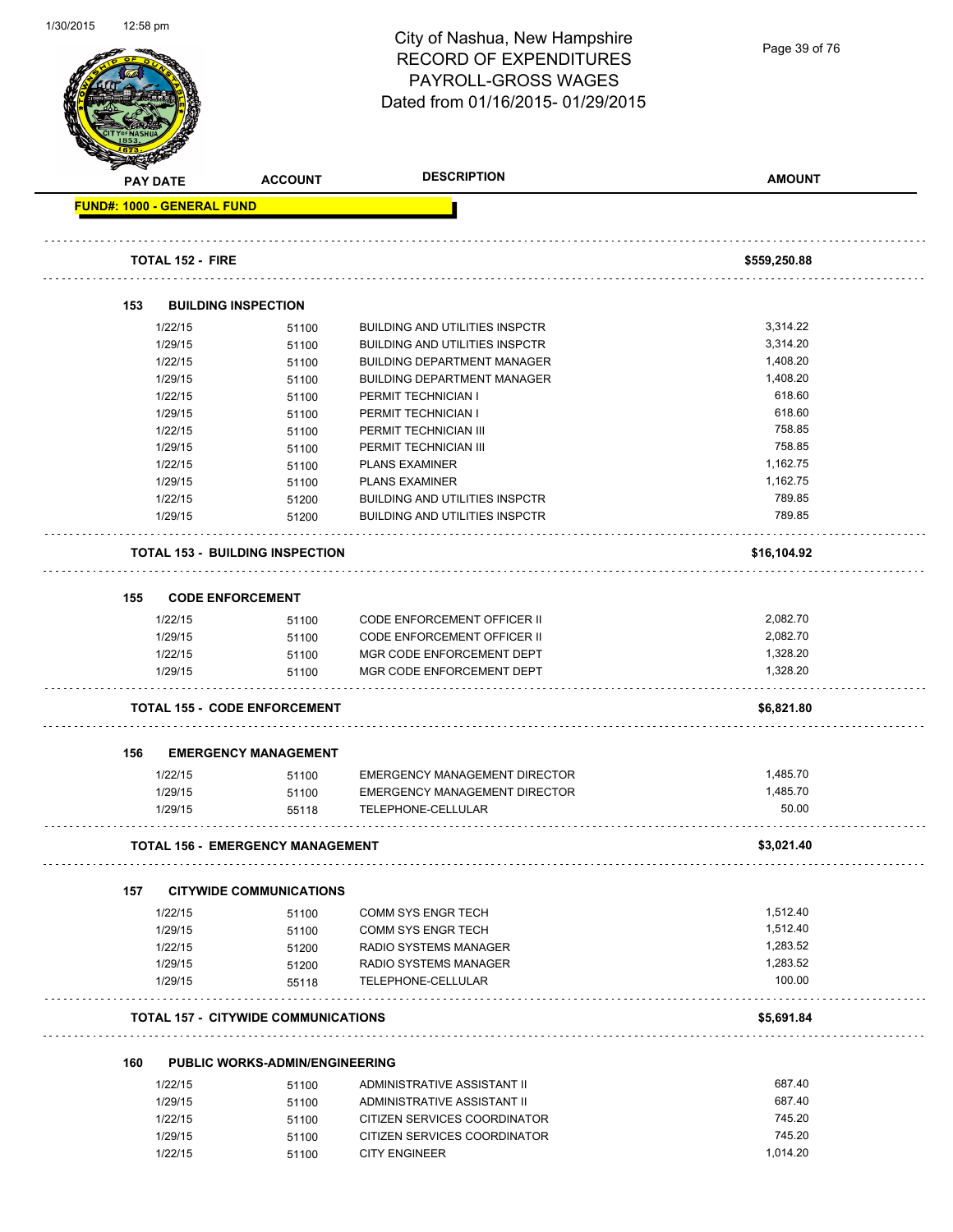| 1/30/2015 | 12:58 pm |                         |                                            | City of Nashua, New Hampshire<br><b>RECORD OF EXPENDITURES</b><br>PAYROLL-GROSS WAGES<br>Dated from 01/16/2015-01/29/2015 | Page 39 of 76 |
|-----------|----------|-------------------------|--------------------------------------------|---------------------------------------------------------------------------------------------------------------------------|---------------|
|           |          | <b>PAY DATE</b>         | <b>ACCOUNT</b>                             | <b>DESCRIPTION</b>                                                                                                        | <b>AMOUNT</b> |
|           |          |                         | <b>FUND#: 1000 - GENERAL FUND</b>          |                                                                                                                           |               |
|           |          |                         |                                            |                                                                                                                           |               |
|           |          | <b>TOTAL 152 - FIRE</b> |                                            |                                                                                                                           | \$559,250.88  |
|           | 153      |                         | <b>BUILDING INSPECTION</b>                 |                                                                                                                           |               |
|           |          | 1/22/15                 | 51100                                      | <b>BUILDING AND UTILITIES INSPCTR</b>                                                                                     | 3,314.22      |
|           |          | 1/29/15                 | 51100                                      | <b>BUILDING AND UTILITIES INSPCTR</b>                                                                                     | 3,314.20      |
|           |          | 1/22/15                 |                                            | <b>BUILDING DEPARTMENT MANAGER</b>                                                                                        | 1,408.20      |
|           |          |                         | 51100                                      |                                                                                                                           | 1,408.20      |
|           |          | 1/29/15                 | 51100                                      | <b>BUILDING DEPARTMENT MANAGER</b>                                                                                        | 618.60        |
|           |          | 1/22/15                 | 51100                                      | PERMIT TECHNICIAN I                                                                                                       | 618.60        |
|           |          | 1/29/15                 | 51100                                      | PERMIT TECHNICIAN I                                                                                                       | 758.85        |
|           |          | 1/22/15                 | 51100                                      | PERMIT TECHNICIAN III                                                                                                     |               |
|           |          | 1/29/15                 | 51100                                      | PERMIT TECHNICIAN III                                                                                                     | 758.85        |
|           |          | 1/22/15                 | 51100                                      | <b>PLANS EXAMINER</b>                                                                                                     | 1,162.75      |
|           |          | 1/29/15                 | 51100                                      | <b>PLANS EXAMINER</b>                                                                                                     | 1,162.75      |
|           |          | 1/22/15                 | 51200                                      | <b>BUILDING AND UTILITIES INSPCTR</b>                                                                                     | 789.85        |
|           |          | 1/29/15                 | 51200                                      | <b>BUILDING AND UTILITIES INSPCTR</b>                                                                                     | 789.85        |
|           |          |                         | <b>TOTAL 153 - BUILDING INSPECTION</b>     |                                                                                                                           | \$16,104.92   |
|           | 155      |                         | <b>CODE ENFORCEMENT</b>                    |                                                                                                                           |               |
|           |          | 1/22/15                 | 51100                                      | <b>CODE ENFORCEMENT OFFICER II</b>                                                                                        | 2,082.70      |
|           |          | 1/29/15                 | 51100                                      | CODE ENFORCEMENT OFFICER II                                                                                               | 2,082.70      |
|           |          | 1/22/15                 | 51100                                      | MGR CODE ENFORCEMENT DEPT                                                                                                 | 1,328.20      |
|           |          | 1/29/15                 | 51100                                      | MGR CODE ENFORCEMENT DEPT                                                                                                 | 1,328.20      |
|           |          |                         |                                            |                                                                                                                           |               |
|           |          |                         | <b>TOTAL 155 - CODE ENFORCEMENT</b>        |                                                                                                                           | \$6,821.80    |
|           | 156      |                         | <b>EMERGENCY MANAGEMENT</b>                |                                                                                                                           |               |
|           |          | 1/22/15                 | 51100                                      | <b>EMERGENCY MANAGEMENT DIRECTOR</b>                                                                                      | 1,485.70      |
|           |          | 1/29/15                 | 51100                                      | <b>EMERGENCY MANAGEMENT DIRECTOR</b>                                                                                      | 1,485.70      |
|           |          | 1/29/15                 | 55118                                      | TELEPHONE-CELLULAR                                                                                                        | 50.00         |
|           |          |                         | <b>TOTAL 156 - EMERGENCY MANAGEMENT</b>    |                                                                                                                           | \$3,021.40    |
|           | 157      |                         | <b>CITYWIDE COMMUNICATIONS</b>             |                                                                                                                           |               |
|           |          |                         |                                            |                                                                                                                           |               |
|           |          | 1/22/15                 | 51100                                      | <b>COMM SYS ENGR TECH</b>                                                                                                 | 1,512.40      |
|           |          | 1/29/15                 | 51100                                      | <b>COMM SYS ENGR TECH</b>                                                                                                 | 1,512.40      |
|           |          | 1/22/15                 | 51200                                      | RADIO SYSTEMS MANAGER                                                                                                     | 1,283.52      |
|           |          | 1/29/15                 | 51200                                      | RADIO SYSTEMS MANAGER                                                                                                     | 1,283.52      |
|           |          | 1/29/15                 | 55118                                      | TELEPHONE-CELLULAR                                                                                                        | 100.00        |
|           |          |                         | <b>TOTAL 157 - CITYWIDE COMMUNICATIONS</b> |                                                                                                                           | \$5,691.84    |
|           | 160      |                         | <b>PUBLIC WORKS-ADMIN/ENGINEERING</b>      |                                                                                                                           |               |
|           |          | 1/22/15                 | 51100                                      | ADMINISTRATIVE ASSISTANT II                                                                                               | 687.40        |
|           |          | 1/29/15                 | 51100                                      | ADMINISTRATIVE ASSISTANT II                                                                                               | 687.40        |
|           |          | 1/22/15                 | 51100                                      | CITIZEN SERVICES COORDINATOR                                                                                              | 745.20        |
|           |          | 1/29/15                 | 51100                                      | CITIZEN SERVICES COORDINATOR                                                                                              | 745.20        |
|           |          | 1/22/15                 | 51100                                      | <b>CITY ENGINEER</b>                                                                                                      | 1,014.20      |
|           |          |                         |                                            |                                                                                                                           |               |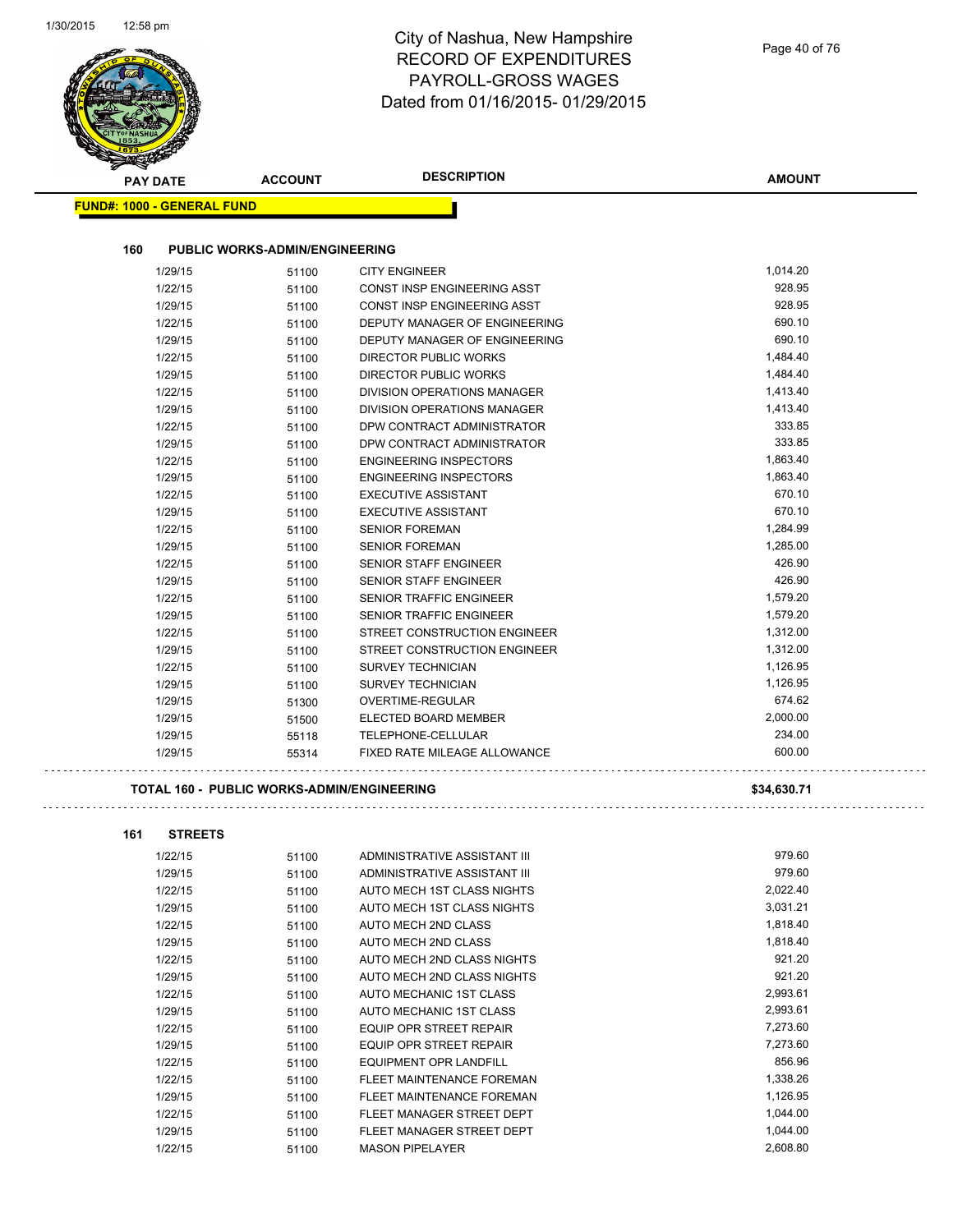| <b>PAY DATE</b>                   | <b>ACCOUNT</b>                             | <b>DESCRIPTION</b>                   | <b>AMOUNT</b> |
|-----------------------------------|--------------------------------------------|--------------------------------------|---------------|
| <b>FUND#: 1000 - GENERAL FUND</b> |                                            |                                      |               |
| 160                               | <b>PUBLIC WORKS-ADMIN/ENGINEERING</b>      |                                      |               |
| 1/29/15                           | 51100                                      | <b>CITY ENGINEER</b>                 | 1,014.20      |
| 1/22/15                           | 51100                                      | CONST INSP ENGINEERING ASST          | 928.95        |
| 1/29/15                           | 51100                                      | CONST INSP ENGINEERING ASST          | 928.95        |
| 1/22/15                           | 51100                                      | DEPUTY MANAGER OF ENGINEERING        | 690.10        |
| 1/29/15                           | 51100                                      | <b>DEPUTY MANAGER OF ENGINEERING</b> | 690.10        |
| 1/22/15                           | 51100                                      | <b>DIRECTOR PUBLIC WORKS</b>         | 1,484.40      |
| 1/29/15                           | 51100                                      | DIRECTOR PUBLIC WORKS                | 1,484.40      |
| 1/22/15                           | 51100                                      | DIVISION OPERATIONS MANAGER          | 1,413.40      |
| 1/29/15                           | 51100                                      | DIVISION OPERATIONS MANAGER          | 1,413.40      |
| 1/22/15                           | 51100                                      | DPW CONTRACT ADMINISTRATOR           | 333.85        |
| 1/29/15                           | 51100                                      | DPW CONTRACT ADMINISTRATOR           | 333.85        |
| 1/22/15                           | 51100                                      | <b>ENGINEERING INSPECTORS</b>        | 1,863.40      |
| 1/29/15                           | 51100                                      | <b>ENGINEERING INSPECTORS</b>        | 1,863.40      |
| 1/22/15                           | 51100                                      | <b>EXECUTIVE ASSISTANT</b>           | 670.10        |
| 1/29/15                           | 51100                                      | <b>EXECUTIVE ASSISTANT</b>           | 670.10        |
| 1/22/15                           | 51100                                      | <b>SENIOR FOREMAN</b>                | 1,284.99      |
| 1/29/15                           | 51100                                      | <b>SENIOR FOREMAN</b>                | 1,285.00      |
| 1/22/15                           | 51100                                      | SENIOR STAFF ENGINEER                | 426.90        |
| 1/29/15                           | 51100                                      | <b>SENIOR STAFF ENGINEER</b>         | 426.90        |
| 1/22/15                           | 51100                                      | SENIOR TRAFFIC ENGINEER              | 1,579.20      |
| 1/29/15                           | 51100                                      | SENIOR TRAFFIC ENGINEER              | 1,579.20      |
| 1/22/15                           | 51100                                      | STREET CONSTRUCTION ENGINEER         | 1,312.00      |
| 1/29/15                           | 51100                                      | STREET CONSTRUCTION ENGINEER         | 1,312.00      |
| 1/22/15                           | 51100                                      | <b>SURVEY TECHNICIAN</b>             | 1,126.95      |
| 1/29/15                           | 51100                                      | <b>SURVEY TECHNICIAN</b>             | 1,126.95      |
| 1/29/15                           | 51300                                      | <b>OVERTIME-REGULAR</b>              | 674.62        |
| 1/29/15                           | 51500                                      | ELECTED BOARD MEMBER                 | 2,000.00      |
| 1/29/15                           | 55118                                      | TELEPHONE-CELLULAR                   | 234.00        |
| 1/29/15                           | 55314                                      | FIXED RATE MILEAGE ALLOWANCE         | 600.00        |
|                                   | TOTAL 160 - PUBLIC WORKS-ADMIN/ENGINEERING |                                      | \$34,630.71   |
| <b>STREETS</b><br>161             |                                            |                                      |               |
| 1/22/15                           | 51100                                      | ADMINISTRATIVE ASSISTANT III         | 979.60        |
| 1/29/15                           | 51100                                      | ADMINISTRATIVE ASSISTANT III         | 979.60        |
| 1/22/15                           | 51100                                      | AUTO MECH 1ST CLASS NIGHTS           | 2,022.40      |
| 1/29/15                           | 51100                                      | AUTO MECH 1ST CLASS NIGHTS           | 3,031.21      |

|         | <u>JI IUU</u> |                               |          |
|---------|---------------|-------------------------------|----------|
| 1/29/15 | 51100         | AUTO MECH 1ST CLASS NIGHTS    | 3,031.21 |
| 1/22/15 | 51100         | AUTO MECH 2ND CLASS           | 1,818.40 |
| 1/29/15 | 51100         | AUTO MECH 2ND CLASS           | 1,818.40 |
| 1/22/15 | 51100         | AUTO MECH 2ND CLASS NIGHTS    | 921.20   |
| 1/29/15 | 51100         | AUTO MECH 2ND CLASS NIGHTS    | 921.20   |
| 1/22/15 | 51100         | AUTO MECHANIC 1ST CLASS       | 2,993.61 |
| 1/29/15 | 51100         | AUTO MECHANIC 1ST CLASS       | 2,993.61 |
| 1/22/15 | 51100         | EQUIP OPR STREET REPAIR       | 7,273.60 |
| 1/29/15 | 51100         | EQUIP OPR STREET REPAIR       | 7,273.60 |
| 1/22/15 | 51100         | <b>EQUIPMENT OPR LANDFILL</b> | 856.96   |
| 1/22/15 | 51100         | FLEET MAINTENANCE FOREMAN     | 1,338.26 |
| 1/29/15 | 51100         | FLEET MAINTENANCE FOREMAN     | 1,126.95 |
| 1/22/15 | 51100         | FLEET MANAGER STREET DEPT     | 1.044.00 |
| 1/29/15 | 51100         | FLEET MANAGER STREET DEPT     | 1,044.00 |
| 1/22/15 | 51100         | <b>MASON PIPELAYER</b>        | 2.608.80 |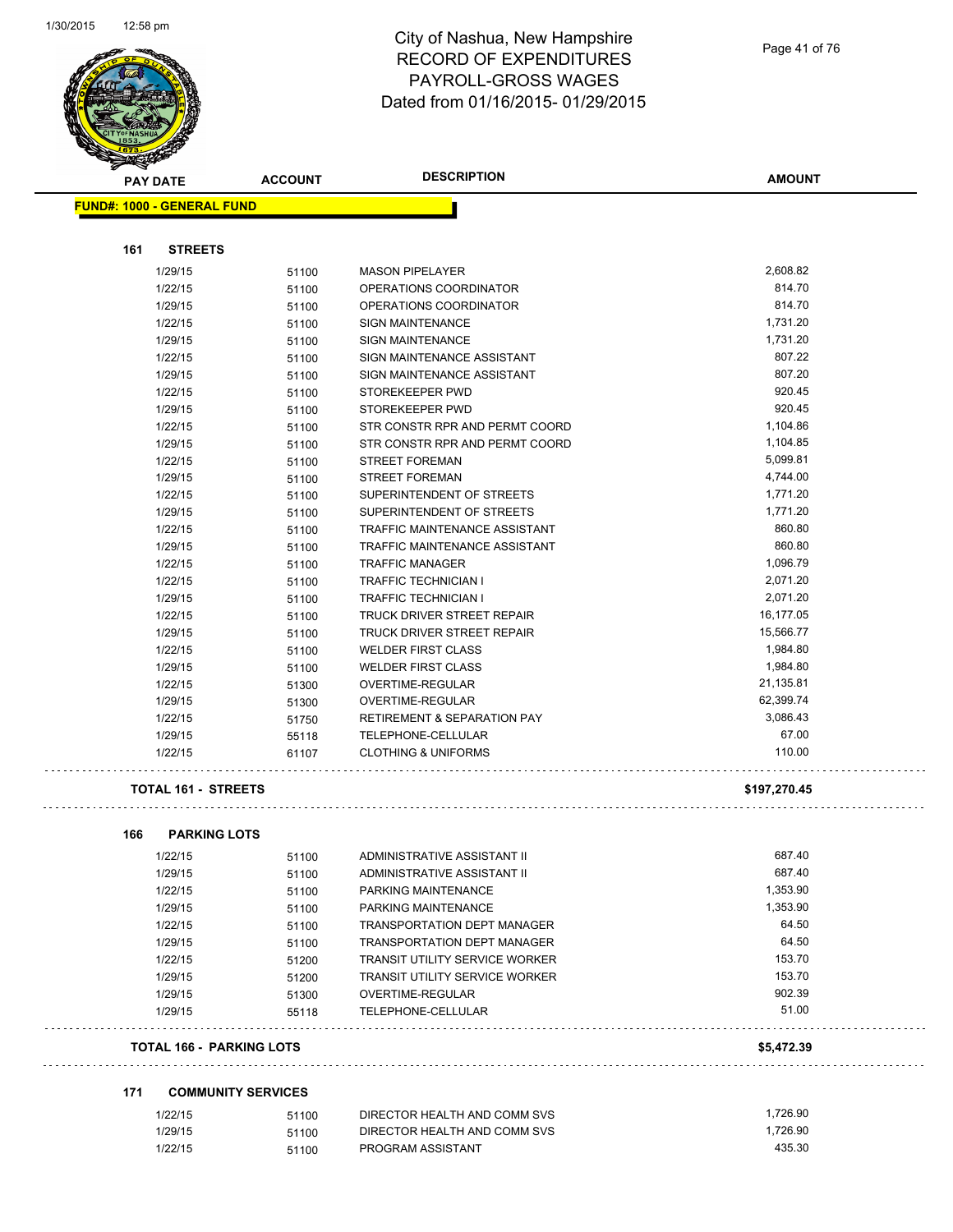

# City of Nashua, New Hampshire RECORD OF EXPENDITURES PAYROLL-GROSS WAGES Dated from 01/16/2015- 01/29/2015

| <b>PAY DATE</b>                   | <b>ACCOUNT</b> | <b>DESCRIPTION</b>                     | <b>AMOUNT</b> |
|-----------------------------------|----------------|----------------------------------------|---------------|
| <b>FUND#: 1000 - GENERAL FUND</b> |                |                                        |               |
| 161<br><b>STREETS</b>             |                |                                        |               |
| 1/29/15                           | 51100          | <b>MASON PIPELAYER</b>                 | 2,608.82      |
| 1/22/15                           | 51100          | OPERATIONS COORDINATOR                 | 814.70        |
| 1/29/15                           | 51100          | OPERATIONS COORDINATOR                 | 814.70        |
| 1/22/15                           | 51100          | <b>SIGN MAINTENANCE</b>                | 1,731.20      |
| 1/29/15                           | 51100          | SIGN MAINTENANCE                       | 1,731.20      |
| 1/22/15                           | 51100          | SIGN MAINTENANCE ASSISTANT             | 807.22        |
| 1/29/15                           | 51100          | SIGN MAINTENANCE ASSISTANT             | 807.20        |
| 1/22/15                           | 51100          | STOREKEEPER PWD                        | 920.45        |
| 1/29/15                           | 51100          | STOREKEEPER PWD                        | 920.45        |
| 1/22/15                           | 51100          | STR CONSTR RPR AND PERMT COORD         | 1,104.86      |
| 1/29/15                           | 51100          | STR CONSTR RPR AND PERMT COORD         | 1,104.85      |
| 1/22/15                           | 51100          | STREET FOREMAN                         | 5,099.81      |
| 1/29/15                           | 51100          | <b>STREET FOREMAN</b>                  | 4,744.00      |
| 1/22/15                           | 51100          | SUPERINTENDENT OF STREETS              | 1,771.20      |
| 1/29/15                           | 51100          | SUPERINTENDENT OF STREETS              | 1,771.20      |
| 1/22/15                           | 51100          | TRAFFIC MAINTENANCE ASSISTANT          | 860.80        |
| 1/29/15                           | 51100          | TRAFFIC MAINTENANCE ASSISTANT          | 860.80        |
| 1/22/15                           | 51100          | <b>TRAFFIC MANAGER</b>                 | 1,096.79      |
| 1/22/15                           | 51100          | <b>TRAFFIC TECHNICIAN I</b>            | 2,071.20      |
| 1/29/15                           | 51100          | TRAFFIC TECHNICIAN I                   | 2,071.20      |
| 1/22/15                           | 51100          | TRUCK DRIVER STREET REPAIR             | 16,177.05     |
| 1/29/15                           | 51100          | TRUCK DRIVER STREET REPAIR             | 15,566.77     |
| 1/22/15                           | 51100          | <b>WELDER FIRST CLASS</b>              | 1,984.80      |
| 1/29/15                           | 51100          | <b>WELDER FIRST CLASS</b>              | 1,984.80      |
| 1/22/15                           |                | OVERTIME-REGULAR                       | 21,135.81     |
| 1/29/15                           | 51300<br>51300 | OVERTIME-REGULAR                       | 62,399.74     |
| 1/22/15                           |                | <b>RETIREMENT &amp; SEPARATION PAY</b> | 3,086.43      |
| 1/29/15                           | 51750          | TELEPHONE-CELLULAR                     | 67.00         |
| 1/22/15                           | 55118<br>61107 | <b>CLOTHING &amp; UNIFORMS</b>         | 110.00        |
| <b>TOTAL 161 - STREETS</b>        |                |                                        | \$197,270.45  |
|                                   |                |                                        |               |
| 166<br><b>PARKING LOTS</b>        |                |                                        |               |
| 1/22/15                           | 51100          | ADMINISTRATIVE ASSISTANT II            | 687.40        |
| 1/29/15                           | 51100          | ADMINISTRATIVE ASSISTANT II            | 687.40        |
| 1/22/15                           | 51100          | PARKING MAINTENANCE                    | 1,353.90      |
| 1/29/15                           | 51100          | PARKING MAINTENANCE                    | 1,353.90      |
| 1/22/15                           | 51100          | <b>TRANSPORTATION DEPT MANAGER</b>     | 64.50         |
| 1/29/15                           | 51100          | <b>TRANSPORTATION DEPT MANAGER</b>     | 64.50         |
| 1/22/15                           | 51200          | <b>TRANSIT UTILITY SERVICE WORKER</b>  | 153.70        |

**TOTAL 166 - PARKING LOTS \$5,472.39** 

| 171 | <b>COMMUNITY SERVICES</b> |  |
|-----|---------------------------|--|
|     |                           |  |

| 1/22/15 | 51100 | DIRECTOR HEALTH AND COMM SVS | 1.726.90 |
|---------|-------|------------------------------|----------|
| 1/29/15 | 51100 | DIRECTOR HEALTH AND COMM SVS | 1.726.90 |
| 1/22/15 | 51100 | PROGRAM ASSISTANT            | 435.30   |

1/29/15 51200 TRANSIT UTILITY SERVICE WORKER 153.70 1/29/15 51300 OVERTIME-REGULAR 902.39 1/29/15 55118 TELEPHONE-CELLULAR 51.00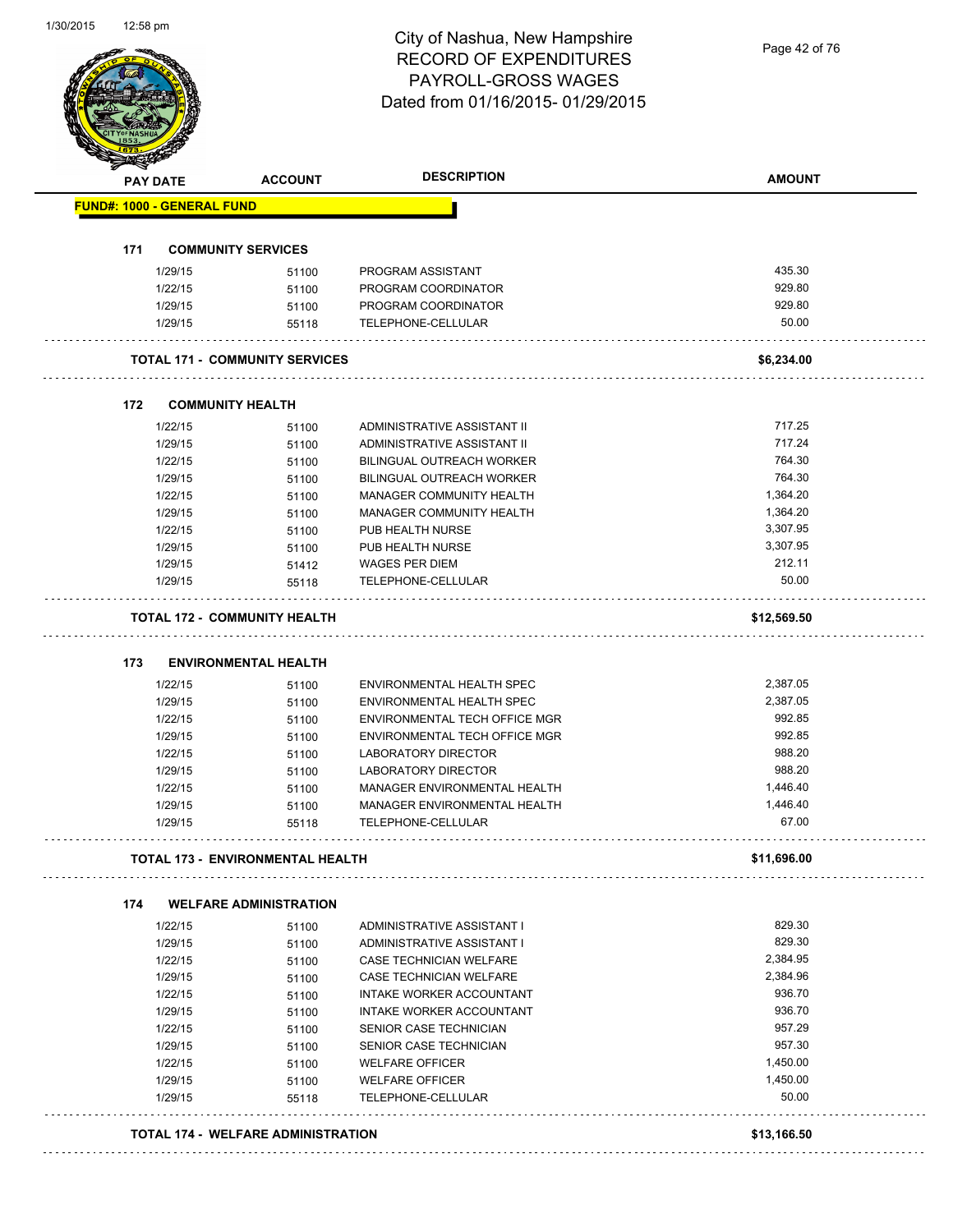Page 42 of 76

| 171 | <b>FUND#: 1000 - GENERAL FUND</b> |                                         |                                                            |                    |
|-----|-----------------------------------|-----------------------------------------|------------------------------------------------------------|--------------------|
|     |                                   |                                         |                                                            |                    |
|     |                                   | <b>COMMUNITY SERVICES</b>               |                                                            |                    |
|     | 1/29/15                           | 51100                                   | PROGRAM ASSISTANT                                          | 435.30             |
|     | 1/22/15                           | 51100                                   | PROGRAM COORDINATOR                                        | 929.80             |
|     | 1/29/15                           | 51100                                   | PROGRAM COORDINATOR                                        | 929.80             |
|     | 1/29/15                           | 55118                                   | TELEPHONE-CELLULAR                                         | 50.00              |
|     |                                   | <b>TOTAL 171 - COMMUNITY SERVICES</b>   |                                                            | \$6,234.00         |
| 172 |                                   |                                         |                                                            |                    |
|     |                                   | <b>COMMUNITY HEALTH</b>                 |                                                            |                    |
|     | 1/22/15<br>1/29/15                | 51100                                   | ADMINISTRATIVE ASSISTANT II<br>ADMINISTRATIVE ASSISTANT II | 717.25<br>717.24   |
|     | 1/22/15                           | 51100<br>51100                          | <b>BILINGUAL OUTREACH WORKER</b>                           | 764.30             |
|     | 1/29/15                           | 51100                                   | <b>BILINGUAL OUTREACH WORKER</b>                           | 764.30             |
|     | 1/22/15                           | 51100                                   | MANAGER COMMUNITY HEALTH                                   | 1,364.20           |
|     | 1/29/15                           | 51100                                   | MANAGER COMMUNITY HEALTH                                   | 1,364.20           |
|     | 1/22/15                           | 51100                                   | PUB HEALTH NURSE                                           | 3,307.95           |
|     | 1/29/15                           | 51100                                   | PUB HEALTH NURSE                                           | 3,307.95           |
|     | 1/29/15                           | 51412                                   | WAGES PER DIEM                                             | 212.11             |
|     | 1/29/15                           | 55118                                   | TELEPHONE-CELLULAR                                         | 50.00              |
|     |                                   | <b>TOTAL 172 - COMMUNITY HEALTH</b>     |                                                            | \$12,569.50        |
|     |                                   |                                         |                                                            |                    |
| 173 |                                   | <b>ENVIRONMENTAL HEALTH</b>             |                                                            |                    |
|     | 1/22/15                           | 51100                                   | ENVIRONMENTAL HEALTH SPEC                                  | 2,387.05           |
|     | 1/29/15                           | 51100                                   | ENVIRONMENTAL HEALTH SPEC                                  | 2,387.05           |
|     | 1/22/15                           | 51100                                   | ENVIRONMENTAL TECH OFFICE MGR                              | 992.85             |
|     | 1/29/15                           | 51100                                   | ENVIRONMENTAL TECH OFFICE MGR                              | 992.85             |
|     | 1/22/15<br>1/29/15                | 51100                                   | <b>LABORATORY DIRECTOR</b><br><b>LABORATORY DIRECTOR</b>   | 988.20<br>988.20   |
|     | 1/22/15                           | 51100<br>51100                          | MANAGER ENVIRONMENTAL HEALTH                               | 1,446.40           |
|     | 1/29/15                           | 51100                                   | MANAGER ENVIRONMENTAL HEALTH                               | 1,446.40           |
|     | 1/29/15                           | 55118                                   | TELEPHONE-CELLULAR                                         | 67.00              |
|     |                                   | <b>TOTAL 173 - ENVIRONMENTAL HEALTH</b> |                                                            | \$11,696.00        |
|     |                                   |                                         |                                                            |                    |
| 174 |                                   | <b>WELFARE ADMINISTRATION</b>           |                                                            |                    |
|     | 1/22/15                           | 51100                                   | ADMINISTRATIVE ASSISTANT I                                 | 829.30             |
|     | 1/29/15                           | 51100                                   | ADMINISTRATIVE ASSISTANT I                                 | 829.30<br>2,384.95 |
|     | 1/22/15                           | 51100                                   | CASE TECHNICIAN WELFARE                                    | 2,384.96           |
|     | 1/29/15<br>1/22/15                | 51100                                   | CASE TECHNICIAN WELFARE<br>INTAKE WORKER ACCOUNTANT        | 936.70             |
|     | 1/29/15                           | 51100                                   | INTAKE WORKER ACCOUNTANT                                   | 936.70             |
|     | 1/22/15                           | 51100                                   | SENIOR CASE TECHNICIAN                                     | 957.29             |
|     | 1/29/15                           | 51100<br>51100                          | SENIOR CASE TECHNICIAN                                     | 957.30             |
|     | 1/22/15                           | 51100                                   | <b>WELFARE OFFICER</b>                                     | 1,450.00           |
|     | 1/29/15                           | 51100                                   | <b>WELFARE OFFICER</b>                                     | 1,450.00           |
|     | 1/29/15                           | 55118                                   | TELEPHONE-CELLULAR                                         | 50.00              |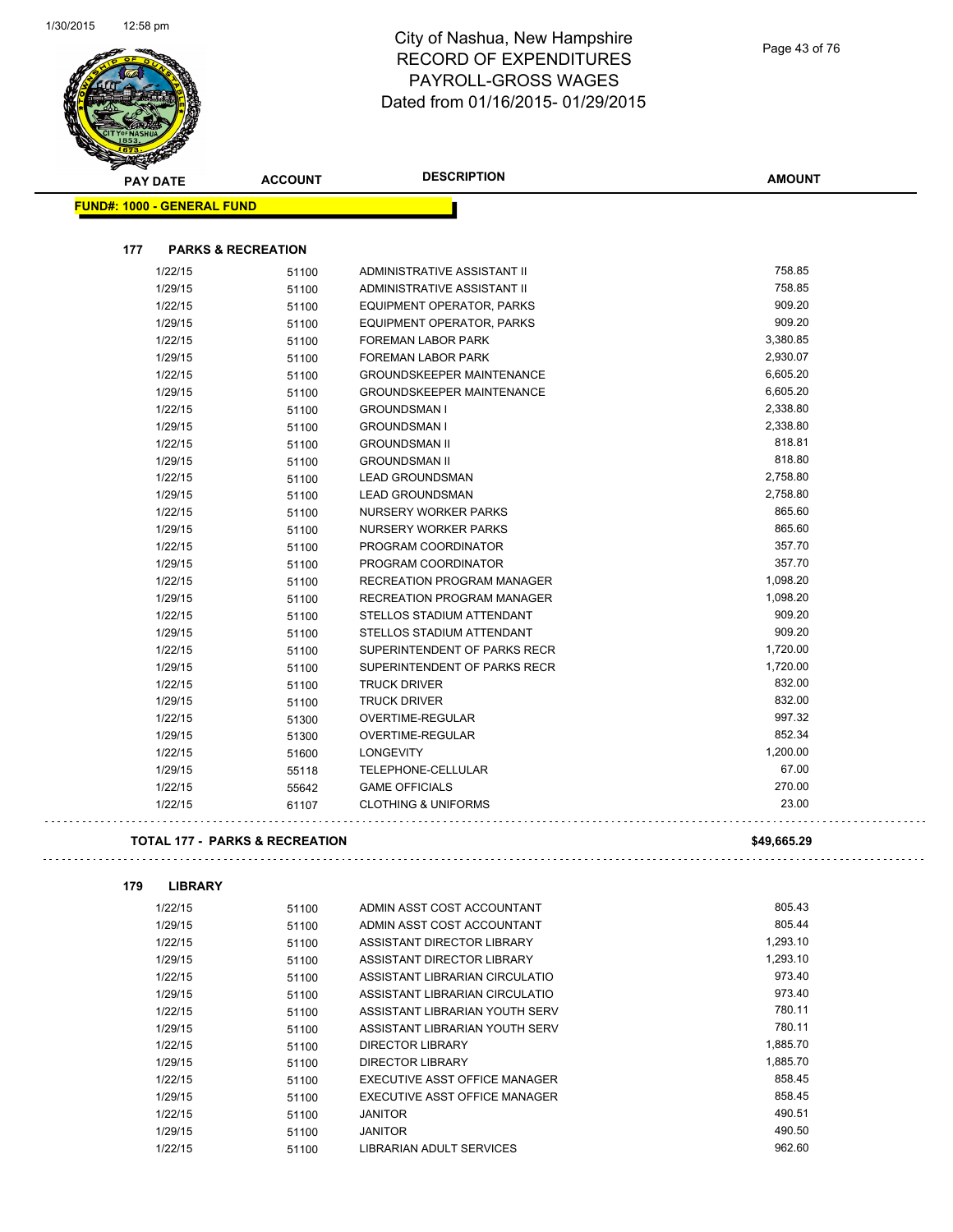

# City of Nashua, New Hampshire RECORD OF EXPENDITURES PAYROLL-GROSS WAGES Dated from 01/16/2015- 01/29/2015

. . .

 $\ddotsc$ 

|     | <b>PAY DATE</b>                   | <b>ACCOUNT</b>                            | <b>DESCRIPTION</b>               | <b>AMOUNT</b> |
|-----|-----------------------------------|-------------------------------------------|----------------------------------|---------------|
|     | <b>FUND#: 1000 - GENERAL FUND</b> |                                           |                                  |               |
|     |                                   |                                           |                                  |               |
| 177 | <b>PARKS &amp; RECREATION</b>     |                                           |                                  |               |
|     | 1/22/15                           | 51100                                     | ADMINISTRATIVE ASSISTANT II      | 758.85        |
|     | 1/29/15                           | 51100                                     | ADMINISTRATIVE ASSISTANT II      | 758.85        |
|     | 1/22/15                           | 51100                                     | EQUIPMENT OPERATOR, PARKS        | 909.20        |
|     | 1/29/15                           | 51100                                     | EQUIPMENT OPERATOR, PARKS        | 909.20        |
|     | 1/22/15                           | 51100                                     | FOREMAN LABOR PARK               | 3,380.85      |
|     | 1/29/15                           | 51100                                     | <b>FOREMAN LABOR PARK</b>        | 2,930.07      |
|     | 1/22/15                           | 51100                                     | <b>GROUNDSKEEPER MAINTENANCE</b> | 6,605.20      |
|     | 1/29/15                           | 51100                                     | <b>GROUNDSKEEPER MAINTENANCE</b> | 6,605.20      |
|     | 1/22/15                           | 51100                                     | <b>GROUNDSMAN I</b>              | 2,338.80      |
|     | 1/29/15                           | 51100                                     | <b>GROUNDSMAN I</b>              | 2,338.80      |
|     | 1/22/15                           | 51100                                     | <b>GROUNDSMAN II</b>             | 818.81        |
|     | 1/29/15                           | 51100                                     | <b>GROUNDSMAN II</b>             | 818.80        |
|     | 1/22/15                           | 51100                                     | <b>LEAD GROUNDSMAN</b>           | 2,758.80      |
|     | 1/29/15                           | 51100                                     | <b>LEAD GROUNDSMAN</b>           | 2,758.80      |
|     | 1/22/15                           | 51100                                     | NURSERY WORKER PARKS             | 865.60        |
|     | 1/29/15                           | 51100                                     | NURSERY WORKER PARKS             | 865.60        |
|     | 1/22/15                           | 51100                                     | PROGRAM COORDINATOR              | 357.70        |
|     | 1/29/15                           | 51100                                     | PROGRAM COORDINATOR              | 357.70        |
|     | 1/22/15                           | 51100                                     | RECREATION PROGRAM MANAGER       | 1,098.20      |
|     | 1/29/15                           | 51100                                     | RECREATION PROGRAM MANAGER       | 1,098.20      |
|     | 1/22/15                           | 51100                                     | STELLOS STADIUM ATTENDANT        | 909.20        |
|     | 1/29/15                           | 51100                                     | STELLOS STADIUM ATTENDANT        | 909.20        |
|     | 1/22/15                           | 51100                                     | SUPERINTENDENT OF PARKS RECR     | 1,720.00      |
|     | 1/29/15                           | 51100                                     | SUPERINTENDENT OF PARKS RECR     | 1,720.00      |
|     | 1/22/15                           | 51100                                     | <b>TRUCK DRIVER</b>              | 832.00        |
|     | 1/29/15                           | 51100                                     | <b>TRUCK DRIVER</b>              | 832.00        |
|     | 1/22/15                           | 51300                                     | OVERTIME-REGULAR                 | 997.32        |
|     | 1/29/15                           | 51300                                     | OVERTIME-REGULAR                 | 852.34        |
|     | 1/22/15                           | 51600                                     | <b>LONGEVITY</b>                 | 1,200.00      |
|     | 1/29/15                           | 55118                                     | TELEPHONE-CELLULAR               | 67.00         |
|     | 1/22/15                           | 55642                                     | <b>GAME OFFICIALS</b>            | 270.00        |
|     | 1/22/15                           | 61107                                     | <b>CLOTHING &amp; UNIFORMS</b>   | 23.00         |
|     |                                   | <b>TOTAL 177 - PARKS &amp; RECREATION</b> |                                  | \$49,665.29   |
| 179 | <b>LIBRARY</b>                    |                                           |                                  |               |
|     |                                   |                                           | ADMIN ASST COST ACCOUNTANT       | 805.43        |
|     | 1/22/15<br>1/29/15                | 51100                                     | ADMIN ASST COST ACCOUNTANT       | 805.44        |
|     | 1/22/15                           | 51100<br>51100                            | ASSISTANT DIRECTOR LIBRARY       | 1,293.10      |
|     | 1/29/15                           | 51100                                     | ASSISTANT DIRECTOR LIBRARY       | 1,293.10      |
|     | 1/22/15                           | 51100                                     | ASSISTANT LIBRARIAN CIRCULATIO   | 973.40        |
|     |                                   |                                           |                                  |               |

1/29/15 51100 ASSISTANT LIBRARIAN CIRCULATIO 973.40 1/22/15 51100 ASSISTANT LIBRARIAN YOUTH SERV 780.11 1/29/15 51100 ASSISTANT LIBRARIAN YOUTH SERV 780.11 1/22/15 51100 DIRECTOR LIBRARY 1,885.70 1/29/15 51100 DIRECTOR LIBRARY 1,885.70 1/22/15 51100 EXECUTIVE ASST OFFICE MANAGER 858.45 1/29/15 51100 EXECUTIVE ASST OFFICE MANAGER 858.45 1/22/15 51100 JANITOR 490.51 1/29/15 51100 JANITOR 490.50 1/22/15 51100 LIBRARIAN ADULT SERVICES 962.60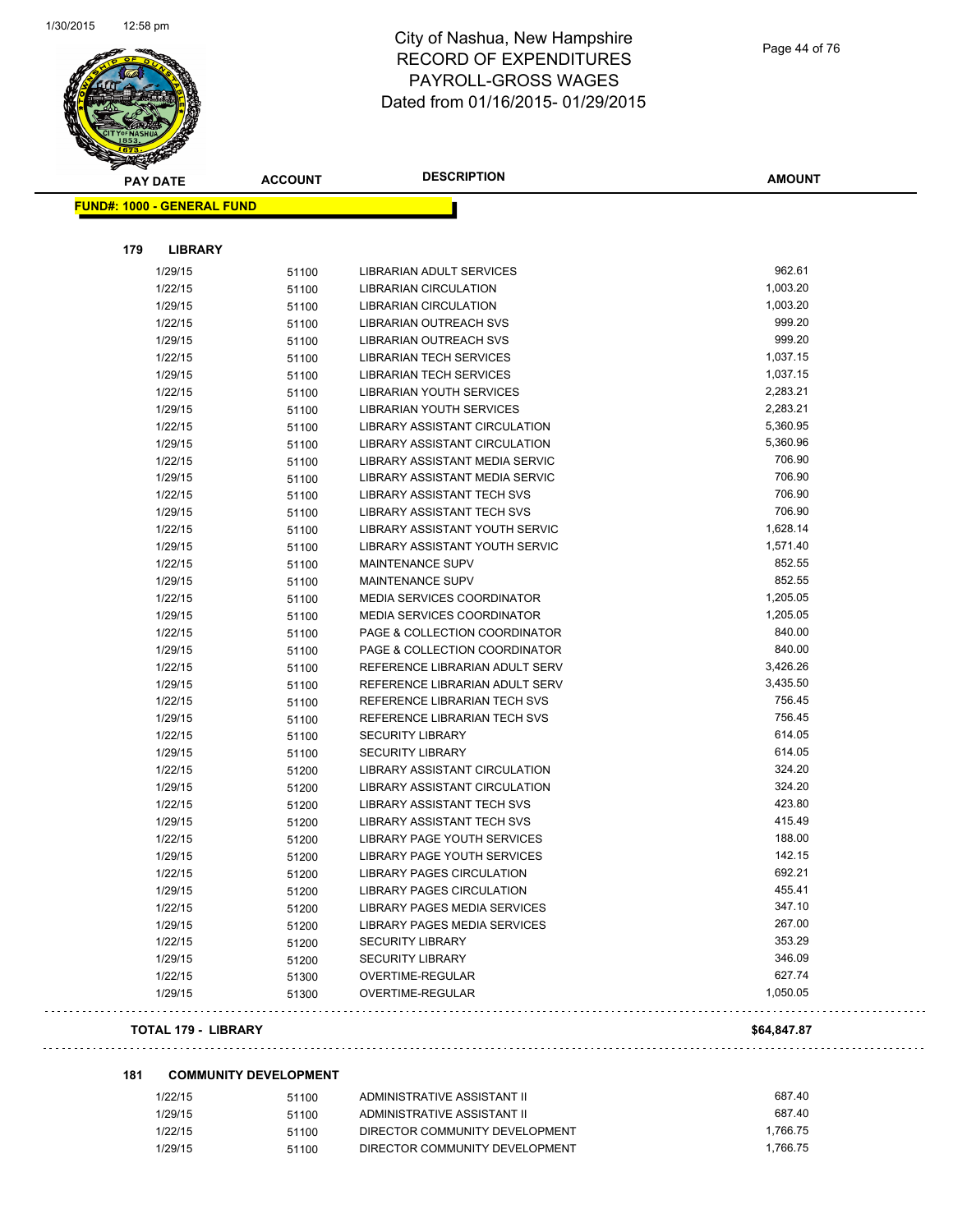

| <b>PAY DATE</b>                   | <b>ACCOUNT</b> | <b>DESCRIPTION</b>                 | <b>AMOUNT</b> |
|-----------------------------------|----------------|------------------------------------|---------------|
| <b>FUND#: 1000 - GENERAL FUND</b> |                |                                    |               |
|                                   |                |                                    |               |
| 179                               | <b>LIBRARY</b> |                                    |               |
| 1/29/15                           | 51100          | LIBRARIAN ADULT SERVICES           | 962.61        |
| 1/22/15                           | 51100          | <b>LIBRARIAN CIRCULATION</b>       | 1,003.20      |
| 1/29/15                           | 51100          | <b>LIBRARIAN CIRCULATION</b>       | 1,003.20      |
| 1/22/15                           | 51100          | LIBRARIAN OUTREACH SVS             | 999.20        |
| 1/29/15                           | 51100          | LIBRARIAN OUTREACH SVS             | 999.20        |
| 1/22/15                           | 51100          | <b>LIBRARIAN TECH SERVICES</b>     | 1,037.15      |
| 1/29/15                           | 51100          | <b>LIBRARIAN TECH SERVICES</b>     | 1,037.15      |
| 1/22/15                           | 51100          | LIBRARIAN YOUTH SERVICES           | 2,283.21      |
| 1/29/15                           | 51100          | LIBRARIAN YOUTH SERVICES           | 2,283.21      |
| 1/22/15                           | 51100          | LIBRARY ASSISTANT CIRCULATION      | 5,360.95      |
| 1/29/15                           | 51100          | LIBRARY ASSISTANT CIRCULATION      | 5,360.96      |
| 1/22/15                           | 51100          | LIBRARY ASSISTANT MEDIA SERVIC     | 706.90        |
| 1/29/15                           | 51100          | LIBRARY ASSISTANT MEDIA SERVIC     | 706.90        |
| 1/22/15                           | 51100          | <b>LIBRARY ASSISTANT TECH SVS</b>  | 706.90        |
| 1/29/15                           | 51100          | <b>LIBRARY ASSISTANT TECH SVS</b>  | 706.90        |
| 1/22/15                           | 51100          | LIBRARY ASSISTANT YOUTH SERVIC     | 1,628.14      |
| 1/29/15                           | 51100          | LIBRARY ASSISTANT YOUTH SERVIC     | 1,571.40      |
| 1/22/15                           | 51100          | <b>MAINTENANCE SUPV</b>            | 852.55        |
| 1/29/15                           | 51100          | <b>MAINTENANCE SUPV</b>            | 852.55        |
| 1/22/15                           | 51100          | <b>MEDIA SERVICES COORDINATOR</b>  | 1,205.05      |
| 1/29/15                           | 51100          | <b>MEDIA SERVICES COORDINATOR</b>  | 1,205.05      |
| 1/22/15                           | 51100          | PAGE & COLLECTION COORDINATOR      | 840.00        |
| 1/29/15                           | 51100          | PAGE & COLLECTION COORDINATOR      | 840.00        |
| 1/22/15                           | 51100          | REFERENCE LIBRARIAN ADULT SERV     | 3,426.26      |
| 1/29/15                           | 51100          | REFERENCE LIBRARIAN ADULT SERV     | 3,435.50      |
| 1/22/15                           | 51100          | REFERENCE LIBRARIAN TECH SVS       | 756.45        |
| 1/29/15                           | 51100          | REFERENCE LIBRARIAN TECH SVS       | 756.45        |
| 1/22/15                           | 51100          | <b>SECURITY LIBRARY</b>            | 614.05        |
| 1/29/15                           | 51100          | <b>SECURITY LIBRARY</b>            | 614.05        |
| 1/22/15                           | 51200          | LIBRARY ASSISTANT CIRCULATION      | 324.20        |
| 1/29/15                           | 51200          | LIBRARY ASSISTANT CIRCULATION      | 324.20        |
| 1/22/15                           | 51200          | <b>LIBRARY ASSISTANT TECH SVS</b>  | 423.80        |
| 1/29/15                           | 51200          | LIBRARY ASSISTANT TECH SVS         | 415.49        |
| 1/22/15                           | 51200          | <b>LIBRARY PAGE YOUTH SERVICES</b> | 188.00        |
| 1/29/15                           | 51200          | <b>LIBRARY PAGE YOUTH SERVICES</b> | 142.15        |
| 1/22/15                           | 51200          | LIBRARY PAGES CIRCULATION          | 692.21        |
| 1/29/15                           | 51200          | LIBRARY PAGES CIRCULATION          | 455.41        |
| 1/22/15                           | 51200          | LIBRARY PAGES MEDIA SERVICES       | 347.10        |
| 1/29/15                           | 51200          | LIBRARY PAGES MEDIA SERVICES       | 267.00        |
| 1/22/15                           | 51200          | <b>SECURITY LIBRARY</b>            | 353.29        |
| 1/29/15                           | 51200          | <b>SECURITY LIBRARY</b>            | 346.09        |
| 1/22/15                           | 51300          | OVERTIME-REGULAR                   | 627.74        |
| 1/29/15                           | 51300          | OVERTIME-REGULAR                   | 1,050.05      |
|                                   |                |                                    |               |

#### **TOTAL 179 - LIBRARY \$64,847.87**

 $\ddot{\varphi}$  .

. . . . . . . . . . . . . . . . . . .

لأعاجب

#### **181 COMMUNITY DEVELOPMENT**

| 1/22/15 | 51100 | ADMINISTRATIVE ASSISTANT II    | 687.40   |
|---------|-------|--------------------------------|----------|
| 1/29/15 | 51100 | ADMINISTRATIVE ASSISTANT II    | 687.40   |
| 1/22/15 | 51100 | DIRECTOR COMMUNITY DEVELOPMENT | 1.766.75 |
| 1/29/15 | 51100 | DIRECTOR COMMUNITY DEVELOPMENT | 1.766.75 |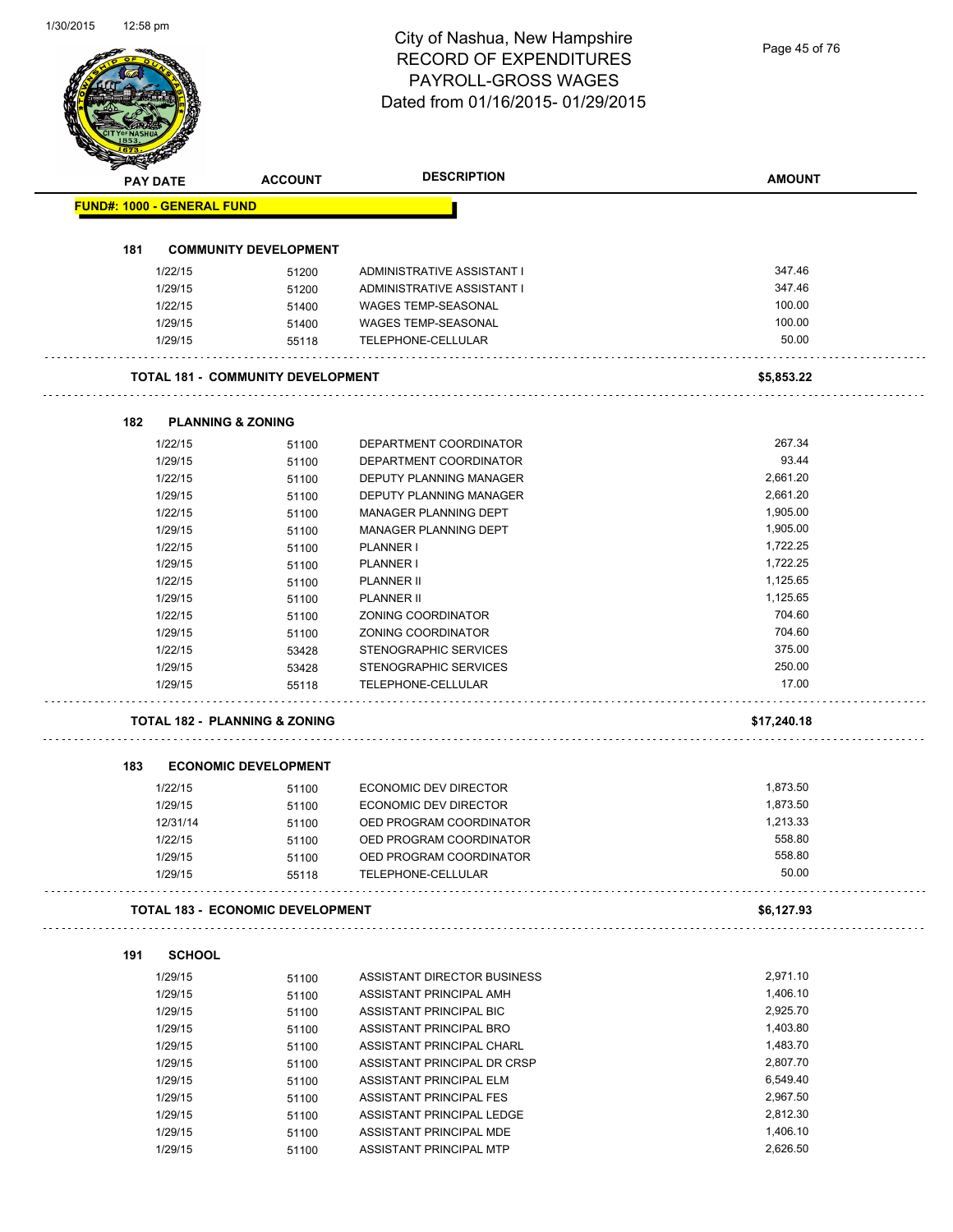Page 45 of 76

|     | PAY DATE                          | <b>ACCOUNT</b>                           | <b>DESCRIPTION</b>                                   | <b>AMOUNT</b>        |
|-----|-----------------------------------|------------------------------------------|------------------------------------------------------|----------------------|
|     | <b>FUND#: 1000 - GENERAL FUND</b> |                                          |                                                      |                      |
|     |                                   |                                          |                                                      |                      |
| 181 |                                   | <b>COMMUNITY DEVELOPMENT</b>             |                                                      |                      |
|     | 1/22/15                           | 51200                                    | ADMINISTRATIVE ASSISTANT I                           | 347.46               |
|     | 1/29/15                           | 51200                                    | ADMINISTRATIVE ASSISTANT I                           | 347.46               |
|     | 1/22/15                           | 51400                                    | <b>WAGES TEMP-SEASONAL</b>                           | 100.00               |
|     | 1/29/15                           | 51400                                    | <b>WAGES TEMP-SEASONAL</b>                           | 100.00               |
|     | 1/29/15                           | 55118                                    | <b>TELEPHONE-CELLULAR</b>                            | 50.00                |
|     |                                   | <b>TOTAL 181 - COMMUNITY DEVELOPMENT</b> |                                                      | \$5,853.22           |
| 182 |                                   | <b>PLANNING &amp; ZONING</b>             |                                                      |                      |
|     | 1/22/15                           | 51100                                    | DEPARTMENT COORDINATOR                               | 267.34               |
|     | 1/29/15                           | 51100                                    | DEPARTMENT COORDINATOR                               | 93.44                |
|     | 1/22/15                           | 51100                                    | DEPUTY PLANNING MANAGER                              | 2,661.20             |
|     | 1/29/15                           | 51100                                    | <b>DEPUTY PLANNING MANAGER</b>                       | 2,661.20             |
|     | 1/22/15                           | 51100                                    | MANAGER PLANNING DEPT                                | 1,905.00             |
|     | 1/29/15                           | 51100                                    | MANAGER PLANNING DEPT                                | 1,905.00             |
|     | 1/22/15                           | 51100                                    | <b>PLANNER I</b>                                     | 1,722.25             |
|     | 1/29/15                           | 51100                                    | <b>PLANNER I</b>                                     | 1,722.25             |
|     | 1/22/15                           | 51100                                    | <b>PLANNER II</b>                                    | 1,125.65             |
|     | 1/29/15                           | 51100                                    | <b>PLANNER II</b>                                    | 1,125.65             |
|     | 1/22/15                           | 51100                                    | ZONING COORDINATOR                                   | 704.60               |
|     | 1/29/15                           | 51100                                    | ZONING COORDINATOR                                   | 704.60               |
|     | 1/22/15                           | 53428                                    | STENOGRAPHIC SERVICES                                | 375.00               |
|     | 1/29/15                           | 53428                                    | STENOGRAPHIC SERVICES                                | 250.00               |
|     | 1/29/15                           | 55118                                    | TELEPHONE-CELLULAR                                   | 17.00                |
|     |                                   | <b>TOTAL 182 - PLANNING &amp; ZONING</b> |                                                      | \$17,240.18          |
|     |                                   |                                          |                                                      |                      |
| 183 |                                   | <b>ECONOMIC DEVELOPMENT</b>              |                                                      |                      |
|     | 1/22/15                           | 51100                                    | ECONOMIC DEV DIRECTOR                                | 1,873.50             |
|     | 1/29/15                           | 51100                                    | ECONOMIC DEV DIRECTOR                                | 1,873.50             |
|     | 12/31/14                          | 51100                                    | OED PROGRAM COORDINATOR                              | 1,213.33             |
|     | 1/22/15                           | 51100                                    | OED PROGRAM COORDINATOR                              | 558.80<br>558.80     |
|     | 1/29/15<br>1/29/15                | 51100<br>55118                           | OED PROGRAM COORDINATOR<br>TELEPHONE-CELLULAR        | 50.00                |
|     |                                   | <b>TOTAL 183 - ECONOMIC DEVELOPMENT</b>  |                                                      | \$6,127.93           |
|     |                                   |                                          |                                                      |                      |
|     |                                   |                                          |                                                      |                      |
| 191 | <b>SCHOOL</b>                     |                                          |                                                      |                      |
|     | 1/29/15                           | 51100                                    | ASSISTANT DIRECTOR BUSINESS                          | 2,971.10             |
|     | 1/29/15                           | 51100                                    | ASSISTANT PRINCIPAL AMH                              | 1,406.10             |
|     | 1/29/15                           | 51100                                    | ASSISTANT PRINCIPAL BIC                              | 2,925.70             |
|     | 1/29/15                           | 51100                                    | ASSISTANT PRINCIPAL BRO                              | 1,403.80             |
|     | 1/29/15                           | 51100                                    | ASSISTANT PRINCIPAL CHARL                            | 1,483.70             |
|     | 1/29/15                           | 51100                                    | ASSISTANT PRINCIPAL DR CRSP                          | 2,807.70             |
|     | 1/29/15                           | 51100                                    | ASSISTANT PRINCIPAL ELM                              | 6,549.40             |
|     | 1/29/15                           | 51100                                    | ASSISTANT PRINCIPAL FES                              | 2,967.50             |
|     | 1/29/15<br>1/29/15                | 51100<br>51100                           | ASSISTANT PRINCIPAL LEDGE<br>ASSISTANT PRINCIPAL MDE | 2,812.30<br>1,406.10 |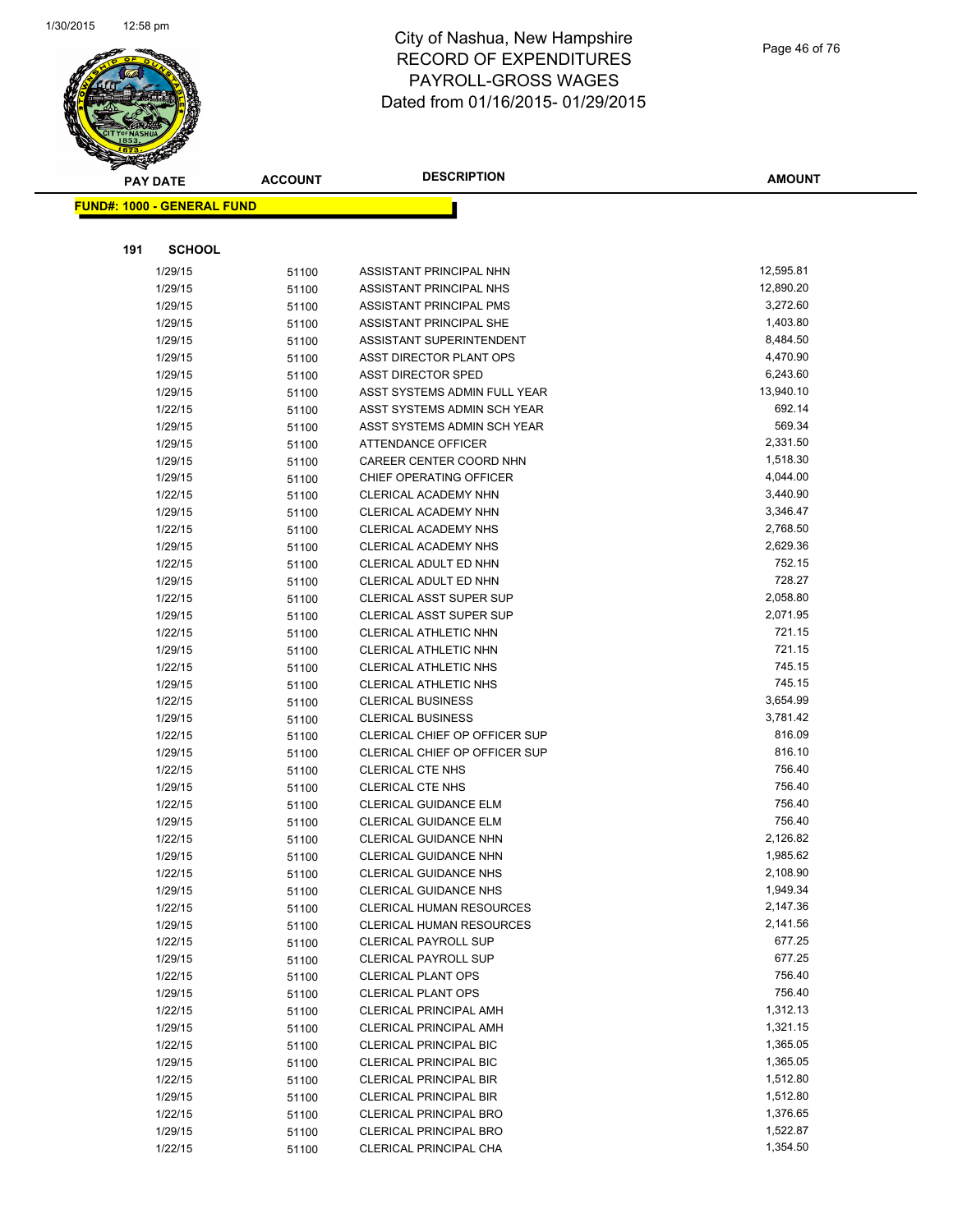

|     | <b>PAY DATE</b>                   | <b>ACCOUNT</b> | <b>DESCRIPTION</b>                                         | <b>AMOUNT</b>         |
|-----|-----------------------------------|----------------|------------------------------------------------------------|-----------------------|
|     | <b>FUND#: 1000 - GENERAL FUND</b> |                |                                                            |                       |
|     |                                   |                |                                                            |                       |
|     |                                   |                |                                                            |                       |
| 191 | <b>SCHOOL</b>                     |                |                                                            |                       |
|     | 1/29/15                           | 51100          | ASSISTANT PRINCIPAL NHN                                    | 12,595.81             |
|     | 1/29/15                           | 51100          | ASSISTANT PRINCIPAL NHS                                    | 12,890.20             |
|     | 1/29/15                           | 51100          | ASSISTANT PRINCIPAL PMS                                    | 3,272.60              |
|     | 1/29/15                           | 51100          | ASSISTANT PRINCIPAL SHE                                    | 1,403.80              |
|     | 1/29/15                           | 51100          | ASSISTANT SUPERINTENDENT                                   | 8,484.50              |
|     | 1/29/15                           | 51100          | ASST DIRECTOR PLANT OPS                                    | 4,470.90              |
|     | 1/29/15                           | 51100          | <b>ASST DIRECTOR SPED</b>                                  | 6,243.60<br>13,940.10 |
|     | 1/29/15                           | 51100          | ASST SYSTEMS ADMIN FULL YEAR                               | 692.14                |
|     | 1/22/15<br>1/29/15                | 51100          | ASST SYSTEMS ADMIN SCH YEAR<br>ASST SYSTEMS ADMIN SCH YEAR | 569.34                |
|     | 1/29/15                           | 51100          | ATTENDANCE OFFICER                                         | 2,331.50              |
|     | 1/29/15                           | 51100          | CAREER CENTER COORD NHN                                    | 1,518.30              |
|     | 1/29/15                           | 51100<br>51100 | CHIEF OPERATING OFFICER                                    | 4,044.00              |
|     | 1/22/15                           | 51100          | CLERICAL ACADEMY NHN                                       | 3,440.90              |
|     | 1/29/15                           | 51100          | CLERICAL ACADEMY NHN                                       | 3,346.47              |
|     | 1/22/15                           | 51100          | CLERICAL ACADEMY NHS                                       | 2,768.50              |
|     | 1/29/15                           | 51100          | CLERICAL ACADEMY NHS                                       | 2,629.36              |
|     | 1/22/15                           | 51100          | CLERICAL ADULT ED NHN                                      | 752.15                |
|     | 1/29/15                           | 51100          | CLERICAL ADULT ED NHN                                      | 728.27                |
|     | 1/22/15                           | 51100          | CLERICAL ASST SUPER SUP                                    | 2,058.80              |
|     | 1/29/15                           | 51100          | CLERICAL ASST SUPER SUP                                    | 2,071.95              |
|     | 1/22/15                           | 51100          | CLERICAL ATHLETIC NHN                                      | 721.15                |
|     | 1/29/15                           | 51100          | CLERICAL ATHLETIC NHN                                      | 721.15                |
|     | 1/22/15                           | 51100          | CLERICAL ATHLETIC NHS                                      | 745.15                |
|     | 1/29/15                           | 51100          | <b>CLERICAL ATHLETIC NHS</b>                               | 745.15                |
|     | 1/22/15                           | 51100          | <b>CLERICAL BUSINESS</b>                                   | 3,654.99              |
|     | 1/29/15                           | 51100          | <b>CLERICAL BUSINESS</b>                                   | 3,781.42              |
|     | 1/22/15                           | 51100          | CLERICAL CHIEF OP OFFICER SUP                              | 816.09                |
|     | 1/29/15                           | 51100          | CLERICAL CHIEF OP OFFICER SUP                              | 816.10                |
|     | 1/22/15                           | 51100          | <b>CLERICAL CTE NHS</b>                                    | 756.40                |
|     | 1/29/15                           | 51100          | <b>CLERICAL CTE NHS</b>                                    | 756.40                |
|     | 1/22/15                           | 51100          | CLERICAL GUIDANCE ELM                                      | 756.40                |
|     | 1/29/15                           | 51100          | CLERICAL GUIDANCE ELM                                      | 756.40                |
|     | 1/22/15                           | 51100          | <b>CLERICAL GUIDANCE NHN</b>                               | 2,126.82              |
|     | 1/29/15                           | 51100          | <b>CLERICAL GUIDANCE NHN</b>                               | 1,985.62              |
|     | 1/22/15                           | 51100          | <b>CLERICAL GUIDANCE NHS</b>                               | 2,108.90              |
|     | 1/29/15                           | 51100          | <b>CLERICAL GUIDANCE NHS</b>                               | 1,949.34              |
|     | 1/22/15                           | 51100          | <b>CLERICAL HUMAN RESOURCES</b>                            | 2,147.36              |
|     | 1/29/15                           | 51100          | CLERICAL HUMAN RESOURCES                                   | 2,141.56              |
|     | 1/22/15                           | 51100          | <b>CLERICAL PAYROLL SUP</b>                                | 677.25                |
|     | 1/29/15                           | 51100          | <b>CLERICAL PAYROLL SUP</b>                                | 677.25                |
|     | 1/22/15                           | 51100          | <b>CLERICAL PLANT OPS</b>                                  | 756.40                |
|     | 1/29/15                           | 51100          | <b>CLERICAL PLANT OPS</b>                                  | 756.40                |
|     | 1/22/15                           | 51100          | <b>CLERICAL PRINCIPAL AMH</b>                              | 1,312.13              |
|     | 1/29/15                           | 51100          | <b>CLERICAL PRINCIPAL AMH</b>                              | 1,321.15              |
|     | 1/22/15                           | 51100          | <b>CLERICAL PRINCIPAL BIC</b>                              | 1,365.05              |
|     | 1/29/15                           | 51100          | <b>CLERICAL PRINCIPAL BIC</b>                              | 1,365.05              |
|     | 1/22/15                           | 51100          | CLERICAL PRINCIPAL BIR                                     | 1,512.80              |
|     | 1/29/15                           | 51100          | <b>CLERICAL PRINCIPAL BIR</b>                              | 1,512.80              |
|     | 1/22/15                           | 51100          | CLERICAL PRINCIPAL BRO                                     | 1,376.65              |
|     | 1/29/15                           | 51100          | CLERICAL PRINCIPAL BRO                                     | 1,522.87              |
|     | 1/22/15                           | 51100          | CLERICAL PRINCIPAL CHA                                     | 1,354.50              |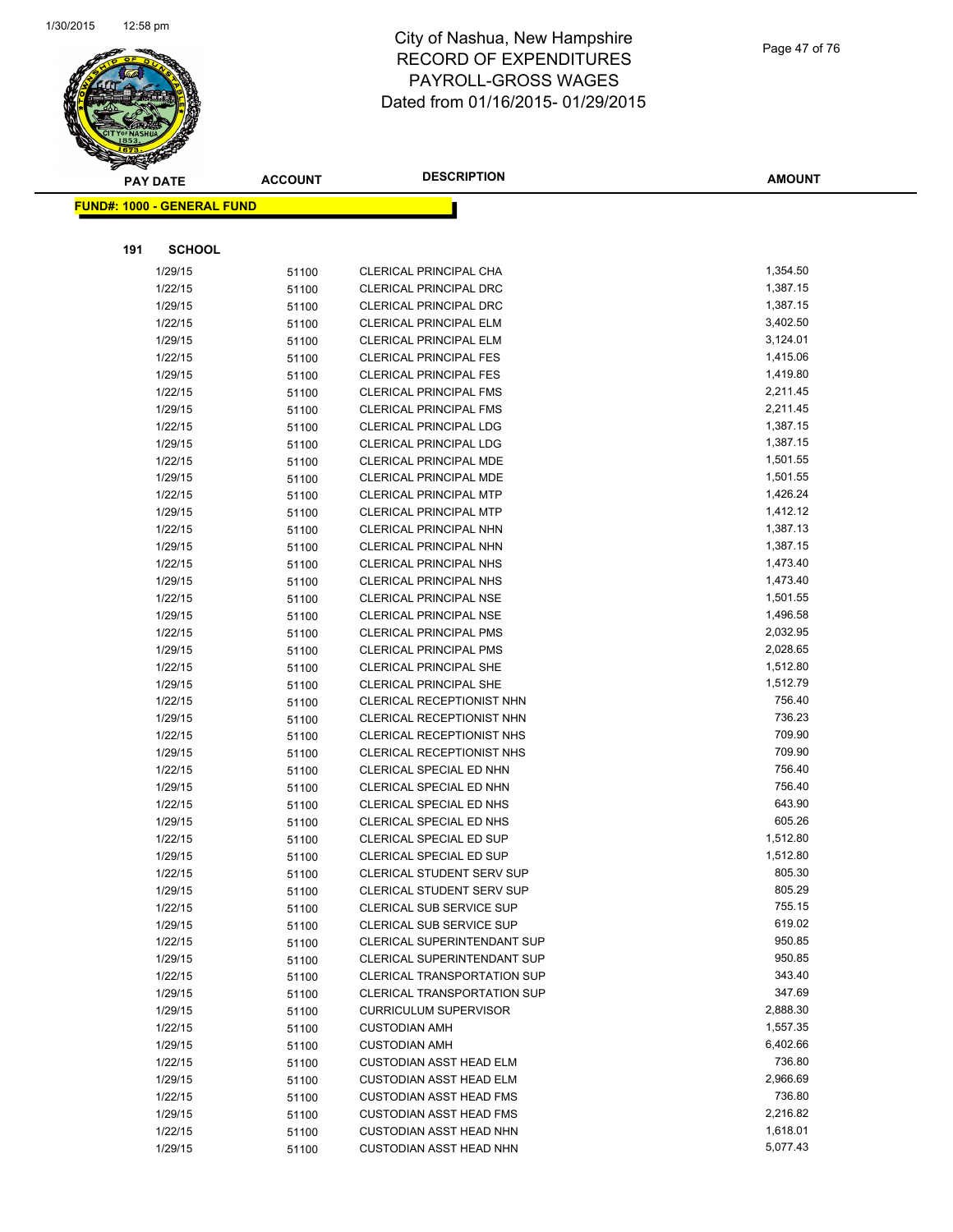

|     | <b>PAY DATE</b>                   | <b>ACCOUNT</b> | <b>DESCRIPTION</b>                                             | <b>AMOUNT</b>        |
|-----|-----------------------------------|----------------|----------------------------------------------------------------|----------------------|
|     | <b>FUND#: 1000 - GENERAL FUND</b> |                |                                                                |                      |
|     |                                   |                |                                                                |                      |
|     |                                   |                |                                                                |                      |
| 191 | <b>SCHOOL</b>                     |                |                                                                |                      |
|     | 1/29/15                           | 51100          | CLERICAL PRINCIPAL CHA                                         | 1,354.50             |
|     | 1/22/15                           | 51100          | <b>CLERICAL PRINCIPAL DRC</b>                                  | 1,387.15             |
|     | 1/29/15                           | 51100          | CLERICAL PRINCIPAL DRC                                         | 1,387.15             |
|     | 1/22/15                           | 51100          | <b>CLERICAL PRINCIPAL ELM</b>                                  | 3,402.50             |
|     | 1/29/15                           | 51100          | <b>CLERICAL PRINCIPAL ELM</b>                                  | 3,124.01             |
|     | 1/22/15                           | 51100          | <b>CLERICAL PRINCIPAL FES</b>                                  | 1,415.06             |
|     | 1/29/15                           | 51100          | <b>CLERICAL PRINCIPAL FES</b>                                  | 1,419.80             |
|     | 1/22/15                           | 51100          | <b>CLERICAL PRINCIPAL FMS</b>                                  | 2,211.45             |
|     | 1/29/15                           | 51100          | <b>CLERICAL PRINCIPAL FMS</b>                                  | 2,211.45             |
|     | 1/22/15                           | 51100          | CLERICAL PRINCIPAL LDG                                         | 1,387.15             |
|     | 1/29/15                           | 51100          | <b>CLERICAL PRINCIPAL LDG</b>                                  | 1,387.15             |
|     | 1/22/15                           | 51100          | CLERICAL PRINCIPAL MDE                                         | 1,501.55             |
|     | 1/29/15                           | 51100          | <b>CLERICAL PRINCIPAL MDE</b>                                  | 1,501.55             |
|     | 1/22/15                           | 51100          | <b>CLERICAL PRINCIPAL MTP</b>                                  | 1,426.24             |
|     | 1/29/15                           | 51100          | <b>CLERICAL PRINCIPAL MTP</b>                                  | 1,412.12             |
|     | 1/22/15                           | 51100          | CLERICAL PRINCIPAL NHN                                         | 1,387.13             |
|     | 1/29/15                           | 51100          | CLERICAL PRINCIPAL NHN                                         | 1,387.15             |
|     | 1/22/15                           | 51100          | <b>CLERICAL PRINCIPAL NHS</b>                                  | 1,473.40             |
|     | 1/29/15                           | 51100          | <b>CLERICAL PRINCIPAL NHS</b>                                  | 1,473.40             |
|     | 1/22/15                           | 51100          | <b>CLERICAL PRINCIPAL NSE</b>                                  | 1,501.55             |
|     | 1/29/15                           | 51100          | <b>CLERICAL PRINCIPAL NSE</b>                                  | 1,496.58             |
|     | 1/22/15                           | 51100          | <b>CLERICAL PRINCIPAL PMS</b>                                  | 2,032.95             |
|     | 1/29/15                           | 51100          | <b>CLERICAL PRINCIPAL PMS</b>                                  | 2,028.65             |
|     | 1/22/15                           | 51100          | CLERICAL PRINCIPAL SHE                                         | 1,512.80             |
|     | 1/29/15                           | 51100          | <b>CLERICAL PRINCIPAL SHE</b>                                  | 1,512.79             |
|     | 1/22/15                           | 51100          | CLERICAL RECEPTIONIST NHN                                      | 756.40               |
|     | 1/29/15                           | 51100          | CLERICAL RECEPTIONIST NHN                                      | 736.23               |
|     | 1/22/15                           | 51100          | CLERICAL RECEPTIONIST NHS                                      | 709.90               |
|     | 1/29/15                           | 51100          | CLERICAL RECEPTIONIST NHS                                      | 709.90               |
|     | 1/22/15                           | 51100          | CLERICAL SPECIAL ED NHN                                        | 756.40               |
|     | 1/29/15                           | 51100          | CLERICAL SPECIAL ED NHN                                        | 756.40               |
|     | 1/22/15                           | 51100          | CLERICAL SPECIAL ED NHS                                        | 643.90<br>605.26     |
|     | 1/29/15                           | 51100          | CLERICAL SPECIAL ED NHS                                        |                      |
|     | 1/22/15                           | 51100          | CLERICAL SPECIAL ED SUP                                        | 1,512.80<br>1,512.80 |
|     | 1/29/15                           | 51100          | <b>CLERICAL SPECIAL ED SUP</b>                                 | 805.30               |
|     | 1/22/15                           | 51100          | CLERICAL STUDENT SERV SUP                                      | 805.29               |
|     | 1/29/15                           | 51100          | <b>CLERICAL STUDENT SERV SUP</b>                               | 755.15               |
|     | 1/22/15<br>1/29/15                | 51100          | <b>CLERICAL SUB SERVICE SUP</b>                                | 619.02               |
|     | 1/22/15                           | 51100          | CLERICAL SUB SERVICE SUP<br><b>CLERICAL SUPERINTENDANT SUP</b> | 950.85               |
|     | 1/29/15                           | 51100<br>51100 | CLERICAL SUPERINTENDANT SUP                                    | 950.85               |
|     | 1/22/15                           | 51100          | <b>CLERICAL TRANSPORTATION SUP</b>                             | 343.40               |
|     | 1/29/15                           | 51100          | <b>CLERICAL TRANSPORTATION SUP</b>                             | 347.69               |
|     | 1/29/15                           |                | <b>CURRICULUM SUPERVISOR</b>                                   | 2,888.30             |
|     | 1/22/15                           | 51100<br>51100 | <b>CUSTODIAN AMH</b>                                           | 1,557.35             |
|     | 1/29/15                           | 51100          | <b>CUSTODIAN AMH</b>                                           | 6,402.66             |
|     | 1/22/15                           | 51100          | CUSTODIAN ASST HEAD ELM                                        | 736.80               |
|     | 1/29/15                           | 51100          | <b>CUSTODIAN ASST HEAD ELM</b>                                 | 2,966.69             |
|     | 1/22/15                           | 51100          | <b>CUSTODIAN ASST HEAD FMS</b>                                 | 736.80               |
|     | 1/29/15                           | 51100          | <b>CUSTODIAN ASST HEAD FMS</b>                                 | 2,216.82             |
|     | 1/22/15                           | 51100          | <b>CUSTODIAN ASST HEAD NHN</b>                                 | 1,618.01             |
|     | 1/29/15                           | 51100          | <b>CUSTODIAN ASST HEAD NHN</b>                                 | 5,077.43             |
|     |                                   |                |                                                                |                      |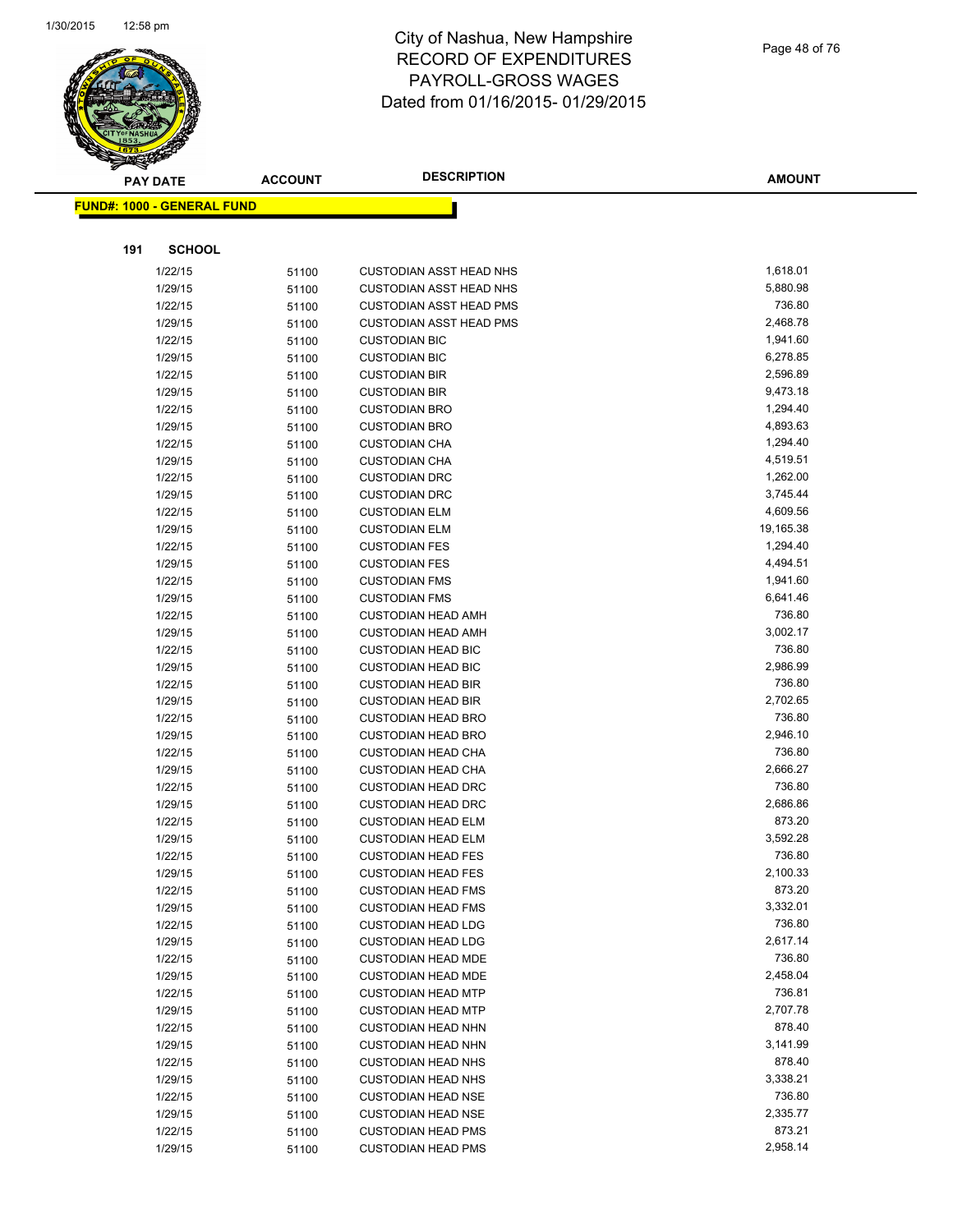

Page 48 of 76

|     | <b>PAY DATE</b>                   | <b>ACCOUNT</b> | <b>DESCRIPTION</b>                                     | <b>AMOUNT</b>      |
|-----|-----------------------------------|----------------|--------------------------------------------------------|--------------------|
|     | <b>FUND#: 1000 - GENERAL FUND</b> |                |                                                        |                    |
|     |                                   |                |                                                        |                    |
|     |                                   |                |                                                        |                    |
| 191 | <b>SCHOOL</b>                     |                |                                                        |                    |
|     | 1/22/15                           | 51100          | <b>CUSTODIAN ASST HEAD NHS</b>                         | 1,618.01           |
|     | 1/29/15                           | 51100          | <b>CUSTODIAN ASST HEAD NHS</b>                         | 5,880.98           |
|     | 1/22/15                           | 51100          | <b>CUSTODIAN ASST HEAD PMS</b>                         | 736.80             |
|     | 1/29/15                           | 51100          | <b>CUSTODIAN ASST HEAD PMS</b>                         | 2,468.78           |
|     | 1/22/15                           | 51100          | <b>CUSTODIAN BIC</b>                                   | 1,941.60           |
|     | 1/29/15                           | 51100          | <b>CUSTODIAN BIC</b>                                   | 6,278.85           |
|     | 1/22/15                           | 51100          | <b>CUSTODIAN BIR</b>                                   | 2,596.89           |
|     | 1/29/15                           | 51100          | <b>CUSTODIAN BIR</b>                                   | 9,473.18           |
|     | 1/22/15                           | 51100          | <b>CUSTODIAN BRO</b>                                   | 1,294.40           |
|     | 1/29/15                           | 51100          | <b>CUSTODIAN BRO</b>                                   | 4,893.63           |
|     | 1/22/15                           | 51100          | <b>CUSTODIAN CHA</b>                                   | 1,294.40           |
|     | 1/29/15                           | 51100          | <b>CUSTODIAN CHA</b>                                   | 4,519.51           |
|     | 1/22/15                           | 51100          | <b>CUSTODIAN DRC</b>                                   | 1,262.00           |
|     | 1/29/15                           | 51100          | <b>CUSTODIAN DRC</b>                                   | 3,745.44           |
|     | 1/22/15                           | 51100          | <b>CUSTODIAN ELM</b>                                   | 4,609.56           |
|     | 1/29/15                           | 51100          | <b>CUSTODIAN ELM</b>                                   | 19,165.38          |
|     | 1/22/15                           | 51100          | <b>CUSTODIAN FES</b>                                   | 1,294.40           |
|     | 1/29/15                           | 51100          | <b>CUSTODIAN FES</b>                                   | 4,494.51           |
|     | 1/22/15                           | 51100          | <b>CUSTODIAN FMS</b>                                   | 1,941.60           |
|     | 1/29/15                           | 51100          | <b>CUSTODIAN FMS</b>                                   | 6,641.46           |
|     | 1/22/15                           | 51100          | <b>CUSTODIAN HEAD AMH</b>                              | 736.80             |
|     | 1/29/15                           | 51100          | <b>CUSTODIAN HEAD AMH</b>                              | 3,002.17           |
|     | 1/22/15                           | 51100          | <b>CUSTODIAN HEAD BIC</b>                              | 736.80             |
|     | 1/29/15                           | 51100          | <b>CUSTODIAN HEAD BIC</b>                              | 2,986.99<br>736.80 |
|     | 1/22/15                           | 51100          | <b>CUSTODIAN HEAD BIR</b>                              | 2,702.65           |
|     | 1/29/15<br>1/22/15                | 51100          | <b>CUSTODIAN HEAD BIR</b><br><b>CUSTODIAN HEAD BRO</b> | 736.80             |
|     | 1/29/15                           | 51100          | <b>CUSTODIAN HEAD BRO</b>                              | 2,946.10           |
|     | 1/22/15                           | 51100<br>51100 | <b>CUSTODIAN HEAD CHA</b>                              | 736.80             |
|     | 1/29/15                           | 51100          | <b>CUSTODIAN HEAD CHA</b>                              | 2,666.27           |
|     | 1/22/15                           | 51100          | <b>CUSTODIAN HEAD DRC</b>                              | 736.80             |
|     | 1/29/15                           | 51100          | <b>CUSTODIAN HEAD DRC</b>                              | 2,686.86           |
|     | 1/22/15                           | 51100          | <b>CUSTODIAN HEAD ELM</b>                              | 873.20             |
|     | 1/29/15                           | 51100          | <b>CUSTODIAN HEAD ELM</b>                              | 3,592.28           |
|     | 1/22/15                           | 51100          | <b>CUSTODIAN HEAD FES</b>                              | 736.80             |
|     | 1/29/15                           | 51100          | <b>CUSTODIAN HEAD FES</b>                              | 2,100.33           |
|     | 1/22/15                           | 51100          | <b>CUSTODIAN HEAD FMS</b>                              | 873.20             |
|     | 1/29/15                           | 51100          | <b>CUSTODIAN HEAD FMS</b>                              | 3,332.01           |
|     | 1/22/15                           | 51100          | <b>CUSTODIAN HEAD LDG</b>                              | 736.80             |
|     | 1/29/15                           | 51100          | <b>CUSTODIAN HEAD LDG</b>                              | 2,617.14           |
|     | 1/22/15                           | 51100          | <b>CUSTODIAN HEAD MDE</b>                              | 736.80             |
|     | 1/29/15                           | 51100          | <b>CUSTODIAN HEAD MDE</b>                              | 2,458.04           |
|     | 1/22/15                           | 51100          | <b>CUSTODIAN HEAD MTP</b>                              | 736.81             |
|     | 1/29/15                           | 51100          | <b>CUSTODIAN HEAD MTP</b>                              | 2,707.78           |
|     | 1/22/15                           | 51100          | <b>CUSTODIAN HEAD NHN</b>                              | 878.40             |
|     | 1/29/15                           | 51100          | <b>CUSTODIAN HEAD NHN</b>                              | 3,141.99           |
|     | 1/22/15                           | 51100          | <b>CUSTODIAN HEAD NHS</b>                              | 878.40             |
|     | 1/29/15                           | 51100          | <b>CUSTODIAN HEAD NHS</b>                              | 3,338.21           |
|     | 1/22/15                           | 51100          | <b>CUSTODIAN HEAD NSE</b>                              | 736.80             |
|     | 1/29/15                           | 51100          | <b>CUSTODIAN HEAD NSE</b>                              | 2,335.77           |
|     | 1/22/15                           | 51100          | <b>CUSTODIAN HEAD PMS</b>                              | 873.21             |
|     | 1/29/15                           | 51100          | <b>CUSTODIAN HEAD PMS</b>                              | 2,958.14           |
|     |                                   |                |                                                        |                    |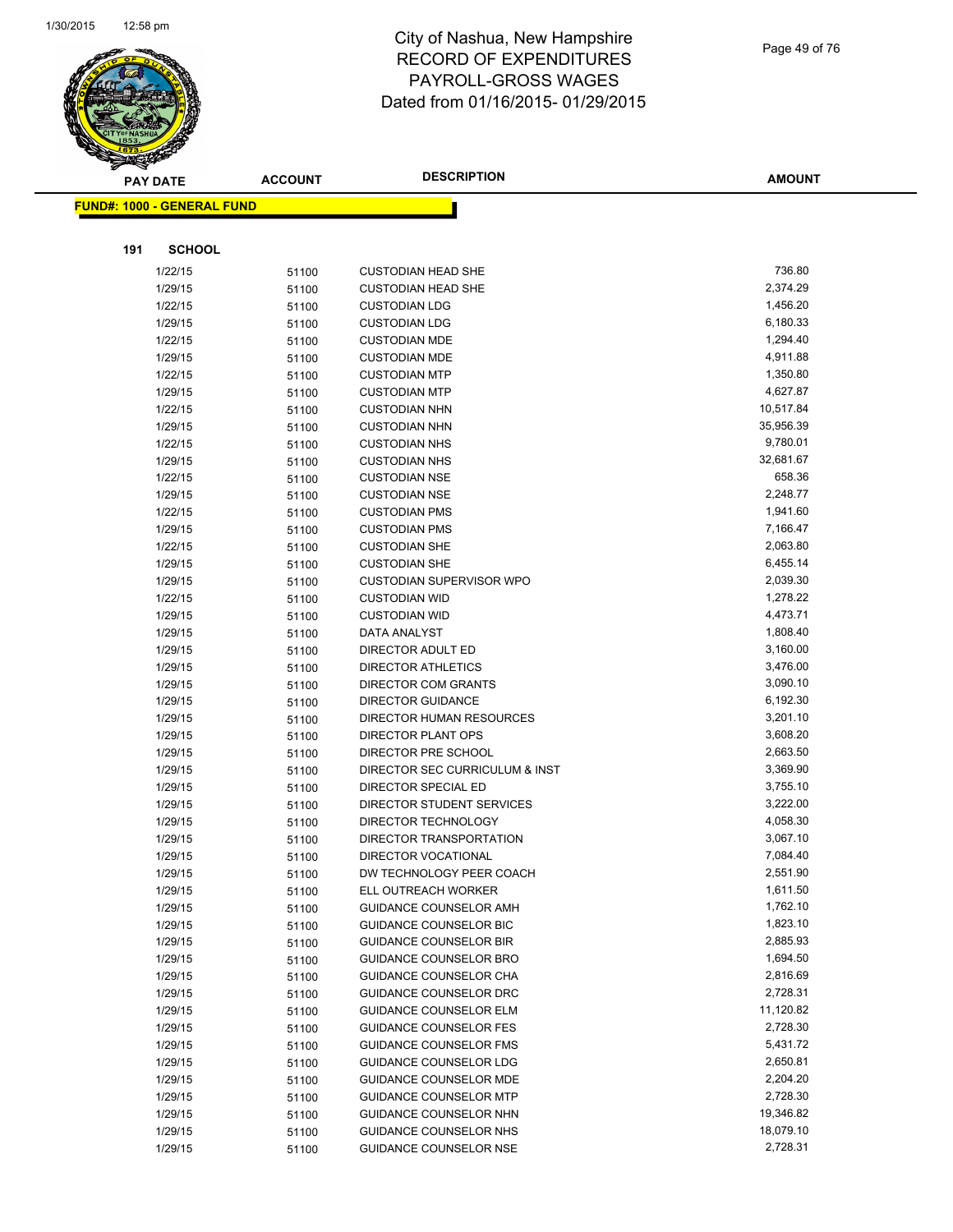

Page 49 of 76

|     | <b>PAY DATE</b>                   | <b>ACCOUNT</b> | <b>DESCRIPTION</b>                                             | <b>AMOUNT</b>        |
|-----|-----------------------------------|----------------|----------------------------------------------------------------|----------------------|
|     | <b>FUND#: 1000 - GENERAL FUND</b> |                |                                                                |                      |
|     |                                   |                |                                                                |                      |
| 191 | <b>SCHOOL</b>                     |                |                                                                |                      |
|     |                                   |                |                                                                |                      |
|     | 1/22/15                           | 51100          | <b>CUSTODIAN HEAD SHE</b>                                      | 736.80               |
|     | 1/29/15                           | 51100          | <b>CUSTODIAN HEAD SHE</b>                                      | 2,374.29             |
|     | 1/22/15                           | 51100          | <b>CUSTODIAN LDG</b>                                           | 1,456.20             |
|     | 1/29/15                           | 51100          | <b>CUSTODIAN LDG</b>                                           | 6,180.33             |
|     | 1/22/15                           | 51100          | <b>CUSTODIAN MDE</b>                                           | 1,294.40             |
|     | 1/29/15                           | 51100          | <b>CUSTODIAN MDE</b>                                           | 4,911.88<br>1,350.80 |
|     | 1/22/15<br>1/29/15                | 51100          | <b>CUSTODIAN MTP</b><br><b>CUSTODIAN MTP</b>                   | 4,627.87             |
|     | 1/22/15                           | 51100          | <b>CUSTODIAN NHN</b>                                           | 10,517.84            |
|     | 1/29/15                           | 51100          | <b>CUSTODIAN NHN</b>                                           | 35,956.39            |
|     | 1/22/15                           | 51100<br>51100 | <b>CUSTODIAN NHS</b>                                           | 9,780.01             |
|     | 1/29/15                           | 51100          | <b>CUSTODIAN NHS</b>                                           | 32,681.67            |
|     | 1/22/15                           | 51100          | <b>CUSTODIAN NSE</b>                                           | 658.36               |
|     | 1/29/15                           | 51100          | <b>CUSTODIAN NSE</b>                                           | 2,248.77             |
|     | 1/22/15                           | 51100          | <b>CUSTODIAN PMS</b>                                           | 1,941.60             |
|     | 1/29/15                           | 51100          | <b>CUSTODIAN PMS</b>                                           | 7,166.47             |
|     | 1/22/15                           | 51100          | <b>CUSTODIAN SHE</b>                                           | 2,063.80             |
|     | 1/29/15                           | 51100          | <b>CUSTODIAN SHE</b>                                           | 6,455.14             |
|     | 1/29/15                           | 51100          | <b>CUSTODIAN SUPERVISOR WPO</b>                                | 2,039.30             |
|     | 1/22/15                           | 51100          | <b>CUSTODIAN WID</b>                                           | 1,278.22             |
|     | 1/29/15                           | 51100          | <b>CUSTODIAN WID</b>                                           | 4,473.71             |
|     | 1/29/15                           | 51100          | DATA ANALYST                                                   | 1,808.40             |
|     | 1/29/15                           | 51100          | DIRECTOR ADULT ED                                              | 3,160.00             |
|     | 1/29/15                           | 51100          | <b>DIRECTOR ATHLETICS</b>                                      | 3,476.00             |
|     | 1/29/15                           | 51100          | <b>DIRECTOR COM GRANTS</b>                                     | 3,090.10             |
|     | 1/29/15                           | 51100          | <b>DIRECTOR GUIDANCE</b>                                       | 6,192.30             |
|     | 1/29/15                           | 51100          | DIRECTOR HUMAN RESOURCES                                       | 3,201.10             |
|     | 1/29/15                           | 51100          | DIRECTOR PLANT OPS                                             | 3,608.20             |
|     | 1/29/15                           | 51100          | DIRECTOR PRE SCHOOL                                            | 2,663.50             |
|     | 1/29/15                           | 51100          | DIRECTOR SEC CURRICULUM & INST                                 | 3,369.90             |
|     | 1/29/15                           | 51100          | DIRECTOR SPECIAL ED                                            | 3,755.10             |
|     | 1/29/15                           | 51100          | DIRECTOR STUDENT SERVICES                                      | 3,222.00             |
|     | 1/29/15                           | 51100          | DIRECTOR TECHNOLOGY                                            | 4,058.30             |
|     | 1/29/15                           | 51100          | DIRECTOR TRANSPORTATION                                        | 3,067.10             |
|     | 1/29/15                           | 51100          | <b>DIRECTOR VOCATIONAL</b>                                     | 7,084.40             |
|     | 1/29/15                           | 51100          | DW TECHNOLOGY PEER COACH                                       | 2,551.90             |
|     | 1/29/15                           | 51100          | ELL OUTREACH WORKER                                            | 1,611.50             |
|     | 1/29/15                           | 51100          | GUIDANCE COUNSELOR AMH                                         | 1,762.10             |
|     | 1/29/15                           | 51100          | <b>GUIDANCE COUNSELOR BIC</b>                                  | 1,823.10             |
|     | 1/29/15                           | 51100          | <b>GUIDANCE COUNSELOR BIR</b>                                  | 2,885.93             |
|     | 1/29/15                           | 51100          | GUIDANCE COUNSELOR BRO                                         | 1,694.50             |
|     | 1/29/15                           | 51100          | GUIDANCE COUNSELOR CHA                                         | 2,816.69<br>2,728.31 |
|     | 1/29/15                           | 51100          | <b>GUIDANCE COUNSELOR DRC</b>                                  | 11,120.82            |
|     | 1/29/15                           | 51100          | <b>GUIDANCE COUNSELOR ELM</b>                                  | 2,728.30             |
|     | 1/29/15<br>1/29/15                | 51100          | <b>GUIDANCE COUNSELOR FES</b><br><b>GUIDANCE COUNSELOR FMS</b> | 5,431.72             |
|     | 1/29/15                           | 51100          | GUIDANCE COUNSELOR LDG                                         | 2,650.81             |
|     | 1/29/15                           | 51100          | <b>GUIDANCE COUNSELOR MDE</b>                                  | 2,204.20             |
|     | 1/29/15                           | 51100<br>51100 | <b>GUIDANCE COUNSELOR MTP</b>                                  | 2,728.30             |
|     | 1/29/15                           | 51100          | GUIDANCE COUNSELOR NHN                                         | 19,346.82            |
|     | 1/29/15                           | 51100          | GUIDANCE COUNSELOR NHS                                         | 18,079.10            |
|     | 1/29/15                           | 51100          | GUIDANCE COUNSELOR NSE                                         | 2,728.31             |
|     |                                   |                |                                                                |                      |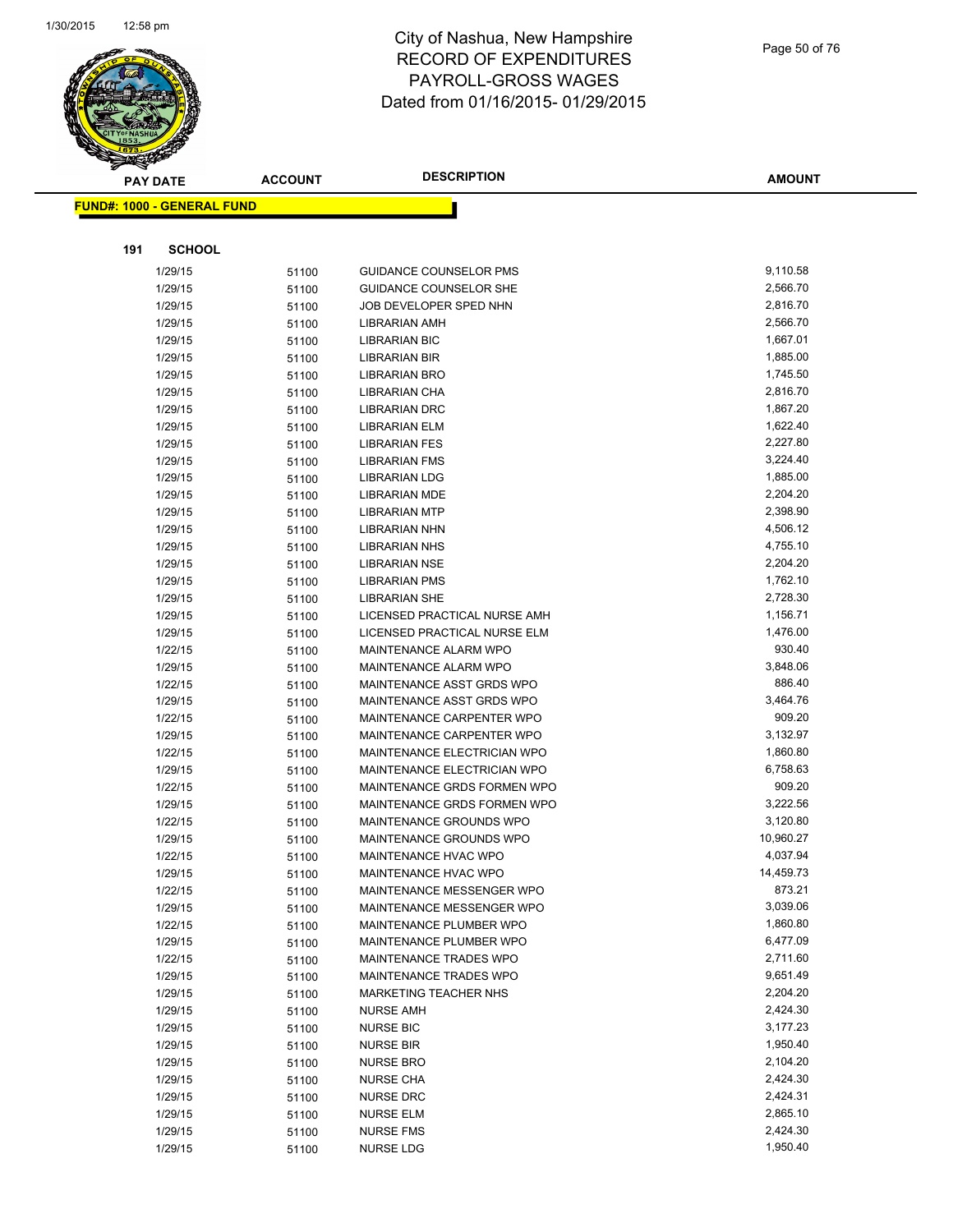

|     | <b>PAY DATE</b>                   | <b>ACCOUNT</b> | <b>DESCRIPTION</b>                 | <b>AMOUNT</b> |
|-----|-----------------------------------|----------------|------------------------------------|---------------|
|     | <b>FUND#: 1000 - GENERAL FUND</b> |                |                                    |               |
|     |                                   |                |                                    |               |
| 191 | <b>SCHOOL</b>                     |                |                                    |               |
|     | 1/29/15                           | 51100          | <b>GUIDANCE COUNSELOR PMS</b>      | 9,110.58      |
|     | 1/29/15                           | 51100          | <b>GUIDANCE COUNSELOR SHE</b>      | 2,566.70      |
|     | 1/29/15                           | 51100          | JOB DEVELOPER SPED NHN             | 2,816.70      |
|     | 1/29/15                           | 51100          | <b>LIBRARIAN AMH</b>               | 2,566.70      |
|     | 1/29/15                           | 51100          | <b>LIBRARIAN BIC</b>               | 1,667.01      |
|     | 1/29/15                           | 51100          | <b>LIBRARIAN BIR</b>               | 1,885.00      |
|     | 1/29/15                           | 51100          | <b>LIBRARIAN BRO</b>               | 1,745.50      |
|     | 1/29/15                           | 51100          | LIBRARIAN CHA                      | 2,816.70      |
|     | 1/29/15                           | 51100          | <b>LIBRARIAN DRC</b>               | 1,867.20      |
|     | 1/29/15                           | 51100          | <b>LIBRARIAN ELM</b>               | 1,622.40      |
|     | 1/29/15                           | 51100          | <b>LIBRARIAN FES</b>               | 2,227.80      |
|     | 1/29/15                           | 51100          | <b>LIBRARIAN FMS</b>               | 3,224.40      |
|     | 1/29/15                           | 51100          | <b>LIBRARIAN LDG</b>               | 1,885.00      |
|     | 1/29/15                           | 51100          | <b>LIBRARIAN MDE</b>               | 2,204.20      |
|     | 1/29/15                           | 51100          | <b>LIBRARIAN MTP</b>               | 2,398.90      |
|     | 1/29/15                           | 51100          | <b>LIBRARIAN NHN</b>               | 4,506.12      |
|     | 1/29/15                           | 51100          | <b>LIBRARIAN NHS</b>               | 4,755.10      |
|     | 1/29/15                           | 51100          | <b>LIBRARIAN NSE</b>               | 2,204.20      |
|     | 1/29/15                           | 51100          | <b>LIBRARIAN PMS</b>               | 1,762.10      |
|     | 1/29/15                           | 51100          | <b>LIBRARIAN SHE</b>               | 2,728.30      |
|     | 1/29/15                           | 51100          | LICENSED PRACTICAL NURSE AMH       | 1,156.71      |
|     | 1/29/15                           | 51100          | LICENSED PRACTICAL NURSE ELM       | 1,476.00      |
|     | 1/22/15                           | 51100          | MAINTENANCE ALARM WPO              | 930.40        |
|     | 1/29/15                           | 51100          | MAINTENANCE ALARM WPO              | 3,848.06      |
|     | 1/22/15                           | 51100          | MAINTENANCE ASST GRDS WPO          | 886.40        |
|     | 1/29/15                           | 51100          | MAINTENANCE ASST GRDS WPO          | 3,464.76      |
|     | 1/22/15                           | 51100          | MAINTENANCE CARPENTER WPO          | 909.20        |
|     | 1/29/15                           | 51100          | MAINTENANCE CARPENTER WPO          | 3,132.97      |
|     | 1/22/15                           | 51100          | MAINTENANCE ELECTRICIAN WPO        | 1,860.80      |
|     | 1/29/15                           | 51100          | <b>MAINTENANCE ELECTRICIAN WPO</b> | 6,758.63      |
|     | 1/22/15                           | 51100          | MAINTENANCE GRDS FORMEN WPO        | 909.20        |
|     | 1/29/15                           | 51100          | MAINTENANCE GRDS FORMEN WPO        | 3,222.56      |
|     | 1/22/15                           | 51100          | MAINTENANCE GROUNDS WPO            | 3,120.80      |
|     | 1/29/15                           | 51100          | MAINTENANCE GROUNDS WPO            | 10,960.27     |
|     | 1/22/15                           | 51100          | MAINTENANCE HVAC WPO               | 4,037.94      |
|     | 1/29/15                           | 51100          | MAINTENANCE HVAC WPO               | 14,459.73     |
|     | 1/22/15                           | 51100          | MAINTENANCE MESSENGER WPO          | 873.21        |
|     | 1/29/15                           | 51100          | MAINTENANCE MESSENGER WPO          | 3,039.06      |
|     | 1/22/15                           | 51100          | MAINTENANCE PLUMBER WPO            | 1,860.80      |
|     | 1/29/15                           | 51100          | MAINTENANCE PLUMBER WPO            | 6,477.09      |
|     | 1/22/15                           | 51100          | MAINTENANCE TRADES WPO             | 2,711.60      |
|     | 1/29/15                           | 51100          | <b>MAINTENANCE TRADES WPO</b>      | 9,651.49      |
|     | 1/29/15                           | 51100          | <b>MARKETING TEACHER NHS</b>       | 2,204.20      |
|     | 1/29/15                           | 51100          | <b>NURSE AMH</b>                   | 2,424.30      |
|     | 1/29/15                           | 51100          | <b>NURSE BIC</b>                   | 3,177.23      |
|     | 1/29/15                           | 51100          | <b>NURSE BIR</b>                   | 1,950.40      |
|     | 1/29/15                           | 51100          | <b>NURSE BRO</b>                   | 2,104.20      |
|     | 1/29/15                           | 51100          | <b>NURSE CHA</b>                   | 2,424.30      |
|     | 1/29/15                           | 51100          | <b>NURSE DRC</b>                   | 2,424.31      |
|     | 1/29/15                           | 51100          | <b>NURSE ELM</b>                   | 2,865.10      |
|     | 1/29/15                           | 51100          | <b>NURSE FMS</b>                   | 2,424.30      |
|     | 1/29/15                           | 51100          | NURSE LDG                          | 1,950.40      |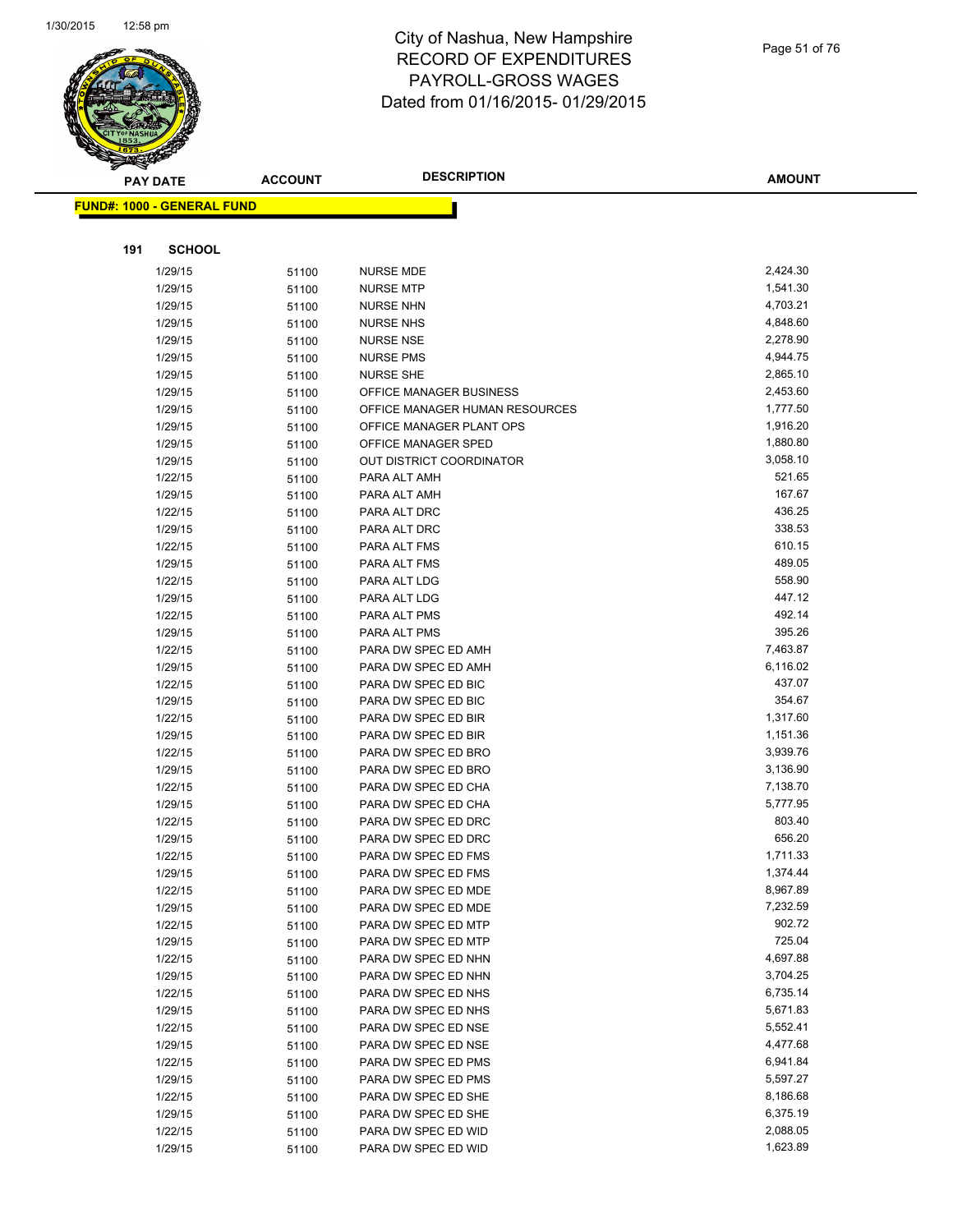

|     | PAY DATE                          | <b>ACCOUNT</b> | <b>DESCRIPTION</b>                         | <b>AMOUNT</b>    |
|-----|-----------------------------------|----------------|--------------------------------------------|------------------|
|     | <b>FUND#: 1000 - GENERAL FUND</b> |                |                                            |                  |
|     |                                   |                |                                            |                  |
|     |                                   |                |                                            |                  |
| 191 | <b>SCHOOL</b>                     |                |                                            |                  |
|     | 1/29/15                           | 51100          | <b>NURSE MDE</b>                           | 2,424.30         |
|     | 1/29/15                           | 51100          | <b>NURSE MTP</b>                           | 1,541.30         |
|     | 1/29/15                           | 51100          | <b>NURSE NHN</b>                           | 4,703.21         |
|     | 1/29/15                           | 51100          | <b>NURSE NHS</b>                           | 4,848.60         |
|     | 1/29/15                           | 51100          | <b>NURSE NSE</b>                           | 2,278.90         |
|     | 1/29/15                           | 51100          | <b>NURSE PMS</b>                           | 4,944.75         |
|     | 1/29/15                           | 51100          | <b>NURSE SHE</b>                           | 2,865.10         |
|     | 1/29/15                           | 51100          | OFFICE MANAGER BUSINESS                    | 2,453.60         |
|     | 1/29/15                           | 51100          | OFFICE MANAGER HUMAN RESOURCES             | 1,777.50         |
|     | 1/29/15                           | 51100          | OFFICE MANAGER PLANT OPS                   | 1,916.20         |
|     | 1/29/15                           | 51100          | OFFICE MANAGER SPED                        | 1,880.80         |
|     | 1/29/15                           | 51100          | OUT DISTRICT COORDINATOR                   | 3,058.10         |
|     | 1/22/15                           | 51100          | PARA ALT AMH                               | 521.65           |
|     | 1/29/15                           | 51100          | PARA ALT AMH                               | 167.67           |
|     | 1/22/15                           | 51100          | PARA ALT DRC                               | 436.25           |
|     | 1/29/15                           | 51100          | PARA ALT DRC                               | 338.53           |
|     | 1/22/15                           | 51100          | PARA ALT FMS                               | 610.15           |
|     | 1/29/15                           | 51100          | PARA ALT FMS                               | 489.05           |
|     | 1/22/15                           | 51100          | PARA ALT LDG                               | 558.90           |
|     | 1/29/15                           | 51100          | PARA ALT LDG                               | 447.12           |
|     | 1/22/15                           | 51100          | PARA ALT PMS                               | 492.14<br>395.26 |
|     | 1/29/15                           | 51100          | PARA ALT PMS                               | 7,463.87         |
|     | 1/22/15                           | 51100          | PARA DW SPEC ED AMH                        | 6,116.02         |
|     | 1/29/15                           | 51100          | PARA DW SPEC ED AMH                        | 437.07           |
|     | 1/22/15<br>1/29/15                | 51100          | PARA DW SPEC ED BIC<br>PARA DW SPEC ED BIC | 354.67           |
|     | 1/22/15                           | 51100          | PARA DW SPEC ED BIR                        | 1,317.60         |
|     | 1/29/15                           | 51100<br>51100 | PARA DW SPEC ED BIR                        | 1,151.36         |
|     | 1/22/15                           | 51100          | PARA DW SPEC ED BRO                        | 3,939.76         |
|     | 1/29/15                           | 51100          | PARA DW SPEC ED BRO                        | 3,136.90         |
|     | 1/22/15                           | 51100          | PARA DW SPEC ED CHA                        | 7,138.70         |
|     | 1/29/15                           | 51100          | PARA DW SPEC ED CHA                        | 5,777.95         |
|     | 1/22/15                           | 51100          | PARA DW SPEC ED DRC                        | 803.40           |
|     | 1/29/15                           | 51100          | PARA DW SPEC ED DRC                        | 656.20           |
|     | 1/22/15                           | 51100          | PARA DW SPEC ED FMS                        | 1,711.33         |
|     | 1/29/15                           | 51100          | PARA DW SPEC ED FMS                        | 1,374.44         |
|     | 1/22/15                           | 51100          | PARA DW SPEC ED MDE                        | 8,967.89         |
|     | 1/29/15                           | 51100          | PARA DW SPEC ED MDE                        | 7,232.59         |
|     | 1/22/15                           | 51100          | PARA DW SPEC ED MTP                        | 902.72           |
|     | 1/29/15                           | 51100          | PARA DW SPEC ED MTP                        | 725.04           |
|     | 1/22/15                           | 51100          | PARA DW SPEC ED NHN                        | 4,697.88         |
|     | 1/29/15                           | 51100          | PARA DW SPEC ED NHN                        | 3,704.25         |
|     | 1/22/15                           | 51100          | PARA DW SPEC ED NHS                        | 6,735.14         |
|     | 1/29/15                           | 51100          | PARA DW SPEC ED NHS                        | 5,671.83         |
|     | 1/22/15                           | 51100          | PARA DW SPEC ED NSE                        | 5,552.41         |
|     | 1/29/15                           | 51100          | PARA DW SPEC ED NSE                        | 4,477.68         |
|     | 1/22/15                           | 51100          | PARA DW SPEC ED PMS                        | 6,941.84         |
|     | 1/29/15                           | 51100          | PARA DW SPEC ED PMS                        | 5,597.27         |
|     | 1/22/15                           | 51100          | PARA DW SPEC ED SHE                        | 8,186.68         |
|     | 1/29/15                           | 51100          | PARA DW SPEC ED SHE                        | 6,375.19         |
|     | 1/22/15                           | 51100          | PARA DW SPEC ED WID                        | 2,088.05         |
|     | 1/29/15                           | 51100          | PARA DW SPEC ED WID                        | 1,623.89         |
|     |                                   |                |                                            |                  |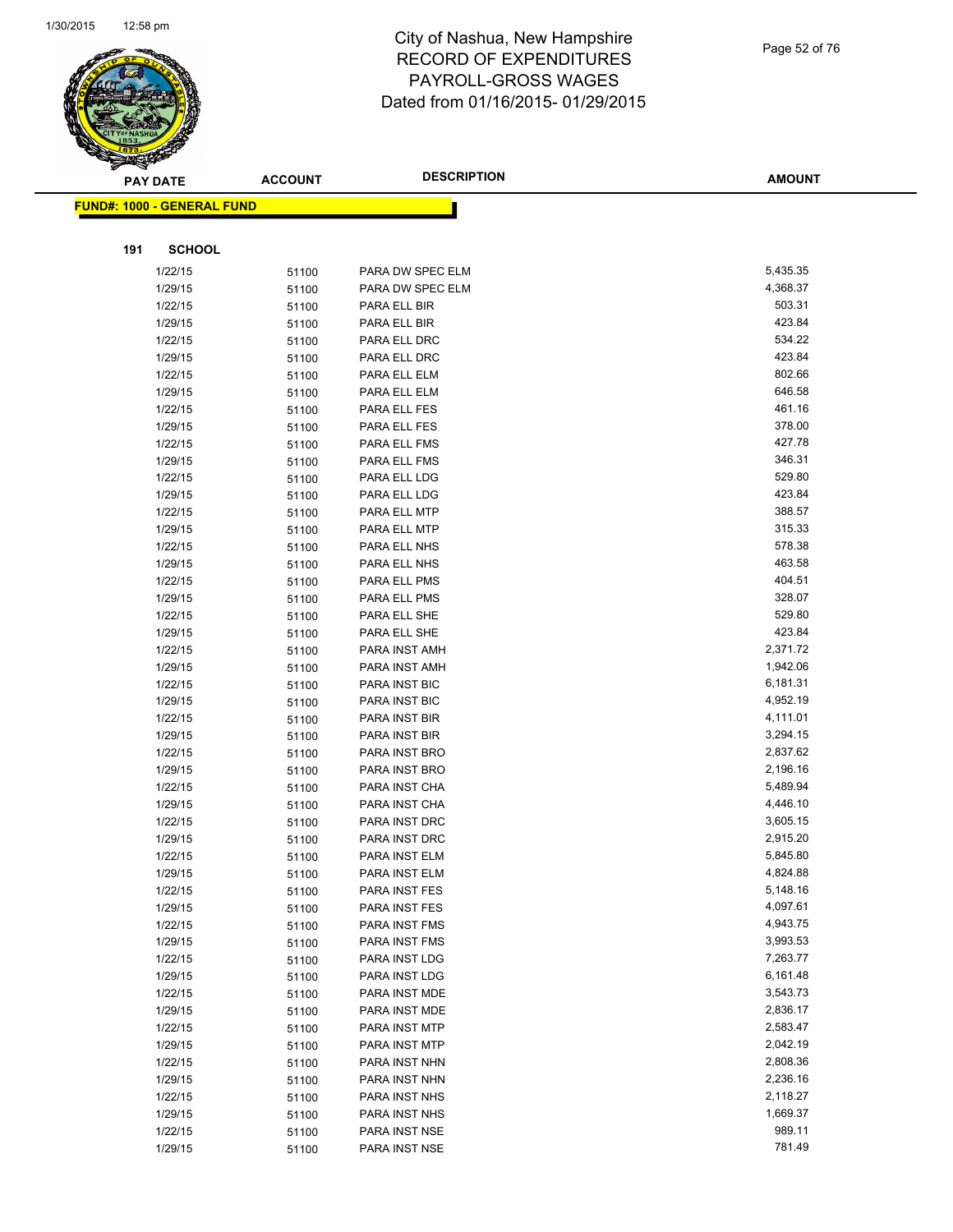

Page 52 of 76

|     | <b>PAY DATE</b>                   | <b>ACCOUNT</b> | <b>DESCRIPTION</b>             | <b>AMOUNT</b>        |
|-----|-----------------------------------|----------------|--------------------------------|----------------------|
|     | <b>FUND#: 1000 - GENERAL FUND</b> |                |                                |                      |
|     |                                   |                |                                |                      |
|     |                                   |                |                                |                      |
| 191 | <b>SCHOOL</b>                     |                |                                |                      |
|     | 1/22/15                           | 51100          | PARA DW SPEC ELM               | 5,435.35             |
|     | 1/29/15                           | 51100          | PARA DW SPEC ELM               | 4,368.37             |
|     | 1/22/15                           | 51100          | PARA ELL BIR                   | 503.31               |
|     | 1/29/15                           | 51100          | PARA ELL BIR                   | 423.84               |
|     | 1/22/15                           | 51100          | PARA ELL DRC                   | 534.22               |
|     | 1/29/15                           | 51100          | PARA ELL DRC                   | 423.84               |
|     | 1/22/15                           | 51100          | PARA ELL ELM                   | 802.66               |
|     | 1/29/15                           | 51100          | PARA ELL ELM                   | 646.58               |
|     | 1/22/15                           | 51100          | PARA ELL FES                   | 461.16               |
|     | 1/29/15                           | 51100          | PARA ELL FES                   | 378.00               |
|     | 1/22/15                           | 51100          | PARA ELL FMS                   | 427.78               |
|     | 1/29/15                           | 51100          | PARA ELL FMS                   | 346.31               |
|     | 1/22/15                           | 51100          | PARA ELL LDG                   | 529.80               |
|     | 1/29/15                           | 51100          | PARA ELL LDG                   | 423.84               |
|     | 1/22/15                           | 51100          | PARA ELL MTP                   | 388.57               |
|     | 1/29/15                           | 51100          | PARA ELL MTP                   | 315.33               |
|     | 1/22/15                           | 51100          | PARA ELL NHS                   | 578.38               |
|     | 1/29/15                           | 51100          | PARA ELL NHS                   | 463.58               |
|     | 1/22/15                           | 51100          | PARA ELL PMS                   | 404.51               |
|     | 1/29/15                           | 51100          | PARA ELL PMS                   | 328.07               |
|     | 1/22/15                           | 51100          | PARA ELL SHE                   | 529.80               |
|     | 1/29/15                           | 51100          | PARA ELL SHE                   | 423.84               |
|     | 1/22/15                           | 51100          | PARA INST AMH                  | 2,371.72             |
|     | 1/29/15                           | 51100          | PARA INST AMH                  | 1,942.06             |
|     | 1/22/15                           | 51100          | PARA INST BIC                  | 6,181.31             |
|     | 1/29/15                           | 51100          | PARA INST BIC                  | 4,952.19             |
|     | 1/22/15                           | 51100          | PARA INST BIR                  | 4,111.01             |
|     | 1/29/15                           | 51100          | PARA INST BIR                  | 3,294.15             |
|     | 1/22/15                           | 51100          | PARA INST BRO                  | 2,837.62             |
|     | 1/29/15                           | 51100          | PARA INST BRO<br>PARA INST CHA | 2,196.16<br>5,489.94 |
|     | 1/22/15<br>1/29/15                | 51100          | PARA INST CHA                  | 4,446.10             |
|     | 1/22/15                           | 51100          | PARA INST DRC                  | 3,605.15             |
|     | 1/29/15                           | 51100          | PARA INST DRC                  | 2,915.20             |
|     | 1/22/15                           | 51100<br>51100 | PARA INST ELM                  | 5,845.80             |
|     | 1/29/15                           | 51100          | PARA INST ELM                  | 4,824.88             |
|     | 1/22/15                           | 51100          | PARA INST FES                  | 5,148.16             |
|     | 1/29/15                           | 51100          | PARA INST FES                  | 4,097.61             |
|     | 1/22/15                           | 51100          | PARA INST FMS                  | 4,943.75             |
|     | 1/29/15                           | 51100          | PARA INST FMS                  | 3,993.53             |
|     | 1/22/15                           | 51100          | PARA INST LDG                  | 7,263.77             |
|     | 1/29/15                           | 51100          | PARA INST LDG                  | 6,161.48             |
|     | 1/22/15                           | 51100          | PARA INST MDE                  | 3,543.73             |
|     | 1/29/15                           | 51100          | PARA INST MDE                  | 2,836.17             |
|     | 1/22/15                           | 51100          | PARA INST MTP                  | 2,583.47             |
|     | 1/29/15                           | 51100          | PARA INST MTP                  | 2,042.19             |
|     | 1/22/15                           | 51100          | PARA INST NHN                  | 2,808.36             |
|     | 1/29/15                           | 51100          | PARA INST NHN                  | 2,236.16             |
|     | 1/22/15                           | 51100          | PARA INST NHS                  | 2,118.27             |
|     | 1/29/15                           | 51100          | PARA INST NHS                  | 1,669.37             |
|     | 1/22/15                           | 51100          | PARA INST NSE                  | 989.11               |
|     | 1/29/15                           | 51100          | PARA INST NSE                  | 781.49               |
|     |                                   |                |                                |                      |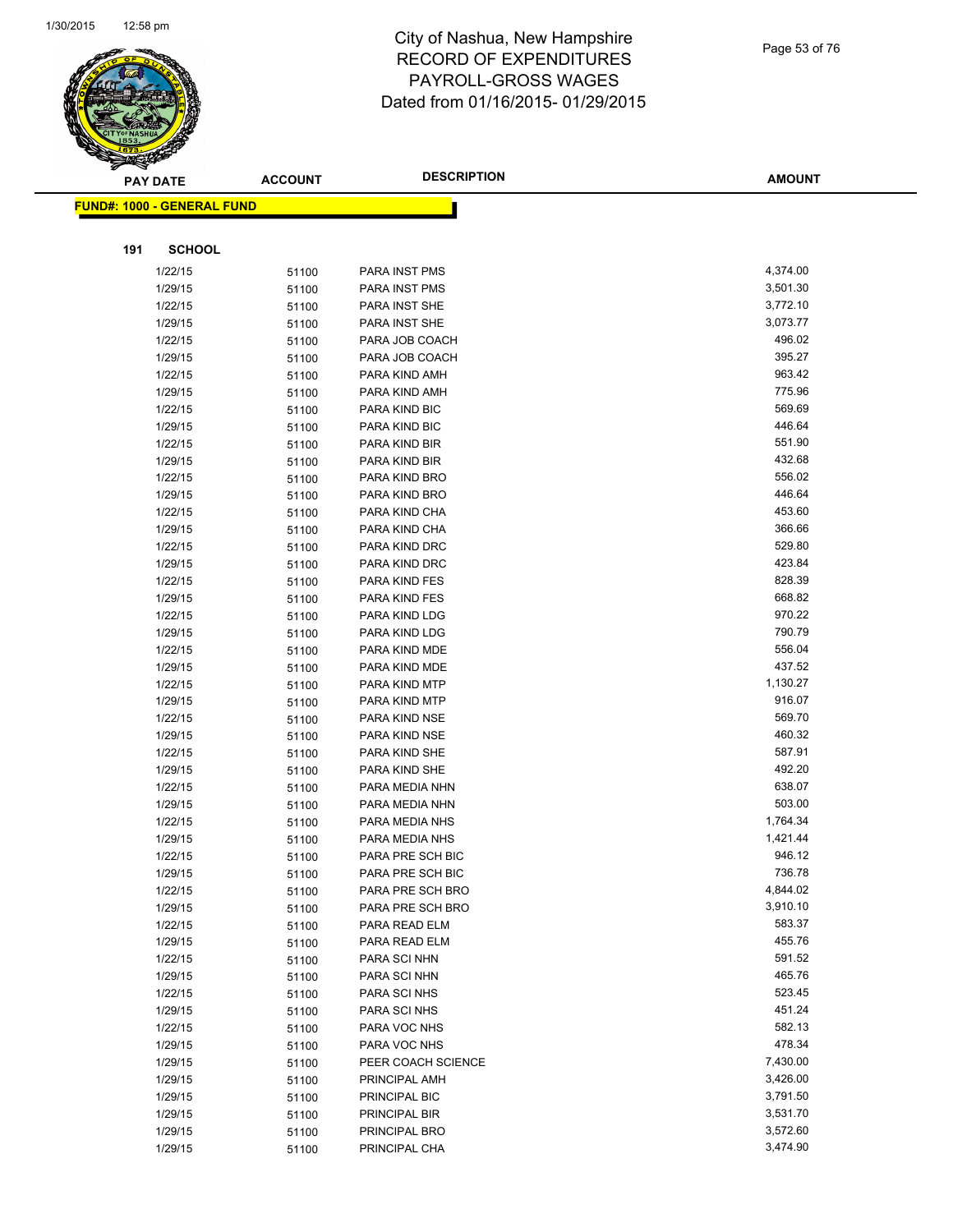

Page 53 of 76

| T<br>$\blacktriangle$ .<br>PAY DATE | <b>ACCOUNT</b> | <b>DESCRIPTION</b>             | <b>AMOUNT</b> |
|-------------------------------------|----------------|--------------------------------|---------------|
| <b>FUND#: 1000 - GENERAL FUND</b>   |                |                                |               |
|                                     |                |                                |               |
| 191<br><b>SCHOOL</b>                |                |                                |               |
| 1/22/15                             |                |                                | 4,374.00      |
| 1/29/15                             | 51100          | PARA INST PMS<br>PARA INST PMS | 3,501.30      |
| 1/22/15                             | 51100          | PARA INST SHE                  | 3,772.10      |
| 1/29/15                             | 51100          | PARA INST SHE                  | 3,073.77      |
| 1/22/15                             | 51100          | PARA JOB COACH                 | 496.02        |
| 1/29/15                             | 51100          | PARA JOB COACH                 | 395.27        |
|                                     | 51100          | PARA KIND AMH                  | 963.42        |
| 1/22/15<br>1/29/15                  | 51100          | PARA KIND AMH                  | 775.96        |
| 1/22/15                             | 51100          | PARA KIND BIC                  | 569.69        |
| 1/29/15                             | 51100          | PARA KIND BIC                  | 446.64        |
| 1/22/15                             | 51100          | PARA KIND BIR                  | 551.90        |
| 1/29/15                             | 51100          | PARA KIND BIR                  | 432.68        |
| 1/22/15                             | 51100          | PARA KIND BRO                  | 556.02        |
| 1/29/15                             | 51100<br>51100 | PARA KIND BRO                  | 446.64        |
| 1/22/15                             | 51100          | PARA KIND CHA                  | 453.60        |
| 1/29/15                             | 51100          | PARA KIND CHA                  | 366.66        |
| 1/22/15                             | 51100          | PARA KIND DRC                  | 529.80        |
| 1/29/15                             | 51100          | PARA KIND DRC                  | 423.84        |
| 1/22/15                             | 51100          | PARA KIND FES                  | 828.39        |
| 1/29/15                             | 51100          | PARA KIND FES                  | 668.82        |
| 1/22/15                             | 51100          | PARA KIND LDG                  | 970.22        |
| 1/29/15                             | 51100          | PARA KIND LDG                  | 790.79        |
| 1/22/15                             | 51100          | PARA KIND MDE                  | 556.04        |
| 1/29/15                             | 51100          | PARA KIND MDE                  | 437.52        |
| 1/22/15                             | 51100          | PARA KIND MTP                  | 1,130.27      |
| 1/29/15                             | 51100          | PARA KIND MTP                  | 916.07        |
| 1/22/15                             | 51100          | PARA KIND NSE                  | 569.70        |
| 1/29/15                             | 51100          | PARA KIND NSE                  | 460.32        |
| 1/22/15                             | 51100          | PARA KIND SHE                  | 587.91        |
| 1/29/15                             | 51100          | PARA KIND SHE                  | 492.20        |
| 1/22/15                             | 51100          | PARA MEDIA NHN                 | 638.07        |
| 1/29/15                             | 51100          | PARA MEDIA NHN                 | 503.00        |
| 1/22/15                             | 51100          | PARA MEDIA NHS                 | 1,764.34      |
| 1/29/15                             | 51100          | PARA MEDIA NHS                 | 1,421.44      |
| 1/22/15                             | 51100          | PARA PRE SCH BIC               | 946.12        |
| 1/29/15                             | 51100          | PARA PRE SCH BIC               | 736.78        |
| 1/22/15                             | 51100          | PARA PRE SCH BRO               | 4,844.02      |
| 1/29/15                             | 51100          | PARA PRE SCH BRO               | 3,910.10      |
| 1/22/15                             | 51100          | PARA READ ELM                  | 583.37        |
| 1/29/15                             | 51100          | PARA READ ELM                  | 455.76        |
| 1/22/15                             | 51100          | PARA SCI NHN                   | 591.52        |
| 1/29/15                             | 51100          | PARA SCI NHN                   | 465.76        |
| 1/22/15                             | 51100          | PARA SCI NHS                   | 523.45        |
| 1/29/15                             | 51100          | PARA SCI NHS                   | 451.24        |
| 1/22/15                             | 51100          | PARA VOC NHS                   | 582.13        |
| 1/29/15                             | 51100          | PARA VOC NHS                   | 478.34        |
| 1/29/15                             | 51100          | PEER COACH SCIENCE             | 7,430.00      |
| 1/29/15                             | 51100          | PRINCIPAL AMH                  | 3,426.00      |
| 1/29/15                             | 51100          | PRINCIPAL BIC                  | 3,791.50      |
| 1/29/15                             | 51100          | PRINCIPAL BIR                  | 3,531.70      |
| 1/29/15                             | 51100          | PRINCIPAL BRO                  | 3,572.60      |
| 1/29/15                             | 51100          | PRINCIPAL CHA                  | 3,474.90      |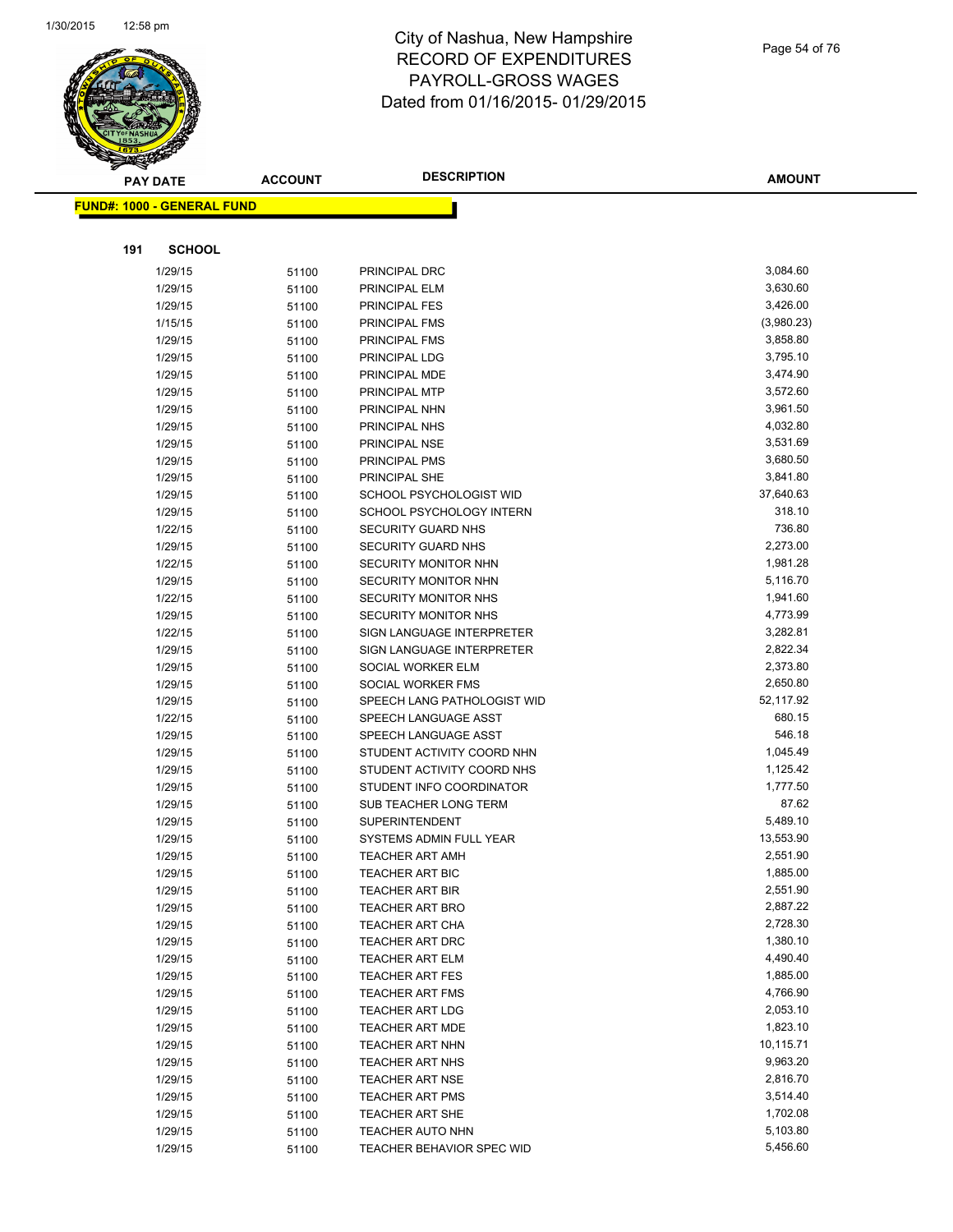

**AMOUNT**

| <u> FUND#: 1000 - GENERAL FUND</u> |       |                                                      |                      |
|------------------------------------|-------|------------------------------------------------------|----------------------|
|                                    |       |                                                      |                      |
| 191<br><b>SCHOOL</b>               |       |                                                      |                      |
| 1/29/15                            | 51100 | PRINCIPAL DRC                                        | 3,084.60             |
| 1/29/15                            | 51100 | PRINCIPAL ELM                                        | 3,630.60             |
| 1/29/15                            | 51100 | PRINCIPAL FES                                        | 3,426.00             |
| 1/15/15                            | 51100 | PRINCIPAL FMS                                        | (3,980.23)           |
| 1/29/15                            | 51100 | PRINCIPAL FMS                                        | 3,858.80             |
| 1/29/15                            | 51100 | PRINCIPAL LDG                                        | 3,795.10             |
| 1/29/15                            | 51100 | PRINCIPAL MDE                                        | 3,474.90             |
| 1/29/15                            | 51100 | PRINCIPAL MTP                                        | 3,572.60             |
| 1/29/15                            | 51100 | PRINCIPAL NHN                                        | 3,961.50             |
| 1/29/15                            | 51100 | PRINCIPAL NHS                                        | 4,032.80             |
| 1/29/15                            | 51100 | PRINCIPAL NSE                                        | 3,531.69             |
| 1/29/15                            | 51100 | PRINCIPAL PMS                                        | 3,680.50             |
| 1/29/15                            | 51100 | PRINCIPAL SHE                                        | 3,841.80             |
| 1/29/15                            | 51100 | SCHOOL PSYCHOLOGIST WID                              | 37,640.63            |
| 1/29/15                            | 51100 | SCHOOL PSYCHOLOGY INTERN                             | 318.10               |
| 1/22/15                            | 51100 | SECURITY GUARD NHS                                   | 736.80               |
| 1/29/15                            | 51100 | <b>SECURITY GUARD NHS</b>                            | 2,273.00             |
| 1/22/15                            | 51100 | <b>SECURITY MONITOR NHN</b>                          | 1,981.28             |
| 1/29/15                            | 51100 | SECURITY MONITOR NHN                                 | 5,116.70             |
| 1/22/15                            | 51100 | SECURITY MONITOR NHS                                 | 1,941.60             |
| 1/29/15                            | 51100 | SECURITY MONITOR NHS                                 | 4,773.99             |
| 1/22/15                            | 51100 | SIGN LANGUAGE INTERPRETER                            | 3,282.81             |
| 1/29/15                            | 51100 | SIGN LANGUAGE INTERPRETER                            | 2,822.34             |
| 1/29/15                            | 51100 | SOCIAL WORKER ELM                                    | 2,373.80             |
| 1/29/15                            | 51100 | SOCIAL WORKER FMS                                    | 2,650.80             |
| 1/29/15                            | 51100 | SPEECH LANG PATHOLOGIST WID                          | 52,117.92            |
| 1/22/15                            | 51100 | SPEECH LANGUAGE ASST                                 | 680.15               |
| 1/29/15                            | 51100 | SPEECH LANGUAGE ASST                                 | 546.18               |
| 1/29/15                            | 51100 | STUDENT ACTIVITY COORD NHN                           | 1,045.49             |
| 1/29/15                            | 51100 | STUDENT ACTIVITY COORD NHS                           | 1,125.42             |
| 1/29/15                            | 51100 | STUDENT INFO COORDINATOR                             | 1,777.50             |
| 1/29/15                            | 51100 | SUB TEACHER LONG TERM                                | 87.62                |
| 1/29/15                            | 51100 | <b>SUPERINTENDENT</b>                                | 5,489.10             |
| 1/29/15                            | 51100 | SYSTEMS ADMIN FULL YEAR                              | 13,553.90            |
| 1/29/15                            | 51100 | <b>TEACHER ART AMH</b>                               | 2,551.90             |
| 1/29/15                            | 51100 | <b>TEACHER ART BIC</b>                               | 1,885.00             |
| 1/29/15                            | 51100 | TEACHER ART BIR                                      | 2,551.90             |
| 1/29/15                            | 51100 | <b>TEACHER ART BRO</b>                               | 2,887.22             |
| 1/29/15                            | 51100 | <b>TEACHER ART CHA</b>                               | 2,728.30             |
| 1/29/15                            | 51100 | TEACHER ART DRC                                      | 1,380.10             |
| 1/29/15                            | 51100 | <b>TEACHER ART ELM</b>                               | 4,490.40             |
| 1/29/15                            | 51100 | <b>TEACHER ART FES</b>                               | 1,885.00             |
| 1/29/15                            | 51100 | <b>TEACHER ART FMS</b>                               | 4,766.90             |
| 1/29/15                            | 51100 | <b>TEACHER ART LDG</b>                               | 2,053.10             |
| 1/29/15                            | 51100 | <b>TEACHER ART MDE</b>                               | 1,823.10             |
| 1/29/15                            | 51100 | <b>TEACHER ART NHN</b>                               | 10,115.71            |
| 1/29/15                            | 51100 | <b>TEACHER ART NHS</b>                               | 9,963.20             |
| 1/29/15                            | 51100 | <b>TEACHER ART NSE</b>                               | 2,816.70             |
| 1/29/15                            | 51100 | <b>TEACHER ART PMS</b>                               | 3,514.40<br>1,702.08 |
| 1/29/15<br>1/29/15                 | 51100 | <b>TEACHER ART SHE</b>                               | 5,103.80             |
| 1/29/15                            | 51100 | <b>TEACHER AUTO NHN</b><br>TEACHER BEHAVIOR SPEC WID | 5,456.60             |
|                                    | 51100 |                                                      |                      |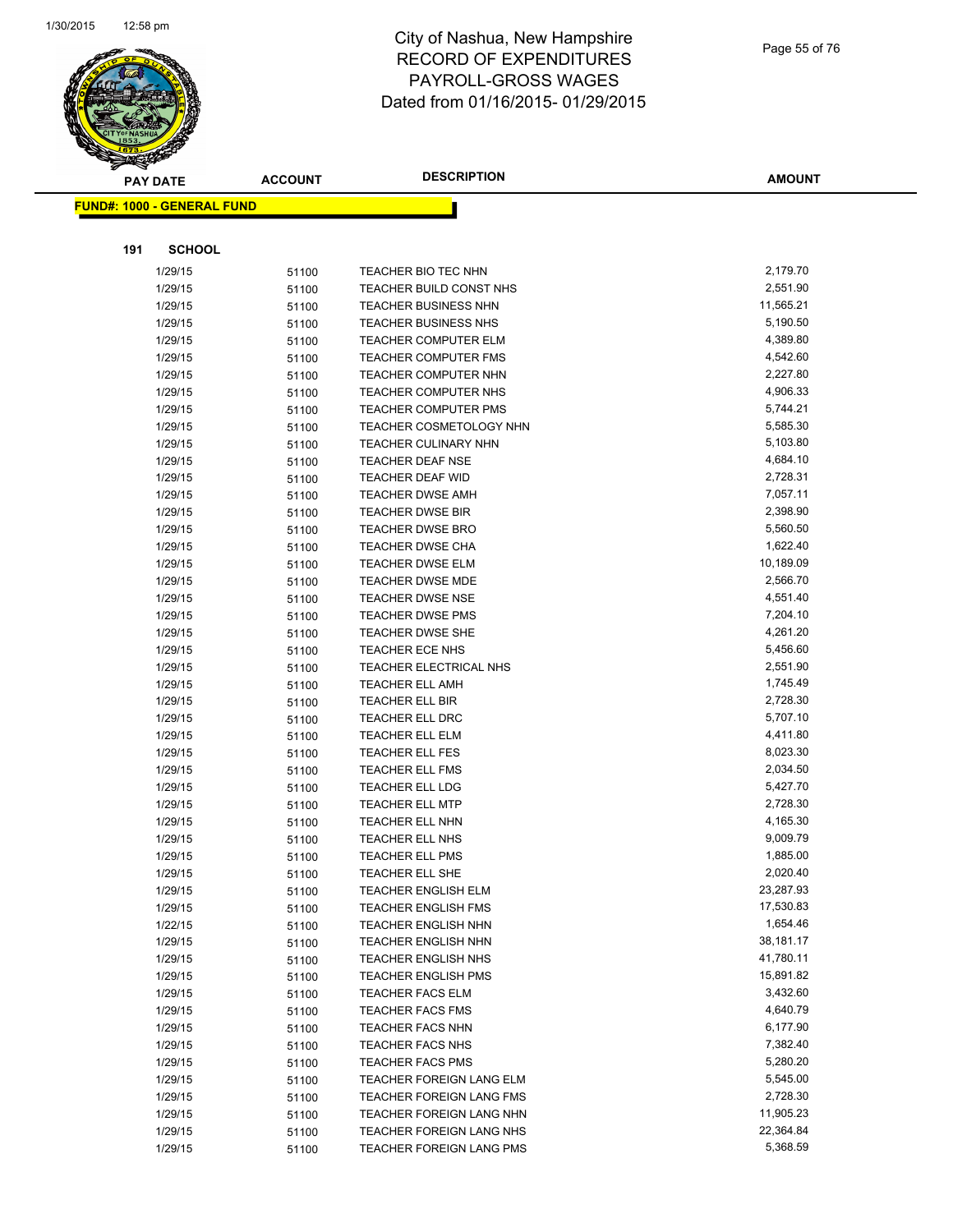

Page 55 of 76

|     | <b>PAY DATE</b>                   | <b>ACCOUNT</b> | <b>DESCRIPTION</b>                                  | <b>AMOUNT</b>        |
|-----|-----------------------------------|----------------|-----------------------------------------------------|----------------------|
|     | <b>FUND#: 1000 - GENERAL FUND</b> |                |                                                     |                      |
|     |                                   |                |                                                     |                      |
|     |                                   |                |                                                     |                      |
| 191 | <b>SCHOOL</b>                     |                |                                                     |                      |
|     | 1/29/15                           | 51100          | TEACHER BIO TEC NHN                                 | 2,179.70             |
|     | 1/29/15                           | 51100          | TEACHER BUILD CONST NHS                             | 2,551.90             |
|     | 1/29/15                           | 51100          | <b>TEACHER BUSINESS NHN</b>                         | 11,565.21            |
|     | 1/29/15                           | 51100          | <b>TEACHER BUSINESS NHS</b>                         | 5,190.50             |
|     | 1/29/15                           | 51100          | <b>TEACHER COMPUTER ELM</b>                         | 4,389.80             |
|     | 1/29/15                           | 51100          | <b>TEACHER COMPUTER FMS</b>                         | 4,542.60             |
|     | 1/29/15                           | 51100          | <b>TEACHER COMPUTER NHN</b>                         | 2,227.80             |
|     | 1/29/15                           | 51100          | TEACHER COMPUTER NHS                                | 4,906.33             |
|     | 1/29/15                           | 51100          | <b>TEACHER COMPUTER PMS</b>                         | 5,744.21             |
|     | 1/29/15                           | 51100          | <b>TEACHER COSMETOLOGY NHN</b>                      | 5,585.30             |
|     | 1/29/15                           | 51100          | <b>TEACHER CULINARY NHN</b>                         | 5,103.80             |
|     | 1/29/15                           | 51100          | TEACHER DEAF NSE                                    | 4,684.10             |
|     | 1/29/15                           | 51100          | TEACHER DEAF WID                                    | 2,728.31<br>7,057.11 |
|     | 1/29/15<br>1/29/15                | 51100          | <b>TEACHER DWSE AMH</b><br><b>TEACHER DWSE BIR</b>  | 2,398.90             |
|     | 1/29/15                           | 51100          | <b>TEACHER DWSE BRO</b>                             | 5,560.50             |
|     | 1/29/15                           | 51100          | <b>TEACHER DWSE CHA</b>                             | 1,622.40             |
|     | 1/29/15                           | 51100          | TEACHER DWSE ELM                                    | 10,189.09            |
|     | 1/29/15                           | 51100<br>51100 | <b>TEACHER DWSE MDE</b>                             | 2,566.70             |
|     | 1/29/15                           | 51100          | TEACHER DWSE NSE                                    | 4,551.40             |
|     | 1/29/15                           | 51100          | <b>TEACHER DWSE PMS</b>                             | 7,204.10             |
|     | 1/29/15                           | 51100          | <b>TEACHER DWSE SHE</b>                             | 4,261.20             |
|     | 1/29/15                           | 51100          | <b>TEACHER ECE NHS</b>                              | 5,456.60             |
|     | 1/29/15                           | 51100          | TEACHER ELECTRICAL NHS                              | 2,551.90             |
|     | 1/29/15                           | 51100          | <b>TEACHER ELL AMH</b>                              | 1,745.49             |
|     | 1/29/15                           | 51100          | TEACHER ELL BIR                                     | 2,728.30             |
|     | 1/29/15                           | 51100          | <b>TEACHER ELL DRC</b>                              | 5,707.10             |
|     | 1/29/15                           | 51100          | <b>TEACHER ELL ELM</b>                              | 4,411.80             |
|     | 1/29/15                           | 51100          | TEACHER ELL FES                                     | 8,023.30             |
|     | 1/29/15                           | 51100          | <b>TEACHER ELL FMS</b>                              | 2,034.50             |
|     | 1/29/15                           | 51100          | <b>TEACHER ELL LDG</b>                              | 5,427.70             |
|     | 1/29/15                           | 51100          | <b>TEACHER ELL MTP</b>                              | 2,728.30             |
|     | 1/29/15                           | 51100          | <b>TEACHER ELL NHN</b>                              | 4,165.30             |
|     | 1/29/15                           | 51100          | <b>TEACHER ELL NHS</b>                              | 9,009.79             |
|     | 1/29/15                           | 51100          | <b>TEACHER ELL PMS</b>                              | 1,885.00             |
|     | 1/29/15                           | 51100          | <b>TEACHER ELL SHE</b>                              | 2,020.40             |
|     | 1/29/15                           | 51100          | <b>TEACHER ENGLISH ELM</b>                          | 23,287.93            |
|     | 1/29/15                           | 51100          | TEACHER ENGLISH FMS                                 | 17,530.83            |
|     | 1/22/15                           | 51100          | <b>TEACHER ENGLISH NHN</b>                          | 1,654.46             |
|     | 1/29/15                           | 51100          | <b>TEACHER ENGLISH NHN</b>                          | 38,181.17            |
|     | 1/29/15                           | 51100          | TEACHER ENGLISH NHS                                 | 41,780.11            |
|     | 1/29/15                           | 51100          | <b>TEACHER ENGLISH PMS</b>                          | 15,891.82            |
|     | 1/29/15                           | 51100          | TEACHER FACS ELM                                    | 3,432.60             |
|     | 1/29/15                           | 51100          | <b>TEACHER FACS FMS</b>                             | 4,640.79             |
|     | 1/29/15                           | 51100          | <b>TEACHER FACS NHN</b>                             | 6,177.90             |
|     | 1/29/15                           | 51100          | <b>TEACHER FACS NHS</b>                             | 7,382.40             |
|     | 1/29/15                           | 51100          | <b>TEACHER FACS PMS</b><br>TEACHER FOREIGN LANG ELM | 5,280.20<br>5,545.00 |
|     | 1/29/15<br>1/29/15                | 51100          | TEACHER FOREIGN LANG FMS                            | 2,728.30             |
|     | 1/29/15                           | 51100<br>51100 | TEACHER FOREIGN LANG NHN                            | 11,905.23            |
|     | 1/29/15                           | 51100          | TEACHER FOREIGN LANG NHS                            | 22,364.84            |
|     | 1/29/15                           | 51100          | TEACHER FOREIGN LANG PMS                            | 5,368.59             |
|     |                                   |                |                                                     |                      |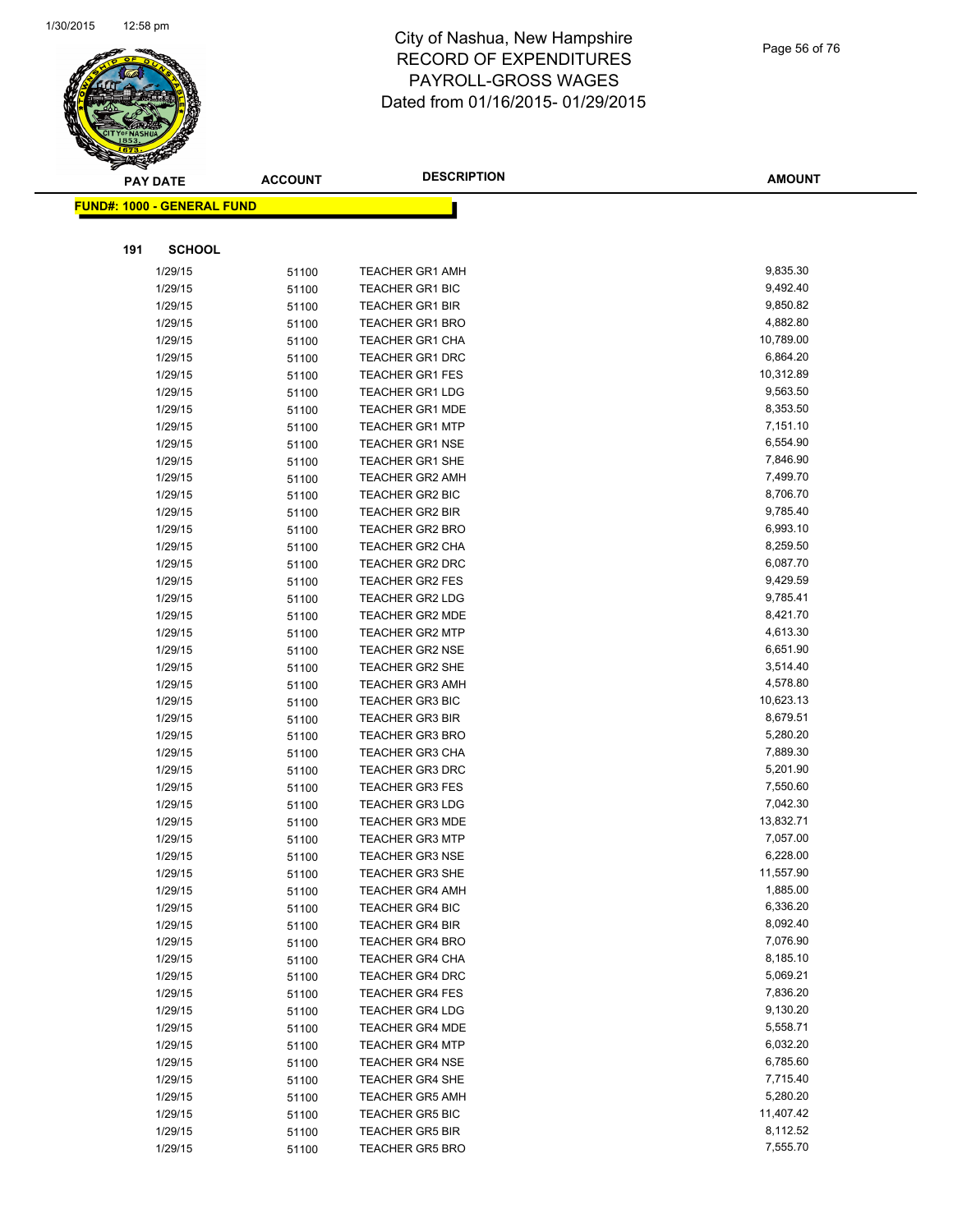

| Page 56 of 76 |  |  |  |  |
|---------------|--|--|--|--|
|---------------|--|--|--|--|

| <b>PAY DATE</b>                   | <b>ACCOUNT</b> | <b>DESCRIPTION</b>     | <b>AMOUNT</b> |
|-----------------------------------|----------------|------------------------|---------------|
| <b>FUND#: 1000 - GENERAL FUND</b> |                |                        |               |
|                                   |                |                        |               |
|                                   |                |                        |               |
| 191<br><b>SCHOOL</b>              |                |                        |               |
| 1/29/15                           | 51100          | <b>TEACHER GR1 AMH</b> | 9,835.30      |
| 1/29/15                           | 51100          | <b>TEACHER GR1 BIC</b> | 9,492.40      |
| 1/29/15                           | 51100          | TEACHER GR1 BIR        | 9,850.82      |
| 1/29/15                           | 51100          | <b>TEACHER GR1 BRO</b> | 4,882.80      |
| 1/29/15                           | 51100          | TEACHER GR1 CHA        | 10,789.00     |
| 1/29/15                           | 51100          | TEACHER GR1 DRC        | 6,864.20      |
| 1/29/15                           | 51100          | <b>TEACHER GR1 FES</b> | 10,312.89     |
| 1/29/15                           | 51100          | <b>TEACHER GR1 LDG</b> | 9,563.50      |
| 1/29/15                           | 51100          | <b>TEACHER GR1 MDE</b> | 8,353.50      |
| 1/29/15                           | 51100          | <b>TEACHER GR1 MTP</b> | 7,151.10      |
| 1/29/15                           | 51100          | <b>TEACHER GR1 NSE</b> | 6,554.90      |
| 1/29/15                           | 51100          | TEACHER GR1 SHE        | 7,846.90      |
| 1/29/15                           | 51100          | <b>TEACHER GR2 AMH</b> | 7,499.70      |
| 1/29/15                           | 51100          | <b>TEACHER GR2 BIC</b> | 8,706.70      |
| 1/29/15                           | 51100          | <b>TEACHER GR2 BIR</b> | 9,785.40      |
| 1/29/15                           | 51100          | TEACHER GR2 BRO        | 6,993.10      |
| 1/29/15                           | 51100          | <b>TEACHER GR2 CHA</b> | 8,259.50      |
| 1/29/15                           | 51100          | <b>TEACHER GR2 DRC</b> | 6,087.70      |
| 1/29/15                           | 51100          | <b>TEACHER GR2 FES</b> | 9,429.59      |
| 1/29/15                           | 51100          | <b>TEACHER GR2 LDG</b> | 9,785.41      |
| 1/29/15                           | 51100          | <b>TEACHER GR2 MDE</b> | 8,421.70      |
| 1/29/15                           | 51100          | <b>TEACHER GR2 MTP</b> | 4,613.30      |
| 1/29/15                           | 51100          | <b>TEACHER GR2 NSE</b> | 6,651.90      |
| 1/29/15                           | 51100          | <b>TEACHER GR2 SHE</b> | 3,514.40      |
| 1/29/15                           | 51100          | TEACHER GR3 AMH        | 4,578.80      |
| 1/29/15                           | 51100          | <b>TEACHER GR3 BIC</b> | 10,623.13     |
| 1/29/15                           | 51100          | <b>TEACHER GR3 BIR</b> | 8,679.51      |
| 1/29/15                           | 51100          | <b>TEACHER GR3 BRO</b> | 5,280.20      |
| 1/29/15                           | 51100          | <b>TEACHER GR3 CHA</b> | 7,889.30      |
| 1/29/15                           | 51100          | <b>TEACHER GR3 DRC</b> | 5,201.90      |
| 1/29/15                           | 51100          | <b>TEACHER GR3 FES</b> | 7,550.60      |
| 1/29/15                           | 51100          | <b>TEACHER GR3 LDG</b> | 7,042.30      |
| 1/29/15                           | 51100          | <b>TEACHER GR3 MDE</b> | 13,832.71     |
| 1/29/15                           | 51100          | <b>TEACHER GR3 MTP</b> | 7,057.00      |
| 1/29/15                           | 51100          | <b>TEACHER GR3 NSE</b> | 6,228.00      |
| 1/29/15                           | 51100          | <b>TEACHER GR3 SHE</b> | 11,557.90     |
| 1/29/15                           | 51100          | <b>TEACHER GR4 AMH</b> | 1,885.00      |
| 1/29/15                           | 51100          | <b>TEACHER GR4 BIC</b> | 6,336.20      |
| 1/29/15                           | 51100          | <b>TEACHER GR4 BIR</b> | 8,092.40      |
| 1/29/15                           | 51100          | <b>TEACHER GR4 BRO</b> | 7,076.90      |
| 1/29/15                           | 51100          | <b>TEACHER GR4 CHA</b> | 8,185.10      |
| 1/29/15                           | 51100          | <b>TEACHER GR4 DRC</b> | 5,069.21      |
| 1/29/15                           | 51100          | <b>TEACHER GR4 FES</b> | 7,836.20      |
| 1/29/15                           | 51100          | <b>TEACHER GR4 LDG</b> | 9,130.20      |
| 1/29/15                           | 51100          | <b>TEACHER GR4 MDE</b> | 5,558.71      |
| 1/29/15                           | 51100          | <b>TEACHER GR4 MTP</b> | 6,032.20      |
| 1/29/15                           | 51100          | <b>TEACHER GR4 NSE</b> | 6,785.60      |
| 1/29/15                           | 51100          | <b>TEACHER GR4 SHE</b> | 7,715.40      |
| 1/29/15                           | 51100          | <b>TEACHER GR5 AMH</b> | 5,280.20      |
| 1/29/15                           | 51100          | <b>TEACHER GR5 BIC</b> | 11,407.42     |
| 1/29/15                           | 51100          | <b>TEACHER GR5 BIR</b> | 8,112.52      |
| 1/29/15                           | 51100          | <b>TEACHER GR5 BRO</b> | 7,555.70      |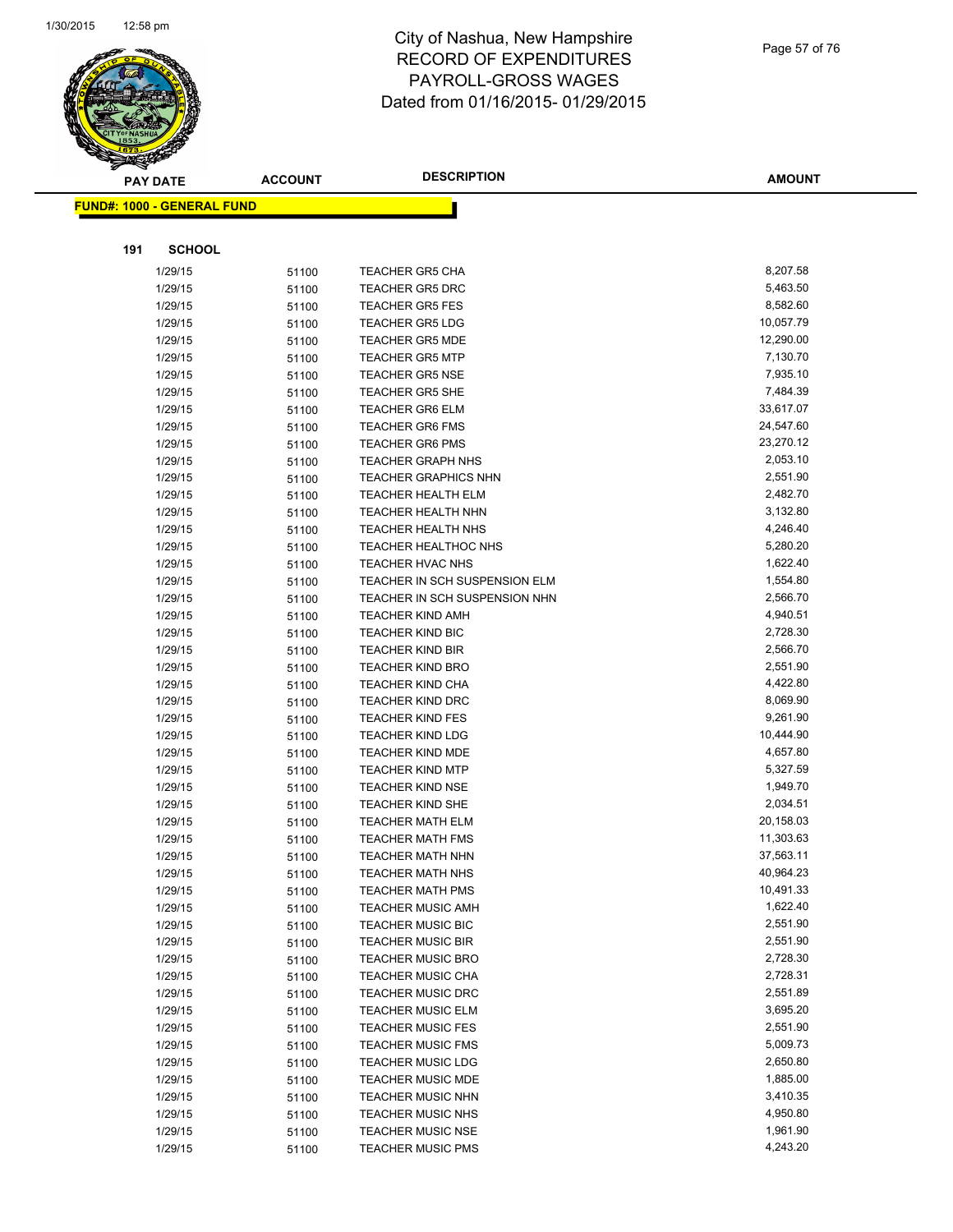

Page 57 of 76

|     | <b>PAY DATE</b>                   | <b>ACCOUNT</b> | <b>DESCRIPTION</b>                                      | <b>AMOUNT</b>         |
|-----|-----------------------------------|----------------|---------------------------------------------------------|-----------------------|
|     | <b>FUND#: 1000 - GENERAL FUND</b> |                |                                                         |                       |
|     |                                   |                |                                                         |                       |
|     |                                   |                |                                                         |                       |
| 191 | <b>SCHOOL</b>                     |                |                                                         |                       |
|     | 1/29/15                           | 51100          | <b>TEACHER GR5 CHA</b>                                  | 8,207.58              |
|     | 1/29/15                           | 51100          | TEACHER GR5 DRC                                         | 5,463.50              |
|     | 1/29/15                           | 51100          | <b>TEACHER GR5 FES</b>                                  | 8,582.60              |
|     | 1/29/15                           | 51100          | <b>TEACHER GR5 LDG</b>                                  | 10,057.79             |
|     | 1/29/15                           | 51100          | <b>TEACHER GR5 MDE</b>                                  | 12,290.00             |
|     | 1/29/15                           | 51100          | <b>TEACHER GR5 MTP</b>                                  | 7,130.70              |
|     | 1/29/15                           | 51100          | <b>TEACHER GR5 NSE</b>                                  | 7,935.10              |
|     | 1/29/15                           | 51100          | <b>TEACHER GR5 SHE</b>                                  | 7,484.39              |
|     | 1/29/15                           | 51100          | TEACHER GR6 ELM                                         | 33,617.07             |
|     | 1/29/15                           | 51100          | TEACHER GR6 FMS                                         | 24,547.60             |
|     | 1/29/15                           | 51100          | TEACHER GR6 PMS                                         | 23,270.12<br>2,053.10 |
|     | 1/29/15<br>1/29/15                | 51100          | <b>TEACHER GRAPH NHS</b><br><b>TEACHER GRAPHICS NHN</b> | 2,551.90              |
|     | 1/29/15                           | 51100<br>51100 | <b>TEACHER HEALTH ELM</b>                               | 2,482.70              |
|     | 1/29/15                           | 51100          | TEACHER HEALTH NHN                                      | 3,132.80              |
|     | 1/29/15                           | 51100          | <b>TEACHER HEALTH NHS</b>                               | 4,246.40              |
|     | 1/29/15                           | 51100          | <b>TEACHER HEALTHOC NHS</b>                             | 5,280.20              |
|     | 1/29/15                           | 51100          | <b>TEACHER HVAC NHS</b>                                 | 1,622.40              |
|     | 1/29/15                           | 51100          | TEACHER IN SCH SUSPENSION ELM                           | 1,554.80              |
|     | 1/29/15                           | 51100          | TEACHER IN SCH SUSPENSION NHN                           | 2,566.70              |
|     | 1/29/15                           | 51100          | TEACHER KIND AMH                                        | 4,940.51              |
|     | 1/29/15                           | 51100          | <b>TEACHER KIND BIC</b>                                 | 2,728.30              |
|     | 1/29/15                           | 51100          | TEACHER KIND BIR                                        | 2,566.70              |
|     | 1/29/15                           | 51100          | <b>TEACHER KIND BRO</b>                                 | 2,551.90              |
|     | 1/29/15                           | 51100          | TEACHER KIND CHA                                        | 4,422.80              |
|     | 1/29/15                           | 51100          | <b>TEACHER KIND DRC</b>                                 | 8,069.90              |
|     | 1/29/15                           | 51100          | <b>TEACHER KIND FES</b>                                 | 9,261.90              |
|     | 1/29/15                           | 51100          | <b>TEACHER KIND LDG</b>                                 | 10,444.90             |
|     | 1/29/15                           | 51100          | TEACHER KIND MDE                                        | 4,657.80              |
|     | 1/29/15                           | 51100          | TEACHER KIND MTP                                        | 5,327.59              |
|     | 1/29/15                           | 51100          | <b>TEACHER KIND NSE</b>                                 | 1,949.70              |
|     | 1/29/15                           | 51100          | <b>TEACHER KIND SHE</b>                                 | 2,034.51              |
|     | 1/29/15                           | 51100          | <b>TEACHER MATH ELM</b>                                 | 20,158.03             |
|     | 1/29/15                           | 51100          | TEACHER MATH FMS                                        | 11,303.63             |
|     | 1/29/15                           | 51100          | <b>TEACHER MATH NHN</b>                                 | 37,563.11             |
|     | 1/29/15                           | 51100          | TEACHER MATH NHS                                        | 40,964.23             |
|     | 1/29/15                           | 51100          | <b>TEACHER MATH PMS</b>                                 | 10,491.33             |
|     | 1/29/15                           | 51100          | TEACHER MUSIC AMH                                       | 1,622.40              |
|     | 1/29/15                           | 51100          | <b>TEACHER MUSIC BIC</b>                                | 2,551.90              |
|     | 1/29/15                           | 51100          | <b>TEACHER MUSIC BIR</b>                                | 2,551.90              |
|     | 1/29/15                           | 51100          | <b>TEACHER MUSIC BRO</b>                                | 2,728.30              |
|     | 1/29/15                           | 51100          | <b>TEACHER MUSIC CHA</b>                                | 2,728.31              |
|     | 1/29/15                           | 51100          | <b>TEACHER MUSIC DRC</b>                                | 2,551.89              |
|     | 1/29/15                           | 51100          | <b>TEACHER MUSIC ELM</b>                                | 3,695.20<br>2,551.90  |
|     | 1/29/15                           | 51100          | <b>TEACHER MUSIC FES</b>                                | 5,009.73              |
|     | 1/29/15<br>1/29/15                | 51100          | <b>TEACHER MUSIC FMS</b>                                | 2,650.80              |
|     |                                   | 51100          | <b>TEACHER MUSIC LDG</b><br>TEACHER MUSIC MDE           | 1,885.00              |
|     | 1/29/15<br>1/29/15                | 51100          | <b>TEACHER MUSIC NHN</b>                                | 3,410.35              |
|     | 1/29/15                           | 51100<br>51100 | <b>TEACHER MUSIC NHS</b>                                | 4,950.80              |
|     | 1/29/15                           | 51100          | <b>TEACHER MUSIC NSE</b>                                | 1,961.90              |
|     | 1/29/15                           | 51100          | <b>TEACHER MUSIC PMS</b>                                | 4,243.20              |
|     |                                   |                |                                                         |                       |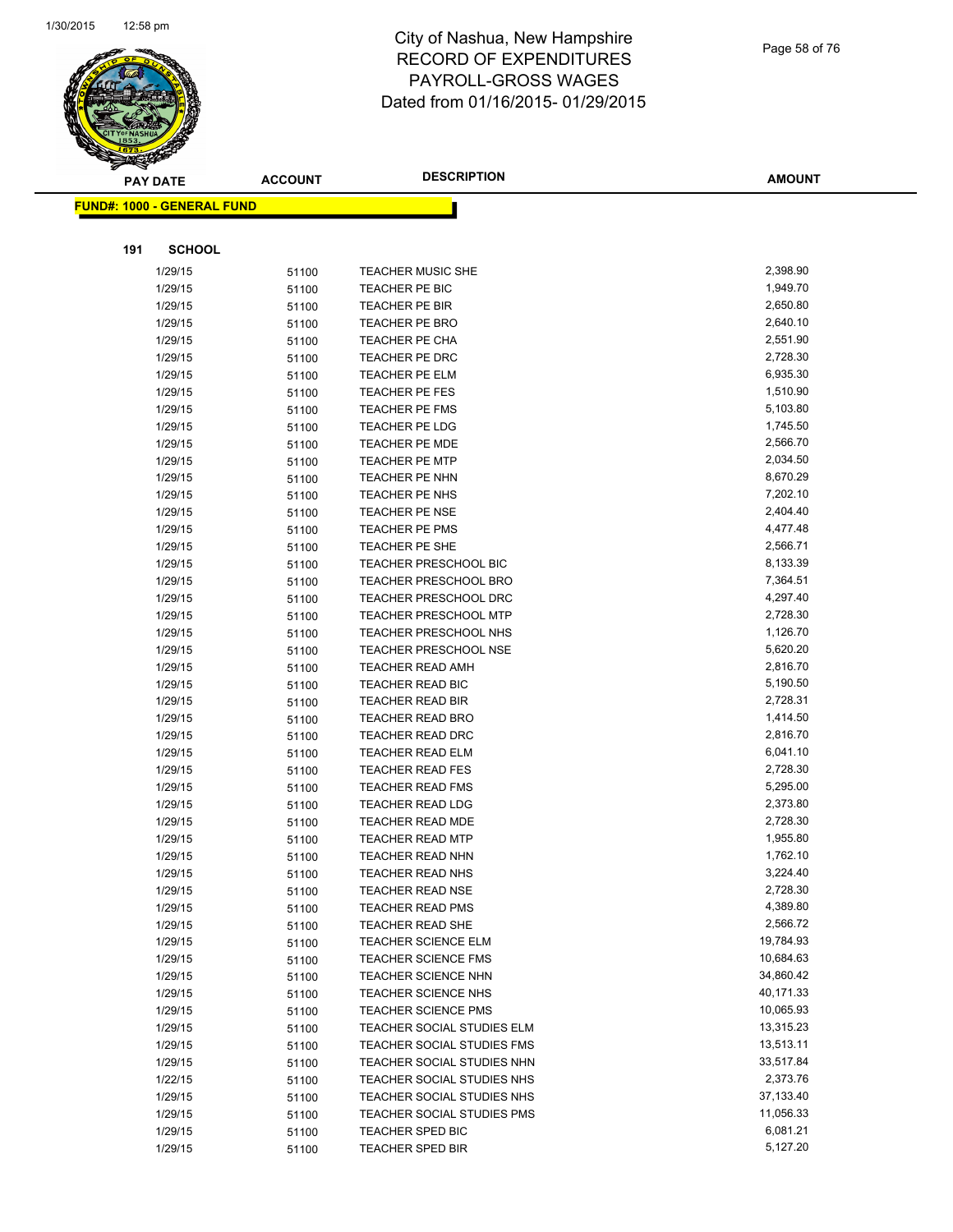

| Page 58 of 76 |  |  |
|---------------|--|--|
|               |  |  |

|     | <b>PAY DATE</b>                   | <b>ACCOUNT</b> | <b>DESCRIPTION</b>                             | <b>AMOUNT</b>        |
|-----|-----------------------------------|----------------|------------------------------------------------|----------------------|
|     | <b>FUND#: 1000 - GENERAL FUND</b> |                |                                                |                      |
|     |                                   |                |                                                |                      |
|     |                                   |                |                                                |                      |
| 191 | <b>SCHOOL</b>                     |                |                                                |                      |
|     | 1/29/15                           | 51100          | TEACHER MUSIC SHE                              | 2,398.90             |
|     | 1/29/15                           | 51100          | TEACHER PE BIC                                 | 1,949.70             |
|     | 1/29/15                           | 51100          | TEACHER PE BIR                                 | 2,650.80             |
|     | 1/29/15                           | 51100          | <b>TEACHER PE BRO</b>                          | 2,640.10<br>2,551.90 |
|     | 1/29/15<br>1/29/15                | 51100          | TEACHER PE CHA<br>TEACHER PE DRC               | 2,728.30             |
|     | 1/29/15                           | 51100          | TEACHER PE ELM                                 | 6,935.30             |
|     | 1/29/15                           | 51100<br>51100 | TEACHER PE FES                                 | 1,510.90             |
|     | 1/29/15                           | 51100          | <b>TEACHER PE FMS</b>                          | 5,103.80             |
|     | 1/29/15                           | 51100          | <b>TEACHER PE LDG</b>                          | 1,745.50             |
|     | 1/29/15                           | 51100          | <b>TEACHER PE MDE</b>                          | 2,566.70             |
|     | 1/29/15                           | 51100          | <b>TEACHER PE MTP</b>                          | 2,034.50             |
|     | 1/29/15                           | 51100          | TEACHER PE NHN                                 | 8,670.29             |
|     | 1/29/15                           | 51100          | <b>TEACHER PE NHS</b>                          | 7,202.10             |
|     | 1/29/15                           | 51100          | <b>TEACHER PE NSE</b>                          | 2,404.40             |
|     | 1/29/15                           | 51100          | <b>TEACHER PE PMS</b>                          | 4,477.48             |
|     | 1/29/15                           | 51100          | TEACHER PE SHE                                 | 2,566.71             |
|     | 1/29/15                           | 51100          | <b>TEACHER PRESCHOOL BIC</b>                   | 8,133.39             |
|     | 1/29/15                           | 51100          | TEACHER PRESCHOOL BRO                          | 7,364.51             |
|     | 1/29/15                           | 51100          | TEACHER PRESCHOOL DRC                          | 4,297.40             |
|     | 1/29/15                           | 51100          | <b>TEACHER PRESCHOOL MTP</b>                   | 2,728.30             |
|     | 1/29/15                           | 51100          | <b>TEACHER PRESCHOOL NHS</b>                   | 1,126.70             |
|     | 1/29/15                           | 51100          | <b>TEACHER PRESCHOOL NSE</b>                   | 5,620.20             |
|     | 1/29/15                           | 51100          | <b>TEACHER READ AMH</b>                        | 2,816.70             |
|     | 1/29/15                           | 51100          | <b>TEACHER READ BIC</b>                        | 5,190.50             |
|     | 1/29/15                           | 51100          | <b>TEACHER READ BIR</b>                        | 2,728.31             |
|     | 1/29/15                           | 51100          | <b>TEACHER READ BRO</b>                        | 1,414.50             |
|     | 1/29/15                           | 51100          | <b>TEACHER READ DRC</b>                        | 2,816.70             |
|     | 1/29/15                           | 51100          | TEACHER READ ELM                               | 6,041.10             |
|     | 1/29/15                           | 51100          | <b>TEACHER READ FES</b>                        | 2,728.30             |
|     | 1/29/15                           | 51100          | TEACHER READ FMS                               | 5,295.00             |
|     | 1/29/15                           | 51100          | <b>TEACHER READ LDG</b>                        | 2,373.80             |
|     | 1/29/15                           | 51100          | <b>TEACHER READ MDE</b>                        | 2,728.30             |
|     | 1/29/15                           | 51100          | <b>TEACHER READ MTP</b>                        | 1,955.80             |
|     | 1/29/15                           | 51100          | <b>TEACHER READ NHN</b>                        | 1,762.10             |
|     | 1/29/15                           | 51100          | <b>TEACHER READ NHS</b>                        | 3,224.40             |
|     | 1/29/15                           | 51100          | <b>TEACHER READ NSE</b>                        | 2,728.30<br>4,389.80 |
|     | 1/29/15                           | 51100          | <b>TEACHER READ PMS</b>                        | 2,566.72             |
|     | 1/29/15                           | 51100          | TEACHER READ SHE<br><b>TEACHER SCIENCE ELM</b> | 19,784.93            |
|     | 1/29/15<br>1/29/15                | 51100          | <b>TEACHER SCIENCE FMS</b>                     | 10,684.63            |
|     | 1/29/15                           | 51100<br>51100 | <b>TEACHER SCIENCE NHN</b>                     | 34,860.42            |
|     | 1/29/15                           | 51100          | <b>TEACHER SCIENCE NHS</b>                     | 40,171.33            |
|     | 1/29/15                           | 51100          | <b>TEACHER SCIENCE PMS</b>                     | 10,065.93            |
|     | 1/29/15                           | 51100          | TEACHER SOCIAL STUDIES ELM                     | 13,315.23            |
|     | 1/29/15                           | 51100          | <b>TEACHER SOCIAL STUDIES FMS</b>              | 13,513.11            |
|     | 1/29/15                           | 51100          | TEACHER SOCIAL STUDIES NHN                     | 33,517.84            |
|     | 1/22/15                           | 51100          | TEACHER SOCIAL STUDIES NHS                     | 2,373.76             |
|     | 1/29/15                           | 51100          | TEACHER SOCIAL STUDIES NHS                     | 37,133.40            |
|     | 1/29/15                           | 51100          | TEACHER SOCIAL STUDIES PMS                     | 11,056.33            |
|     | 1/29/15                           | 51100          | TEACHER SPED BIC                               | 6,081.21             |
|     | 1/29/15                           | 51100          | <b>TEACHER SPED BIR</b>                        | 5,127.20             |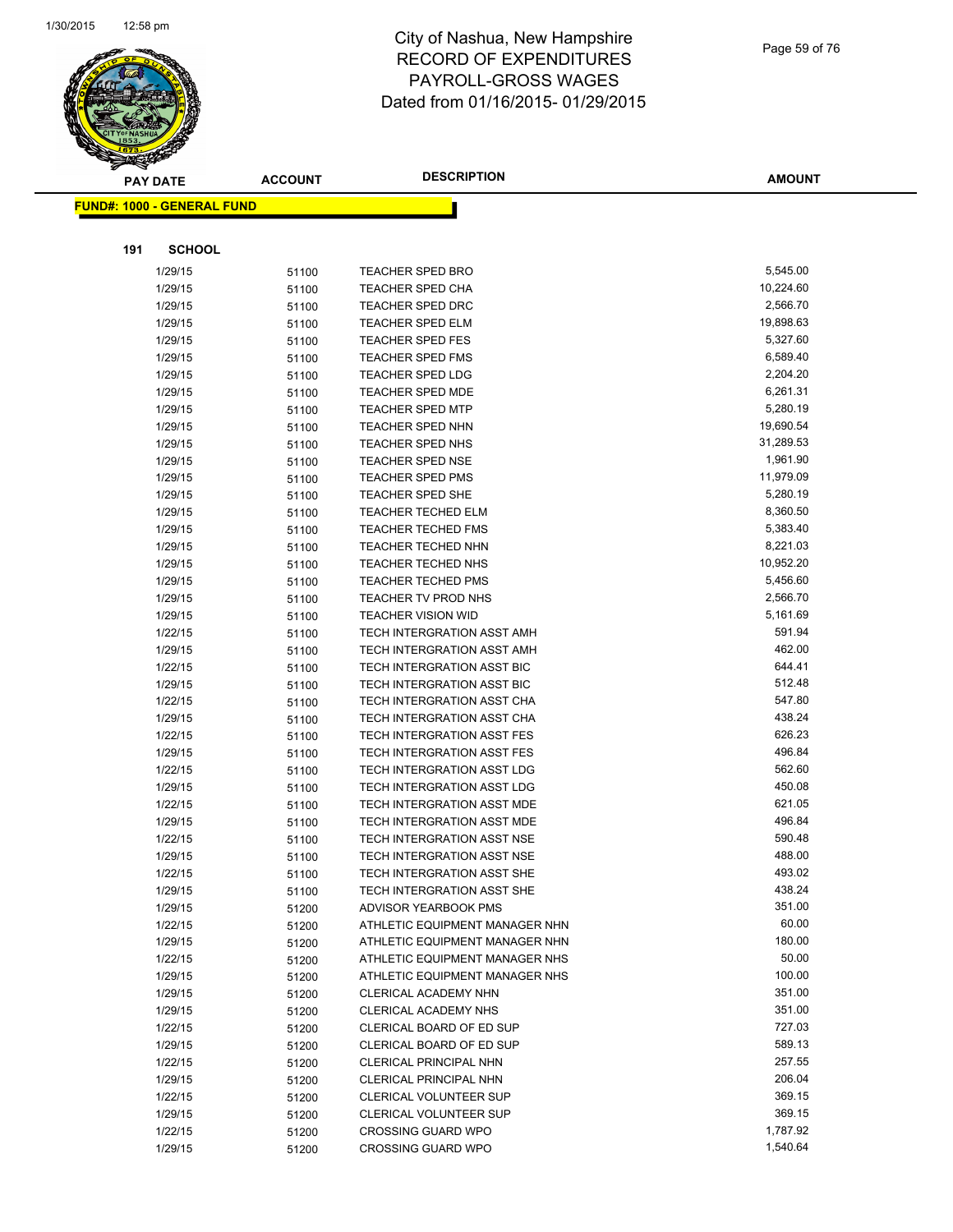

Page 59 of 76

|     | <b>PAY DATE</b>                    | <b>ACCOUNT</b> | <b>DESCRIPTION</b>                              | <b>AMOUNT</b>        |
|-----|------------------------------------|----------------|-------------------------------------------------|----------------------|
|     | <u> FUND#: 1000 - GENERAL FUND</u> |                |                                                 |                      |
|     |                                    |                |                                                 |                      |
|     |                                    |                |                                                 |                      |
| 191 | <b>SCHOOL</b>                      |                |                                                 |                      |
|     | 1/29/15                            | 51100          | <b>TEACHER SPED BRO</b>                         | 5,545.00             |
|     | 1/29/15                            | 51100          | <b>TEACHER SPED CHA</b>                         | 10,224.60            |
|     | 1/29/15                            | 51100          | <b>TEACHER SPED DRC</b>                         | 2,566.70             |
|     | 1/29/15                            | 51100          | <b>TEACHER SPED ELM</b>                         | 19,898.63            |
|     | 1/29/15                            | 51100          | <b>TEACHER SPED FES</b>                         | 5,327.60             |
|     | 1/29/15                            | 51100          | <b>TEACHER SPED FMS</b>                         | 6,589.40             |
|     | 1/29/15                            | 51100          | <b>TEACHER SPED LDG</b>                         | 2,204.20             |
|     | 1/29/15                            | 51100          | <b>TEACHER SPED MDE</b>                         | 6,261.31             |
|     | 1/29/15                            | 51100          | <b>TEACHER SPED MTP</b>                         | 5,280.19             |
|     | 1/29/15                            | 51100          | <b>TEACHER SPED NHN</b>                         | 19,690.54            |
|     | 1/29/15                            | 51100          | <b>TEACHER SPED NHS</b>                         | 31,289.53            |
|     | 1/29/15                            | 51100          | <b>TEACHER SPED NSE</b>                         | 1,961.90             |
|     | 1/29/15                            | 51100          | <b>TEACHER SPED PMS</b>                         | 11,979.09            |
|     | 1/29/15                            | 51100          | <b>TEACHER SPED SHE</b>                         | 5,280.19             |
|     | 1/29/15                            | 51100          | <b>TEACHER TECHED ELM</b>                       | 8,360.50             |
|     | 1/29/15                            | 51100          | <b>TEACHER TECHED FMS</b><br>TEACHER TECHED NHN | 5,383.40<br>8,221.03 |
|     | 1/29/15                            | 51100          | TEACHER TECHED NHS                              | 10,952.20            |
|     | 1/29/15<br>1/29/15                 | 51100          | <b>TEACHER TECHED PMS</b>                       | 5,456.60             |
|     |                                    | 51100          | TEACHER TV PROD NHS                             | 2,566.70             |
|     | 1/29/15<br>1/29/15                 | 51100          | <b>TEACHER VISION WID</b>                       | 5,161.69             |
|     | 1/22/15                            | 51100          | TECH INTERGRATION ASST AMH                      | 591.94               |
|     | 1/29/15                            | 51100<br>51100 | TECH INTERGRATION ASST AMH                      | 462.00               |
|     | 1/22/15                            | 51100          | TECH INTERGRATION ASST BIC                      | 644.41               |
|     | 1/29/15                            | 51100          | TECH INTERGRATION ASST BIC                      | 512.48               |
|     | 1/22/15                            | 51100          | TECH INTERGRATION ASST CHA                      | 547.80               |
|     | 1/29/15                            | 51100          | TECH INTERGRATION ASST CHA                      | 438.24               |
|     | 1/22/15                            | 51100          | TECH INTERGRATION ASST FES                      | 626.23               |
|     | 1/29/15                            | 51100          | TECH INTERGRATION ASST FES                      | 496.84               |
|     | 1/22/15                            | 51100          | TECH INTERGRATION ASST LDG                      | 562.60               |
|     | 1/29/15                            | 51100          | TECH INTERGRATION ASST LDG                      | 450.08               |
|     | 1/22/15                            | 51100          | TECH INTERGRATION ASST MDE                      | 621.05               |
|     | 1/29/15                            | 51100          | TECH INTERGRATION ASST MDE                      | 496.84               |
|     | 1/22/15                            | 51100          | TECH INTERGRATION ASST NSE                      | 590.48               |
|     | 1/29/15                            | 51100          | TECH INTERGRATION ASST NSE                      | 488.00               |
|     | 1/22/15                            | 51100          | TECH INTERGRATION ASST SHE                      | 493.02               |
|     | 1/29/15                            | 51100          | TECH INTERGRATION ASST SHE                      | 438.24               |
|     | 1/29/15                            | 51200          | ADVISOR YEARBOOK PMS                            | 351.00               |
|     | 1/22/15                            | 51200          | ATHLETIC EQUIPMENT MANAGER NHN                  | 60.00                |
|     | 1/29/15                            | 51200          | ATHLETIC EQUIPMENT MANAGER NHN                  | 180.00               |
|     | 1/22/15                            | 51200          | ATHLETIC EQUIPMENT MANAGER NHS                  | 50.00                |
|     | 1/29/15                            | 51200          | ATHLETIC EQUIPMENT MANAGER NHS                  | 100.00               |
|     | 1/29/15                            | 51200          | CLERICAL ACADEMY NHN                            | 351.00               |
|     | 1/29/15                            | 51200          | <b>CLERICAL ACADEMY NHS</b>                     | 351.00               |
|     | 1/22/15                            | 51200          | CLERICAL BOARD OF ED SUP                        | 727.03               |
|     | 1/29/15                            | 51200          | CLERICAL BOARD OF ED SUP                        | 589.13               |
|     | 1/22/15                            | 51200          | CLERICAL PRINCIPAL NHN                          | 257.55               |
|     | 1/29/15                            | 51200          | CLERICAL PRINCIPAL NHN                          | 206.04               |
|     | 1/22/15                            | 51200          | CLERICAL VOLUNTEER SUP                          | 369.15               |
|     | 1/29/15                            | 51200          | <b>CLERICAL VOLUNTEER SUP</b>                   | 369.15               |
|     | 1/22/15                            | 51200          | <b>CROSSING GUARD WPO</b>                       | 1,787.92             |
|     | 1/29/15                            | 51200          | <b>CROSSING GUARD WPO</b>                       | 1,540.64             |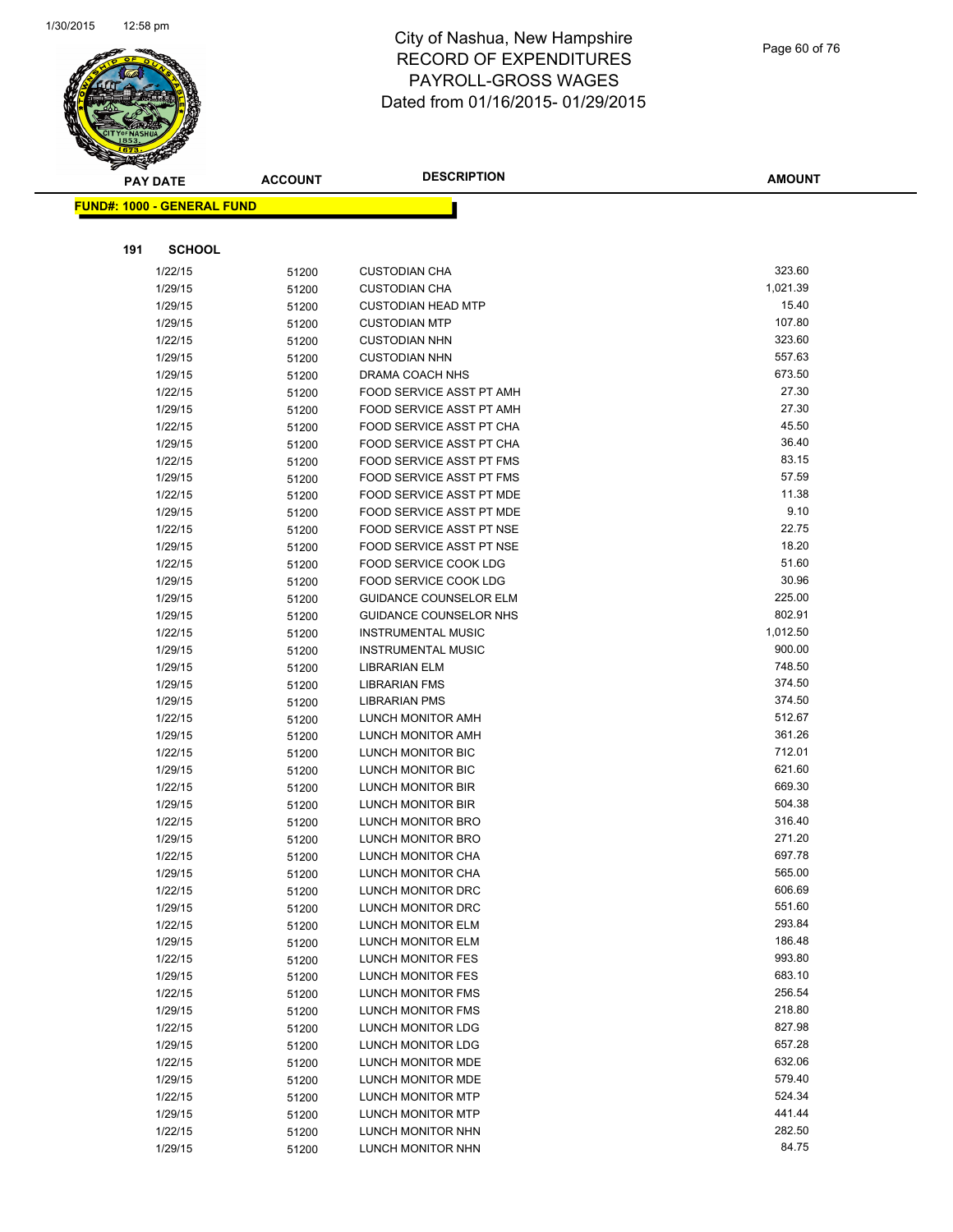

|     | <b>PAY DATE</b>                   | <b>ACCOUNT</b> | <b>DESCRIPTION</b>                     | <b>AMOUNT</b>    |
|-----|-----------------------------------|----------------|----------------------------------------|------------------|
|     | <b>FUND#: 1000 - GENERAL FUND</b> |                |                                        |                  |
|     |                                   |                |                                        |                  |
|     |                                   |                |                                        |                  |
| 191 | <b>SCHOOL</b>                     |                |                                        |                  |
|     | 1/22/15                           | 51200          | <b>CUSTODIAN CHA</b>                   | 323.60           |
|     | 1/29/15                           | 51200          | <b>CUSTODIAN CHA</b>                   | 1,021.39         |
|     | 1/29/15                           | 51200          | <b>CUSTODIAN HEAD MTP</b>              | 15.40            |
|     | 1/29/15                           | 51200          | <b>CUSTODIAN MTP</b>                   | 107.80           |
|     | 1/22/15                           | 51200          | <b>CUSTODIAN NHN</b>                   | 323.60           |
|     | 1/29/15                           | 51200          | <b>CUSTODIAN NHN</b>                   | 557.63           |
|     | 1/29/15                           | 51200          | DRAMA COACH NHS                        | 673.50           |
|     | 1/22/15                           | 51200          | FOOD SERVICE ASST PT AMH               | 27.30            |
|     | 1/29/15                           | 51200          | FOOD SERVICE ASST PT AMH               | 27.30            |
|     | 1/22/15                           | 51200          | FOOD SERVICE ASST PT CHA               | 45.50            |
|     | 1/29/15                           | 51200          | FOOD SERVICE ASST PT CHA               | 36.40            |
|     | 1/22/15                           | 51200          | FOOD SERVICE ASST PT FMS               | 83.15            |
|     | 1/29/15                           | 51200          | <b>FOOD SERVICE ASST PT FMS</b>        | 57.59            |
|     | 1/22/15                           | 51200          | <b>FOOD SERVICE ASST PT MDE</b>        | 11.38            |
|     | 1/29/15                           | 51200          | FOOD SERVICE ASST PT MDE               | 9.10             |
|     | 1/22/15                           | 51200          | FOOD SERVICE ASST PT NSE               | 22.75            |
|     | 1/29/15                           | 51200          | FOOD SERVICE ASST PT NSE               | 18.20            |
|     | 1/22/15                           | 51200          | FOOD SERVICE COOK LDG                  | 51.60            |
|     | 1/29/15                           | 51200          | FOOD SERVICE COOK LDG                  | 30.96            |
|     | 1/29/15                           | 51200          | <b>GUIDANCE COUNSELOR ELM</b>          | 225.00           |
|     | 1/29/15                           | 51200          | GUIDANCE COUNSELOR NHS                 | 802.91           |
|     | 1/22/15                           | 51200          | <b>INSTRUMENTAL MUSIC</b>              | 1,012.50         |
|     | 1/29/15                           | 51200          | <b>INSTRUMENTAL MUSIC</b>              | 900.00           |
|     | 1/29/15                           | 51200          | <b>LIBRARIAN ELM</b>                   | 748.50           |
|     | 1/29/15                           | 51200          | <b>LIBRARIAN FMS</b>                   | 374.50           |
|     | 1/29/15                           | 51200          | <b>LIBRARIAN PMS</b>                   | 374.50           |
|     | 1/22/15                           | 51200          | LUNCH MONITOR AMH                      | 512.67           |
|     | 1/29/15                           | 51200          | LUNCH MONITOR AMH                      | 361.26<br>712.01 |
|     | 1/22/15                           | 51200          | LUNCH MONITOR BIC                      | 621.60           |
|     | 1/29/15                           | 51200          | LUNCH MONITOR BIC<br>LUNCH MONITOR BIR | 669.30           |
|     | 1/22/15<br>1/29/15                | 51200          | LUNCH MONITOR BIR                      | 504.38           |
|     |                                   | 51200          | LUNCH MONITOR BRO                      | 316.40           |
|     | 1/22/15<br>1/29/15                | 51200          | LUNCH MONITOR BRO                      | 271.20           |
|     | 1/22/15                           | 51200          | LUNCH MONITOR CHA                      | 697.78           |
|     | 1/29/15                           | 51200          | LUNCH MONITOR CHA                      | 565.00           |
|     | 1/22/15                           | 51200          | LUNCH MONITOR DRC                      | 606.69           |
|     | 1/29/15                           | 51200<br>51200 | LUNCH MONITOR DRC                      | 551.60           |
|     | 1/22/15                           | 51200          | LUNCH MONITOR ELM                      | 293.84           |
|     | 1/29/15                           | 51200          | LUNCH MONITOR ELM                      | 186.48           |
|     | 1/22/15                           | 51200          | LUNCH MONITOR FES                      | 993.80           |
|     | 1/29/15                           | 51200          | LUNCH MONITOR FES                      | 683.10           |
|     | 1/22/15                           | 51200          | <b>LUNCH MONITOR FMS</b>               | 256.54           |
|     | 1/29/15                           | 51200          | <b>LUNCH MONITOR FMS</b>               | 218.80           |
|     | 1/22/15                           | 51200          | <b>LUNCH MONITOR LDG</b>               | 827.98           |
|     | 1/29/15                           | 51200          | LUNCH MONITOR LDG                      | 657.28           |
|     | 1/22/15                           | 51200          | LUNCH MONITOR MDE                      | 632.06           |
|     | 1/29/15                           | 51200          | LUNCH MONITOR MDE                      | 579.40           |
|     | 1/22/15                           | 51200          | LUNCH MONITOR MTP                      | 524.34           |
|     | 1/29/15                           | 51200          | LUNCH MONITOR MTP                      | 441.44           |
|     | 1/22/15                           | 51200          | LUNCH MONITOR NHN                      | 282.50           |
|     | 1/29/15                           | 51200          | LUNCH MONITOR NHN                      | 84.75            |
|     |                                   |                |                                        |                  |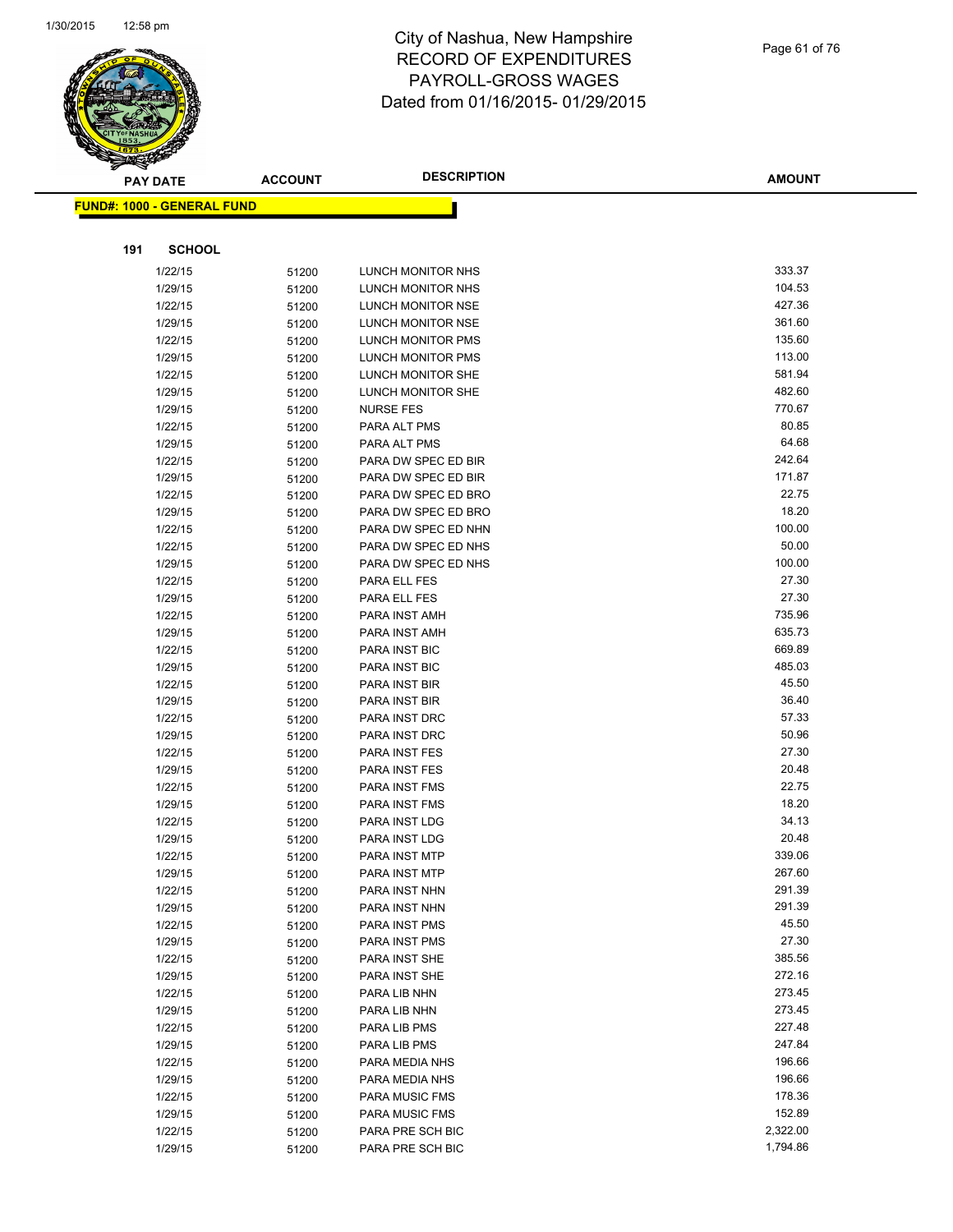

|     | <b>PAY DATE</b>                    | <b>ACCOUNT</b> | <b>DESCRIPTION</b>                         | <b>AMOUNT</b>   |
|-----|------------------------------------|----------------|--------------------------------------------|-----------------|
|     | <u> FUND#: 1000 - GENERAL FUND</u> |                |                                            |                 |
|     |                                    |                |                                            |                 |
|     |                                    |                |                                            |                 |
| 191 | <b>SCHOOL</b>                      |                |                                            |                 |
|     | 1/22/15                            | 51200          | LUNCH MONITOR NHS                          | 333.37          |
|     | 1/29/15                            | 51200          | LUNCH MONITOR NHS                          | 104.53          |
|     | 1/22/15                            | 51200          | LUNCH MONITOR NSE                          | 427.36          |
|     | 1/29/15                            | 51200          | LUNCH MONITOR NSE                          | 361.60          |
|     | 1/22/15                            | 51200          | LUNCH MONITOR PMS                          | 135.60          |
|     | 1/29/15                            | 51200          | LUNCH MONITOR PMS                          | 113.00          |
|     | 1/22/15                            | 51200          | LUNCH MONITOR SHE                          | 581.94          |
|     | 1/29/15                            | 51200          | LUNCH MONITOR SHE                          | 482.60          |
|     | 1/29/15                            | 51200          | <b>NURSE FES</b>                           | 770.67          |
|     | 1/22/15                            | 51200          | PARA ALT PMS                               | 80.85           |
|     | 1/29/15                            | 51200          | PARA ALT PMS                               | 64.68           |
|     | 1/22/15                            | 51200          | PARA DW SPEC ED BIR                        | 242.64          |
|     | 1/29/15                            | 51200          | PARA DW SPEC ED BIR                        | 171.87<br>22.75 |
|     | 1/22/15                            | 51200          | PARA DW SPEC ED BRO                        | 18.20           |
|     | 1/29/15                            | 51200          | PARA DW SPEC ED BRO                        | 100.00          |
|     | 1/22/15<br>1/22/15                 | 51200          | PARA DW SPEC ED NHN<br>PARA DW SPEC ED NHS | 50.00           |
|     | 1/29/15                            | 51200          | PARA DW SPEC ED NHS                        | 100.00          |
|     | 1/22/15                            | 51200          | PARA ELL FES                               | 27.30           |
|     | 1/29/15                            | 51200<br>51200 | PARA ELL FES                               | 27.30           |
|     | 1/22/15                            | 51200          | PARA INST AMH                              | 735.96          |
|     | 1/29/15                            | 51200          | PARA INST AMH                              | 635.73          |
|     | 1/22/15                            | 51200          | PARA INST BIC                              | 669.89          |
|     | 1/29/15                            | 51200          | PARA INST BIC                              | 485.03          |
|     | 1/22/15                            | 51200          | PARA INST BIR                              | 45.50           |
|     | 1/29/15                            | 51200          | PARA INST BIR                              | 36.40           |
|     | 1/22/15                            | 51200          | PARA INST DRC                              | 57.33           |
|     | 1/29/15                            | 51200          | PARA INST DRC                              | 50.96           |
|     | 1/22/15                            | 51200          | PARA INST FES                              | 27.30           |
|     | 1/29/15                            | 51200          | PARA INST FES                              | 20.48           |
|     | 1/22/15                            | 51200          | PARA INST FMS                              | 22.75           |
|     | 1/29/15                            | 51200          | PARA INST FMS                              | 18.20           |
|     | 1/22/15                            | 51200          | PARA INST LDG                              | 34.13           |
|     | 1/29/15                            | 51200          | PARA INST LDG                              | 20.48           |
|     | 1/22/15                            | 51200          | <b>PARA INST MTP</b>                       | 339.06          |
|     | 1/29/15                            | 51200          | PARA INST MTP                              | 267.60          |
|     | 1/22/15                            | 51200          | PARA INST NHN                              | 291.39          |
|     | 1/29/15                            | 51200          | PARA INST NHN                              | 291.39          |
|     | 1/22/15                            | 51200          | PARA INST PMS                              | 45.50           |
|     | 1/29/15                            | 51200          | PARA INST PMS                              | 27.30           |
|     | 1/22/15                            | 51200          | PARA INST SHE                              | 385.56          |
|     | 1/29/15                            | 51200          | PARA INST SHE                              | 272.16          |
|     | 1/22/15                            | 51200          | PARA LIB NHN                               | 273.45          |
|     | 1/29/15                            | 51200          | PARA LIB NHN                               | 273.45          |
|     | 1/22/15                            | 51200          | PARA LIB PMS                               | 227.48          |
|     | 1/29/15                            | 51200          | PARA LIB PMS                               | 247.84          |
|     | 1/22/15                            | 51200          | PARA MEDIA NHS                             | 196.66          |
|     | 1/29/15                            | 51200          | PARA MEDIA NHS                             | 196.66          |
|     | 1/22/15                            | 51200          | <b>PARA MUSIC FMS</b>                      | 178.36          |
|     | 1/29/15                            | 51200          | <b>PARA MUSIC FMS</b>                      | 152.89          |
|     | 1/22/15                            | 51200          | PARA PRE SCH BIC                           | 2,322.00        |
|     | 1/29/15                            | 51200          | PARA PRE SCH BIC                           | 1,794.86        |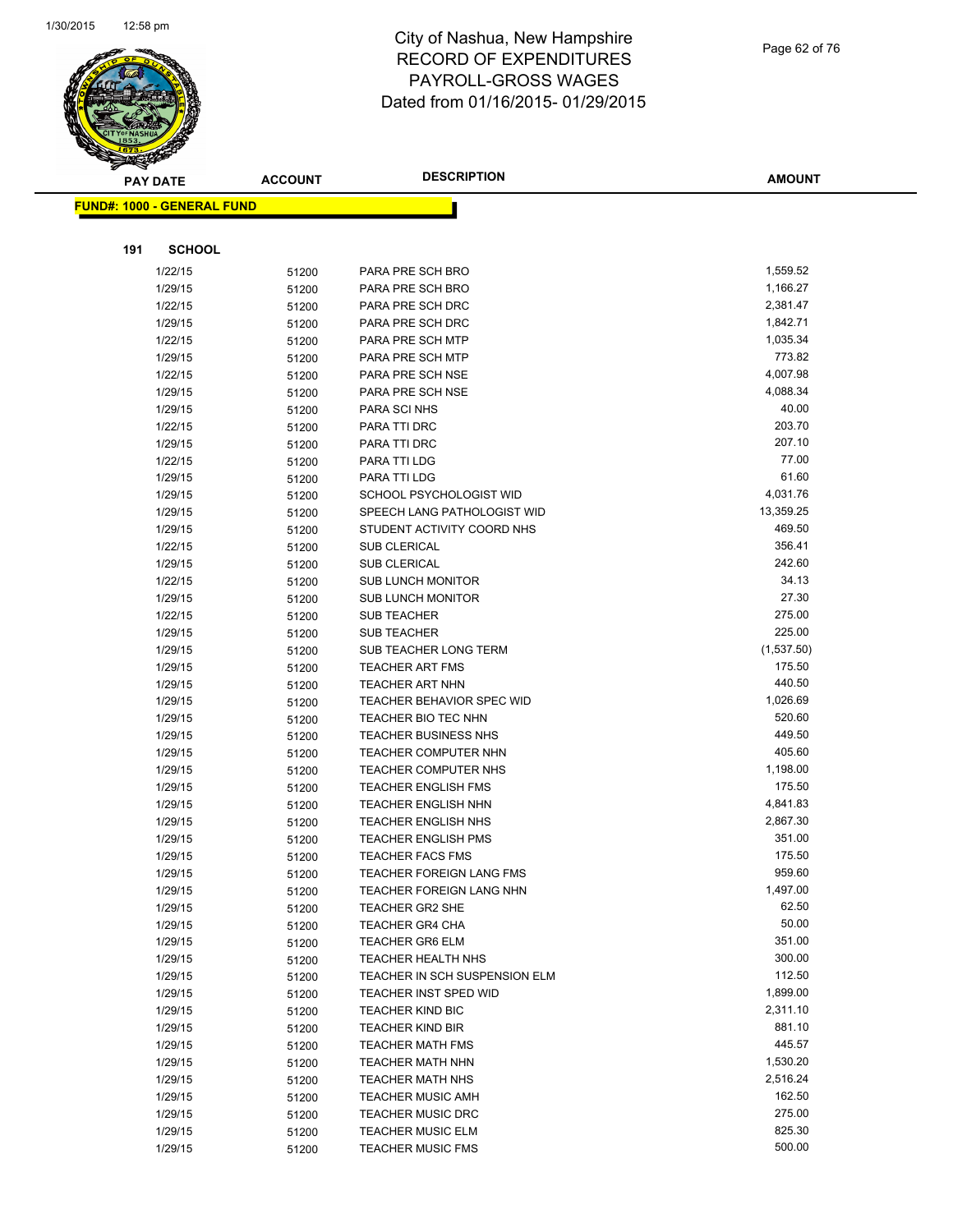

Page 62 of 76

**AMOUNT**

|     | <u> FUND#: 1000 - GENERAL FUND</u> |                |                                                            |                  |
|-----|------------------------------------|----------------|------------------------------------------------------------|------------------|
|     |                                    |                |                                                            |                  |
| 191 | <b>SCHOOL</b>                      |                |                                                            |                  |
|     | 1/22/15                            | 51200          | PARA PRE SCH BRO                                           | 1,559.52         |
|     | 1/29/15                            | 51200          | PARA PRE SCH BRO                                           | 1,166.27         |
|     | 1/22/15                            | 51200          | PARA PRE SCH DRC                                           | 2,381.47         |
|     | 1/29/15                            | 51200          | PARA PRE SCH DRC                                           | 1,842.71         |
|     | 1/22/15                            | 51200          | PARA PRE SCH MTP                                           | 1,035.34         |
|     | 1/29/15                            | 51200          | PARA PRE SCH MTP                                           | 773.82           |
|     | 1/22/15                            | 51200          | PARA PRE SCH NSE                                           | 4,007.98         |
|     | 1/29/15                            | 51200          | PARA PRE SCH NSE                                           | 4,088.34         |
|     | 1/29/15                            | 51200          | PARA SCI NHS                                               | 40.00            |
|     | 1/22/15                            | 51200          | PARA TTI DRC                                               | 203.70           |
|     | 1/29/15                            | 51200          | PARA TTI DRC                                               | 207.10           |
|     | 1/22/15                            | 51200          | PARA TTI LDG                                               | 77.00            |
|     | 1/29/15                            | 51200          | PARA TTI LDG                                               | 61.60            |
|     | 1/29/15                            | 51200          | SCHOOL PSYCHOLOGIST WID                                    | 4,031.76         |
|     | 1/29/15                            | 51200          | SPEECH LANG PATHOLOGIST WID                                | 13,359.25        |
|     | 1/29/15                            | 51200          | STUDENT ACTIVITY COORD NHS                                 | 469.50           |
|     | 1/22/15                            | 51200          | <b>SUB CLERICAL</b>                                        | 356.41           |
|     | 1/29/15                            | 51200          | <b>SUB CLERICAL</b>                                        | 242.60           |
|     | 1/22/15                            | 51200          | <b>SUB LUNCH MONITOR</b>                                   | 34.13            |
|     | 1/29/15                            | 51200          | <b>SUB LUNCH MONITOR</b>                                   | 27.30            |
|     | 1/22/15                            | 51200          | <b>SUB TEACHER</b>                                         | 275.00           |
|     | 1/29/15                            | 51200          | <b>SUB TEACHER</b>                                         | 225.00           |
|     | 1/29/15                            | 51200          | <b>SUB TEACHER LONG TERM</b>                               | (1,537.50)       |
|     | 1/29/15                            | 51200          | <b>TEACHER ART FMS</b>                                     | 175.50           |
|     | 1/29/15                            | 51200          | <b>TEACHER ART NHN</b>                                     | 440.50           |
|     | 1/29/15                            | 51200          | TEACHER BEHAVIOR SPEC WID                                  | 1,026.69         |
|     | 1/29/15                            | 51200          | TEACHER BIO TEC NHN                                        | 520.60           |
|     | 1/29/15                            | 51200          | <b>TEACHER BUSINESS NHS</b>                                | 449.50           |
|     | 1/29/15                            | 51200          | <b>TEACHER COMPUTER NHN</b>                                | 405.60           |
|     | 1/29/15                            | 51200          | <b>TEACHER COMPUTER NHS</b>                                | 1,198.00         |
|     | 1/29/15                            | 51200          | <b>TEACHER ENGLISH FMS</b>                                 | 175.50           |
|     | 1/29/15                            | 51200          | <b>TEACHER ENGLISH NHN</b>                                 | 4,841.83         |
|     | 1/29/15                            | 51200          | <b>TEACHER ENGLISH NHS</b>                                 | 2,867.30         |
|     | 1/29/15                            | 51200          | <b>TEACHER ENGLISH PMS</b>                                 | 351.00<br>175.50 |
|     | 1/29/15<br>1/29/15                 | 51200          | <b>TEACHER FACS FMS</b><br><b>TEACHER FOREIGN LANG FMS</b> | 959.60           |
|     |                                    | 51200          |                                                            | 1,497.00         |
|     | 1/29/15<br>1/29/15                 | 51200          | TEACHER FOREIGN LANG NHN<br><b>TEACHER GR2 SHE</b>         | 62.50            |
|     | 1/29/15                            | 51200<br>51200 | <b>TEACHER GR4 CHA</b>                                     | 50.00            |
|     | 1/29/15                            | 51200          | <b>TEACHER GR6 ELM</b>                                     | 351.00           |
|     | 1/29/15                            | 51200          | <b>TEACHER HEALTH NHS</b>                                  | 300.00           |
|     | 1/29/15                            | 51200          | TEACHER IN SCH SUSPENSION ELM                              | 112.50           |
|     | 1/29/15                            | 51200          | <b>TEACHER INST SPED WID</b>                               | 1,899.00         |
|     | 1/29/15                            | 51200          | <b>TEACHER KIND BIC</b>                                    | 2,311.10         |
|     | 1/29/15                            | 51200          | <b>TEACHER KIND BIR</b>                                    | 881.10           |
|     | 1/29/15                            | 51200          | <b>TEACHER MATH FMS</b>                                    | 445.57           |
|     | 1/29/15                            | 51200          | TEACHER MATH NHN                                           | 1,530.20         |
|     | 1/29/15                            | 51200          | <b>TEACHER MATH NHS</b>                                    | 2,516.24         |
|     | 1/29/15                            | 51200          | <b>TEACHER MUSIC AMH</b>                                   | 162.50           |
|     | 1/29/15                            | 51200          | <b>TEACHER MUSIC DRC</b>                                   | 275.00           |
|     | 1/29/15                            | 51200          | <b>TEACHER MUSIC ELM</b>                                   | 825.30           |
|     | 1/29/15                            | 51200          | <b>TEACHER MUSIC FMS</b>                                   | 500.00           |
|     |                                    |                |                                                            |                  |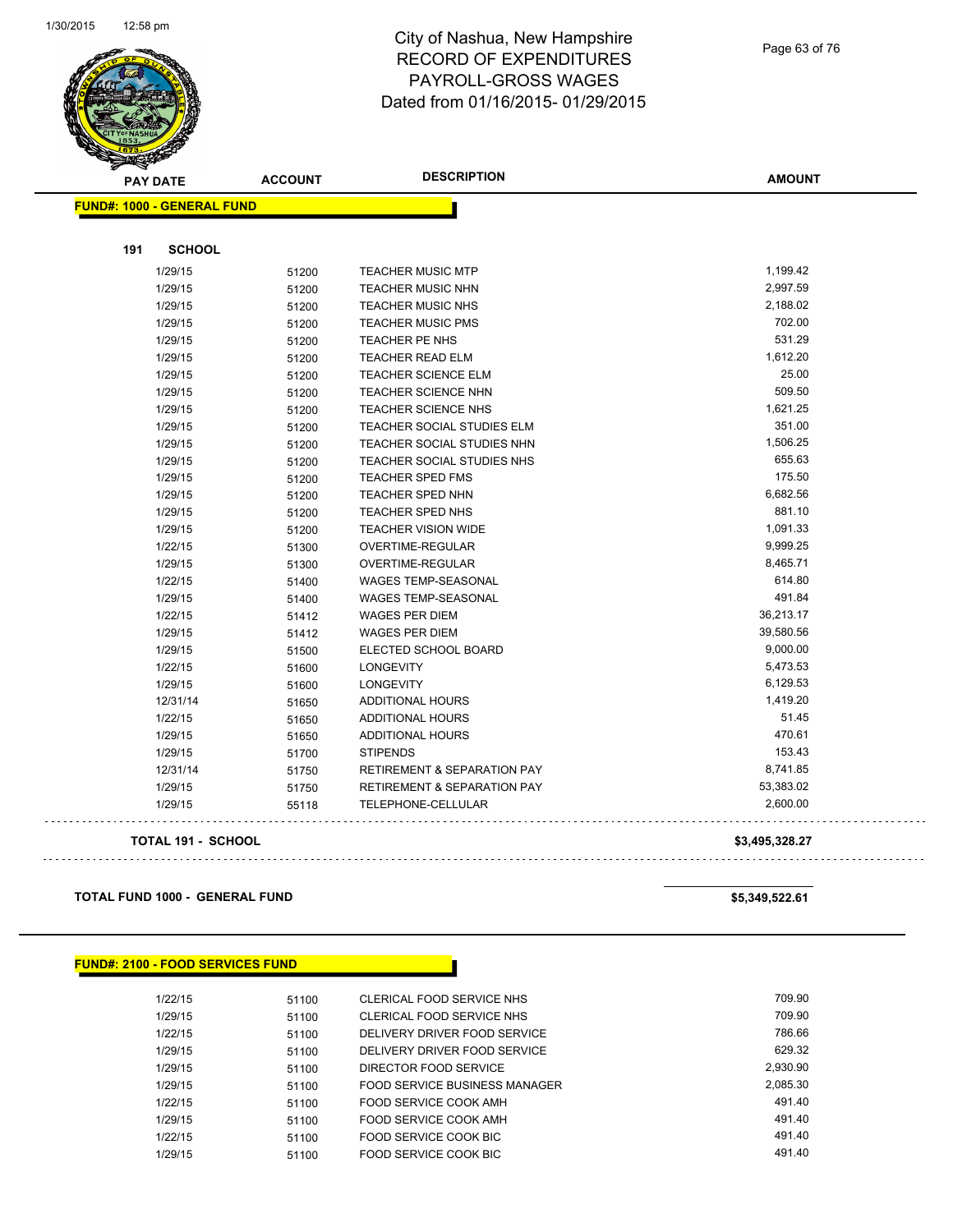

Page 63 of 76

| <b>PAY DATE</b>                   | <b>ACCOUNT</b> | <b>DESCRIPTION</b>                     | <b>AMOUNT</b>  |
|-----------------------------------|----------------|----------------------------------------|----------------|
| <b>FUND#: 1000 - GENERAL FUND</b> |                |                                        |                |
|                                   |                |                                        |                |
| 191<br><b>SCHOOL</b>              |                |                                        |                |
| 1/29/15                           | 51200          | <b>TEACHER MUSIC MTP</b>               | 1,199.42       |
| 1/29/15                           | 51200          | <b>TEACHER MUSIC NHN</b>               | 2,997.59       |
| 1/29/15                           | 51200          | <b>TEACHER MUSIC NHS</b>               | 2,188.02       |
| 1/29/15                           | 51200          | <b>TEACHER MUSIC PMS</b>               | 702.00         |
| 1/29/15                           | 51200          | TEACHER PE NHS                         | 531.29         |
| 1/29/15                           | 51200          | <b>TEACHER READ ELM</b>                | 1,612.20       |
| 1/29/15                           | 51200          | <b>TEACHER SCIENCE ELM</b>             | 25.00          |
| 1/29/15                           | 51200          | TEACHER SCIENCE NHN                    | 509.50         |
| 1/29/15                           | 51200          | <b>TEACHER SCIENCE NHS</b>             | 1,621.25       |
| 1/29/15                           | 51200          | TEACHER SOCIAL STUDIES ELM             | 351.00         |
| 1/29/15                           | 51200          | TEACHER SOCIAL STUDIES NHN             | 1,506.25       |
| 1/29/15                           | 51200          | TEACHER SOCIAL STUDIES NHS             | 655.63         |
| 1/29/15                           | 51200          | <b>TEACHER SPED FMS</b>                | 175.50         |
| 1/29/15                           | 51200          | <b>TEACHER SPED NHN</b>                | 6,682.56       |
| 1/29/15                           | 51200          | TEACHER SPED NHS                       | 881.10         |
| 1/29/15                           | 51200          | <b>TEACHER VISION WIDE</b>             | 1,091.33       |
| 1/22/15                           | 51300          | OVERTIME-REGULAR                       | 9,999.25       |
| 1/29/15                           | 51300          | OVERTIME-REGULAR                       | 8,465.71       |
| 1/22/15                           | 51400          | <b>WAGES TEMP-SEASONAL</b>             | 614.80         |
| 1/29/15                           | 51400          | <b>WAGES TEMP-SEASONAL</b>             | 491.84         |
| 1/22/15                           | 51412          | <b>WAGES PER DIEM</b>                  | 36,213.17      |
| 1/29/15                           | 51412          | <b>WAGES PER DIEM</b>                  | 39,580.56      |
| 1/29/15                           | 51500          | ELECTED SCHOOL BOARD                   | 9,000.00       |
| 1/22/15                           | 51600          | <b>LONGEVITY</b>                       | 5,473.53       |
| 1/29/15                           | 51600          | <b>LONGEVITY</b>                       | 6,129.53       |
| 12/31/14                          | 51650          | ADDITIONAL HOURS                       | 1,419.20       |
| 1/22/15                           | 51650          | ADDITIONAL HOURS                       | 51.45          |
| 1/29/15                           | 51650          | ADDITIONAL HOURS                       | 470.61         |
| 1/29/15                           | 51700          | <b>STIPENDS</b>                        | 153.43         |
| 12/31/14                          | 51750          | <b>RETIREMENT &amp; SEPARATION PAY</b> | 8,741.85       |
| 1/29/15                           | 51750          | <b>RETIREMENT &amp; SEPARATION PAY</b> | 53,383.02      |
| 1/29/15                           | 55118          | TELEPHONE-CELLULAR                     | 2,600.00       |
| <b>TOTAL 191 - SCHOOL</b>         |                |                                        | \$3,495,328.27 |

**TOTAL FUND 1000 - GENERAL FUND \$5,349,522.61** 

| <b>FUND#: 2100 - FOOD SERVICES FUND</b> |  |  |
|-----------------------------------------|--|--|
|-----------------------------------------|--|--|

| 1/22/15 | 51100 | CLERICAL FOOD SERVICE NHS     | 709.90   |
|---------|-------|-------------------------------|----------|
| 1/29/15 | 51100 | CLERICAL FOOD SERVICE NHS     | 709.90   |
| 1/22/15 | 51100 | DELIVERY DRIVER FOOD SERVICE  | 786.66   |
| 1/29/15 | 51100 | DELIVERY DRIVER FOOD SERVICE  | 629.32   |
| 1/29/15 | 51100 | DIRECTOR FOOD SERVICE         | 2.930.90 |
| 1/29/15 | 51100 | FOOD SERVICE BUSINESS MANAGER | 2.085.30 |
| 1/22/15 | 51100 | FOOD SERVICE COOK AMH         | 491.40   |
| 1/29/15 | 51100 | FOOD SERVICE COOK AMH         | 491.40   |
| 1/22/15 | 51100 | FOOD SERVICE COOK BIC         | 491.40   |
| 1/29/15 | 51100 | FOOD SERVICE COOK BIC         | 491.40   |
|         |       |                               |          |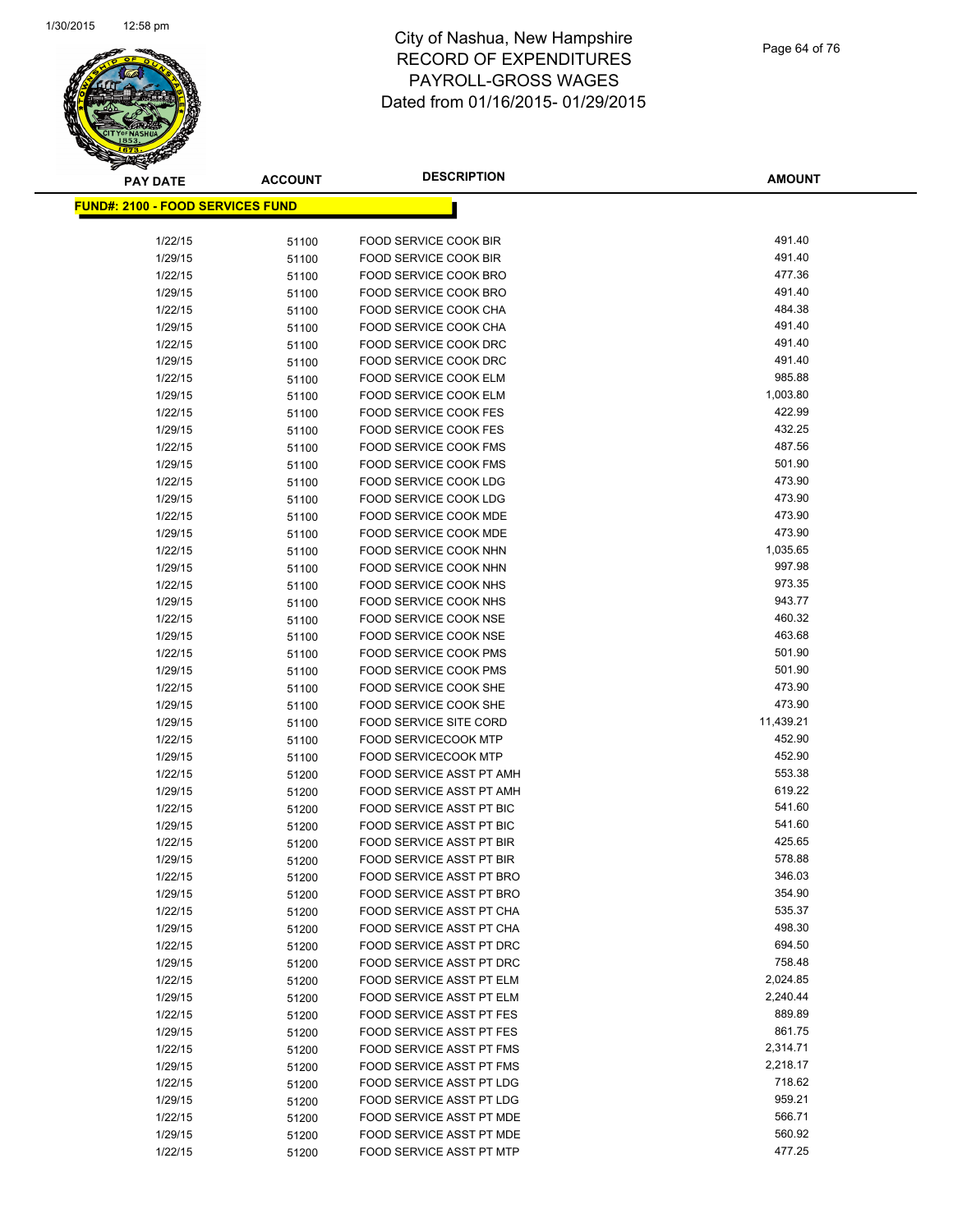

| <b>PAY DATE</b>                          | <b>ACCOUNT</b> | <b>DESCRIPTION</b>                                      | <b>AMOUNT</b>    |
|------------------------------------------|----------------|---------------------------------------------------------|------------------|
| <u> FUND#: 2100 - FOOD SERVICES FUND</u> |                |                                                         |                  |
|                                          |                |                                                         |                  |
| 1/22/15                                  | 51100          | FOOD SERVICE COOK BIR                                   | 491.40           |
| 1/29/15                                  | 51100          | FOOD SERVICE COOK BIR                                   | 491.40           |
| 1/22/15                                  | 51100          | FOOD SERVICE COOK BRO                                   | 477.36           |
| 1/29/15                                  | 51100          | FOOD SERVICE COOK BRO                                   | 491.40           |
| 1/22/15                                  | 51100          | FOOD SERVICE COOK CHA                                   | 484.38           |
| 1/29/15                                  | 51100          | FOOD SERVICE COOK CHA                                   | 491.40           |
| 1/22/15                                  | 51100          | FOOD SERVICE COOK DRC                                   | 491.40           |
| 1/29/15                                  | 51100          | FOOD SERVICE COOK DRC                                   | 491.40           |
| 1/22/15                                  | 51100          | FOOD SERVICE COOK ELM                                   | 985.88           |
| 1/29/15                                  | 51100          | FOOD SERVICE COOK ELM                                   | 1,003.80         |
| 1/22/15                                  | 51100          | FOOD SERVICE COOK FES                                   | 422.99           |
| 1/29/15                                  | 51100          | FOOD SERVICE COOK FES                                   | 432.25           |
| 1/22/15                                  | 51100          | <b>FOOD SERVICE COOK FMS</b>                            | 487.56           |
| 1/29/15                                  | 51100          | <b>FOOD SERVICE COOK FMS</b>                            | 501.90           |
| 1/22/15                                  | 51100          | FOOD SERVICE COOK LDG                                   | 473.90           |
| 1/29/15                                  | 51100          | FOOD SERVICE COOK LDG                                   | 473.90           |
| 1/22/15                                  | 51100          | FOOD SERVICE COOK MDE                                   | 473.90           |
| 1/29/15                                  | 51100          | FOOD SERVICE COOK MDE                                   | 473.90           |
| 1/22/15                                  | 51100          | FOOD SERVICE COOK NHN                                   | 1,035.65         |
| 1/29/15                                  | 51100          | FOOD SERVICE COOK NHN                                   | 997.98           |
| 1/22/15                                  | 51100          | FOOD SERVICE COOK NHS                                   | 973.35           |
| 1/29/15                                  | 51100          | FOOD SERVICE COOK NHS                                   | 943.77           |
| 1/22/15                                  | 51100          | FOOD SERVICE COOK NSE                                   | 460.32           |
| 1/29/15                                  | 51100          | FOOD SERVICE COOK NSE                                   | 463.68           |
| 1/22/15                                  | 51100          | FOOD SERVICE COOK PMS                                   | 501.90           |
| 1/29/15                                  | 51100          | <b>FOOD SERVICE COOK PMS</b>                            | 501.90           |
| 1/22/15                                  | 51100          | FOOD SERVICE COOK SHE                                   | 473.90           |
| 1/29/15                                  | 51100          | FOOD SERVICE COOK SHE                                   | 473.90           |
| 1/29/15                                  | 51100          | <b>FOOD SERVICE SITE CORD</b>                           | 11,439.21        |
| 1/22/15                                  | 51100          | <b>FOOD SERVICECOOK MTP</b>                             | 452.90           |
| 1/29/15<br>1/22/15                       | 51100          | <b>FOOD SERVICECOOK MTP</b><br>FOOD SERVICE ASST PT AMH | 452.90<br>553.38 |
| 1/29/15                                  | 51200          | FOOD SERVICE ASST PT AMH                                | 619.22           |
| 1/22/15                                  | 51200<br>51200 | FOOD SERVICE ASST PT BIC                                | 541.60           |
| 1/29/15                                  | 51200          | <b>FOOD SERVICE ASST PT BIC</b>                         | 541.60           |
| 1/22/15                                  | 51200          | FOOD SERVICE ASST PT BIR                                | 425.65           |
| 1/29/15                                  | 51200          | <b>FOOD SERVICE ASST PT BIR</b>                         | 578.88           |
| 1/22/15                                  | 51200          | FOOD SERVICE ASST PT BRO                                | 346.03           |
| 1/29/15                                  | 51200          | FOOD SERVICE ASST PT BRO                                | 354.90           |
| 1/22/15                                  | 51200          | FOOD SERVICE ASST PT CHA                                | 535.37           |
| 1/29/15                                  | 51200          | FOOD SERVICE ASST PT CHA                                | 498.30           |
| 1/22/15                                  | 51200          | FOOD SERVICE ASST PT DRC                                | 694.50           |
| 1/29/15                                  | 51200          | <b>FOOD SERVICE ASST PT DRC</b>                         | 758.48           |
| 1/22/15                                  | 51200          | FOOD SERVICE ASST PT ELM                                | 2,024.85         |
| 1/29/15                                  | 51200          | FOOD SERVICE ASST PT ELM                                | 2,240.44         |
| 1/22/15                                  | 51200          | FOOD SERVICE ASST PT FES                                | 889.89           |
| 1/29/15                                  | 51200          | FOOD SERVICE ASST PT FES                                | 861.75           |
| 1/22/15                                  | 51200          | <b>FOOD SERVICE ASST PT FMS</b>                         | 2,314.71         |
| 1/29/15                                  | 51200          | FOOD SERVICE ASST PT FMS                                | 2,218.17         |
| 1/22/15                                  | 51200          | FOOD SERVICE ASST PT LDG                                | 718.62           |
| 1/29/15                                  | 51200          | FOOD SERVICE ASST PT LDG                                | 959.21           |
| 1/22/15                                  | 51200          | FOOD SERVICE ASST PT MDE                                | 566.71           |
| 1/29/15                                  | 51200          | FOOD SERVICE ASST PT MDE                                | 560.92           |
| 1/22/15                                  | 51200          | FOOD SERVICE ASST PT MTP                                | 477.25           |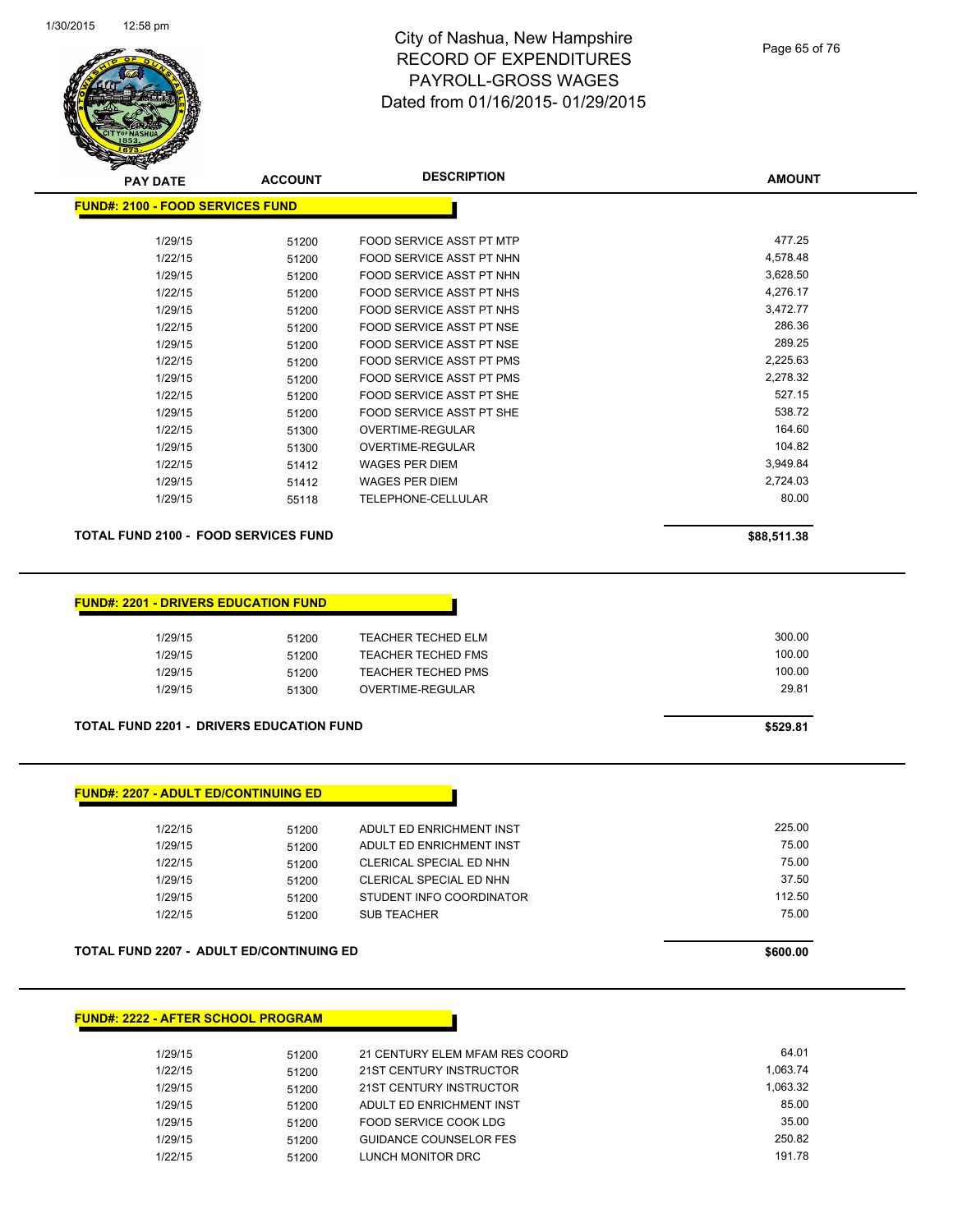

| <b>PAY DATE</b>                             | <b>ACCOUNT</b> | <b>DESCRIPTION</b>              | <b>AMOUNT</b> |
|---------------------------------------------|----------------|---------------------------------|---------------|
| <b>FUND#: 2100 - FOOD SERVICES FUND</b>     |                |                                 |               |
| 1/29/15                                     | 51200          | <b>FOOD SERVICE ASST PT MTP</b> | 477.25        |
| 1/22/15                                     | 51200          | FOOD SERVICE ASST PT NHN        | 4,578.48      |
| 1/29/15                                     | 51200          | FOOD SERVICE ASST PT NHN        | 3,628.50      |
| 1/22/15                                     | 51200          | FOOD SERVICE ASST PT NHS        | 4,276.17      |
| 1/29/15                                     | 51200          | FOOD SERVICE ASST PT NHS        | 3,472.77      |
| 1/22/15                                     | 51200          | FOOD SERVICE ASST PT NSE        | 286.36        |
| 1/29/15                                     | 51200          | FOOD SERVICE ASST PT NSE        | 289.25        |
| 1/22/15                                     | 51200          | <b>FOOD SERVICE ASST PT PMS</b> | 2,225.63      |
| 1/29/15                                     | 51200          | <b>FOOD SERVICE ASST PT PMS</b> | 2,278.32      |
| 1/22/15                                     | 51200          | <b>FOOD SERVICE ASST PT SHE</b> | 527.15        |
| 1/29/15                                     | 51200          | <b>FOOD SERVICE ASST PT SHE</b> | 538.72        |
| 1/22/15                                     | 51300          | <b>OVERTIME-REGULAR</b>         | 164.60        |
| 1/29/15                                     | 51300          | <b>OVERTIME-REGULAR</b>         | 104.82        |
| 1/22/15                                     | 51412          | <b>WAGES PER DIEM</b>           | 3,949.84      |
| 1/29/15                                     | 51412          | <b>WAGES PER DIEM</b>           | 2,724.03      |
| 1/29/15                                     | 55118          | TELEPHONE-CELLULAR              | 80.00         |
| <b>TOTAL FUND 2100 - FOOD SERVICES FUND</b> |                |                                 | \$88,511.38   |

### **FUND#: 2201 - DRIVERS EDUCATION FUND**

| 1/29/15 | 51200 | TEACHER TECHED ELM        | 300.00 |
|---------|-------|---------------------------|--------|
| 1/29/15 | 51200 | <b>TEACHER TECHED FMS</b> | 100.00 |
| 1/29/15 | 51200 | <b>TEACHER TECHED PMS</b> | 100.00 |
| 1/29/15 | 51300 | OVERTIME-REGULAR          | 29.81  |
|         |       |                           |        |

## **TOTAL FUND 2201 - DRIVERS EDUCATION FUND \$529.81**

| 1/22/15 | 51200 | ADULT ED ENRICHMENT INST       | 225.00 |
|---------|-------|--------------------------------|--------|
| 1/29/15 | 51200 | ADULT ED ENRICHMENT INST       | 75.00  |
| 1/22/15 | 51200 | <b>CLERICAL SPECIAL ED NHN</b> | 75.00  |
| 1/29/15 | 51200 | <b>CLERICAL SPECIAL ED NHN</b> | 37.50  |
| 1/29/15 | 51200 | STUDENT INFO COORDINATOR       | 112.50 |
| 1/22/15 | 51200 | <b>SUB TEACHER</b>             | 75.00  |
|         |       |                                |        |

### **TOTAL FUND 2207 - ADULT ED/CONTINUING ED \$600.00**

## **FUND#: 2222 - AFTER SCHOOL PROGRAM**

| 1/29/15 | 51200 | 21 CENTURY ELEM MFAM RES COORD | 64.01    |
|---------|-------|--------------------------------|----------|
| 1/22/15 | 51200 | 21ST CENTURY INSTRUCTOR        | 1.063.74 |
| 1/29/15 | 51200 | 21ST CENTURY INSTRUCTOR        | 1.063.32 |
| 1/29/15 | 51200 | ADULT ED ENRICHMENT INST       | 85.00    |
| 1/29/15 | 51200 | FOOD SERVICE COOK LDG          | 35.00    |
| 1/29/15 | 51200 | <b>GUIDANCE COUNSELOR FES</b>  | 250.82   |
| 1/22/15 | 51200 | LUNCH MONITOR DRC              | 191.78   |
|         |       |                                |          |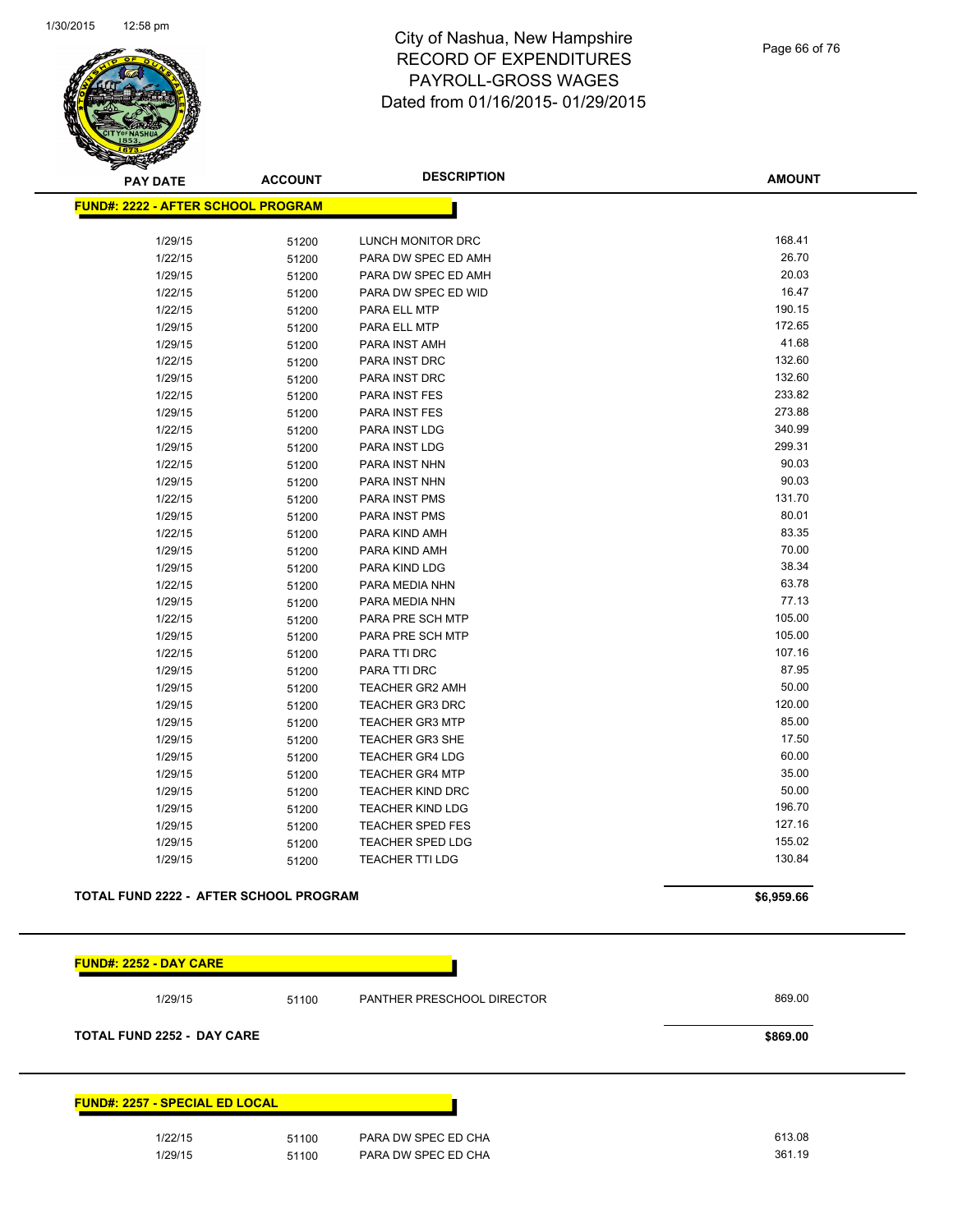

Page 66 of 76

| <b>PAY DATE</b>                               | <b>ACCOUNT</b> | <b>DESCRIPTION</b>      | <b>AMOUNT</b> |
|-----------------------------------------------|----------------|-------------------------|---------------|
| <b>FUND#: 2222 - AFTER SCHOOL PROGRAM</b>     |                |                         |               |
|                                               |                |                         |               |
| 1/29/15                                       | 51200          | LUNCH MONITOR DRC       | 168.41        |
| 1/22/15                                       | 51200          | PARA DW SPEC ED AMH     | 26.70         |
| 1/29/15                                       | 51200          | PARA DW SPEC ED AMH     | 20.03         |
| 1/22/15                                       | 51200          | PARA DW SPEC ED WID     | 16.47         |
| 1/22/15                                       | 51200          | PARA ELL MTP            | 190.15        |
| 1/29/15                                       | 51200          | PARA ELL MTP            | 172.65        |
| 1/29/15                                       | 51200          | PARA INST AMH           | 41.68         |
| 1/22/15                                       | 51200          | PARA INST DRC           | 132.60        |
| 1/29/15                                       | 51200          | <b>PARA INST DRC</b>    | 132.60        |
| 1/22/15                                       | 51200          | PARA INST FES           | 233.82        |
| 1/29/15                                       | 51200          | <b>PARA INST FES</b>    | 273.88        |
| 1/22/15                                       | 51200          | PARA INST LDG           | 340.99        |
| 1/29/15                                       | 51200          | PARA INST LDG           | 299.31        |
| 1/22/15                                       | 51200          | PARA INST NHN           | 90.03         |
| 1/29/15                                       | 51200          | PARA INST NHN           | 90.03         |
| 1/22/15                                       | 51200          | PARA INST PMS           | 131.70        |
| 1/29/15                                       | 51200          | PARA INST PMS           | 80.01         |
| 1/22/15                                       | 51200          | PARA KIND AMH           | 83.35         |
| 1/29/15                                       | 51200          | PARA KIND AMH           | 70.00         |
| 1/29/15                                       | 51200          | PARA KIND LDG           | 38.34         |
| 1/22/15                                       | 51200          | PARA MEDIA NHN          | 63.78         |
| 1/29/15                                       | 51200          | PARA MEDIA NHN          | 77.13         |
| 1/22/15                                       | 51200          | PARA PRE SCH MTP        | 105.00        |
| 1/29/15                                       | 51200          | PARA PRE SCH MTP        | 105.00        |
| 1/22/15                                       | 51200          | PARA TTI DRC            | 107.16        |
| 1/29/15                                       | 51200          | PARA TTI DRC            | 87.95         |
| 1/29/15                                       | 51200          | <b>TEACHER GR2 AMH</b>  | 50.00         |
| 1/29/15                                       | 51200          | <b>TEACHER GR3 DRC</b>  | 120.00        |
| 1/29/15                                       | 51200          | <b>TEACHER GR3 MTP</b>  | 85.00         |
| 1/29/15                                       | 51200          | TEACHER GR3 SHE         | 17.50         |
| 1/29/15                                       | 51200          | <b>TEACHER GR4 LDG</b>  | 60.00         |
| 1/29/15                                       | 51200          | <b>TEACHER GR4 MTP</b>  | 35.00         |
| 1/29/15                                       | 51200          | <b>TEACHER KIND DRC</b> | 50.00         |
| 1/29/15                                       | 51200          | <b>TEACHER KIND LDG</b> | 196.70        |
| 1/29/15                                       | 51200          | <b>TEACHER SPED FES</b> | 127.16        |
| 1/29/15                                       | 51200          | <b>TEACHER SPED LDG</b> | 155.02        |
| 1/29/15                                       | 51200          | <b>TEACHER TTI LDG</b>  | 130.84        |
| <b>TOTAL FUND 2222 - AFTER SCHOOL PROGRAM</b> |                |                         | \$6,959.66    |
|                                               |                |                         |               |

| <b>FUND#: 2252 - DAY CARE</b>         |       |                                   |        |
|---------------------------------------|-------|-----------------------------------|--------|
| 1/29/15                               | 51100 | <b>PANTHER PRESCHOOL DIRECTOR</b> | 869.00 |
| <b>TOTAL FUND 2252 - DAY CARE</b>     |       | \$869.00                          |        |
|                                       |       |                                   |        |
| <b>FUND#: 2257 - SPECIAL ED LOCAL</b> |       |                                   |        |
| 1/22/15                               | 51100 | PARA DW SPEC ED CHA               | 613.08 |
| 1/29/15                               | 51100 | PARA DW SPEC ED CHA               | 361.19 |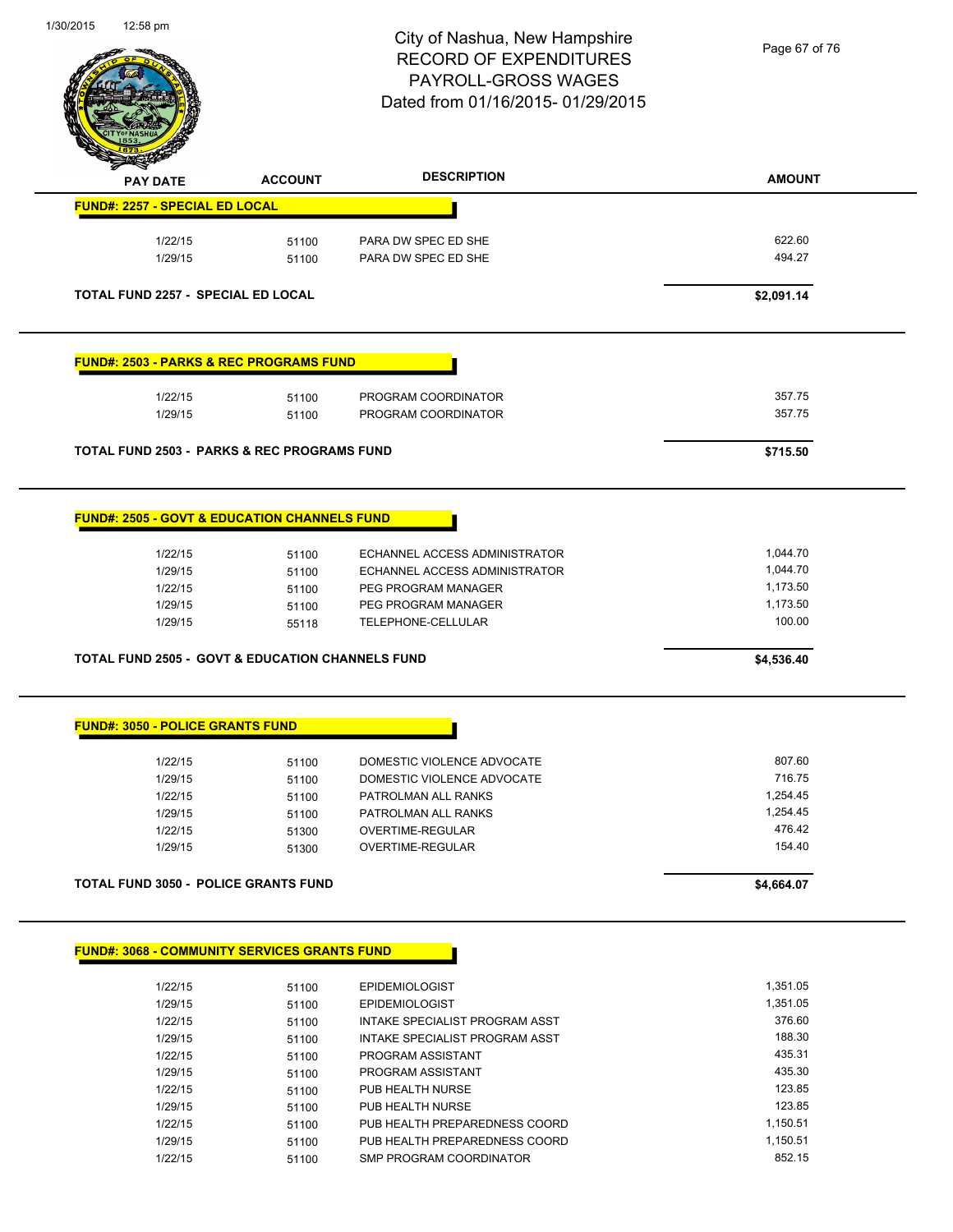

Page 67 of 76

| <b>PAY DATE</b>                                                                                                                                                                                                         | <b>ACCOUNT</b> | <b>DESCRIPTION</b>                         | <b>AMOUNT</b>        |
|-------------------------------------------------------------------------------------------------------------------------------------------------------------------------------------------------------------------------|----------------|--------------------------------------------|----------------------|
| <b>FUND#: 2257 - SPECIAL ED LOCAL</b>                                                                                                                                                                                   |                |                                            |                      |
| 1/22/15                                                                                                                                                                                                                 | 51100          | PARA DW SPEC ED SHE                        | 622.60               |
| 1/29/15                                                                                                                                                                                                                 | 51100          | PARA DW SPEC ED SHE                        | 494.27               |
|                                                                                                                                                                                                                         |                |                                            |                      |
| <b>TOTAL FUND 2257 - SPECIAL ED LOCAL</b>                                                                                                                                                                               |                |                                            | \$2,091.14           |
| <b>FUND#: 2503 - PARKS &amp; REC PROGRAMS FUND</b>                                                                                                                                                                      |                |                                            |                      |
|                                                                                                                                                                                                                         |                |                                            | 357.75               |
| 1/22/15<br>1/29/15                                                                                                                                                                                                      | 51100<br>51100 | PROGRAM COORDINATOR<br>PROGRAM COORDINATOR | 357.75               |
|                                                                                                                                                                                                                         |                |                                            |                      |
| <b>TOTAL FUND 2503 - PARKS &amp; REC PROGRAMS FUND</b>                                                                                                                                                                  |                |                                            | \$715.50             |
| <b>FUND#: 2505 - GOVT &amp; EDUCATION CHANNELS FUND</b>                                                                                                                                                                 |                |                                            |                      |
|                                                                                                                                                                                                                         |                |                                            |                      |
| 1/22/15                                                                                                                                                                                                                 | 51100          | ECHANNEL ACCESS ADMINISTRATOR              | 1,044.70             |
| 1/29/15                                                                                                                                                                                                                 | 51100          | ECHANNEL ACCESS ADMINISTRATOR              | 1,044.70             |
| 1/22/15                                                                                                                                                                                                                 | 51100          | PEG PROGRAM MANAGER                        | 1,173.50<br>1,173.50 |
|                                                                                                                                                                                                                         |                | PEG PROGRAM MANAGER                        |                      |
| 1/29/15                                                                                                                                                                                                                 | 51100          |                                            |                      |
| 1/29/15                                                                                                                                                                                                                 | 55118          | TELEPHONE-CELLULAR                         | 100.00               |
|                                                                                                                                                                                                                         |                |                                            | \$4,536.40           |
|                                                                                                                                                                                                                         |                |                                            |                      |
|                                                                                                                                                                                                                         |                |                                            |                      |
| 1/22/15                                                                                                                                                                                                                 | 51100          | DOMESTIC VIOLENCE ADVOCATE                 | 807.60               |
| 1/29/15                                                                                                                                                                                                                 | 51100          | DOMESTIC VIOLENCE ADVOCATE                 | 716.75               |
| 1/22/15                                                                                                                                                                                                                 | 51100          | PATROLMAN ALL RANKS                        | 1,254.45             |
| 1/29/15                                                                                                                                                                                                                 | 51100          | PATROLMAN ALL RANKS                        | 1,254.45             |
| 1/22/15                                                                                                                                                                                                                 | 51300          | OVERTIME-REGULAR                           | 476.42               |
| 1/29/15                                                                                                                                                                                                                 | 51300          | OVERTIME-REGULAR                           | 154.40               |
|                                                                                                                                                                                                                         |                |                                            | \$4,664.07           |
|                                                                                                                                                                                                                         |                |                                            |                      |
| 1/22/15                                                                                                                                                                                                                 |                | <b>EPIDEMIOLOGIST</b>                      | 1,351.05             |
|                                                                                                                                                                                                                         | 51100          | <b>EPIDEMIOLOGIST</b>                      | 1,351.05             |
| 1/29/15<br>1/22/15                                                                                                                                                                                                      | 51100          | INTAKE SPECIALIST PROGRAM ASST             | 376.60               |
| 1/29/15                                                                                                                                                                                                                 | 51100          | INTAKE SPECIALIST PROGRAM ASST             | 188.30               |
|                                                                                                                                                                                                                         | 51100          |                                            | 435.31               |
| <b>TOTAL FUND 2505 - GOVT &amp; EDUCATION CHANNELS FUND</b><br><b>FUND#: 3050 - POLICE GRANTS FUND</b><br><b>TOTAL FUND 3050 - POLICE GRANTS FUND</b><br><b>FUND#: 3068 - COMMUNITY SERVICES GRANTS FUND</b><br>1/22/15 | 51100          | PROGRAM ASSISTANT                          |                      |
| 1/29/15<br>1/22/15                                                                                                                                                                                                      | 51100<br>51100 | PROGRAM ASSISTANT<br>PUB HEALTH NURSE      | 435.30<br>123.85     |

1/22/15 51100 PUB HEALTH PREPAREDNESS COORD 1,150.51 1/29/15 51100 PUB HEALTH PREPAREDNESS COORD 1,150.51 1/22/15 51100 SMP PROGRAM COORDINATOR 852.15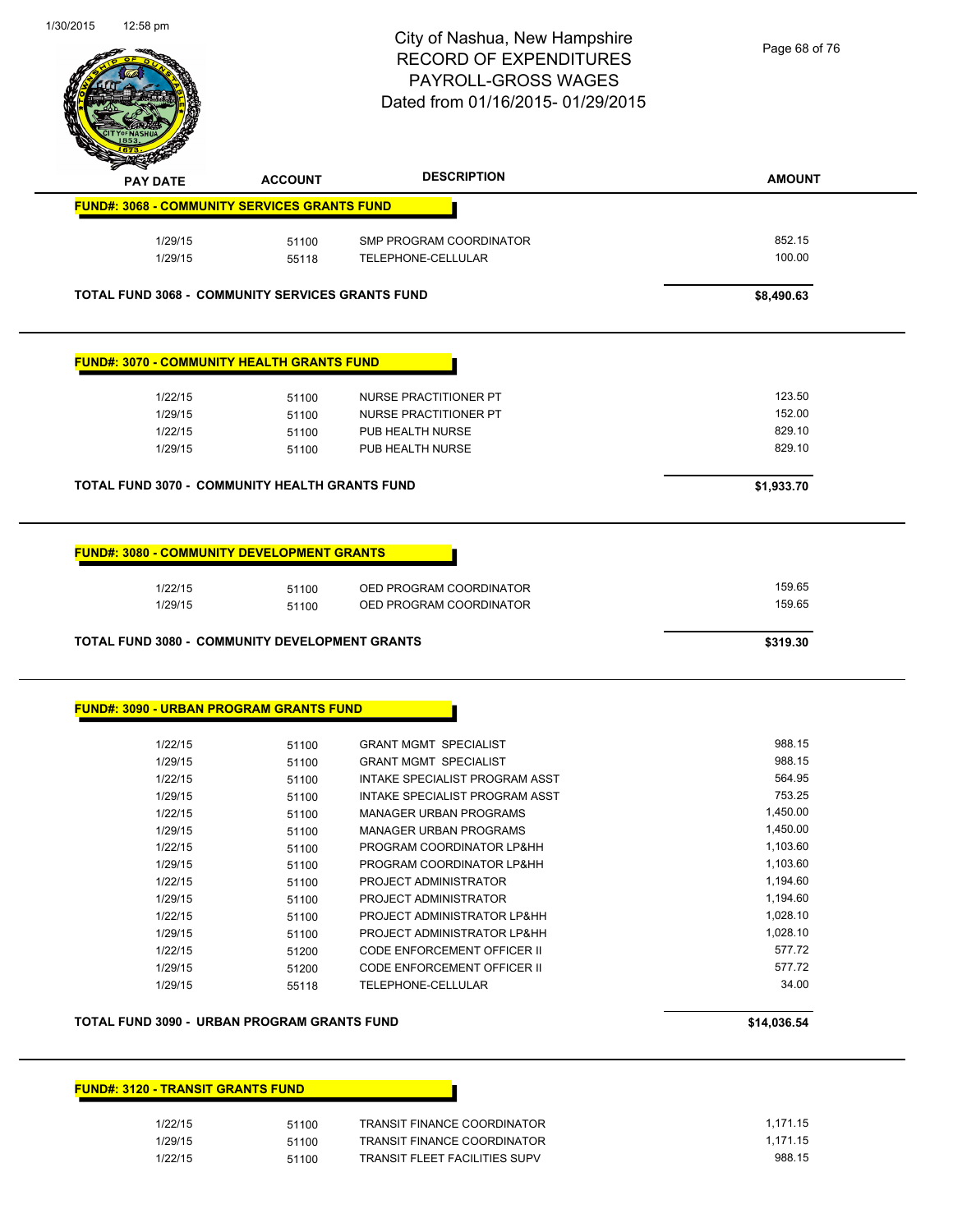

|                                                         | <b>ACCOUNT</b> | <b>DESCRIPTION</b>                                 | <b>AMOUNT</b>    |
|---------------------------------------------------------|----------------|----------------------------------------------------|------------------|
| <b>FUND#: 3068 - COMMUNITY SERVICES GRANTS FUND</b>     |                |                                                    |                  |
| 1/29/15                                                 | 51100          | SMP PROGRAM COORDINATOR                            | 852.15           |
| 1/29/15                                                 | 55118          | TELEPHONE-CELLULAR                                 | 100.00           |
| <b>TOTAL FUND 3068 - COMMUNITY SERVICES GRANTS FUND</b> |                |                                                    | \$8,490.63       |
| <b>FUND#: 3070 - COMMUNITY HEALTH GRANTS FUND</b>       |                |                                                    |                  |
| 1/22/15                                                 | 51100          | NURSE PRACTITIONER PT                              | 123.50           |
| 1/29/15                                                 | 51100          | NURSE PRACTITIONER PT                              | 152.00           |
| 1/22/15                                                 | 51100          | PUB HEALTH NURSE                                   | 829.10           |
| 1/29/15                                                 | 51100          | PUB HEALTH NURSE                                   | 829.10           |
| <b>TOTAL FUND 3070 - COMMUNITY HEALTH GRANTS FUND</b>   |                |                                                    | \$1,933.70       |
| <b>FUND#: 3080 - COMMUNITY DEVELOPMENT GRANTS</b>       |                |                                                    |                  |
|                                                         |                |                                                    |                  |
|                                                         |                |                                                    |                  |
| 1/22/15<br>1/29/15                                      | 51100<br>51100 | OED PROGRAM COORDINATOR<br>OED PROGRAM COORDINATOR | 159.65<br>159.65 |
| <b>TOTAL FUND 3080 - COMMUNITY DEVELOPMENT GRANTS</b>   |                |                                                    | \$319.30         |
| <b>FUND#: 3090 - URBAN PROGRAM GRANTS FUND</b>          |                |                                                    |                  |
| 1/22/15                                                 | 51100          | <b>GRANT MGMT SPECIALIST</b>                       | 988.15           |
| 1/29/15                                                 | 51100          | <b>GRANT MGMT SPECIALIST</b>                       | 988.15           |
| 1/22/15                                                 | 51100          | INTAKE SPECIALIST PROGRAM ASST                     | 564.95           |
| 1/29/15                                                 | 51100          | INTAKE SPECIALIST PROGRAM ASST                     | 753.25           |
| 1/22/15                                                 | 51100          | <b>MANAGER URBAN PROGRAMS</b>                      | 1,450.00         |
| 1/29/15                                                 | 51100          | <b>MANAGER URBAN PROGRAMS</b>                      | 1,450.00         |
| 1/22/15                                                 | 51100          | PROGRAM COORDINATOR LP&HH                          | 1,103.60         |
| 1/29/15                                                 | 51100          | PROGRAM COORDINATOR LP&HH                          | 1,103.60         |
| 1/22/15                                                 | 51100          | PROJECT ADMINISTRATOR                              | 1,194.60         |
| 1/29/15                                                 | 51100          | PROJECT ADMINISTRATOR                              | 1,194.60         |
| 1/22/15                                                 | 51100          | PROJECT ADMINISTRATOR LP&HH                        | 1,028.10         |
| 1/29/15                                                 | 51100          | PROJECT ADMINISTRATOR LP&HH                        | 1,028.10         |
| 1/22/15                                                 | 51200          | <b>CODE ENFORCEMENT OFFICER II</b>                 | 577.72           |
| 1/29/15                                                 | 51200          | CODE ENFORCEMENT OFFICER II                        | 577.72           |
| 1/29/15                                                 | 55118          | TELEPHONE-CELLULAR                                 | 34.00            |

## **FUND#: 3120 - TRANSIT GRANTS FUND**

| 1/22/15 | 51100 | <b>TRANSIT FINANCE COORDINATOR</b>   | 1.171.15 |
|---------|-------|--------------------------------------|----------|
| 1/29/15 | 51100 | <b>TRANSIT FINANCE COORDINATOR</b>   | 1,171.15 |
| 1/22/15 | 51100 | <b>TRANSIT FLEET FACILITIES SUPV</b> | 988.15   |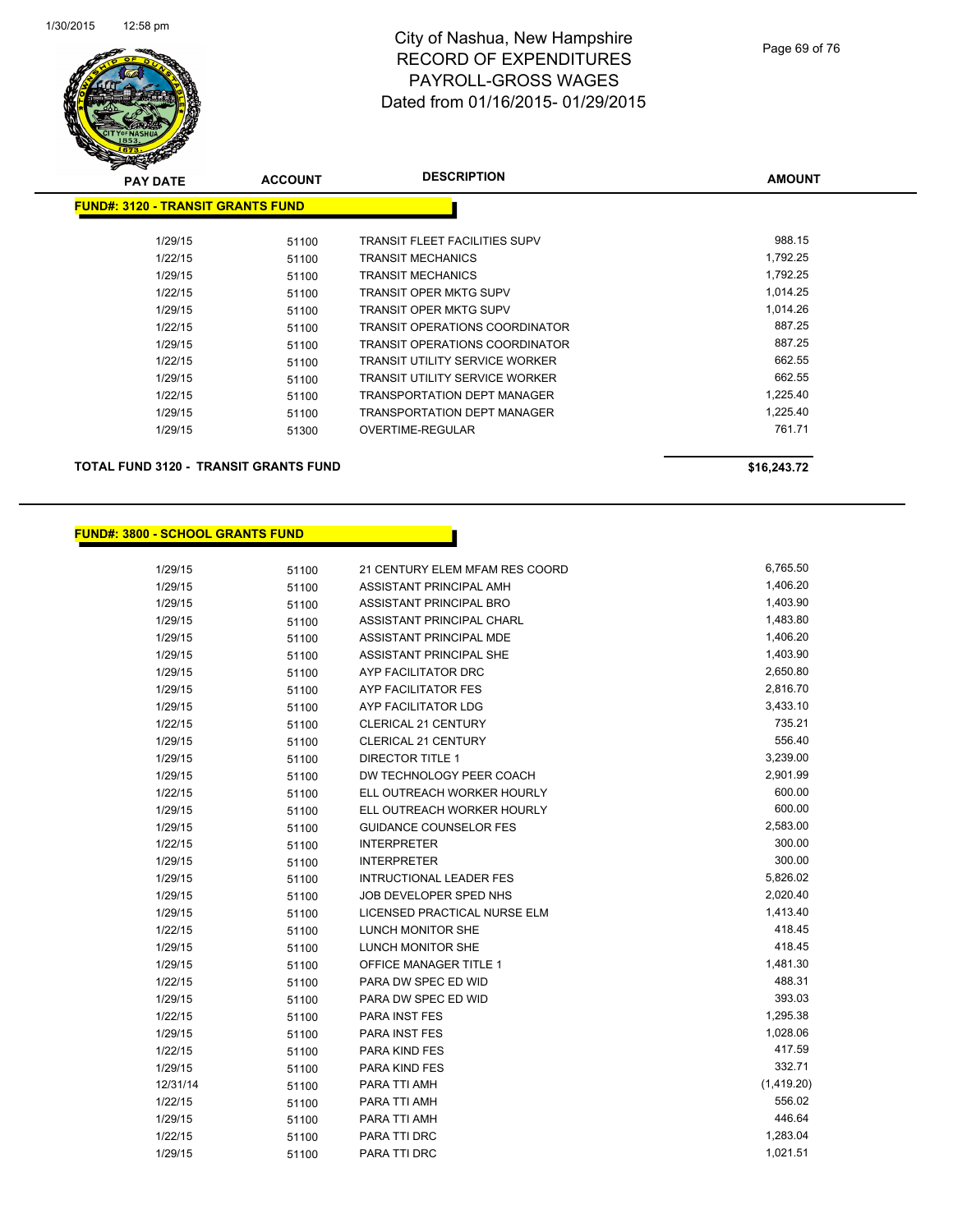

| <b>PAY DATE</b>                          | <b>ACCOUNT</b> | <b>DESCRIPTION</b>                    | <b>AMOUNT</b> |
|------------------------------------------|----------------|---------------------------------------|---------------|
| <b>FUND#: 3120 - TRANSIT GRANTS FUND</b> |                |                                       |               |
|                                          |                |                                       |               |
| 1/29/15                                  | 51100          | <b>TRANSIT FLEET FACILITIES SUPV</b>  | 988.15        |
| 1/22/15                                  | 51100          | <b>TRANSIT MECHANICS</b>              | 1,792.25      |
| 1/29/15                                  | 51100          | <b>TRANSIT MECHANICS</b>              | 1,792.25      |
| 1/22/15                                  | 51100          | <b>TRANSIT OPER MKTG SUPV</b>         | 1,014.25      |
| 1/29/15                                  | 51100          | <b>TRANSIT OPER MKTG SUPV</b>         | 1,014.26      |
| 1/22/15                                  | 51100          | <b>TRANSIT OPERATIONS COORDINATOR</b> | 887.25        |
| 1/29/15                                  | 51100          | TRANSIT OPERATIONS COORDINATOR        | 887.25        |
| 1/22/15                                  | 51100          | <b>TRANSIT UTILITY SERVICE WORKER</b> | 662.55        |
| 1/29/15                                  | 51100          | <b>TRANSIT UTILITY SERVICE WORKER</b> | 662.55        |
| 1/22/15                                  | 51100          | <b>TRANSPORTATION DEPT MANAGER</b>    | 1,225.40      |
| 1/29/15                                  | 51100          | <b>TRANSPORTATION DEPT MANAGER</b>    | 1,225.40      |
| 1/29/15                                  | 51300          | OVERTIME-REGULAR                      | 761.71        |
|                                          |                |                                       |               |
|                                          |                |                                       |               |

**TOTAL FUND 3120 - TRANSIT GRANTS FUND \$16,243.72** 

## **FUND#: 3800 - SCHOOL GRANTS FUND**

| 1/29/15  | 51100 | 21 CENTURY ELEM MFAM RES COORD | 6,765.50   |
|----------|-------|--------------------------------|------------|
| 1/29/15  | 51100 | ASSISTANT PRINCIPAL AMH        | 1,406.20   |
| 1/29/15  | 51100 | ASSISTANT PRINCIPAL BRO        | 1,403.90   |
| 1/29/15  | 51100 | ASSISTANT PRINCIPAL CHARL      | 1,483.80   |
| 1/29/15  | 51100 | ASSISTANT PRINCIPAL MDE        | 1,406.20   |
| 1/29/15  | 51100 | ASSISTANT PRINCIPAL SHE        | 1,403.90   |
| 1/29/15  | 51100 | AYP FACILITATOR DRC            | 2,650.80   |
| 1/29/15  | 51100 | <b>AYP FACILITATOR FES</b>     | 2,816.70   |
| 1/29/15  | 51100 | AYP FACILITATOR LDG            | 3,433.10   |
| 1/22/15  | 51100 | <b>CLERICAL 21 CENTURY</b>     | 735.21     |
| 1/29/15  | 51100 | <b>CLERICAL 21 CENTURY</b>     | 556.40     |
| 1/29/15  | 51100 | <b>DIRECTOR TITLE 1</b>        | 3,239.00   |
| 1/29/15  | 51100 | DW TECHNOLOGY PEER COACH       | 2,901.99   |
| 1/22/15  | 51100 | ELL OUTREACH WORKER HOURLY     | 600.00     |
| 1/29/15  | 51100 | ELL OUTREACH WORKER HOURLY     | 600.00     |
| 1/29/15  | 51100 | <b>GUIDANCE COUNSELOR FES</b>  | 2,583.00   |
| 1/22/15  | 51100 | <b>INTERPRETER</b>             | 300.00     |
| 1/29/15  | 51100 | <b>INTERPRETER</b>             | 300.00     |
| 1/29/15  | 51100 | <b>INTRUCTIONAL LEADER FES</b> | 5,826.02   |
| 1/29/15  | 51100 | JOB DEVELOPER SPED NHS         | 2,020.40   |
| 1/29/15  | 51100 | LICENSED PRACTICAL NURSE ELM   | 1,413.40   |
| 1/22/15  | 51100 | LUNCH MONITOR SHE              | 418.45     |
| 1/29/15  | 51100 | LUNCH MONITOR SHE              | 418.45     |
| 1/29/15  | 51100 | <b>OFFICE MANAGER TITLE 1</b>  | 1,481.30   |
| 1/22/15  | 51100 | PARA DW SPEC ED WID            | 488.31     |
| 1/29/15  | 51100 | PARA DW SPEC ED WID            | 393.03     |
| 1/22/15  | 51100 | PARA INST FES                  | 1,295.38   |
| 1/29/15  | 51100 | PARA INST FES                  | 1,028.06   |
| 1/22/15  | 51100 | PARA KIND FES                  | 417.59     |
| 1/29/15  | 51100 | <b>PARA KIND FES</b>           | 332.71     |
| 12/31/14 | 51100 | PARA TTI AMH                   | (1,419.20) |
| 1/22/15  | 51100 | PARA TTI AMH                   | 556.02     |
| 1/29/15  | 51100 | PARA TTI AMH                   | 446.64     |
| 1/22/15  | 51100 | PARA TTI DRC                   | 1,283.04   |
| 1/29/15  | 51100 | PARA TTI DRC                   | 1,021.51   |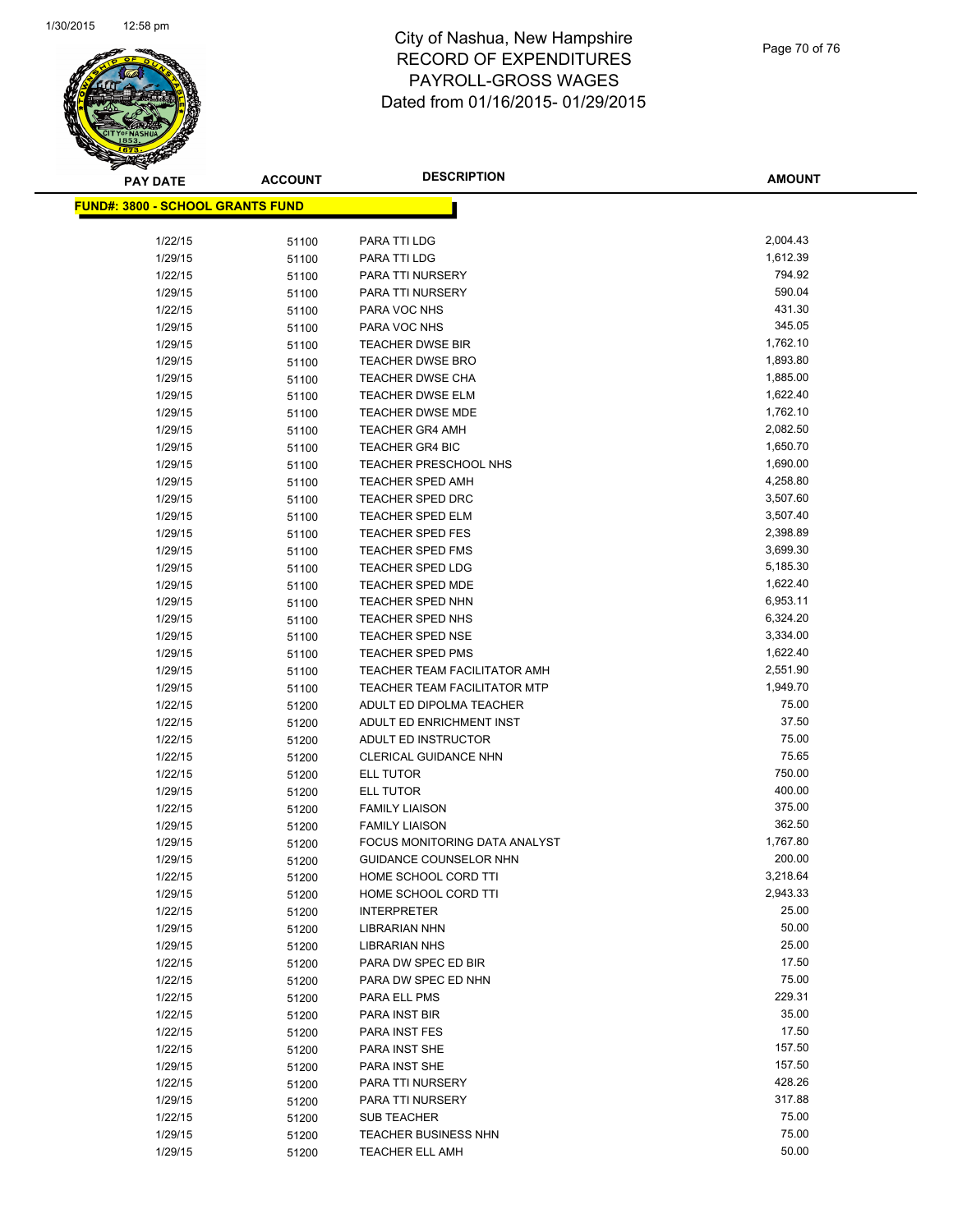

Page 70 of 76

| <b>PAY DATE</b>                         | <b>ACCOUNT</b> | <b>DESCRIPTION</b>                                     | <b>AMOUNT</b>    |
|-----------------------------------------|----------------|--------------------------------------------------------|------------------|
| <b>FUND#: 3800 - SCHOOL GRANTS FUND</b> |                |                                                        |                  |
|                                         |                |                                                        |                  |
| 1/22/15                                 | 51100          | PARA TTI LDG                                           | 2,004.43         |
| 1/29/15                                 | 51100          | PARA TTI LDG                                           | 1,612.39         |
| 1/22/15                                 | 51100          | PARA TTI NURSERY                                       | 794.92           |
| 1/29/15                                 | 51100          | PARA TTI NURSERY                                       | 590.04           |
| 1/22/15                                 | 51100          | PARA VOC NHS                                           | 431.30           |
| 1/29/15                                 | 51100          | PARA VOC NHS                                           | 345.05           |
| 1/29/15                                 | 51100          | <b>TEACHER DWSE BIR</b>                                | 1,762.10         |
| 1/29/15                                 | 51100          | <b>TEACHER DWSE BRO</b>                                | 1,893.80         |
| 1/29/15                                 | 51100          | <b>TEACHER DWSE CHA</b>                                | 1,885.00         |
| 1/29/15                                 | 51100          | <b>TEACHER DWSE ELM</b>                                | 1,622.40         |
| 1/29/15                                 | 51100          | <b>TEACHER DWSE MDE</b>                                | 1,762.10         |
| 1/29/15                                 | 51100          | <b>TEACHER GR4 AMH</b>                                 | 2,082.50         |
| 1/29/15                                 | 51100          | <b>TEACHER GR4 BIC</b>                                 | 1,650.70         |
| 1/29/15                                 | 51100          | TEACHER PRESCHOOL NHS                                  | 1,690.00         |
| 1/29/15                                 | 51100          | <b>TEACHER SPED AMH</b>                                | 4,258.80         |
| 1/29/15                                 | 51100          | <b>TEACHER SPED DRC</b>                                | 3,507.60         |
| 1/29/15                                 | 51100          | <b>TEACHER SPED ELM</b>                                | 3,507.40         |
| 1/29/15                                 | 51100          | <b>TEACHER SPED FES</b>                                | 2,398.89         |
| 1/29/15                                 | 51100          | <b>TEACHER SPED FMS</b>                                | 3,699.30         |
| 1/29/15                                 | 51100          | <b>TEACHER SPED LDG</b>                                | 5,185.30         |
| 1/29/15                                 | 51100          | <b>TEACHER SPED MDE</b>                                | 1,622.40         |
| 1/29/15                                 | 51100          | <b>TEACHER SPED NHN</b>                                | 6,953.11         |
| 1/29/15                                 | 51100          | TEACHER SPED NHS                                       | 6,324.20         |
| 1/29/15                                 | 51100          | TEACHER SPED NSE                                       | 3,334.00         |
| 1/29/15                                 | 51100          | <b>TEACHER SPED PMS</b>                                | 1,622.40         |
| 1/29/15                                 | 51100          | TEACHER TEAM FACILITATOR AMH                           | 2,551.90         |
| 1/29/15                                 | 51100          | <b>TEACHER TEAM FACILITATOR MTP</b>                    | 1,949.70         |
| 1/22/15                                 | 51200          | ADULT ED DIPOLMA TEACHER                               | 75.00            |
| 1/22/15                                 | 51200          | ADULT ED ENRICHMENT INST                               | 37.50            |
| 1/22/15                                 | 51200          | ADULT ED INSTRUCTOR                                    | 75.00            |
| 1/22/15                                 | 51200          | CLERICAL GUIDANCE NHN                                  | 75.65            |
| 1/22/15                                 | 51200          | ELL TUTOR<br><b>ELL TUTOR</b>                          | 750.00<br>400.00 |
| 1/29/15                                 | 51200          |                                                        | 375.00           |
| 1/22/15                                 | 51200          | <b>FAMILY LIAISON</b>                                  | 362.50           |
| 1/29/15                                 | 51200          | <b>FAMILY LIAISON</b><br>FOCUS MONITORING DATA ANALYST | 1,767.80         |
| 1/29/15                                 | 51200          |                                                        | 200.00           |
| 1/29/15<br>1/22/15                      | 51200          | GUIDANCE COUNSELOR NHN<br>HOME SCHOOL CORD TTI         | 3,218.64         |
| 1/29/15                                 | 51200          | HOME SCHOOL CORD TTI                                   | 2,943.33         |
| 1/22/15                                 | 51200<br>51200 | <b>INTERPRETER</b>                                     | 25.00            |
| 1/29/15                                 | 51200          | LIBRARIAN NHN                                          | 50.00            |
| 1/29/15                                 | 51200          | <b>LIBRARIAN NHS</b>                                   | 25.00            |
| 1/22/15                                 | 51200          | PARA DW SPEC ED BIR                                    | 17.50            |
| 1/22/15                                 | 51200          | PARA DW SPEC ED NHN                                    | 75.00            |
| 1/22/15                                 | 51200          | PARA ELL PMS                                           | 229.31           |
| 1/22/15                                 | 51200          | PARA INST BIR                                          | 35.00            |
| 1/22/15                                 | 51200          | PARA INST FES                                          | 17.50            |
| 1/22/15                                 | 51200          | PARA INST SHE                                          | 157.50           |
| 1/29/15                                 | 51200          | PARA INST SHE                                          | 157.50           |
| 1/22/15                                 | 51200          | PARA TTI NURSERY                                       | 428.26           |
| 1/29/15                                 | 51200          | PARA TTI NURSERY                                       | 317.88           |
| 1/22/15                                 | 51200          | <b>SUB TEACHER</b>                                     | 75.00            |
| 1/29/15                                 | 51200          | TEACHER BUSINESS NHN                                   | 75.00            |
| 1/29/15                                 | 51200          | <b>TEACHER ELL AMH</b>                                 | 50.00            |
|                                         |                |                                                        |                  |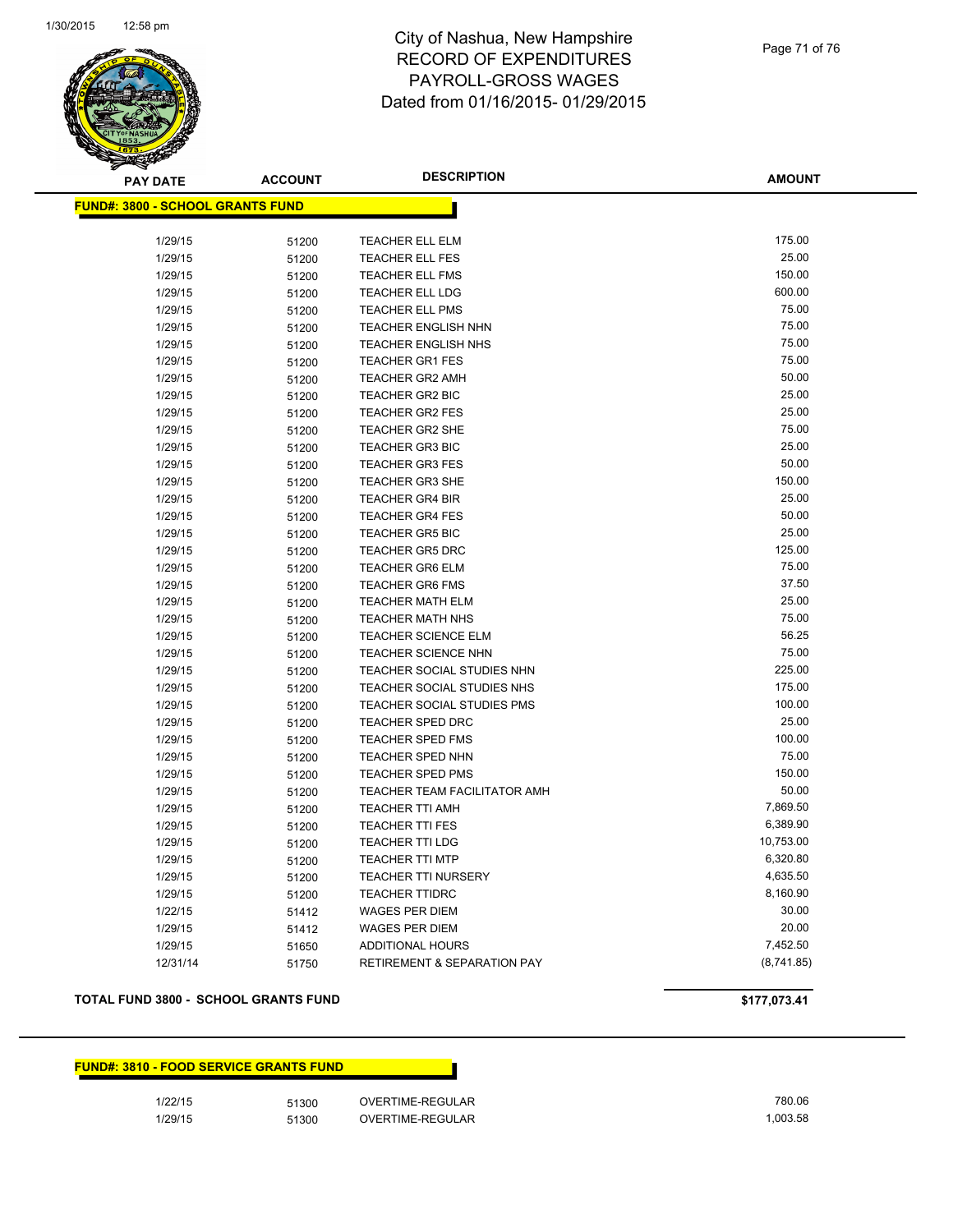

Page 71 of 76

**AMOUNT**

| <u> FUND#: 3800 - SCHOOL GRANTS FUND</u> |       |                                        |                |
|------------------------------------------|-------|----------------------------------------|----------------|
|                                          |       | <b>TEACHER ELL ELM</b>                 | 175.00         |
| 1/29/15                                  | 51200 |                                        | 25.00          |
| 1/29/15                                  | 51200 | TEACHER ELL FES                        | 150.00         |
| 1/29/15                                  | 51200 | <b>TEACHER ELL FMS</b>                 |                |
| 1/29/15                                  | 51200 | <b>TEACHER ELL LDG</b>                 | 600.00         |
| 1/29/15                                  | 51200 | <b>TEACHER ELL PMS</b>                 | 75.00<br>75.00 |
| 1/29/15                                  | 51200 | <b>TEACHER ENGLISH NHN</b>             |                |
| 1/29/15                                  | 51200 | <b>TEACHER ENGLISH NHS</b>             | 75.00          |
| 1/29/15                                  | 51200 | <b>TEACHER GR1 FES</b>                 | 75.00          |
| 1/29/15                                  | 51200 | <b>TEACHER GR2 AMH</b>                 | 50.00          |
| 1/29/15                                  | 51200 | TEACHER GR2 BIC                        | 25.00          |
| 1/29/15                                  | 51200 | <b>TEACHER GR2 FES</b>                 | 25.00          |
| 1/29/15                                  | 51200 | <b>TEACHER GR2 SHE</b>                 | 75.00          |
| 1/29/15                                  | 51200 | <b>TEACHER GR3 BIC</b>                 | 25.00          |
| 1/29/15                                  | 51200 | <b>TEACHER GR3 FES</b>                 | 50.00          |
| 1/29/15                                  | 51200 | <b>TEACHER GR3 SHE</b>                 | 150.00         |
| 1/29/15                                  | 51200 | <b>TEACHER GR4 BIR</b>                 | 25.00          |
| 1/29/15                                  | 51200 | <b>TEACHER GR4 FES</b>                 | 50.00          |
| 1/29/15                                  | 51200 | <b>TEACHER GR5 BIC</b>                 | 25.00          |
| 1/29/15                                  | 51200 | <b>TEACHER GR5 DRC</b>                 | 125.00         |
| 1/29/15                                  | 51200 | <b>TEACHER GR6 ELM</b>                 | 75.00          |
| 1/29/15                                  | 51200 | <b>TEACHER GR6 FMS</b>                 | 37.50          |
| 1/29/15                                  | 51200 | <b>TEACHER MATH ELM</b>                | 25.00          |
| 1/29/15                                  | 51200 | <b>TEACHER MATH NHS</b>                | 75.00          |
| 1/29/15                                  | 51200 | <b>TEACHER SCIENCE ELM</b>             | 56.25          |
| 1/29/15                                  | 51200 | <b>TEACHER SCIENCE NHN</b>             | 75.00          |
| 1/29/15                                  | 51200 | TEACHER SOCIAL STUDIES NHN             | 225.00         |
| 1/29/15                                  | 51200 | TEACHER SOCIAL STUDIES NHS             | 175.00         |
| 1/29/15                                  | 51200 | TEACHER SOCIAL STUDIES PMS             | 100.00         |
| 1/29/15                                  | 51200 | <b>TEACHER SPED DRC</b>                | 25.00          |
| 1/29/15                                  | 51200 | <b>TEACHER SPED FMS</b>                | 100.00         |
| 1/29/15                                  | 51200 | TEACHER SPED NHN                       | 75.00          |
| 1/29/15                                  | 51200 | <b>TEACHER SPED PMS</b>                | 150.00         |
| 1/29/15                                  | 51200 | TEACHER TEAM FACILITATOR AMH           | 50.00          |
| 1/29/15                                  | 51200 | <b>TEACHER TTI AMH</b>                 | 7,869.50       |
| 1/29/15                                  | 51200 | <b>TEACHER TTI FES</b>                 | 6,389.90       |
| 1/29/15                                  | 51200 | <b>TEACHER TTI LDG</b>                 | 10,753.00      |
| 1/29/15                                  | 51200 | <b>TEACHER TTI MTP</b>                 | 6,320.80       |
| 1/29/15                                  | 51200 | <b>TEACHER TTI NURSERY</b>             | 4,635.50       |
| 1/29/15                                  | 51200 | <b>TEACHER TTIDRC</b>                  | 8,160.90       |
| 1/22/15                                  | 51412 | <b>WAGES PER DIEM</b>                  | 30.00          |
| 1/29/15                                  | 51412 | <b>WAGES PER DIEM</b>                  | 20.00          |
| 1/29/15                                  | 51650 | <b>ADDITIONAL HOURS</b>                | 7,452.50       |
| 12/31/14                                 | 51750 | <b>RETIREMENT &amp; SEPARATION PAY</b> | (8,741.85)     |
|                                          |       |                                        |                |

## **TOTAL FUND 3800 - SCHOOL GRANTS FUND \$177,073.41**

|         | <b>FUND#: 3810 - FOOD SERVICE GRANTS FUND</b> |                  |          |
|---------|-----------------------------------------------|------------------|----------|
| 1/22/15 | 51300                                         | OVERTIME-REGULAR | 780.06   |
| 1/29/15 | 51300                                         | OVERTIME-REGULAR | 1.003.58 |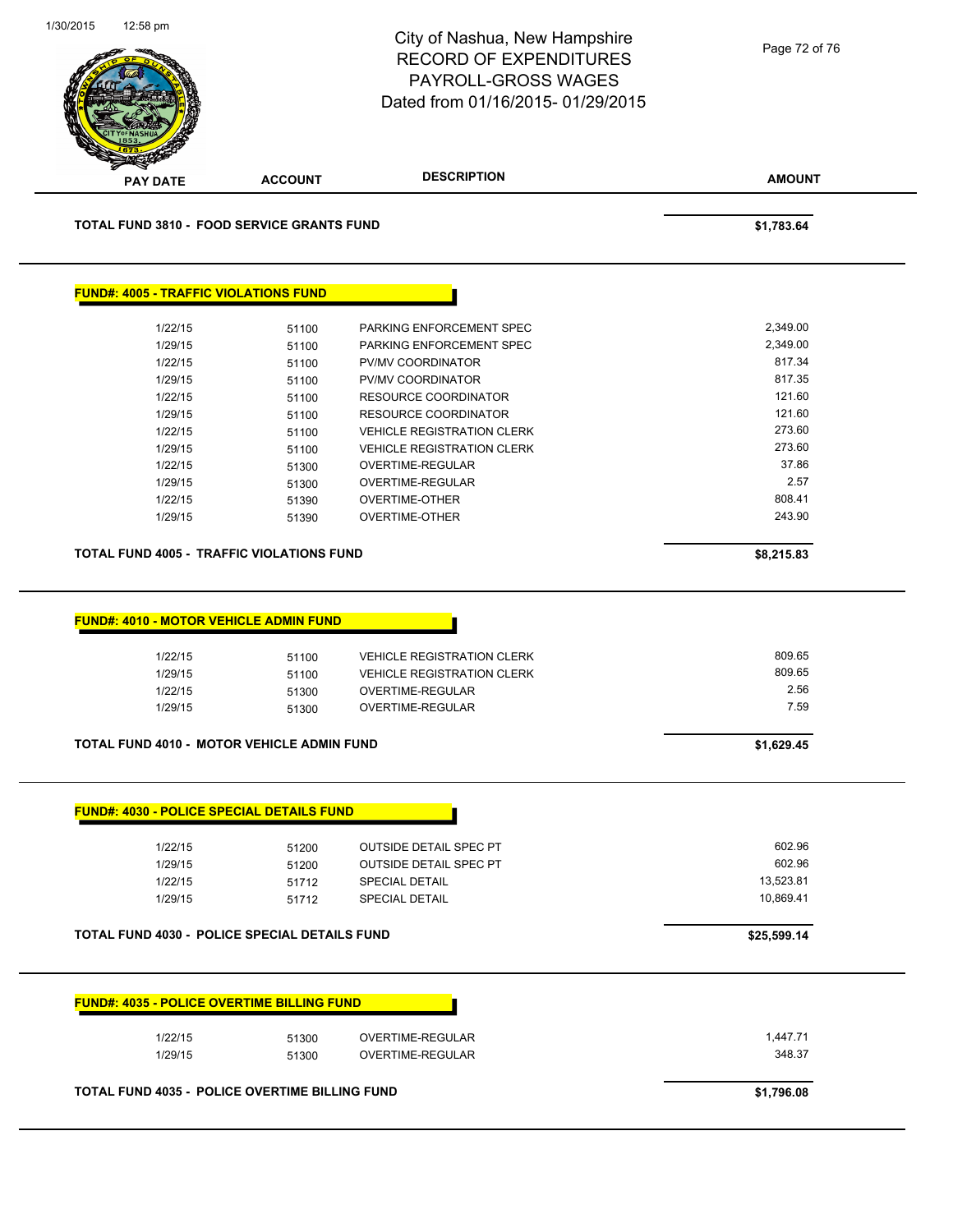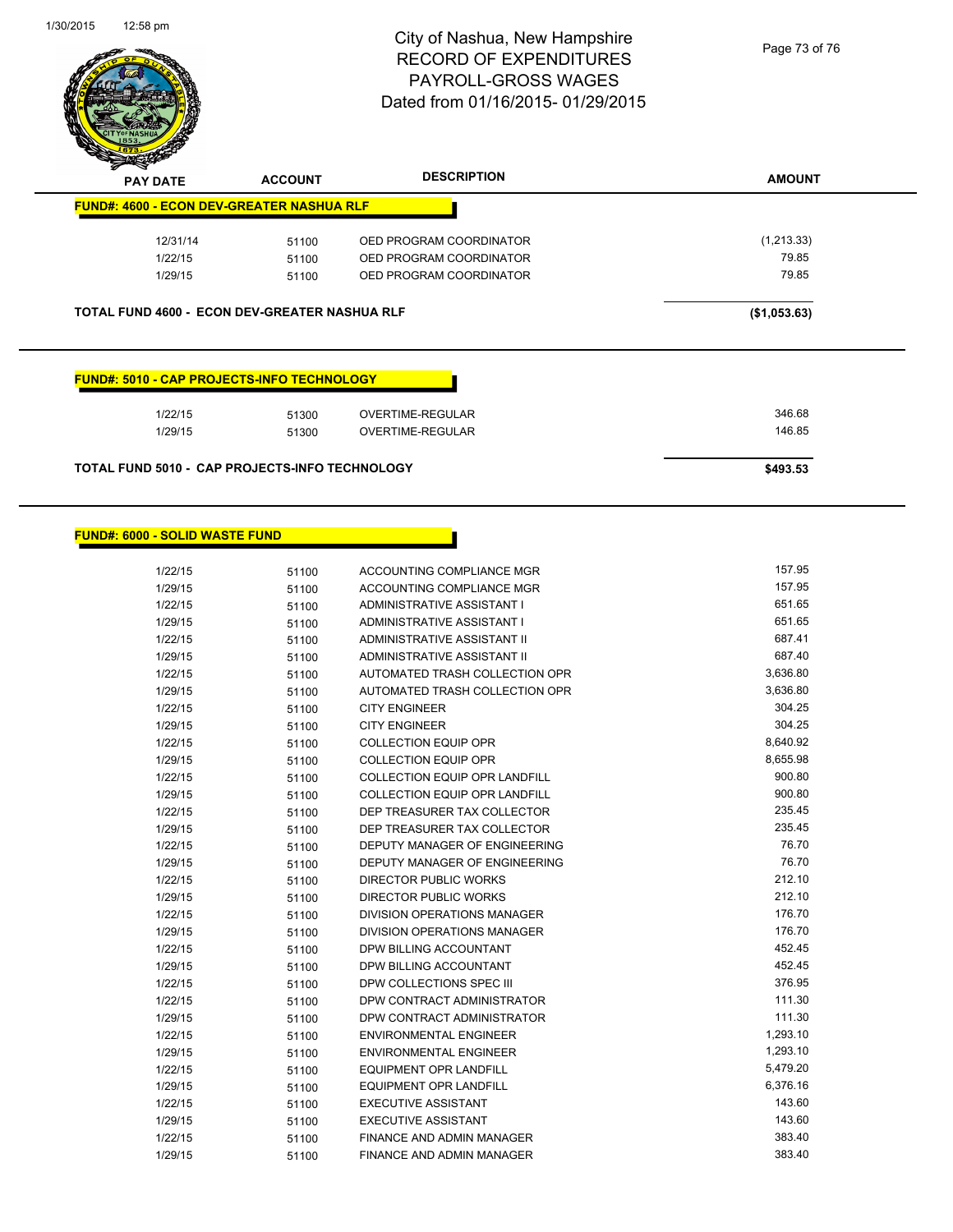

Page 73 of 76

| 12/31/14                                                                                    | 51100 | OED PROGRAM COORDINATOR | (1,213.33)   |
|---------------------------------------------------------------------------------------------|-------|-------------------------|--------------|
| 1/22/15                                                                                     | 51100 | OED PROGRAM COORDINATOR | 79.85        |
| 1/29/15                                                                                     | 51100 | OED PROGRAM COORDINATOR | 79.85        |
|                                                                                             |       |                         |              |
| TOTAL FUND 4600 - ECON DEV-GREATER NASHUA RLF<br>FUND#: 5010 - CAP PROJECTS-INFO TECHNOLOGY |       |                         | (\$1,053.63) |
| 1/22/15                                                                                     | 51300 | <b>OVERTIME-REGULAR</b> | 346.68       |
| 1/29/15                                                                                     | 51300 | <b>OVERTIME-REGULAR</b> | 146.85       |
| <b>TOTAL FUND 5010 - CAP PROJECTS-INFO TECHNOLOGY</b>                                       |       |                         | \$493.53     |

| 1/22/15 | 51100 | ACCOUNTING COMPLIANCE MGR            | 157.95   |
|---------|-------|--------------------------------------|----------|
| 1/29/15 | 51100 | ACCOUNTING COMPLIANCE MGR            | 157.95   |
| 1/22/15 | 51100 | ADMINISTRATIVE ASSISTANT I           | 651.65   |
| 1/29/15 | 51100 | ADMINISTRATIVE ASSISTANT I           | 651.65   |
| 1/22/15 | 51100 | ADMINISTRATIVE ASSISTANT II          | 687.41   |
| 1/29/15 | 51100 | ADMINISTRATIVE ASSISTANT II          | 687.40   |
| 1/22/15 | 51100 | AUTOMATED TRASH COLLECTION OPR       | 3,636.80 |
| 1/29/15 | 51100 | AUTOMATED TRASH COLLECTION OPR       | 3,636.80 |
| 1/22/15 | 51100 | <b>CITY ENGINEER</b>                 | 304.25   |
| 1/29/15 | 51100 | <b>CITY ENGINEER</b>                 | 304.25   |
| 1/22/15 | 51100 | <b>COLLECTION EQUIP OPR</b>          | 8,640.92 |
| 1/29/15 | 51100 | <b>COLLECTION EQUIP OPR</b>          | 8,655.98 |
| 1/22/15 | 51100 | COLLECTION EQUIP OPR LANDFILL        | 900.80   |
| 1/29/15 | 51100 | <b>COLLECTION EQUIP OPR LANDFILL</b> | 900.80   |
| 1/22/15 | 51100 | DEP TREASURER TAX COLLECTOR          | 235.45   |
| 1/29/15 | 51100 | DEP TREASURER TAX COLLECTOR          | 235.45   |
| 1/22/15 | 51100 | DEPUTY MANAGER OF ENGINEERING        | 76.70    |
| 1/29/15 | 51100 | DEPUTY MANAGER OF ENGINEERING        | 76.70    |
| 1/22/15 | 51100 | <b>DIRECTOR PUBLIC WORKS</b>         | 212.10   |
| 1/29/15 | 51100 | DIRECTOR PUBLIC WORKS                | 212.10   |
| 1/22/15 | 51100 | DIVISION OPERATIONS MANAGER          | 176.70   |
| 1/29/15 | 51100 | <b>DIVISION OPERATIONS MANAGER</b>   | 176.70   |
| 1/22/15 | 51100 | DPW BILLING ACCOUNTANT               | 452.45   |
| 1/29/15 | 51100 | DPW BILLING ACCOUNTANT               | 452.45   |
| 1/22/15 | 51100 | DPW COLLECTIONS SPEC III             | 376.95   |
| 1/22/15 | 51100 | DPW CONTRACT ADMINISTRATOR           | 111.30   |
| 1/29/15 | 51100 | DPW CONTRACT ADMINISTRATOR           | 111.30   |
| 1/22/15 | 51100 | <b>ENVIRONMENTAL ENGINEER</b>        | 1,293.10 |
| 1/29/15 | 51100 | <b>ENVIRONMENTAL ENGINEER</b>        | 1,293.10 |
| 1/22/15 | 51100 | <b>EQUIPMENT OPR LANDFILL</b>        | 5,479.20 |
| 1/29/15 | 51100 | <b>EQUIPMENT OPR LANDFILL</b>        | 6,376.16 |
| 1/22/15 | 51100 | <b>EXECUTIVE ASSISTANT</b>           | 143.60   |
| 1/29/15 | 51100 | <b>EXECUTIVE ASSISTANT</b>           | 143.60   |
| 1/22/15 | 51100 | <b>FINANCE AND ADMIN MANAGER</b>     | 383.40   |
| 1/29/15 | 51100 | <b>FINANCE AND ADMIN MANAGER</b>     | 383.40   |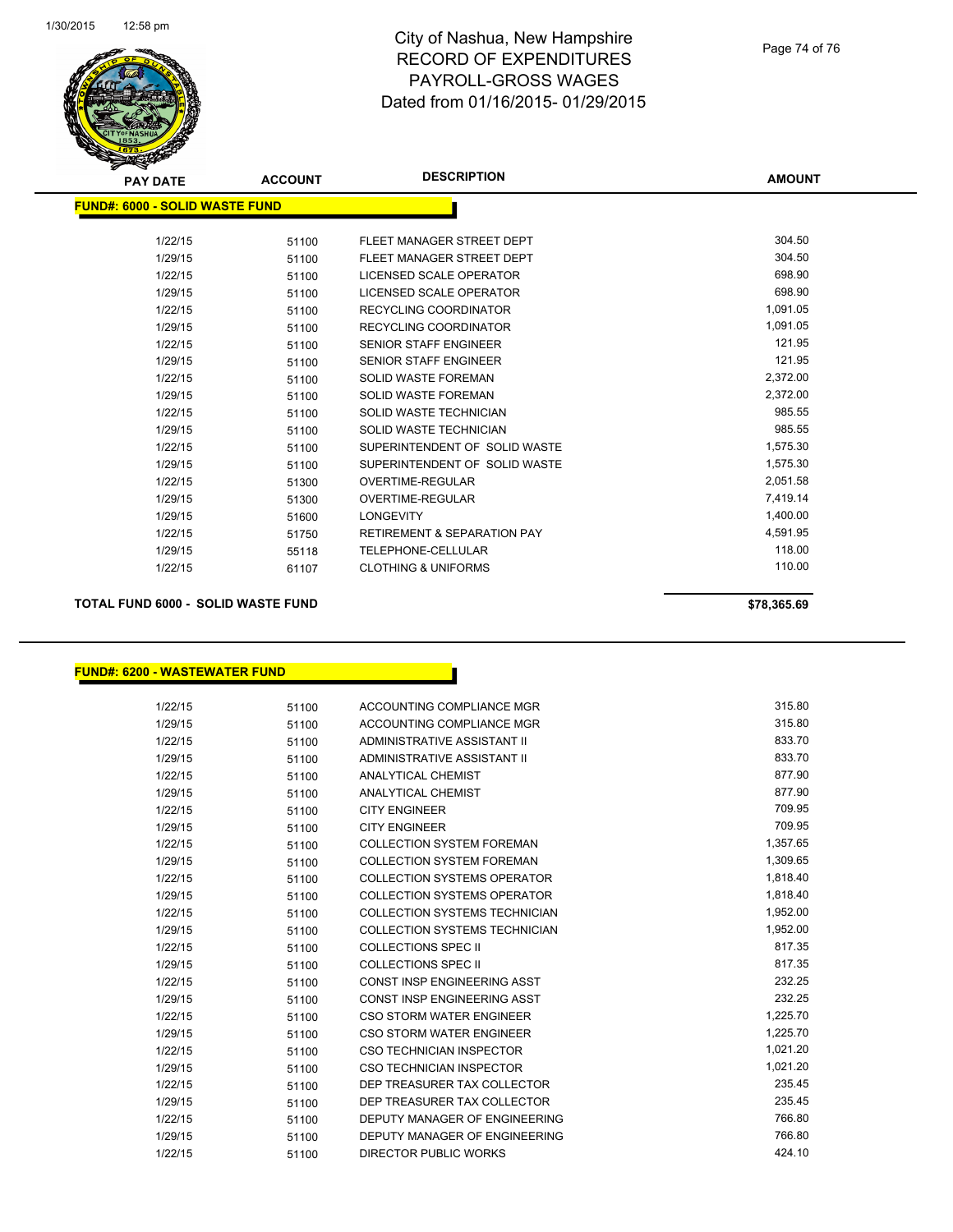

| <b>PAY DATE</b>                | <b>ACCOUNT</b> | <b>DESCRIPTION</b>                     | <b>AMOUNT</b> |
|--------------------------------|----------------|----------------------------------------|---------------|
| FUND#: 6000 - SOLID WASTE FUND |                |                                        |               |
|                                |                |                                        |               |
| 1/22/15                        | 51100          | FLEET MANAGER STREET DEPT              | 304.50        |
| 1/29/15                        | 51100          | FLEET MANAGER STREET DEPT              | 304.50        |
| 1/22/15                        | 51100          | LICENSED SCALE OPERATOR                | 698.90        |
| 1/29/15                        | 51100          | LICENSED SCALE OPERATOR                | 698.90        |
| 1/22/15                        | 51100          | <b>RECYCLING COORDINATOR</b>           | 1,091.05      |
| 1/29/15                        | 51100          | <b>RECYCLING COORDINATOR</b>           | 1,091.05      |
| 1/22/15                        | 51100          | <b>SENIOR STAFF ENGINEER</b>           | 121.95        |
| 1/29/15                        | 51100          | <b>SENIOR STAFF ENGINEER</b>           | 121.95        |
| 1/22/15                        | 51100          | <b>SOLID WASTE FOREMAN</b>             | 2,372.00      |
| 1/29/15                        | 51100          | <b>SOLID WASTE FOREMAN</b>             | 2,372.00      |
| 1/22/15                        | 51100          | SOLID WASTE TECHNICIAN                 | 985.55        |
| 1/29/15                        | 51100          | SOLID WASTE TECHNICIAN                 | 985.55        |
| 1/22/15                        | 51100          | SUPERINTENDENT OF SOLID WASTE          | 1,575.30      |
| 1/29/15                        | 51100          | SUPERINTENDENT OF SOLID WASTE          | 1,575.30      |
| 1/22/15                        | 51300          | <b>OVERTIME-REGULAR</b>                | 2,051.58      |
| 1/29/15                        | 51300          | <b>OVERTIME-REGULAR</b>                | 7,419.14      |
| 1/29/15                        | 51600          | <b>LONGEVITY</b>                       | 1,400.00      |
| 1/22/15                        | 51750          | <b>RETIREMENT &amp; SEPARATION PAY</b> | 4,591.95      |
| 1/29/15                        | 55118          | <b>TELEPHONE-CELLULAR</b>              | 118.00        |
| 1/22/15                        | 61107          | <b>CLOTHING &amp; UNIFORMS</b>         | 110.00        |
|                                |                |                                        |               |

**TOTAL FUND 6000 - SOLID WASTE FUND \$78,365.69** 

### **FUND#: 6200 - WASTEWATER FUND**

| 1/22/15 | 51100 | ACCOUNTING COMPLIANCE MGR            | 315.80   |
|---------|-------|--------------------------------------|----------|
| 1/29/15 | 51100 | ACCOUNTING COMPLIANCE MGR            | 315.80   |
| 1/22/15 | 51100 | <b>ADMINISTRATIVE ASSISTANT II</b>   | 833.70   |
| 1/29/15 | 51100 | ADMINISTRATIVE ASSISTANT II          | 833.70   |
| 1/22/15 | 51100 | <b>ANALYTICAL CHEMIST</b>            | 877.90   |
| 1/29/15 | 51100 | <b>ANALYTICAL CHEMIST</b>            | 877.90   |
| 1/22/15 | 51100 | <b>CITY ENGINEER</b>                 | 709.95   |
| 1/29/15 | 51100 | <b>CITY ENGINEER</b>                 | 709.95   |
| 1/22/15 | 51100 | <b>COLLECTION SYSTEM FOREMAN</b>     | 1,357.65 |
| 1/29/15 | 51100 | <b>COLLECTION SYSTEM FOREMAN</b>     | 1,309.65 |
| 1/22/15 | 51100 | COLLECTION SYSTEMS OPERATOR          | 1,818.40 |
| 1/29/15 | 51100 | COLLECTION SYSTEMS OPERATOR          | 1,818.40 |
| 1/22/15 | 51100 | <b>COLLECTION SYSTEMS TECHNICIAN</b> | 1,952.00 |
| 1/29/15 | 51100 | <b>COLLECTION SYSTEMS TECHNICIAN</b> | 1,952.00 |
| 1/22/15 | 51100 | <b>COLLECTIONS SPEC II</b>           | 817.35   |
| 1/29/15 | 51100 | COLLECTIONS SPEC II                  | 817.35   |
| 1/22/15 | 51100 | CONST INSP ENGINEERING ASST          | 232.25   |
| 1/29/15 | 51100 | CONST INSP ENGINEERING ASST          | 232.25   |
| 1/22/15 | 51100 | CSO STORM WATER ENGINEER             | 1,225.70 |
| 1/29/15 | 51100 | CSO STORM WATER ENGINEER             | 1,225.70 |
| 1/22/15 | 51100 | <b>CSO TECHNICIAN INSPECTOR</b>      | 1,021.20 |
| 1/29/15 | 51100 | <b>CSO TECHNICIAN INSPECTOR</b>      | 1,021.20 |
| 1/22/15 | 51100 | DEP TREASURER TAX COLLECTOR          | 235.45   |
| 1/29/15 | 51100 | DEP TREASURER TAX COLLECTOR          | 235.45   |
| 1/22/15 | 51100 | DEPUTY MANAGER OF ENGINEERING        | 766.80   |
| 1/29/15 | 51100 | DEPUTY MANAGER OF ENGINEERING        | 766.80   |
| 1/22/15 | 51100 | <b>DIRECTOR PUBLIC WORKS</b>         | 424.10   |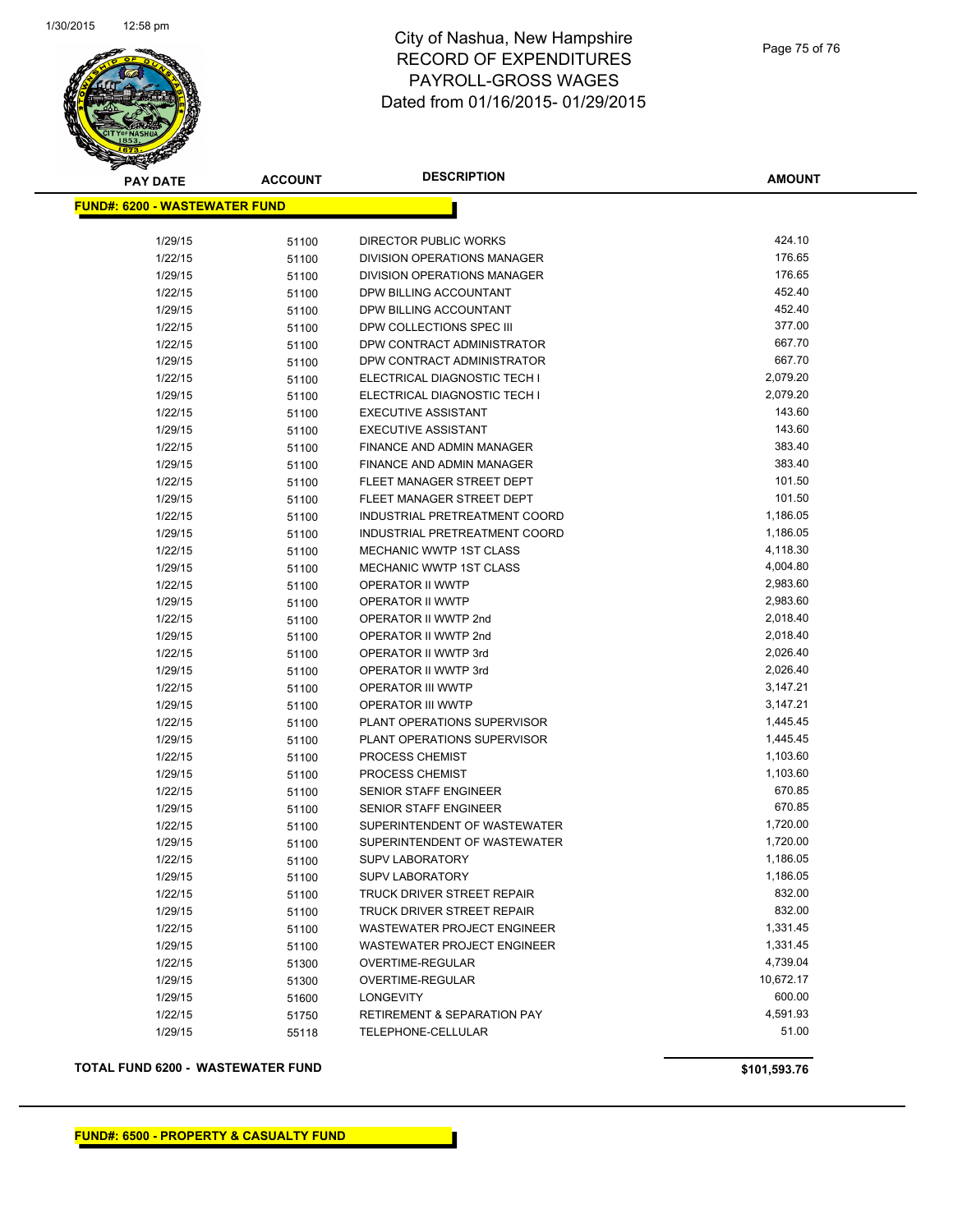

| <b>PAY DATE</b>                       | <b>ACCOUNT</b> | <b>DESCRIPTION</b>                     | <b>AMOUNT</b> |
|---------------------------------------|----------------|----------------------------------------|---------------|
| <u> FUND#: 6200 - WASTEWATER FUND</u> |                |                                        |               |
|                                       |                |                                        |               |
| 1/29/15                               | 51100          | DIRECTOR PUBLIC WORKS                  | 424.10        |
| 1/22/15                               | 51100          | DIVISION OPERATIONS MANAGER            | 176.65        |
| 1/29/15                               | 51100          | <b>DIVISION OPERATIONS MANAGER</b>     | 176.65        |
| 1/22/15                               | 51100          | DPW BILLING ACCOUNTANT                 | 452.40        |
| 1/29/15                               | 51100          | DPW BILLING ACCOUNTANT                 | 452.40        |
| 1/22/15                               | 51100          | DPW COLLECTIONS SPEC III               | 377.00        |
| 1/22/15                               | 51100          | DPW CONTRACT ADMINISTRATOR             | 667.70        |
| 1/29/15                               | 51100          | DPW CONTRACT ADMINISTRATOR             | 667.70        |
| 1/22/15                               | 51100          | ELECTRICAL DIAGNOSTIC TECH I           | 2,079.20      |
| 1/29/15                               | 51100          | ELECTRICAL DIAGNOSTIC TECH I           | 2,079.20      |
| 1/22/15                               | 51100          | <b>EXECUTIVE ASSISTANT</b>             | 143.60        |
| 1/29/15                               | 51100          | <b>EXECUTIVE ASSISTANT</b>             | 143.60        |
| 1/22/15                               | 51100          | FINANCE AND ADMIN MANAGER              | 383.40        |
| 1/29/15                               | 51100          | FINANCE AND ADMIN MANAGER              | 383.40        |
| 1/22/15                               | 51100          | FLEET MANAGER STREET DEPT              | 101.50        |
| 1/29/15                               | 51100          | FLEET MANAGER STREET DEPT              | 101.50        |
| 1/22/15                               | 51100          | INDUSTRIAL PRETREATMENT COORD          | 1,186.05      |
| 1/29/15                               | 51100          | INDUSTRIAL PRETREATMENT COORD          | 1,186.05      |
| 1/22/15                               | 51100          | MECHANIC WWTP 1ST CLASS                | 4,118.30      |
| 1/29/15                               | 51100          | MECHANIC WWTP 1ST CLASS                | 4,004.80      |
| 1/22/15                               | 51100          | OPERATOR II WWTP                       | 2,983.60      |
| 1/29/15                               | 51100          | OPERATOR II WWTP                       | 2,983.60      |
| 1/22/15                               | 51100          | OPERATOR II WWTP 2nd                   | 2,018.40      |
| 1/29/15                               | 51100          | OPERATOR II WWTP 2nd                   | 2,018.40      |
| 1/22/15                               | 51100          | OPERATOR II WWTP 3rd                   | 2,026.40      |
| 1/29/15                               | 51100          | OPERATOR II WWTP 3rd                   | 2,026.40      |
| 1/22/15                               | 51100          | OPERATOR III WWTP                      | 3,147.21      |
| 1/29/15                               | 51100          | <b>OPERATOR III WWTP</b>               | 3,147.21      |
| 1/22/15                               | 51100          | PLANT OPERATIONS SUPERVISOR            | 1,445.45      |
| 1/29/15                               | 51100          | PLANT OPERATIONS SUPERVISOR            | 1,445.45      |
| 1/22/15                               | 51100          | PROCESS CHEMIST                        | 1,103.60      |
| 1/29/15                               | 51100          | PROCESS CHEMIST                        | 1,103.60      |
| 1/22/15                               | 51100          | <b>SENIOR STAFF ENGINEER</b>           | 670.85        |
| 1/29/15                               | 51100          | <b>SENIOR STAFF ENGINEER</b>           | 670.85        |
| 1/22/15                               | 51100          | SUPERINTENDENT OF WASTEWATER           | 1,720.00      |
| 1/29/15                               | 51100          | SUPERINTENDENT OF WASTEWATER           | 1,720.00      |
| 1/22/15                               | 51100          | <b>SUPV LABORATORY</b>                 | 1,186.05      |
| 1/29/15                               | 51100          | <b>SUPV LABORATORY</b>                 | 1,186.05      |
| 1/22/15                               | 51100          | TRUCK DRIVER STREET REPAIR             | 832.00        |
| 1/29/15                               | 51100          | TRUCK DRIVER STREET REPAIR             | 832.00        |
| 1/22/15                               | 51100          | <b>WASTEWATER PROJECT ENGINEER</b>     | 1,331.45      |
| 1/29/15                               | 51100          | WASTEWATER PROJECT ENGINEER            | 1,331.45      |
| 1/22/15                               | 51300          | OVERTIME-REGULAR                       | 4,739.04      |
| 1/29/15                               | 51300          | OVERTIME-REGULAR                       | 10,672.17     |
| 1/29/15                               | 51600          | <b>LONGEVITY</b>                       | 600.00        |
| 1/22/15                               | 51750          | <b>RETIREMENT &amp; SEPARATION PAY</b> | 4,591.93      |
| 1/29/15                               | 55118          | TELEPHONE-CELLULAR                     | 51.00         |
|                                       |                |                                        |               |

**TOTAL FUND 6200 - WASTEWATER FUND \$101,593.76**